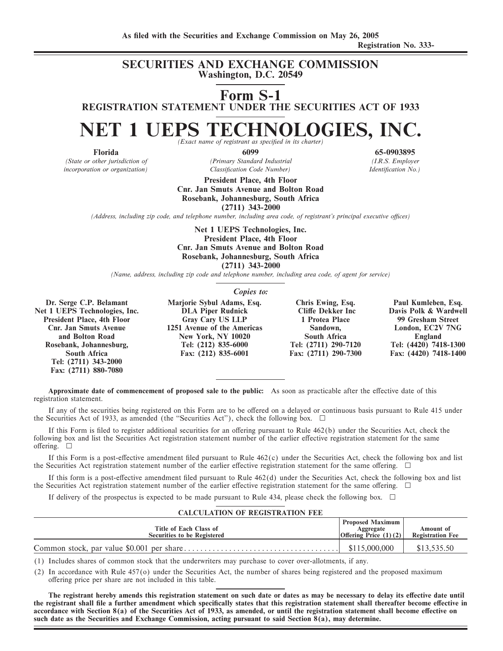### **SECURITIES AND EXCHANGE COMMISSION Washington, D.C. 20549**

**Form S-1**

**REGISTRATION STATEMENT UNDER THE SECURITIES ACT OF 1933**

# **NET 1 UEPS TECHNOLOGIES, INC.**

*(State or other jurisdiction of (Primary Standard Industrial (I.R.S. Employer incorporation or organization*  $\blacksquare$  *Classification Code Number*) *Identification No.* 

> **President Place, 4th Floor Cnr. Jan Smuts Avenue and Bolton Road Rosebank, Johannesburg, South Africa (2711) 343-2000**

*(Address, including zip code, and telephone number, including area code, of registrant's principal executive oÇces)*

**Net 1 UEPS Technologies, Inc. President Place, 4th Floor Cnr. Jan Smuts Avenue and Bolton Road Rosebank, Johannesburg, South Africa (2711) 343-2000**

*(Name, address, including zip code and telephone number, including area code, of agent for service)*

*Copies to:*

**Dr. Serge C.P. Belamant Marjorie Sybul Adams, Esq. Chris Ewing, Esq. Paul Kumleben, Esq.** Net 1 UEPS Technologies, Inc. **President Place, 4th Floor 6. Cary Cary US LLP 1 Protea Place 99 Gresham Street Chr. Jan Smuts Avenue 1251 Avenue of the Americas Sandown. Carry London, EC2V 7NG Rosebank, Johannesburg, Tel: (2711) 343-2000 Fax: (2711) 880-7080**

**CONFIDENTIFY AVENUE OF THE AMERICAN STATE SANDWEL SOLUT AVEX SOLUT AVEX SOLUT ARE SOLUT ARE SOLUT AT A SOLUT AVEX SOLUT AVEX SOLUT AVEX SOLUT AVEX SOLUT AVEX SOLUT AVEX SOLUT AVEX SOLUT AVEX SOLUT AVEX SOLUT AVEX SOLUT AV** and Bolton Road **Road New York, NY 10020** South Africa England England<br>
Read Read Tel: (212) 835-6000 Tel: (2711) 290-7120 Tel: (4420) 7418-1300 **South Africa Fax: (212) 835-6001 Fax: (2711) 290-7300 Fax: (4420) 7418-1400**

**Approximate date of commencement of proposed sale to the public:** As soon as practicable after the effective date of this registration statement.

If any of the securities being registered on this Form are to be offered on a delayed or continuous basis pursuant to Rule 415 under the Securities Act of 1933, as amended (the "Securities Act"), check the following box.  $\Box$ 

If this Form is filed to register additional securities for an offering pursuant to Rule  $462(b)$  under the Securities Act, check the following box and list the Securities Act registration statement number of the earlier effective registration statement for the same offering.  $\square$ 

If this Form is a post-effective amendment filed pursuant to Rule  $462(c)$  under the Securities Act, check the following box and list the Securities Act registration statement number of the earlier effective registration statement for the same offering.  $\Box$ 

If this form is a post-effective amendment filed pursuant to Rule  $462(d)$  under the Securities Act, check the following box and list the Securities Act registration statement number of the earlier effective registration statement for the same offering.  $\Box$ 

If delivery of the prospectus is expected to be made pursuant to Rule 434, please check the following box.  $\Box$ 

#### **CALCULATION OF REGISTRATION FEE**

| Title of Each Class of<br><b>Securities to be Registered</b> | <b>Proposed Maximum</b><br>Aggregate<br>Offering Price $(1)(2)$ | Amount of<br><b>Registration Fee</b> |
|--------------------------------------------------------------|-----------------------------------------------------------------|--------------------------------------|
|                                                              | \$115,000,000                                                   | \$13,535.50                          |

(1) Includes shares of common stock that the underwriters may purchase to cover over-allotments, if any.

(2) In accordance with Rule 457(o) under the Securities Act, the number of shares being registered and the proposed maximum offering price per share are not included in this table.

The registrant hereby amends this registration statement on such date or dates as may be necessary to delay its effective date until the registrant shall file a further amendment which specifically states that this registration statement shall thereafter become effective in accordance with Section 8(a) of the Securities Act of 1933, as amended, or until the registration statement shall become effective on **such date as the Securities and Exchange Commission, acting pursuant to said Section 8(a), may determine.**

**Florida 6099 65-0903895**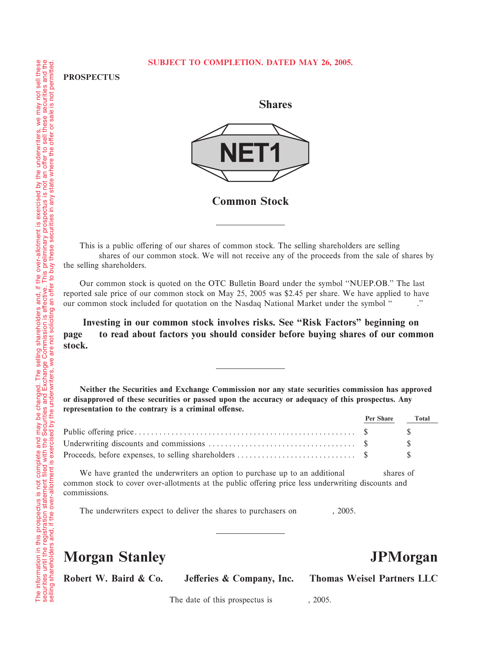#### **SUBJECT TO COMPLETION. DATED MAY 26, 2005.**

**PROSPECTUS**

**Shares**



**Common Stock**

This is a public offering of our shares of common stock. The selling shareholders are selling shares of our common stock. We will not receive any of the proceeds from the sale of shares by the selling shareholders.

Our common stock is quoted on the OTC Bulletin Board under the symbol ""NUEP.OB.'' The last reported sale price of our common stock on May 25, 2005 was \$2.45 per share. We have applied to have our common stock included for quotation on the Nasdaq National Market under the symbol "" .''

Investing in our common stock involves risks. See "Risk Factors" beginning on **page to read about factors you should consider before buying shares of our common stock.**

**Neither the Securities and Exchange Commission nor any state securities commission has approved or disapproved of these securities or passed upon the accuracy or adequacy of this prospectus. Any** representation to the contrary is a criminal offense.

| Per Share Total |  |
|-----------------|--|
|                 |  |
|                 |  |
|                 |  |

We have granted the underwriters an option to purchase up to an additional shares of common stock to cover over-allotments at the public offering price less underwriting discounts and commissions.

The underwriters expect to deliver the shares to purchasers on , 2005.

## **Morgan Stanley JPMorgan**

Robert W. Baird & Co. Jefferies & Company, Inc. Thomas Weisel Partners LLC

The date of this prospectus is  $, 2005$ .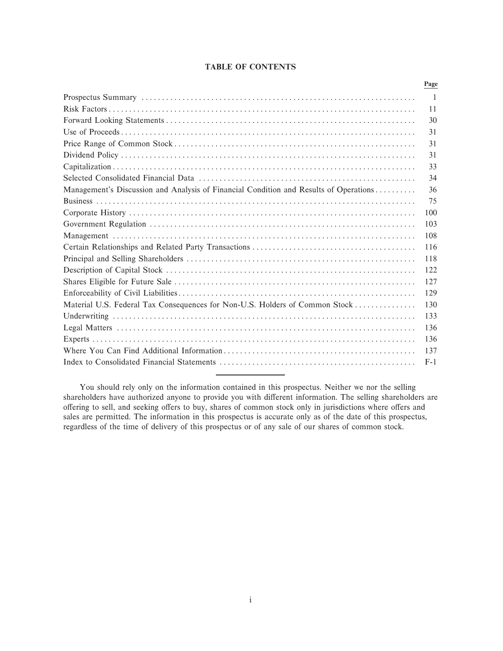#### **TABLE OF CONTENTS**

|                                                                                       | Page  |
|---------------------------------------------------------------------------------------|-------|
|                                                                                       | -1    |
|                                                                                       | 11    |
|                                                                                       | 30    |
|                                                                                       | 31    |
|                                                                                       | 31    |
|                                                                                       | 31    |
|                                                                                       | 33    |
|                                                                                       | 34    |
| Management's Discussion and Analysis of Financial Condition and Results of Operations | 36    |
|                                                                                       | 75    |
|                                                                                       | 100   |
|                                                                                       | 103   |
|                                                                                       | 108   |
|                                                                                       | 116   |
|                                                                                       | 118   |
|                                                                                       | 122   |
|                                                                                       | 127   |
|                                                                                       | 129   |
| Material U.S. Federal Tax Consequences for Non-U.S. Holders of Common Stock           | 130   |
|                                                                                       | 133   |
|                                                                                       | 136   |
|                                                                                       | 136   |
|                                                                                       | 137   |
|                                                                                       | $F-1$ |
|                                                                                       |       |

You should rely only on the information contained in this prospectus. Neither we nor the selling shareholders have authorized anyone to provide you with different information. The selling shareholders are offering to sell, and seeking offers to buy, shares of common stock only in jurisdictions where offers and sales are permitted. The information in this prospectus is accurate only as of the date of this prospectus, regardless of the time of delivery of this prospectus or of any sale of our shares of common stock.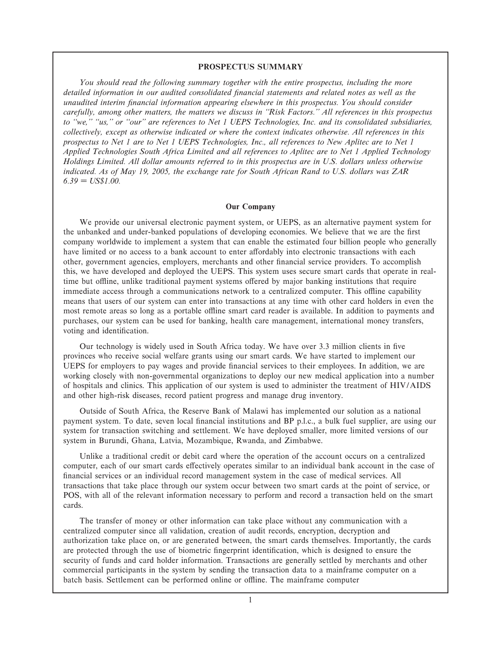#### **PROSPECTUS SUMMARY**

*You should read the following summary together with the entire prospectus, including the more* detailed information in our audited consolidated financial statements and related notes as well as the *unaudited interim Ñnancial information appearing elsewhere in this prospectus. You should consider carefully, among other matters, the matters we discuss in ""Risk Factors.'' All references in this prospectus to ""we,'' ""us,'' or ""our'' are references to Net 1 UEPS Technologies, Inc. and its consolidated subsidiaries, collectively, except as otherwise indicated or where the context indicates otherwise. All references in this prospectus to Net 1 are to Net 1 UEPS Technologies, Inc., all references to New Aplitec are to Net 1 Applied Technologies South Africa Limited and all references to Aplitec are to Net 1 Applied Technology Holdings Limited. All dollar amounts referred to in this prospectus are in U.S. dollars unless otherwise indicated. As of May 19, 2005, the exchange rate for South African Rand to U.S. dollars was ZAR*  $6.39 = US$1.00.$ 

#### **Our Company**

We provide our universal electronic payment system, or UEPS, as an alternative payment system for the unbanked and under-banked populations of developing economies. We believe that we are the Ñrst company worldwide to implement a system that can enable the estimated four billion people who generally have limited or no access to a bank account to enter affordably into electronic transactions with each other, government agencies, employers, merchants and other financial service providers. To accomplish this, we have developed and deployed the UEPS. This system uses secure smart cards that operate in realtime but offline, unlike traditional payment systems offered by major banking institutions that require immediate access through a communications network to a centralized computer. This offline capability means that users of our system can enter into transactions at any time with other card holders in even the most remote areas so long as a portable offline smart card reader is available. In addition to payments and purchases, our system can be used for banking, health care management, international money transfers, voting and identification.

Our technology is widely used in South Africa today. We have over 3.3 million clients in five provinces who receive social welfare grants using our smart cards. We have started to implement our UEPS for employers to pay wages and provide financial services to their employees. In addition, we are working closely with non-governmental organizations to deploy our new medical application into a number of hospitals and clinics. This application of our system is used to administer the treatment of HIV/AIDS and other high-risk diseases, record patient progress and manage drug inventory.

Outside of South Africa, the Reserve Bank of Malawi has implemented our solution as a national payment system. To date, seven local financial institutions and BP p.l.c., a bulk fuel supplier, are using our system for transaction switching and settlement. We have deployed smaller, more limited versions of our system in Burundi, Ghana, Latvia, Mozambique, Rwanda, and Zimbabwe.

Unlike a traditional credit or debit card where the operation of the account occurs on a centralized computer, each of our smart cards effectively operates similar to an individual bank account in the case of financial services or an individual record management system in the case of medical services. All transactions that take place through our system occur between two smart cards at the point of service, or POS, with all of the relevant information necessary to perform and record a transaction held on the smart cards.

The transfer of money or other information can take place without any communication with a centralized computer since all validation, creation of audit records, encryption, decryption and authorization take place on, or are generated between, the smart cards themselves. Importantly, the cards are protected through the use of biometric fingerprint identification, which is designed to ensure the security of funds and card holder information. Transactions are generally settled by merchants and other commercial participants in the system by sending the transaction data to a mainframe computer on a batch basis. Settlement can be performed online or offline. The mainframe computer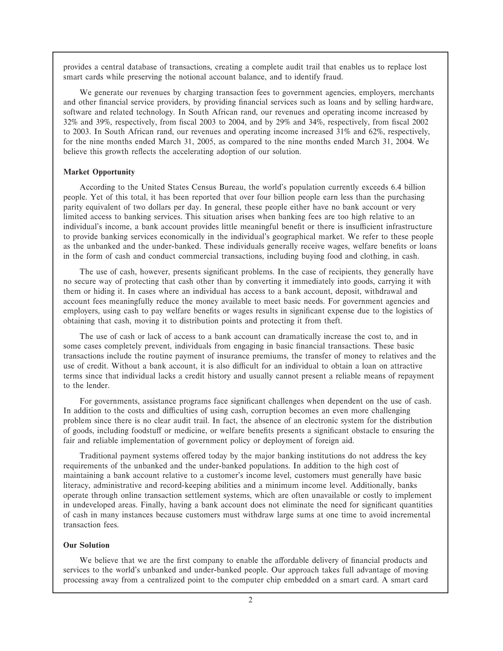provides a central database of transactions, creating a complete audit trail that enables us to replace lost smart cards while preserving the notional account balance, and to identify fraud.

We generate our revenues by charging transaction fees to government agencies, employers, merchants and other financial service providers, by providing financial services such as loans and by selling hardware, software and related technology. In South African rand, our revenues and operating income increased by 32% and 39%, respectively, from Ñscal 2003 to 2004, and by 29% and 34%, respectively, from Ñscal 2002 to 2003. In South African rand, our revenues and operating income increased 31% and 62%, respectively, for the nine months ended March 31, 2005, as compared to the nine months ended March 31, 2004. We believe this growth reflects the accelerating adoption of our solution.

#### **Market Opportunity**

According to the United States Census Bureau, the world's population currently exceeds 6.4 billion people. Yet of this total, it has been reported that over four billion people earn less than the purchasing parity equivalent of two dollars per day. In general, these people either have no bank account or very limited access to banking services. This situation arises when banking fees are too high relative to an individual's income, a bank account provides little meaningful benefit or there is insufficient infrastructure to provide banking services economically in the individual's geographical market. We refer to these people as the unbanked and the under-banked. These individuals generally receive wages, welfare benefits or loans in the form of cash and conduct commercial transactions, including buying food and clothing, in cash.

The use of cash, however, presents significant problems. In the case of recipients, they generally have no secure way of protecting that cash other than by converting it immediately into goods, carrying it with them or hiding it. In cases where an individual has access to a bank account, deposit, withdrawal and account fees meaningfully reduce the money available to meet basic needs. For government agencies and employers, using cash to pay welfare benefits or wages results in significant expense due to the logistics of obtaining that cash, moving it to distribution points and protecting it from theft.

The use of cash or lack of access to a bank account can dramatically increase the cost to, and in some cases completely prevent, individuals from engaging in basic financial transactions. These basic transactions include the routine payment of insurance premiums, the transfer of money to relatives and the use of credit. Without a bank account, it is also difficult for an individual to obtain a loan on attractive terms since that individual lacks a credit history and usually cannot present a reliable means of repayment to the lender.

For governments, assistance programs face significant challenges when dependent on the use of cash. In addition to the costs and difficulties of using cash, corruption becomes an even more challenging problem since there is no clear audit trail. In fact, the absence of an electronic system for the distribution of goods, including foodstuff or medicine, or welfare benefits presents a significant obstacle to ensuring the fair and reliable implementation of government policy or deployment of foreign aid.

Traditional payment systems offered today by the major banking institutions do not address the key requirements of the unbanked and the under-banked populations. In addition to the high cost of maintaining a bank account relative to a customer's income level, customers must generally have basic literacy, administrative and record-keeping abilities and a minimum income level. Additionally, banks operate through online transaction settlement systems, which are often unavailable or costly to implement in undeveloped areas. Finally, having a bank account does not eliminate the need for significant quantities of cash in many instances because customers must withdraw large sums at one time to avoid incremental transaction fees.

#### **Our Solution**

We believe that we are the first company to enable the affordable delivery of financial products and services to the world's unbanked and under-banked people. Our approach takes full advantage of moving processing away from a centralized point to the computer chip embedded on a smart card. A smart card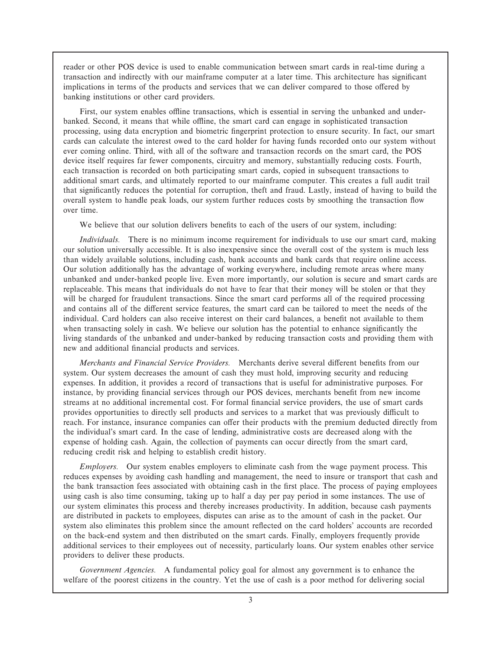reader or other POS device is used to enable communication between smart cards in real-time during a transaction and indirectly with our mainframe computer at a later time. This architecture has significant implications in terms of the products and services that we can deliver compared to those offered by banking institutions or other card providers.

First, our system enables offline transactions, which is essential in serving the unbanked and underbanked. Second, it means that while offline, the smart card can engage in sophisticated transaction processing, using data encryption and biometric fingerprint protection to ensure security. In fact, our smart cards can calculate the interest owed to the card holder for having funds recorded onto our system without ever coming online. Third, with all of the software and transaction records on the smart card, the POS device itself requires far fewer components, circuitry and memory, substantially reducing costs. Fourth, each transaction is recorded on both participating smart cards, copied in subsequent transactions to additional smart cards, and ultimately reported to our mainframe computer. This creates a full audit trail that significantly reduces the potential for corruption, theft and fraud. Lastly, instead of having to build the overall system to handle peak loads, our system further reduces costs by smoothing the transaction flow over time.

We believe that our solution delivers benefits to each of the users of our system, including:

*Individuals.* There is no minimum income requirement for individuals to use our smart card, making our solution universally accessible. It is also inexpensive since the overall cost of the system is much less than widely available solutions, including cash, bank accounts and bank cards that require online access. Our solution additionally has the advantage of working everywhere, including remote areas where many unbanked and under-banked people live. Even more importantly, our solution is secure and smart cards are replaceable. This means that individuals do not have to fear that their money will be stolen or that they will be charged for fraudulent transactions. Since the smart card performs all of the required processing and contains all of the different service features, the smart card can be tailored to meet the needs of the individual. Card holders can also receive interest on their card balances, a benefit not available to them when transacting solely in cash. We believe our solution has the potential to enhance significantly the living standards of the unbanked and under-banked by reducing transaction costs and providing them with new and additional financial products and services.

*Merchants and Financial Service Providers.* Merchants derive several different benefits from our system. Our system decreases the amount of cash they must hold, improving security and reducing expenses. In addition, it provides a record of transactions that is useful for administrative purposes. For instance, by providing financial services through our POS devices, merchants benefit from new income streams at no additional incremental cost. For formal financial service providers, the use of smart cards provides opportunities to directly sell products and services to a market that was previously difficult to reach. For instance, insurance companies can offer their products with the premium deducted directly from the individual's smart card. In the case of lending, administrative costs are decreased along with the expense of holding cash. Again, the collection of payments can occur directly from the smart card, reducing credit risk and helping to establish credit history.

*Employers.* Our system enables employers to eliminate cash from the wage payment process. This reduces expenses by avoiding cash handling and management, the need to insure or transport that cash and the bank transaction fees associated with obtaining cash in the first place. The process of paying employees using cash is also time consuming, taking up to half a day per pay period in some instances. The use of our system eliminates this process and thereby increases productivity. In addition, because cash payments are distributed in packets to employees, disputes can arise as to the amount of cash in the packet. Our system also eliminates this problem since the amount reflected on the card holders' accounts are recorded on the back-end system and then distributed on the smart cards. Finally, employers frequently provide additional services to their employees out of necessity, particularly loans. Our system enables other service providers to deliver these products.

*Government Agencies.* A fundamental policy goal for almost any government is to enhance the welfare of the poorest citizens in the country. Yet the use of cash is a poor method for delivering social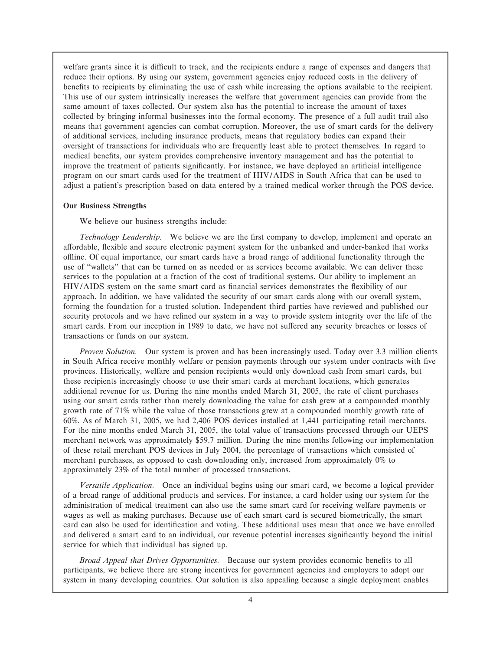welfare grants since it is difficult to track, and the recipients endure a range of expenses and dangers that reduce their options. By using our system, government agencies enjoy reduced costs in the delivery of benefits to recipients by eliminating the use of cash while increasing the options available to the recipient. This use of our system intrinsically increases the welfare that government agencies can provide from the same amount of taxes collected. Our system also has the potential to increase the amount of taxes collected by bringing informal businesses into the formal economy. The presence of a full audit trail also means that government agencies can combat corruption. Moreover, the use of smart cards for the delivery of additional services, including insurance products, means that regulatory bodies can expand their oversight of transactions for individuals who are frequently least able to protect themselves. In regard to medical benefits, our system provides comprehensive inventory management and has the potential to improve the treatment of patients significantly. For instance, we have deployed an artificial intelligence program on our smart cards used for the treatment of HIV/AIDS in South Africa that can be used to adjust a patient's prescription based on data entered by a trained medical worker through the POS device.

#### **Our Business Strengths**

We believe our business strengths include:

*Technology Leadership.* We believe we are the first company to develop, implement and operate an affordable, flexible and secure electronic payment system for the unbanked and under-banked that works oÉine. Of equal importance, our smart cards have a broad range of additional functionality through the use of ""wallets'' that can be turned on as needed or as services become available. We can deliver these services to the population at a fraction of the cost of traditional systems. Our ability to implement an HIV/AIDS system on the same smart card as financial services demonstrates the flexibility of our approach. In addition, we have validated the security of our smart cards along with our overall system, forming the foundation for a trusted solution. Independent third parties have reviewed and published our security protocols and we have refined our system in a way to provide system integrity over the life of the smart cards. From our inception in 1989 to date, we have not suffered any security breaches or losses of transactions or funds on our system.

*Proven Solution.* Our system is proven and has been increasingly used. Today over 3.3 million clients in South Africa receive monthly welfare or pension payments through our system under contracts with five provinces. Historically, welfare and pension recipients would only download cash from smart cards, but these recipients increasingly choose to use their smart cards at merchant locations, which generates additional revenue for us. During the nine months ended March 31, 2005, the rate of client purchases using our smart cards rather than merely downloading the value for cash grew at a compounded monthly growth rate of 71% while the value of those transactions grew at a compounded monthly growth rate of 60%. As of March 31, 2005, we had 2,406 POS devices installed at 1,441 participating retail merchants. For the nine months ended March 31, 2005, the total value of transactions processed through our UEPS merchant network was approximately \$59.7 million. During the nine months following our implementation of these retail merchant POS devices in July 2004, the percentage of transactions which consisted of merchant purchases, as opposed to cash downloading only, increased from approximately 0% to approximately 23% of the total number of processed transactions.

*Versatile Application.* Once an individual begins using our smart card, we become a logical provider of a broad range of additional products and services. For instance, a card holder using our system for the administration of medical treatment can also use the same smart card for receiving welfare payments or wages as well as making purchases. Because use of each smart card is secured biometrically, the smart card can also be used for identification and voting. These additional uses mean that once we have enrolled and delivered a smart card to an individual, our revenue potential increases significantly beyond the initial service for which that individual has signed up.

Broad Appeal that Drives Opportunities. Because our system provides economic benefits to all participants, we believe there are strong incentives for government agencies and employers to adopt our system in many developing countries. Our solution is also appealing because a single deployment enables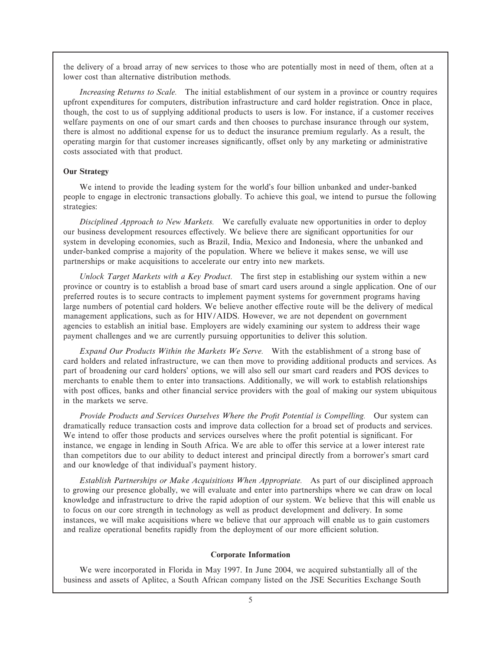the delivery of a broad array of new services to those who are potentially most in need of them, often at a lower cost than alternative distribution methods.

*Increasing Returns to Scale.* The initial establishment of our system in a province or country requires upfront expenditures for computers, distribution infrastructure and card holder registration. Once in place, though, the cost to us of supplying additional products to users is low. For instance, if a customer receives welfare payments on one of our smart cards and then chooses to purchase insurance through our system, there is almost no additional expense for us to deduct the insurance premium regularly. As a result, the operating margin for that customer increases significantly, offset only by any marketing or administrative costs associated with that product.

#### **Our Strategy**

We intend to provide the leading system for the world's four billion unbanked and under-banked people to engage in electronic transactions globally. To achieve this goal, we intend to pursue the following strategies:

*Disciplined Approach to New Markets.* We carefully evaluate new opportunities in order to deploy our business development resources effectively. We believe there are significant opportunities for our system in developing economies, such as Brazil, India, Mexico and Indonesia, where the unbanked and under-banked comprise a majority of the population. Where we believe it makes sense, we will use partnerships or make acquisitions to accelerate our entry into new markets.

*Unlock Target Markets with a Key Product.* The first step in establishing our system within a new province or country is to establish a broad base of smart card users around a single application. One of our preferred routes is to secure contracts to implement payment systems for government programs having large numbers of potential card holders. We believe another effective route will be the delivery of medical management applications, such as for HIV/AIDS. However, we are not dependent on government agencies to establish an initial base. Employers are widely examining our system to address their wage payment challenges and we are currently pursuing opportunities to deliver this solution.

*Expand Our Products Within the Markets We Serve.* With the establishment of a strong base of card holders and related infrastructure, we can then move to providing additional products and services. As part of broadening our card holders' options, we will also sell our smart card readers and POS devices to merchants to enable them to enter into transactions. Additionally, we will work to establish relationships with post offices, banks and other financial service providers with the goal of making our system ubiquitous in the markets we serve.

Provide Products and Services Ourselves Where the Profit Potential is Compelling. Our system can dramatically reduce transaction costs and improve data collection for a broad set of products and services. We intend to offer those products and services ourselves where the profit potential is significant. For instance, we engage in lending in South Africa. We are able to offer this service at a lower interest rate than competitors due to our ability to deduct interest and principal directly from a borrower's smart card and our knowledge of that individual's payment history.

*Establish Partnerships or Make Acquisitions When Appropriate.* As part of our disciplined approach to growing our presence globally, we will evaluate and enter into partnerships where we can draw on local knowledge and infrastructure to drive the rapid adoption of our system. We believe that this will enable us to focus on our core strength in technology as well as product development and delivery. In some instances, we will make acquisitions where we believe that our approach will enable us to gain customers and realize operational benefits rapidly from the deployment of our more efficient solution.

#### **Corporate Information**

We were incorporated in Florida in May 1997. In June 2004, we acquired substantially all of the business and assets of Aplitec, a South African company listed on the JSE Securities Exchange South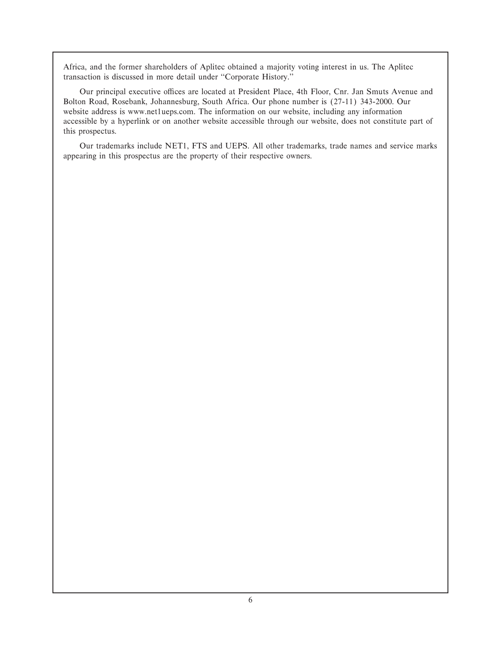Africa, and the former shareholders of Aplitec obtained a majority voting interest in us. The Aplitec transaction is discussed in more detail under "Corporate History."

Our principal executive offices are located at President Place, 4th Floor, Cnr. Jan Smuts Avenue and Bolton Road, Rosebank, Johannesburg, South Africa. Our phone number is (27-11) 343-2000. Our website address is www.net1ueps.com. The information on our website, including any information accessible by a hyperlink or on another website accessible through our website, does not constitute part of this prospectus.

Our trademarks include NET1, FTS and UEPS. All other trademarks, trade names and service marks appearing in this prospectus are the property of their respective owners.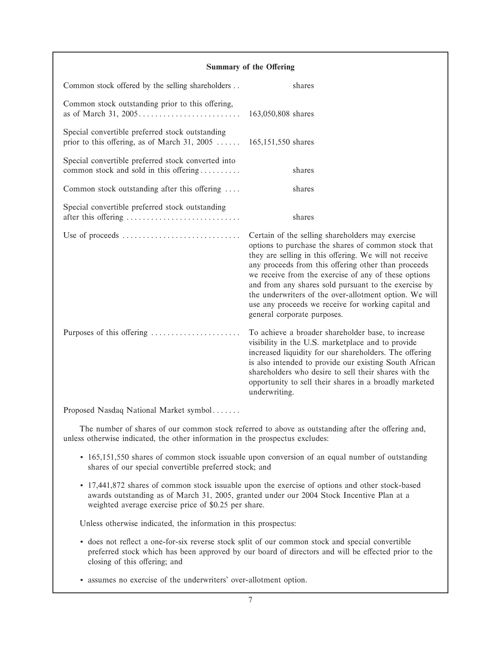#### **Summary of the Offering**

| Common stock offered by the selling shareholders                                                                     | shares                                                                                                                                                                                                                                                                                                                                                                                                                                                                                   |
|----------------------------------------------------------------------------------------------------------------------|------------------------------------------------------------------------------------------------------------------------------------------------------------------------------------------------------------------------------------------------------------------------------------------------------------------------------------------------------------------------------------------------------------------------------------------------------------------------------------------|
| Common stock outstanding prior to this offering,                                                                     | 163,050,808 shares                                                                                                                                                                                                                                                                                                                                                                                                                                                                       |
| Special convertible preferred stock outstanding<br>prior to this offering, as of March 31, 2005 $165,151,550$ shares |                                                                                                                                                                                                                                                                                                                                                                                                                                                                                          |
| Special convertible preferred stock converted into<br>common stock and sold in this offering                         | shares                                                                                                                                                                                                                                                                                                                                                                                                                                                                                   |
| Common stock outstanding after this offering                                                                         | shares                                                                                                                                                                                                                                                                                                                                                                                                                                                                                   |
| Special convertible preferred stock outstanding<br>after this offering                                               | shares                                                                                                                                                                                                                                                                                                                                                                                                                                                                                   |
| Use of proceeds                                                                                                      | Certain of the selling shareholders may exercise<br>options to purchase the shares of common stock that<br>they are selling in this offering. We will not receive<br>any proceeds from this offering other than proceeds<br>we receive from the exercise of any of these options<br>and from any shares sold pursuant to the exercise by<br>the underwriters of the over-allotment option. We will<br>use any proceeds we receive for working capital and<br>general corporate purposes. |
| Purposes of this offering                                                                                            | To achieve a broader shareholder base, to increase<br>visibility in the U.S. marketplace and to provide<br>increased liquidity for our shareholders. The offering<br>is also intended to provide our existing South African<br>shareholders who desire to sell their shares with the<br>opportunity to sell their shares in a broadly marketed<br>underwriting.                                                                                                                          |

Proposed Nasdaq National Market symbol.......

The number of shares of our common stock referred to above as outstanding after the offering and, unless otherwise indicated, the other information in the prospectus excludes:

- ' 165,151,550 shares of common stock issuable upon conversion of an equal number of outstanding shares of our special convertible preferred stock; and
- ' 17,441,872 shares of common stock issuable upon the exercise of options and other stock-based awards outstanding as of March 31, 2005, granted under our 2004 Stock Incentive Plan at a weighted average exercise price of \$0.25 per share.

Unless otherwise indicated, the information in this prospectus:

' does not reÖect a one-for-six reverse stock split of our common stock and special convertible preferred stock which has been approved by our board of directors and will be effected prior to the closing of this offering; and

' assumes no exercise of the underwriters' over-allotment option.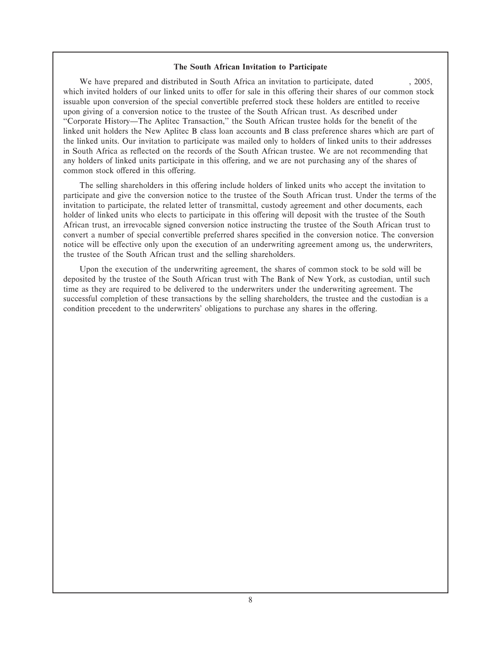#### **The South African Invitation to Participate**

We have prepared and distributed in South Africa an invitation to participate, dated  $, 2005,$ which invited holders of our linked units to offer for sale in this offering their shares of our common stock issuable upon conversion of the special convertible preferred stock these holders are entitled to receive upon giving of a conversion notice to the trustee of the South African trust. As described under "Corporate History—The Aplitec Transaction," the South African trustee holds for the benefit of the linked unit holders the New Aplitec B class loan accounts and B class preference shares which are part of the linked units. Our invitation to participate was mailed only to holders of linked units to their addresses in South Africa as reflected on the records of the South African trustee. We are not recommending that any holders of linked units participate in this offering, and we are not purchasing any of the shares of common stock offered in this offering.

The selling shareholders in this offering include holders of linked units who accept the invitation to participate and give the conversion notice to the trustee of the South African trust. Under the terms of the invitation to participate, the related letter of transmittal, custody agreement and other documents, each holder of linked units who elects to participate in this offering will deposit with the trustee of the South African trust, an irrevocable signed conversion notice instructing the trustee of the South African trust to convert a number of special convertible preferred shares specified in the conversion notice. The conversion notice will be effective only upon the execution of an underwriting agreement among us, the underwriters, the trustee of the South African trust and the selling shareholders.

Upon the execution of the underwriting agreement, the shares of common stock to be sold will be deposited by the trustee of the South African trust with The Bank of New York, as custodian, until such time as they are required to be delivered to the underwriters under the underwriting agreement. The successful completion of these transactions by the selling shareholders, the trustee and the custodian is a condition precedent to the underwriters' obligations to purchase any shares in the offering.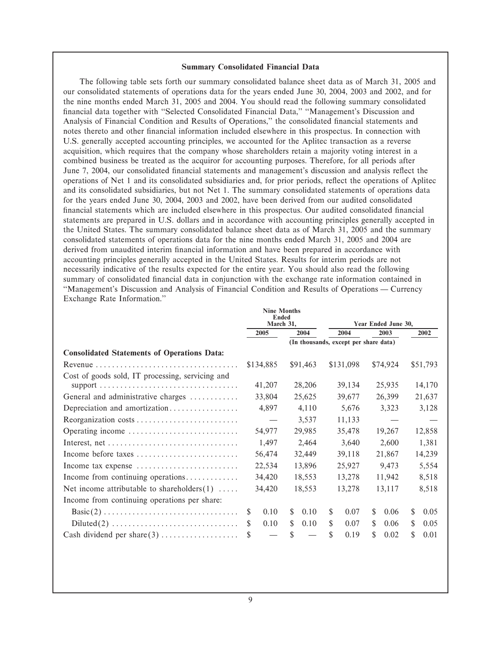#### **Summary Consolidated Financial Data**

The following table sets forth our summary consolidated balance sheet data as of March 31, 2005 and our consolidated statements of operations data for the years ended June 30, 2004, 2003 and 2002, and for the nine months ended March 31, 2005 and 2004. You should read the following summary consolidated financial data together with "Selected Consolidated Financial Data," "Management's Discussion and Analysis of Financial Condition and Results of Operations," the consolidated financial statements and notes thereto and other financial information included elsewhere in this prospectus. In connection with U.S. generally accepted accounting principles, we accounted for the Aplitec transaction as a reverse acquisition, which requires that the company whose shareholders retain a majority voting interest in a combined business be treated as the acquiror for accounting purposes. Therefore, for all periods after June 7, 2004, our consolidated financial statements and management's discussion and analysis reflect the operations of Net 1 and its consolidated subsidiaries and, for prior periods, reflect the operations of Aplitec and its consolidated subsidiaries, but not Net 1. The summary consolidated statements of operations data for the years ended June 30, 2004, 2003 and 2002, have been derived from our audited consolidated financial statements which are included elsewhere in this prospectus. Our audited consolidated financial statements are prepared in U.S. dollars and in accordance with accounting principles generally accepted in the United States. The summary consolidated balance sheet data as of March 31, 2005 and the summary consolidated statements of operations data for the nine months ended March 31, 2005 and 2004 are derived from unaudited interim financial information and have been prepared in accordance with accounting principles generally accepted in the United States. Results for interim periods are not necessarily indicative of the results expected for the entire year. You should also read the following summary of consolidated financial data in conjunction with the exchange rate information contained in "Management's Discussion and Analysis of Financial Condition and Results of Operations — Currency Exchange Rate Information.''

|                                                                           |           | <b>Nine Months</b><br><b>Ended</b> |        |                     |        |                                       |        |          |       |          |
|---------------------------------------------------------------------------|-----------|------------------------------------|--------|---------------------|--------|---------------------------------------|--------|----------|-------|----------|
|                                                                           | March 31. |                                    |        | Year Ended June 30, |        |                                       |        |          |       |          |
|                                                                           | 2005      |                                    | 2004   |                     |        | 2004<br>2003                          |        |          | 2002  |          |
|                                                                           |           |                                    |        |                     |        | (In thousands, except per share data) |        |          |       |          |
| <b>Consolidated Statements of Operations Data:</b>                        |           |                                    |        |                     |        |                                       |        |          |       |          |
|                                                                           |           | \$134,885                          |        | \$91,463            |        | \$131,098                             |        | \$74,924 |       | \$51,793 |
| Cost of goods sold, IT processing, servicing and                          |           |                                    |        |                     |        |                                       |        |          |       |          |
|                                                                           |           | 41,207                             |        | 28,206              |        | 39,134                                |        | 25,935   |       | 14,170   |
| General and administrative charges                                        |           | 33,804                             |        | 25,625              |        | 39,677                                |        | 26,399   |       | 21,637   |
| Depreciation and amortization                                             |           | 4,897                              |        | 4,110               |        | 5,676                                 |        | 3,323    |       | 3,128    |
| Reorganization costs                                                      |           | $\overline{\phantom{m}}$           |        | 3,537               |        | 11,133                                |        |          |       |          |
| Operating income                                                          |           | 54,977                             |        | 29,985              |        | 35,478                                |        | 19,267   |       | 12,858   |
|                                                                           |           | 1,497                              |        | 2,464               |        | 3,640                                 |        | 2,600    |       | 1,381    |
| Income before taxes                                                       |           | 56,474                             |        | 32,449              |        | 39,118                                |        | 21,867   |       | 14,239   |
| Income tax expense                                                        |           | 22,534                             |        | 13,896              |        | 25,927                                |        | 9,473    |       | 5,554    |
| Income from continuing operations                                         |           | 34,420                             |        | 18,553              |        | 13,278                                |        | 11,942   |       | 8,518    |
| Net income attributable to shareholders $(1)$                             |           | 34,420                             | 18,553 |                     | 13,278 |                                       | 13,117 |          | 8,518 |          |
| Income from continuing operations per share:                              |           |                                    |        |                     |        |                                       |        |          |       |          |
| $Basic(2) \ldots \ldots \ldots \ldots \ldots \ldots \ldots \ldots \ldots$ | S.        | 0.10                               | \$     | 0.10                | S      | 0.07                                  | S      | 0.06     | \$    | 0.05     |
| $Diluted(2) \ldots \ldots \ldots \ldots \ldots \ldots \ldots \ldots$      | S         | 0.10                               | \$     | 0.10                | \$     | 0.07                                  | S      | 0.06     | \$    | 0.05     |
|                                                                           | \$        |                                    | \$     |                     | \$     | 0.19                                  |        | 0.02     | \$    | 0.01     |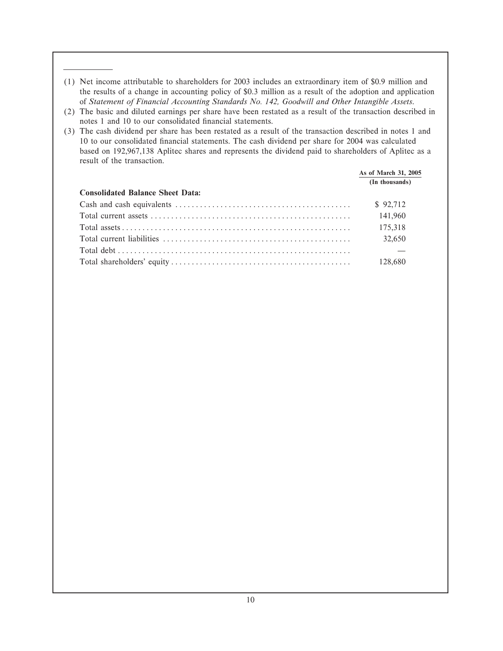- (1) Net income attributable to shareholders for 2003 includes an extraordinary item of \$0.9 million and the results of a change in accounting policy of \$0.3 million as a result of the adoption and application of *Statement of Financial Accounting Standards No. 142, Goodwill and Other Intangible Assets*.
- (2) The basic and diluted earnings per share have been restated as a result of the transaction described in notes 1 and 10 to our consolidated financial statements.
- (3) The cash dividend per share has been restated as a result of the transaction described in notes 1 and 10 to our consolidated Ñnancial statements. The cash dividend per share for 2004 was calculated based on 192,967,138 Aplitec shares and represents the dividend paid to shareholders of Aplitec as a result of the transaction.

|                                         | As of March 31, 2005 |  |
|-----------------------------------------|----------------------|--|
|                                         | (In thousands)       |  |
| <b>Consolidated Balance Sheet Data:</b> |                      |  |
|                                         | \$92,712             |  |
|                                         | 141,960              |  |
|                                         | 175.318              |  |
|                                         | 32,650               |  |
|                                         |                      |  |
|                                         | 128.680              |  |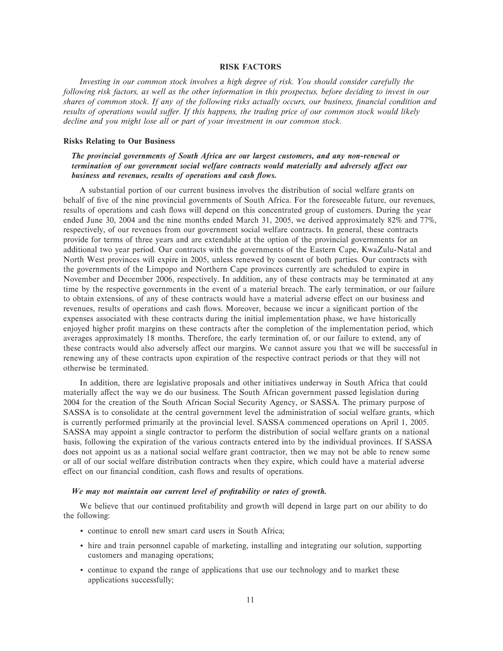#### **RISK FACTORS**

*Investing in our common stock involves a high degree of risk. You should consider carefully the following risk factors, as well as the other information in this prospectus, before deciding to invest in our shares of common stock. If any of the following risks actually occurs, our business, financial condition and* results of operations would suffer. If this happens, the trading price of our common stock would likely *decline and you might lose all or part of your investment in our common stock.*

#### **Risks Relating to Our Business**

#### *The provincial governments of South Africa are our largest customers, and any non-renewal or termination of our government social welfare contracts would materially and adversely affect our business and revenues, results of operations and cash flows.*

A substantial portion of our current business involves the distribution of social welfare grants on behalf of five of the nine provincial governments of South Africa. For the foreseeable future, our revenues, results of operations and cash Öows will depend on this concentrated group of customers. During the year ended June 30, 2004 and the nine months ended March 31, 2005, we derived approximately 82% and 77%, respectively, of our revenues from our government social welfare contracts. In general, these contracts provide for terms of three years and are extendable at the option of the provincial governments for an additional two year period. Our contracts with the governments of the Eastern Cape, KwaZulu-Natal and North West provinces will expire in 2005, unless renewed by consent of both parties. Our contracts with the governments of the Limpopo and Northern Cape provinces currently are scheduled to expire in November and December 2006, respectively. In addition, any of these contracts may be terminated at any time by the respective governments in the event of a material breach. The early termination, or our failure to obtain extensions, of any of these contracts would have a material adverse effect on our business and revenues, results of operations and cash flows. Moreover, because we incur a significant portion of the expenses associated with these contracts during the initial implementation phase, we have historically enjoyed higher profit margins on these contracts after the completion of the implementation period, which averages approximately 18 months. Therefore, the early termination of, or our failure to extend, any of these contracts would also adversely affect our margins. We cannot assure you that we will be successful in renewing any of these contracts upon expiration of the respective contract periods or that they will not otherwise be terminated.

In addition, there are legislative proposals and other initiatives underway in South Africa that could materially affect the way we do our business. The South African government passed legislation during 2004 for the creation of the South African Social Security Agency, or SASSA. The primary purpose of SASSA is to consolidate at the central government level the administration of social welfare grants, which is currently performed primarily at the provincial level. SASSA commenced operations on April 1, 2005. SASSA may appoint a single contractor to perform the distribution of social welfare grants on a national basis, following the expiration of the various contracts entered into by the individual provinces. If SASSA does not appoint us as a national social welfare grant contractor, then we may not be able to renew some or all of our social welfare distribution contracts when they expire, which could have a material adverse effect on our financial condition, cash flows and results of operations.

#### We may not maintain our current level of profitability or rates of growth.

We believe that our continued profitability and growth will depend in large part on our ability to do the following:

- ' continue to enroll new smart card users in South Africa;
- ' hire and train personnel capable of marketing, installing and integrating our solution, supporting customers and managing operations;
- ' continue to expand the range of applications that use our technology and to market these applications successfully;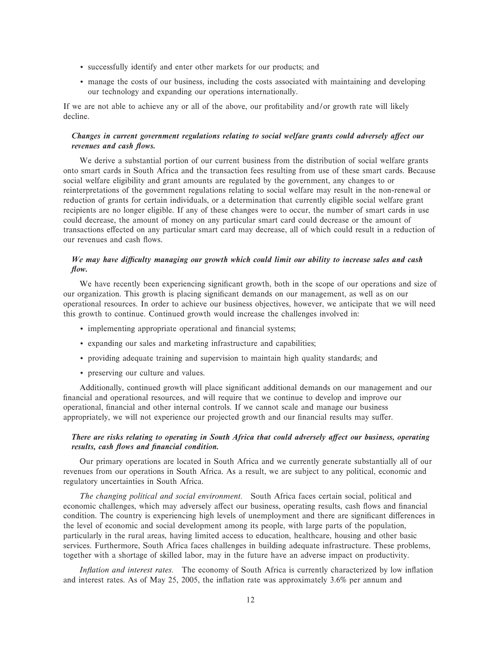- ' successfully identify and enter other markets for our products; and
- ' manage the costs of our business, including the costs associated with maintaining and developing our technology and expanding our operations internationally.

If we are not able to achieve any or all of the above, our profitability and/or growth rate will likely decline.

#### *Changes in current government regulations relating to social welfare grants could adversely affect our revenues and cash flows.*

We derive a substantial portion of our current business from the distribution of social welfare grants onto smart cards in South Africa and the transaction fees resulting from use of these smart cards. Because social welfare eligibility and grant amounts are regulated by the government, any changes to or reinterpretations of the government regulations relating to social welfare may result in the non-renewal or reduction of grants for certain individuals, or a determination that currently eligible social welfare grant recipients are no longer eligible. If any of these changes were to occur, the number of smart cards in use could decrease, the amount of money on any particular smart card could decrease or the amount of transactions effected on any particular smart card may decrease, all of which could result in a reduction of our revenues and cash Öows.

#### *We may have diÇculty managing our growth which could limit our ability to increase sales and cash How.*

We have recently been experiencing significant growth, both in the scope of our operations and size of our organization. This growth is placing significant demands on our management, as well as on our operational resources. In order to achieve our business objectives, however, we anticipate that we will need this growth to continue. Continued growth would increase the challenges involved in:

- implementing appropriate operational and financial systems;
- ' expanding our sales and marketing infrastructure and capabilities;
- ' providing adequate training and supervision to maintain high quality standards; and
- ' preserving our culture and values.

Additionally, continued growth will place significant additional demands on our management and our financial and operational resources, and will require that we continue to develop and improve our operational, financial and other internal controls. If we cannot scale and manage our business appropriately, we will not experience our projected growth and our financial results may suffer.

#### *There are risks relating to operating in South Africa that could adversely affect our business, operating results, cash flows and financial condition.*

Our primary operations are located in South Africa and we currently generate substantially all of our revenues from our operations in South Africa. As a result, we are subject to any political, economic and regulatory uncertainties in South Africa.

*The changing political and social environment.* South Africa faces certain social, political and economic challenges, which may adversely affect our business, operating results, cash flows and financial condition. The country is experiencing high levels of unemployment and there are significant differences in the level of economic and social development among its people, with large parts of the population, particularly in the rural areas, having limited access to education, healthcare, housing and other basic services. Furthermore, South Africa faces challenges in building adequate infrastructure. These problems, together with a shortage of skilled labor, may in the future have an adverse impact on productivity.

*Inflation and interest rates.* The economy of South Africa is currently characterized by low inflation and interest rates. As of May 25, 2005, the inflation rate was approximately  $3.6\%$  per annum and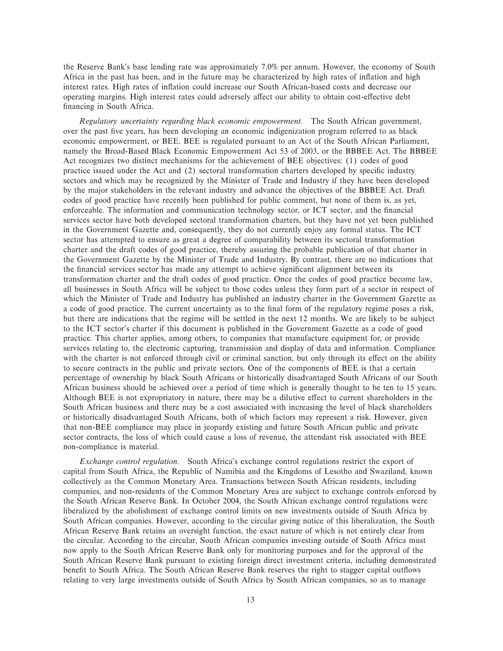the Reserve Bank's base lending rate was approximately 7.0% per annum. However, the economy of South Africa in the past has been, and in the future may be characterized by high rates of inflation and high interest rates. High rates of inflation could increase our South African-based costs and decrease our operating margins. High interest rates could adversely affect our ability to obtain cost-effective debt financing in South Africa.

*Regulatory uncertainty regarding black economic empowerment.* The South African government, over the past five years, has been developing an economic indigenization program referred to as black economic empowerment, or BEE. BEE is regulated pursuant to an Act of the South African Parliament, namely the Broad-Based Black Economic Empowerment Act 53 of 2003, or the BBBEE Act. The BBBEE Act recognizes two distinct mechanisms for the achievement of BEE objectives: (1) codes of good practice issued under the Act and (2) sectoral transformation charters developed by specific industry sectors and which may be recognized by the Minister of Trade and Industry if they have been developed by the major stakeholders in the relevant industry and advance the objectives of the BBBEE Act. Draft codes of good practice have recently been published for public comment, but none of them is, as yet, enforceable. The information and communication technology sector, or ICT sector, and the financial services sector have both developed sectoral transformation charters, but they have not yet been published in the Government Gazette and, consequently, they do not currently enjoy any formal status. The ICT sector has attempted to ensure as great a degree of comparability between its sectoral transformation charter and the draft codes of good practice, thereby assuring the probable publication of that charter in the Government Gazette by the Minister of Trade and Industry. By contrast, there are no indications that the financial services sector has made any attempt to achieve significant alignment between its transformation charter and the draft codes of good practice. Once the codes of good practice become law, all businesses in South Africa will be subject to those codes unless they form part of a sector in respect of which the Minister of Trade and Industry has published an industry charter in the Government Gazette as a code of good practice. The current uncertainty as to the final form of the regulatory regime poses a risk, but there are indications that the regime will be settled in the next 12 months. We are likely to be subject to the ICT sector's charter if this document is published in the Government Gazette as a code of good practice. This charter applies, among others, to companies that manufacture equipment for, or provide services relating to, the electronic capturing, transmission and display of data and information. Compliance with the charter is not enforced through civil or criminal sanction, but only through its effect on the ability to secure contracts in the public and private sectors. One of the components of BEE is that a certain percentage of ownership by black South Africans or historically disadvantaged South Africans of our South African business should be achieved over a period of time which is generally thought to be ten to 15 years. Although BEE is not expropriatory in nature, there may be a dilutive effect to current shareholders in the South African business and there may be a cost associated with increasing the level of black shareholders or historically disadvantaged South Africans, both of which factors may represent a risk. However, given that non-BEE compliance may place in jeopardy existing and future South African public and private sector contracts, the loss of which could cause a loss of revenue, the attendant risk associated with BEE non-compliance is material.

*Exchange control regulation.* South Africa's exchange control regulations restrict the export of capital from South Africa, the Republic of Namibia and the Kingdoms of Lesotho and Swaziland, known collectively as the Common Monetary Area. Transactions between South African residents, including companies, and non-residents of the Common Monetary Area are subject to exchange controls enforced by the South African Reserve Bank. In October 2004, the South African exchange control regulations were liberalized by the abolishment of exchange control limits on new investments outside of South Africa by South African companies. However, according to the circular giving notice of this liberalization, the South African Reserve Bank retains an oversight function, the exact nature of which is not entirely clear from the circular. According to the circular, South African companies investing outside of South Africa must now apply to the South African Reserve Bank only for monitoring purposes and for the approval of the South African Reserve Bank pursuant to existing foreign direct investment criteria, including demonstrated benefit to South Africa. The South African Reserve Bank reserves the right to stagger capital outflows relating to very large investments outside of South Africa by South African companies, so as to manage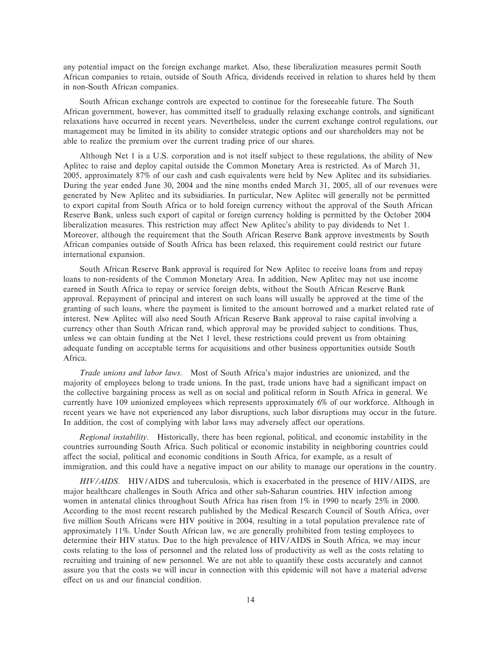any potential impact on the foreign exchange market. Also, these liberalization measures permit South African companies to retain, outside of South Africa, dividends received in relation to shares held by them in non-South African companies.

South African exchange controls are expected to continue for the foreseeable future. The South African government, however, has committed itself to gradually relaxing exchange controls, and significant relaxations have occurred in recent years. Nevertheless, under the current exchange control regulations, our management may be limited in its ability to consider strategic options and our shareholders may not be able to realize the premium over the current trading price of our shares.

Although Net 1 is a U.S. corporation and is not itself subject to these regulations, the ability of New Aplitec to raise and deploy capital outside the Common Monetary Area is restricted. As of March 31, 2005, approximately 87% of our cash and cash equivalents were held by New Aplitec and its subsidiaries. During the year ended June 30, 2004 and the nine months ended March 31, 2005, all of our revenues were generated by New Aplitec and its subsidiaries. In particular, New Aplitec will generally not be permitted to export capital from South Africa or to hold foreign currency without the approval of the South African Reserve Bank, unless such export of capital or foreign currency holding is permitted by the October 2004 liberalization measures. This restriction may affect New Aplitec's ability to pay dividends to Net 1. Moreover, although the requirement that the South African Reserve Bank approve investments by South African companies outside of South Africa has been relaxed, this requirement could restrict our future international expansion.

South African Reserve Bank approval is required for New Aplitec to receive loans from and repay loans to non-residents of the Common Monetary Area. In addition, New Aplitec may not use income earned in South Africa to repay or service foreign debts, without the South African Reserve Bank approval. Repayment of principal and interest on such loans will usually be approved at the time of the granting of such loans, where the payment is limited to the amount borrowed and a market related rate of interest. New Aplitec will also need South African Reserve Bank approval to raise capital involving a currency other than South African rand, which approval may be provided subject to conditions. Thus, unless we can obtain funding at the Net 1 level, these restrictions could prevent us from obtaining adequate funding on acceptable terms for acquisitions and other business opportunities outside South Africa.

*Trade unions and labor laws.* Most of South Africa's major industries are unionized, and the majority of employees belong to trade unions. In the past, trade unions have had a significant impact on the collective bargaining process as well as on social and political reform in South Africa in general. We currently have 109 unionized employees which represents approximately 6% of our workforce. Although in recent years we have not experienced any labor disruptions, such labor disruptions may occur in the future. In addition, the cost of complying with labor laws may adversely affect our operations.

*Regional instability.* Historically, there has been regional, political, and economic instability in the countries surrounding South Africa. Such political or economic instability in neighboring countries could affect the social, political and economic conditions in South Africa, for example, as a result of immigration, and this could have a negative impact on our ability to manage our operations in the country.

*HIV/AIDS.* HIV/AIDS and tuberculosis, which is exacerbated in the presence of HIV/AIDS, are major healthcare challenges in South Africa and other sub-Saharan countries. HIV infection among women in antenatal clinics throughout South Africa has risen from 1% in 1990 to nearly 25% in 2000. According to the most recent research published by the Medical Research Council of South Africa, over five million South Africans were HIV positive in 2004, resulting in a total population prevalence rate of approximately 11%. Under South African law, we are generally prohibited from testing employees to determine their HIV status. Due to the high prevalence of HIV/AIDS in South Africa, we may incur costs relating to the loss of personnel and the related loss of productivity as well as the costs relating to recruiting and training of new personnel. We are not able to quantify these costs accurately and cannot assure you that the costs we will incur in connection with this epidemic will not have a material adverse effect on us and our financial condition.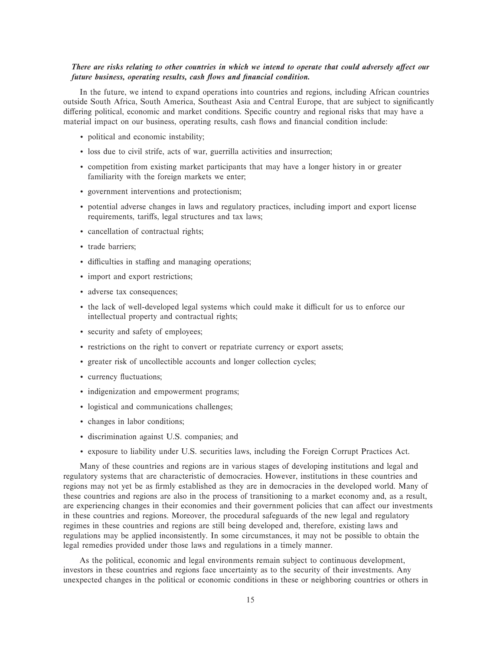#### There are risks relating to other countries in which we intend to operate that could adversely affect our *future business, operating results, cash flows and financial condition.*

In the future, we intend to expand operations into countries and regions, including African countries outside South Africa, South America, Southeast Asia and Central Europe, that are subject to significantly differing political, economic and market conditions. Specific country and regional risks that may have a material impact on our business, operating results, cash flows and financial condition include:

- ' political and economic instability;
- ' loss due to civil strife, acts of war, guerrilla activities and insurrection;
- ' competition from existing market participants that may have a longer history in or greater familiarity with the foreign markets we enter;
- ' government interventions and protectionism;
- ' potential adverse changes in laws and regulatory practices, including import and export license requirements, tariffs, legal structures and tax laws;
- ' cancellation of contractual rights;
- ' trade barriers;
- $\cdot$  difficulties in staffing and managing operations;
- ' import and export restrictions;
- ' adverse tax consequences;
- the lack of well-developed legal systems which could make it difficult for us to enforce our intellectual property and contractual rights;
- ' security and safety of employees;
- ' restrictions on the right to convert or repatriate currency or export assets;
- ' greater risk of uncollectible accounts and longer collection cycles;
- currency fluctuations;
- ' indigenization and empowerment programs;
- ' logistical and communications challenges;
- ' changes in labor conditions;
- ' discrimination against U.S. companies; and
- ' exposure to liability under U.S. securities laws, including the Foreign Corrupt Practices Act.

Many of these countries and regions are in various stages of developing institutions and legal and regulatory systems that are characteristic of democracies. However, institutions in these countries and regions may not yet be as firmly established as they are in democracies in the developed world. Many of these countries and regions are also in the process of transitioning to a market economy and, as a result, are experiencing changes in their economies and their government policies that can affect our investments in these countries and regions. Moreover, the procedural safeguards of the new legal and regulatory regimes in these countries and regions are still being developed and, therefore, existing laws and regulations may be applied inconsistently. In some circumstances, it may not be possible to obtain the legal remedies provided under those laws and regulations in a timely manner.

As the political, economic and legal environments remain subject to continuous development, investors in these countries and regions face uncertainty as to the security of their investments. Any unexpected changes in the political or economic conditions in these or neighboring countries or others in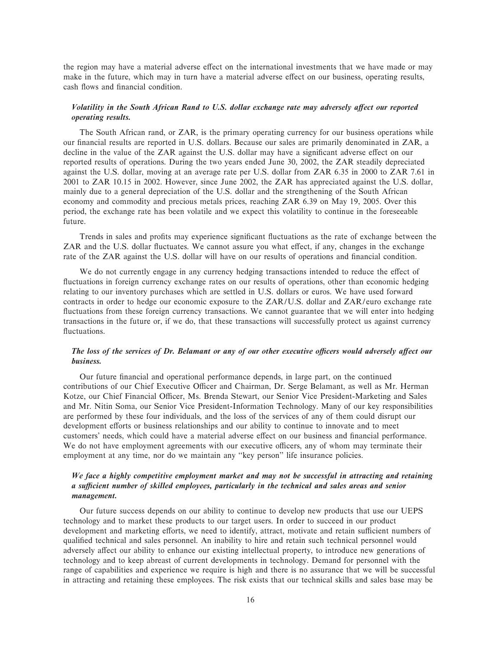the region may have a material adverse effect on the international investments that we have made or may make in the future, which may in turn have a material adverse effect on our business, operating results, cash flows and financial condition.

#### Volatility in the South African Rand to U.S. dollar exchange rate may adversely affect our reported *operating results.*

The South African rand, or ZAR, is the primary operating currency for our business operations while our financial results are reported in U.S. dollars. Because our sales are primarily denominated in ZAR, a decline in the value of the ZAR against the U.S. dollar may have a significant adverse effect on our reported results of operations. During the two years ended June 30, 2002, the ZAR steadily depreciated against the U.S. dollar, moving at an average rate per U.S. dollar from ZAR 6.35 in 2000 to ZAR 7.61 in 2001 to ZAR 10.15 in 2002. However, since June 2002, the ZAR has appreciated against the U.S. dollar, mainly due to a general depreciation of the U.S. dollar and the strengthening of the South African economy and commodity and precious metals prices, reaching ZAR 6.39 on May 19, 2005. Over this period, the exchange rate has been volatile and we expect this volatility to continue in the foreseeable future.

Trends in sales and profits may experience significant fluctuations as the rate of exchange between the ZAR and the U.S. dollar fluctuates. We cannot assure you what effect, if any, changes in the exchange rate of the ZAR against the U.S. dollar will have on our results of operations and financial condition.

We do not currently engage in any currency hedging transactions intended to reduce the effect of fluctuations in foreign currency exchange rates on our results of operations, other than economic hedging relating to our inventory purchases which are settled in U.S. dollars or euros. We have used forward contracts in order to hedge our economic exposure to the ZAR/U.S. dollar and ZAR/euro exchange rate fluctuations from these foreign currency transactions. We cannot guarantee that we will enter into hedging transactions in the future or, if we do, that these transactions will successfully protect us against currency fluctuations.

#### The loss of the services of Dr. Belamant or any of our other executive officers would adversely affect our *business.*

Our future financial and operational performance depends, in large part, on the continued contributions of our Chief Executive Officer and Chairman, Dr. Serge Belamant, as well as Mr. Herman Kotze, our Chief Financial Officer, Ms. Brenda Stewart, our Senior Vice President-Marketing and Sales and Mr. Nitin Soma, our Senior Vice President-Information Technology. Many of our key responsibilities are performed by these four individuals, and the loss of the services of any of them could disrupt our development efforts or business relationships and our ability to continue to innovate and to meet customers' needs, which could have a material adverse effect on our business and financial performance. We do not have employment agreements with our executive officers, any of whom may terminate their employment at any time, nor do we maintain any ""key person'' life insurance policies.

#### *We face a highly competitive employment market and may not be successful in attracting and retaining a suÇcient number of skilled employees, particularly in the technical and sales areas and senior management.*

Our future success depends on our ability to continue to develop new products that use our UEPS technology and to market these products to our target users. In order to succeed in our product development and marketing efforts, we need to identify, attract, motivate and retain sufficient numbers of qualified technical and sales personnel. An inability to hire and retain such technical personnel would adversely affect our ability to enhance our existing intellectual property, to introduce new generations of technology and to keep abreast of current developments in technology. Demand for personnel with the range of capabilities and experience we require is high and there is no assurance that we will be successful in attracting and retaining these employees. The risk exists that our technical skills and sales base may be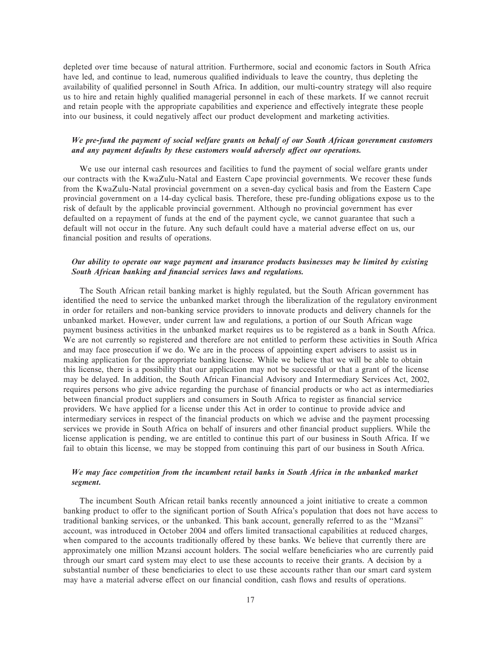depleted over time because of natural attrition. Furthermore, social and economic factors in South Africa have led, and continue to lead, numerous qualified individuals to leave the country, thus depleting the availability of qualified personnel in South Africa. In addition, our multi-country strategy will also require us to hire and retain highly qualified managerial personnel in each of these markets. If we cannot recruit and retain people with the appropriate capabilities and experience and effectively integrate these people into our business, it could negatively affect our product development and marketing activities.

#### *We pre-fund the payment of social welfare grants on behalf of our South African government customers* and any payment defaults by these customers would adversely affect our operations.

We use our internal cash resources and facilities to fund the payment of social welfare grants under our contracts with the KwaZulu-Natal and Eastern Cape provincial governments. We recover these funds from the KwaZulu-Natal provincial government on a seven-day cyclical basis and from the Eastern Cape provincial government on a 14-day cyclical basis. Therefore, these pre-funding obligations expose us to the risk of default by the applicable provincial government. Although no provincial government has ever defaulted on a repayment of funds at the end of the payment cycle, we cannot guarantee that such a default will not occur in the future. Any such default could have a material adverse effect on us, our financial position and results of operations.

#### *Our ability to operate our wage payment and insurance products businesses may be limited by existing* South African banking and financial services laws and regulations.

The South African retail banking market is highly regulated, but the South African government has identified the need to service the unbanked market through the liberalization of the regulatory environment in order for retailers and non-banking service providers to innovate products and delivery channels for the unbanked market. However, under current law and regulations, a portion of our South African wage payment business activities in the unbanked market requires us to be registered as a bank in South Africa. We are not currently so registered and therefore are not entitled to perform these activities in South Africa and may face prosecution if we do. We are in the process of appointing expert advisers to assist us in making application for the appropriate banking license. While we believe that we will be able to obtain this license, there is a possibility that our application may not be successful or that a grant of the license may be delayed. In addition, the South African Financial Advisory and Intermediary Services Act, 2002, requires persons who give advice regarding the purchase of financial products or who act as intermediaries between financial product suppliers and consumers in South Africa to register as financial service providers. We have applied for a license under this Act in order to continue to provide advice and intermediary services in respect of the financial products on which we advise and the payment processing services we provide in South Africa on behalf of insurers and other financial product suppliers. While the license application is pending, we are entitled to continue this part of our business in South Africa. If we fail to obtain this license, we may be stopped from continuing this part of our business in South Africa.

#### *We may face competition from the incumbent retail banks in South Africa in the unbanked market segment.*

The incumbent South African retail banks recently announced a joint initiative to create a common banking product to offer to the significant portion of South Africa's population that does not have access to traditional banking services, or the unbanked. This bank account, generally referred to as the ""Mzansi'' account, was introduced in October 2004 and offers limited transactional capabilities at reduced charges, when compared to the accounts traditionally offered by these banks. We believe that currently there are approximately one million Mzansi account holders. The social welfare beneficiaries who are currently paid through our smart card system may elect to use these accounts to receive their grants. A decision by a substantial number of these beneficiaries to elect to use these accounts rather than our smart card system may have a material adverse effect on our financial condition, cash flows and results of operations.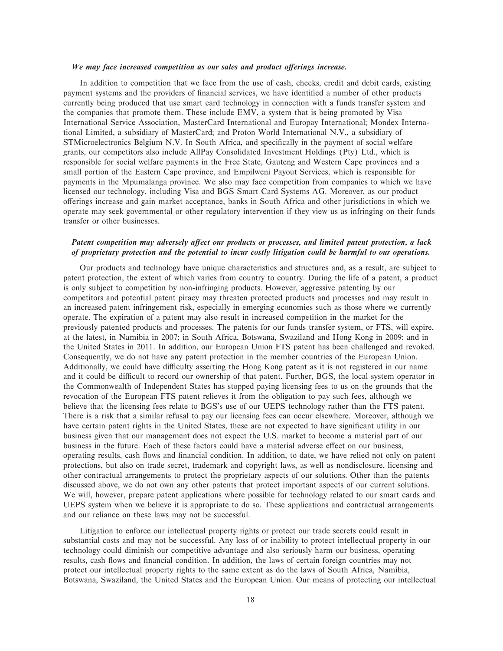#### We may face increased competition as our sales and product offerings increase.

In addition to competition that we face from the use of cash, checks, credit and debit cards, existing payment systems and the providers of financial services, we have identified a number of other products currently being produced that use smart card technology in connection with a funds transfer system and the companies that promote them. These include EMV, a system that is being promoted by Visa International Service Association, MasterCard International and Europay International; Mondex International Limited, a subsidiary of MasterCard; and Proton World International N.V., a subsidiary of STMicroelectronics Belgium N.V. In South Africa, and specifically in the payment of social welfare grants, our competitors also include AllPay Consolidated Investment Holdings (Pty) Ltd., which is responsible for social welfare payments in the Free State, Gauteng and Western Cape provinces and a small portion of the Eastern Cape province, and Empilweni Payout Services, which is responsible for payments in the Mpumalanga province. We also may face competition from companies to which we have licensed our technology, including Visa and BGS Smart Card Systems AG. Moreover, as our product oÅerings increase and gain market acceptance, banks in South Africa and other jurisdictions in which we operate may seek governmental or other regulatory intervention if they view us as infringing on their funds transfer or other businesses.

#### Patent competition may adversely affect our products or processes, and limited patent protection, a lack *of proprietary protection and the potential to incur costly litigation could be harmful to our operations.*

Our products and technology have unique characteristics and structures and, as a result, are subject to patent protection, the extent of which varies from country to country. During the life of a patent, a product is only subject to competition by non-infringing products. However, aggressive patenting by our competitors and potential patent piracy may threaten protected products and processes and may result in an increased patent infringement risk, especially in emerging economies such as those where we currently operate. The expiration of a patent may also result in increased competition in the market for the previously patented products and processes. The patents for our funds transfer system, or FTS, will expire, at the latest, in Namibia in 2007; in South Africa, Botswana, Swaziland and Hong Kong in 2009; and in the United States in 2011. In addition, our European Union FTS patent has been challenged and revoked. Consequently, we do not have any patent protection in the member countries of the European Union. Additionally, we could have difficulty asserting the Hong Kong patent as it is not registered in our name and it could be difficult to record our ownership of that patent. Further, BGS, the local system operator in the Commonwealth of Independent States has stopped paying licensing fees to us on the grounds that the revocation of the European FTS patent relieves it from the obligation to pay such fees, although we believe that the licensing fees relate to BGS's use of our UEPS technology rather than the FTS patent. There is a risk that a similar refusal to pay our licensing fees can occur elsewhere. Moreover, although we have certain patent rights in the United States, these are not expected to have significant utility in our business given that our management does not expect the U.S. market to become a material part of our business in the future. Each of these factors could have a material adverse effect on our business, operating results, cash Öows and Ñnancial condition. In addition, to date, we have relied not only on patent protections, but also on trade secret, trademark and copyright laws, as well as nondisclosure, licensing and other contractual arrangements to protect the proprietary aspects of our solutions. Other than the patents discussed above, we do not own any other patents that protect important aspects of our current solutions. We will, however, prepare patent applications where possible for technology related to our smart cards and UEPS system when we believe it is appropriate to do so. These applications and contractual arrangements and our reliance on these laws may not be successful.

Litigation to enforce our intellectual property rights or protect our trade secrets could result in substantial costs and may not be successful. Any loss of or inability to protect intellectual property in our technology could diminish our competitive advantage and also seriously harm our business, operating results, cash flows and financial condition. In addition, the laws of certain foreign countries may not protect our intellectual property rights to the same extent as do the laws of South Africa, Namibia, Botswana, Swaziland, the United States and the European Union. Our means of protecting our intellectual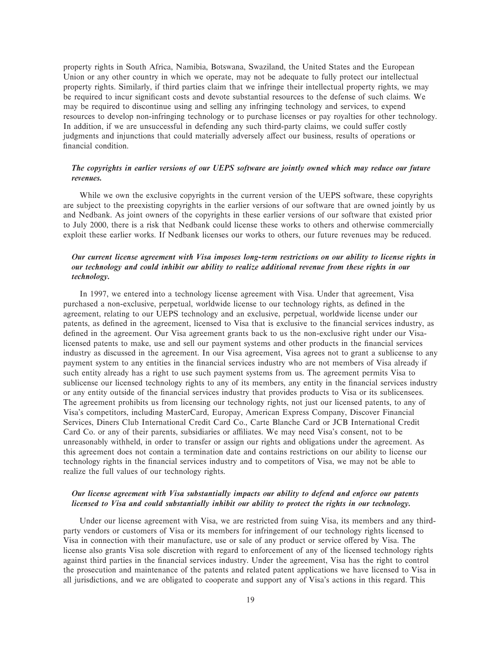property rights in South Africa, Namibia, Botswana, Swaziland, the United States and the European Union or any other country in which we operate, may not be adequate to fully protect our intellectual property rights. Similarly, if third parties claim that we infringe their intellectual property rights, we may be required to incur significant costs and devote substantial resources to the defense of such claims. We may be required to discontinue using and selling any infringing technology and services, to expend resources to develop non-infringing technology or to purchase licenses or pay royalties for other technology. In addition, if we are unsuccessful in defending any such third-party claims, we could suffer costly judgments and injunctions that could materially adversely affect our business, results of operations or financial condition.

#### *The copyrights in earlier versions of our UEPS software are jointly owned which may reduce our future revenues.*

While we own the exclusive copyrights in the current version of the UEPS software, these copyrights are subject to the preexisting copyrights in the earlier versions of our software that are owned jointly by us and Nedbank. As joint owners of the copyrights in these earlier versions of our software that existed prior to July 2000, there is a risk that Nedbank could license these works to others and otherwise commercially exploit these earlier works. If Nedbank licenses our works to others, our future revenues may be reduced.

#### *Our current license agreement with Visa imposes long-term restrictions on our ability to license rights in our technology and could inhibit our ability to realize additional revenue from these rights in our technology.*

In 1997, we entered into a technology license agreement with Visa. Under that agreement, Visa purchased a non-exclusive, perpetual, worldwide license to our technology rights, as defined in the agreement, relating to our UEPS technology and an exclusive, perpetual, worldwide license under our patents, as defined in the agreement, licensed to Visa that is exclusive to the financial services industry, as defined in the agreement. Our Visa agreement grants back to us the non-exclusive right under our Visalicensed patents to make, use and sell our payment systems and other products in the financial services industry as discussed in the agreement. In our Visa agreement, Visa agrees not to grant a sublicense to any payment system to any entities in the financial services industry who are not members of Visa already if such entity already has a right to use such payment systems from us. The agreement permits Visa to sublicense our licensed technology rights to any of its members, any entity in the financial services industry or any entity outside of the financial services industry that provides products to Visa or its sublicensees. The agreement prohibits us from licensing our technology rights, not just our licensed patents, to any of Visa's competitors, including MasterCard, Europay, American Express Company, Discover Financial Services, Diners Club International Credit Card Co., Carte Blanche Card or JCB International Credit Card Co. or any of their parents, subsidiaries or affiliates. We may need Visa's consent, not to be unreasonably withheld, in order to transfer or assign our rights and obligations under the agreement. As this agreement does not contain a termination date and contains restrictions on our ability to license our technology rights in the financial services industry and to competitors of Visa, we may not be able to realize the full values of our technology rights.

#### *Our license agreement with Visa substantially impacts our ability to defend and enforce our patents licensed to Visa and could substantially inhibit our ability to protect the rights in our technology.*

Under our license agreement with Visa, we are restricted from suing Visa, its members and any thirdparty vendors or customers of Visa or its members for infringement of our technology rights licensed to Visa in connection with their manufacture, use or sale of any product or service offered by Visa. The license also grants Visa sole discretion with regard to enforcement of any of the licensed technology rights against third parties in the financial services industry. Under the agreement, Visa has the right to control the prosecution and maintenance of the patents and related patent applications we have licensed to Visa in all jurisdictions, and we are obligated to cooperate and support any of Visa's actions in this regard. This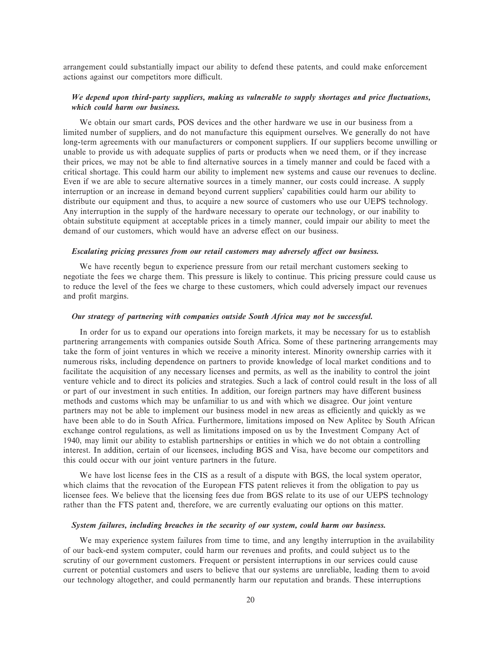arrangement could substantially impact our ability to defend these patents, and could make enforcement actions against our competitors more difficult.

#### *We depend upon third-party suppliers, making us vulnerable to supply shortages and price Öuctuations, which could harm our business.*

We obtain our smart cards, POS devices and the other hardware we use in our business from a limited number of suppliers, and do not manufacture this equipment ourselves. We generally do not have long-term agreements with our manufacturers or component suppliers. If our suppliers become unwilling or unable to provide us with adequate supplies of parts or products when we need them, or if they increase their prices, we may not be able to find alternative sources in a timely manner and could be faced with a critical shortage. This could harm our ability to implement new systems and cause our revenues to decline. Even if we are able to secure alternative sources in a timely manner, our costs could increase. A supply interruption or an increase in demand beyond current suppliers' capabilities could harm our ability to distribute our equipment and thus, to acquire a new source of customers who use our UEPS technology. Any interruption in the supply of the hardware necessary to operate our technology, or our inability to obtain substitute equipment at acceptable prices in a timely manner, could impair our ability to meet the demand of our customers, which would have an adverse effect on our business.

#### *Escalating pricing pressures from our retail customers may adversely affect our business.*

We have recently begun to experience pressure from our retail merchant customers seeking to negotiate the fees we charge them. This pressure is likely to continue. This pricing pressure could cause us to reduce the level of the fees we charge to these customers, which could adversely impact our revenues and profit margins.

#### *Our strategy of partnering with companies outside South Africa may not be successful.*

In order for us to expand our operations into foreign markets, it may be necessary for us to establish partnering arrangements with companies outside South Africa. Some of these partnering arrangements may take the form of joint ventures in which we receive a minority interest. Minority ownership carries with it numerous risks, including dependence on partners to provide knowledge of local market conditions and to facilitate the acquisition of any necessary licenses and permits, as well as the inability to control the joint venture vehicle and to direct its policies and strategies. Such a lack of control could result in the loss of all or part of our investment in such entities. In addition, our foreign partners may have different business methods and customs which may be unfamiliar to us and with which we disagree. Our joint venture partners may not be able to implement our business model in new areas as efficiently and quickly as we have been able to do in South Africa. Furthermore, limitations imposed on New Aplitec by South African exchange control regulations, as well as limitations imposed on us by the Investment Company Act of 1940, may limit our ability to establish partnerships or entities in which we do not obtain a controlling interest. In addition, certain of our licensees, including BGS and Visa, have become our competitors and this could occur with our joint venture partners in the future.

We have lost license fees in the CIS as a result of a dispute with BGS, the local system operator, which claims that the revocation of the European FTS patent relieves it from the obligation to pay us licensee fees. We believe that the licensing fees due from BGS relate to its use of our UEPS technology rather than the FTS patent and, therefore, we are currently evaluating our options on this matter.

#### *System failures, including breaches in the security of our system, could harm our business.*

We may experience system failures from time to time, and any lengthy interruption in the availability of our back-end system computer, could harm our revenues and profits, and could subject us to the scrutiny of our government customers. Frequent or persistent interruptions in our services could cause current or potential customers and users to believe that our systems are unreliable, leading them to avoid our technology altogether, and could permanently harm our reputation and brands. These interruptions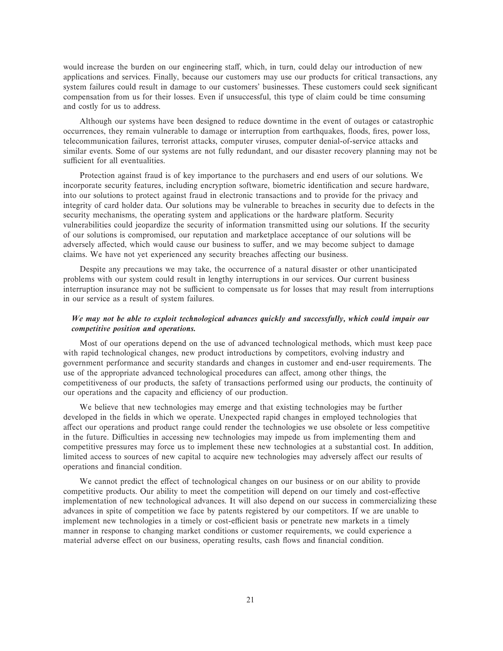would increase the burden on our engineering staff, which, in turn, could delay our introduction of new applications and services. Finally, because our customers may use our products for critical transactions, any system failures could result in damage to our customers' businesses. These customers could seek significant compensation from us for their losses. Even if unsuccessful, this type of claim could be time consuming and costly for us to address.

Although our systems have been designed to reduce downtime in the event of outages or catastrophic occurrences, they remain vulnerable to damage or interruption from earthquakes, floods, fires, power loss, telecommunication failures, terrorist attacks, computer viruses, computer denial-of-service attacks and similar events. Some of our systems are not fully redundant, and our disaster recovery planning may not be sufficient for all eventualities.

Protection against fraud is of key importance to the purchasers and end users of our solutions. We incorporate security features, including encryption software, biometric identification and secure hardware, into our solutions to protect against fraud in electronic transactions and to provide for the privacy and integrity of card holder data. Our solutions may be vulnerable to breaches in security due to defects in the security mechanisms, the operating system and applications or the hardware platform. Security vulnerabilities could jeopardize the security of information transmitted using our solutions. If the security of our solutions is compromised, our reputation and marketplace acceptance of our solutions will be adversely affected, which would cause our business to suffer, and we may become subject to damage claims. We have not yet experienced any security breaches affecting our business.

Despite any precautions we may take, the occurrence of a natural disaster or other unanticipated problems with our system could result in lengthy interruptions in our services. Our current business interruption insurance may not be sufficient to compensate us for losses that may result from interruptions in our service as a result of system failures.

#### *We may not be able to exploit technological advances quickly and successfully, which could impair our competitive position and operations.*

Most of our operations depend on the use of advanced technological methods, which must keep pace with rapid technological changes, new product introductions by competitors, evolving industry and government performance and security standards and changes in customer and end-user requirements. The use of the appropriate advanced technological procedures can affect, among other things, the competitiveness of our products, the safety of transactions performed using our products, the continuity of our operations and the capacity and efficiency of our production.

We believe that new technologies may emerge and that existing technologies may be further developed in the fields in which we operate. Unexpected rapid changes in employed technologies that affect our operations and product range could render the technologies we use obsolete or less competitive in the future. Difficulties in accessing new technologies may impede us from implementing them and competitive pressures may force us to implement these new technologies at a substantial cost. In addition, limited access to sources of new capital to acquire new technologies may adversely affect our results of operations and financial condition.

We cannot predict the effect of technological changes on our business or on our ability to provide competitive products. Our ability to meet the competition will depend on our timely and cost-effective implementation of new technological advances. It will also depend on our success in commercializing these advances in spite of competition we face by patents registered by our competitors. If we are unable to implement new technologies in a timely or cost-efficient basis or penetrate new markets in a timely manner in response to changing market conditions or customer requirements, we could experience a material adverse effect on our business, operating results, cash flows and financial condition.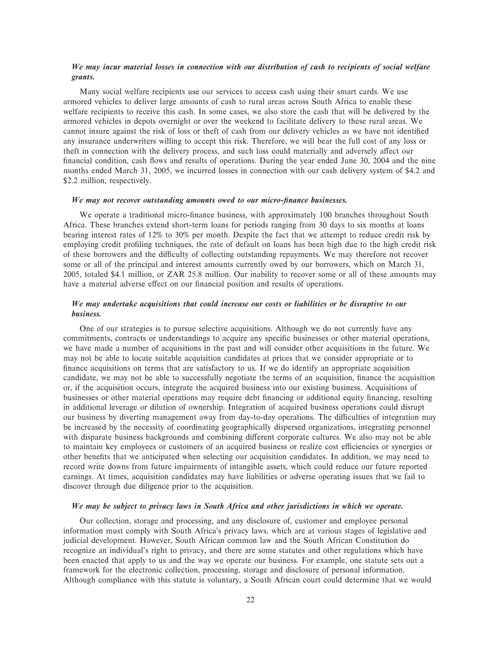#### *We may incur material losses in connection with our distribution of cash to recipients of social welfare grants.*

Many social welfare recipients use our services to access cash using their smart cards. We use armored vehicles to deliver large amounts of cash to rural areas across South Africa to enable these welfare recipients to receive this cash. In some cases, we also store the cash that will be delivered by the armored vehicles in depots overnight or over the weekend to facilitate delivery to these rural areas. We cannot insure against the risk of loss or theft of cash from our delivery vehicles as we have not identified any insurance underwriters willing to accept this risk. Therefore, we will bear the full cost of any loss or theft in connection with the delivery process, and such loss could materially and adversely affect our financial condition, cash flows and results of operations. During the year ended June 30, 2004 and the nine months ended March 31, 2005, we incurred losses in connection with our cash delivery system of \$4.2 and \$2.2 million, respectively.

#### *We may not recover outstanding amounts owed to our micro-Ñnance businesses.*

We operate a traditional micro-finance business, with approximately 100 branches throughout South Africa. These branches extend short-term loans for periods ranging from 30 days to six months at loans bearing interest rates of 12% to 30% per month. Despite the fact that we attempt to reduce credit risk by employing credit profiling techniques, the rate of default on loans has been high due to the high credit risk of these borrowers and the difficulty of collecting outstanding repayments. We may therefore not recover some or all of the principal and interest amounts currently owed by our borrowers, which on March 31, 2005, totaled \$4.1 million, or ZAR 25.8 million. Our inability to recover some or all of these amounts may have a material adverse effect on our financial position and results of operations.

#### *We may undertake acquisitions that could increase our costs or liabilities or be disruptive to our business.*

One of our strategies is to pursue selective acquisitions. Although we do not currently have any commitments, contracts or understandings to acquire any specific businesses or other material operations, we have made a number of acquisitions in the past and will consider other acquisitions in the future. We may not be able to locate suitable acquisition candidates at prices that we consider appropriate or to finance acquisitions on terms that are satisfactory to us. If we do identify an appropriate acquisition candidate, we may not be able to successfully negotiate the terms of an acquisition, finance the acquisition or, if the acquisition occurs, integrate the acquired business into our existing business. Acquisitions of businesses or other material operations may require debt financing or additional equity financing, resulting in additional leverage or dilution of ownership. Integration of acquired business operations could disrupt our business by diverting management away from day-to-day operations. The difficulties of integration may be increased by the necessity of coordinating geographically dispersed organizations, integrating personnel with disparate business backgrounds and combining different corporate cultures. We also may not be able to maintain key employees or customers of an acquired business or realize cost efficiencies or synergies or other benefits that we anticipated when selecting our acquisition candidates. In addition, we may need to record write downs from future impairments of intangible assets, which could reduce our future reported earnings. At times, acquisition candidates may have liabilities or adverse operating issues that we fail to discover through due diligence prior to the acquisition.

#### *We may be subject to privacy laws in South Africa and other jurisdictions in which we operate.*

Our collection, storage and processing, and any disclosure of, customer and employee personal information must comply with South Africa's privacy laws, which are at various stages of legislative and judicial development. However, South African common law and the South African Constitution do recognize an individual's right to privacy, and there are some statutes and other regulations which have been enacted that apply to us and the way we operate our business. For example, one statute sets out a framework for the electronic collection, processing, storage and disclosure of personal information. Although compliance with this statute is voluntary, a South African court could determine that we would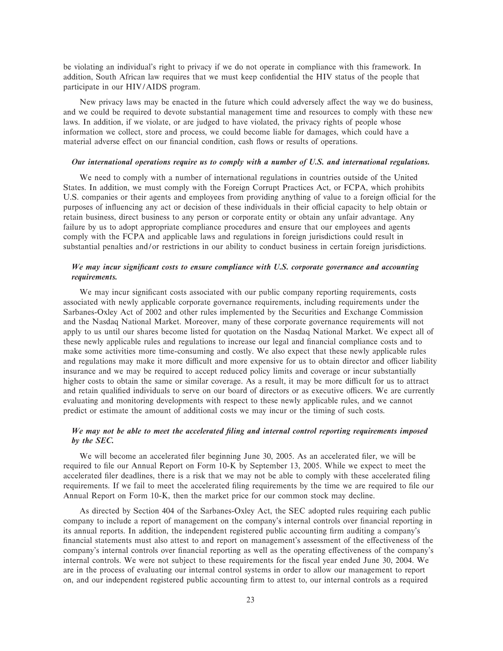be violating an individual's right to privacy if we do not operate in compliance with this framework. In addition, South African law requires that we must keep confidential the HIV status of the people that participate in our HIV/AIDS program.

New privacy laws may be enacted in the future which could adversely affect the way we do business, and we could be required to devote substantial management time and resources to comply with these new laws. In addition, if we violate, or are judged to have violated, the privacy rights of people whose information we collect, store and process, we could become liable for damages, which could have a material adverse effect on our financial condition, cash flows or results of operations.

#### *Our international operations require us to comply with a number of U.S. and international regulations.*

We need to comply with a number of international regulations in countries outside of the United States. In addition, we must comply with the Foreign Corrupt Practices Act, or FCPA, which prohibits U.S. companies or their agents and employees from providing anything of value to a foreign official for the purposes of influencing any act or decision of these individuals in their official capacity to help obtain or retain business, direct business to any person or corporate entity or obtain any unfair advantage. Any failure by us to adopt appropriate compliance procedures and ensure that our employees and agents comply with the FCPA and applicable laws and regulations in foreign jurisdictions could result in substantial penalties and/or restrictions in our ability to conduct business in certain foreign jurisdictions.

#### We may incur significant costs to ensure compliance with U.S. corporate governance and accounting *requirements.*

We may incur significant costs associated with our public company reporting requirements, costs associated with newly applicable corporate governance requirements, including requirements under the Sarbanes-Oxley Act of 2002 and other rules implemented by the Securities and Exchange Commission and the Nasdaq National Market. Moreover, many of these corporate governance requirements will not apply to us until our shares become listed for quotation on the Nasdaq National Market. We expect all of these newly applicable rules and regulations to increase our legal and Ñnancial compliance costs and to make some activities more time-consuming and costly. We also expect that these newly applicable rules and regulations may make it more difficult and more expensive for us to obtain director and officer liability insurance and we may be required to accept reduced policy limits and coverage or incur substantially higher costs to obtain the same or similar coverage. As a result, it may be more difficult for us to attract and retain qualified individuals to serve on our board of directors or as executive officers. We are currently evaluating and monitoring developments with respect to these newly applicable rules, and we cannot predict or estimate the amount of additional costs we may incur or the timing of such costs.

#### *We may not be able to meet the accelerated Ñling and internal control reporting requirements imposed by the SEC.*

We will become an accelerated filer beginning June 30, 2005. As an accelerated filer, we will be required to Ñle our Annual Report on Form 10-K by September 13, 2005. While we expect to meet the accelerated filer deadlines, there is a risk that we may not be able to comply with these accelerated filing requirements. If we fail to meet the accelerated filing requirements by the time we are required to file our Annual Report on Form 10-K, then the market price for our common stock may decline.

As directed by Section 404 of the Sarbanes-Oxley Act, the SEC adopted rules requiring each public company to include a report of management on the company's internal controls over financial reporting in its annual reports. In addition, the independent registered public accounting firm auditing a company's financial statements must also attest to and report on management's assessment of the effectiveness of the company's internal controls over financial reporting as well as the operating effectiveness of the company's internal controls. We were not subject to these requirements for the fiscal year ended June 30, 2004. We are in the process of evaluating our internal control systems in order to allow our management to report on, and our independent registered public accounting firm to attest to, our internal controls as a required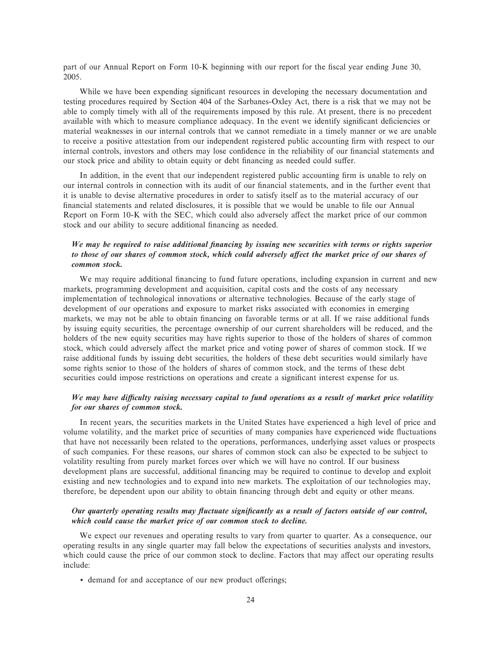part of our Annual Report on Form 10-K beginning with our report for the fiscal year ending June 30, 2005.

While we have been expending significant resources in developing the necessary documentation and testing procedures required by Section 404 of the Sarbanes-Oxley Act, there is a risk that we may not be able to comply timely with all of the requirements imposed by this rule. At present, there is no precedent available with which to measure compliance adequacy. In the event we identify significant deficiencies or material weaknesses in our internal controls that we cannot remediate in a timely manner or we are unable to receive a positive attestation from our independent registered public accounting firm with respect to our internal controls, investors and others may lose confidence in the reliability of our financial statements and our stock price and ability to obtain equity or debt financing as needed could suffer.

In addition, in the event that our independent registered public accounting firm is unable to rely on our internal controls in connection with its audit of our financial statements, and in the further event that it is unable to devise alternative procedures in order to satisfy itself as to the material accuracy of our financial statements and related disclosures, it is possible that we would be unable to file our Annual Report on Form 10-K with the SEC, which could also adversely affect the market price of our common stock and our ability to secure additional financing as needed.

#### We may be required to raise additional financing by issuing new securities with terms or rights superior to those of our shares of common stock, which could adversely affect the market price of our shares of *common stock.*

We may require additional financing to fund future operations, including expansion in current and new markets, programming development and acquisition, capital costs and the costs of any necessary implementation of technological innovations or alternative technologies. Because of the early stage of development of our operations and exposure to market risks associated with economies in emerging markets, we may not be able to obtain financing on favorable terms or at all. If we raise additional funds by issuing equity securities, the percentage ownership of our current shareholders will be reduced, and the holders of the new equity securities may have rights superior to those of the holders of shares of common stock, which could adversely affect the market price and voting power of shares of common stock. If we raise additional funds by issuing debt securities, the holders of these debt securities would similarly have some rights senior to those of the holders of shares of common stock, and the terms of these debt securities could impose restrictions on operations and create a significant interest expense for us.

#### *We may have diÇculty raising necessary capital to fund operations as a result of market price volatility for our shares of common stock.*

In recent years, the securities markets in the United States have experienced a high level of price and volume volatility, and the market price of securities of many companies have experienced wide fluctuations that have not necessarily been related to the operations, performances, underlying asset values or prospects of such companies. For these reasons, our shares of common stock can also be expected to be subject to volatility resulting from purely market forces over which we will have no control. If our business development plans are successful, additional financing may be required to continue to develop and exploit existing and new technologies and to expand into new markets. The exploitation of our technologies may, therefore, be dependent upon our ability to obtain financing through debt and equity or other means.

#### *Our quarterly operating results may fluctuate significantly as a result of factors outside of our control, which could cause the market price of our common stock to decline.*

We expect our revenues and operating results to vary from quarter to quarter. As a consequence, our operating results in any single quarter may fall below the expectations of securities analysts and investors, which could cause the price of our common stock to decline. Factors that may affect our operating results include:

 $\bullet$  demand for and acceptance of our new product offerings;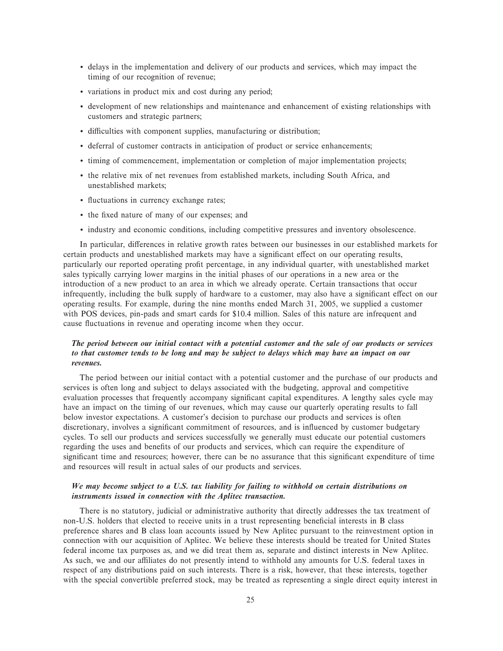- ' delays in the implementation and delivery of our products and services, which may impact the timing of our recognition of revenue;
- ' variations in product mix and cost during any period;
- ' development of new relationships and maintenance and enhancement of existing relationships with customers and strategic partners;
- $\bullet$  difficulties with component supplies, manufacturing or distribution;
- ' deferral of customer contracts in anticipation of product or service enhancements;
- ' timing of commencement, implementation or completion of major implementation projects;
- ' the relative mix of net revenues from established markets, including South Africa, and unestablished markets;
- $\cdot$  fluctuations in currency exchange rates;
- ' the Ñxed nature of many of our expenses; and
- ' industry and economic conditions, including competitive pressures and inventory obsolescence.

In particular, differences in relative growth rates between our businesses in our established markets for certain products and unestablished markets may have a significant effect on our operating results, particularly our reported operating profit percentage, in any individual quarter, with unestablished market sales typically carrying lower margins in the initial phases of our operations in a new area or the introduction of a new product to an area in which we already operate. Certain transactions that occur infrequently, including the bulk supply of hardware to a customer, may also have a significant effect on our operating results. For example, during the nine months ended March 31, 2005, we supplied a customer with POS devices, pin-pads and smart cards for \$10.4 million. Sales of this nature are infrequent and cause fluctuations in revenue and operating income when they occur.

#### *The period between our initial contact with a potential customer and the sale of our products or services to that customer tends to be long and may be subject to delays which may have an impact on our revenues.*

The period between our initial contact with a potential customer and the purchase of our products and services is often long and subject to delays associated with the budgeting, approval and competitive evaluation processes that frequently accompany significant capital expenditures. A lengthy sales cycle may have an impact on the timing of our revenues, which may cause our quarterly operating results to fall below investor expectations. A customer's decision to purchase our products and services is often discretionary, involves a significant commitment of resources, and is influenced by customer budgetary cycles. To sell our products and services successfully we generally must educate our potential customers regarding the uses and benefits of our products and services, which can require the expenditure of significant time and resources; however, there can be no assurance that this significant expenditure of time and resources will result in actual sales of our products and services.

#### *We may become subject to a U.S. tax liability for failing to withhold on certain distributions on instruments issued in connection with the Aplitec transaction.*

There is no statutory, judicial or administrative authority that directly addresses the tax treatment of non-U.S. holders that elected to receive units in a trust representing beneficial interests in B class preference shares and B class loan accounts issued by New Aplitec pursuant to the reinvestment option in connection with our acquisition of Aplitec. We believe these interests should be treated for United States federal income tax purposes as, and we did treat them as, separate and distinct interests in New Aplitec. As such, we and our affiliates do not presently intend to withhold any amounts for U.S. federal taxes in respect of any distributions paid on such interests. There is a risk, however, that these interests, together with the special convertible preferred stock, may be treated as representing a single direct equity interest in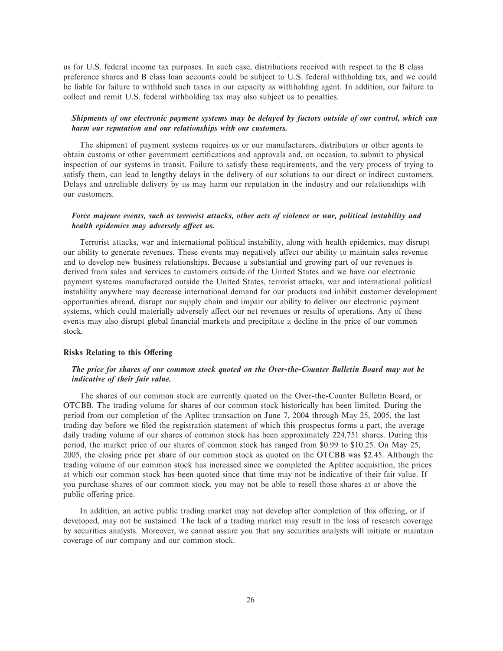us for U.S. federal income tax purposes. In such case, distributions received with respect to the B class preference shares and B class loan accounts could be subject to U.S. federal withholding tax, and we could be liable for failure to withhold such taxes in our capacity as withholding agent. In addition, our failure to collect and remit U.S. federal withholding tax may also subject us to penalties.

#### *Shipments of our electronic payment systems may be delayed by factors outside of our control, which can harm our reputation and our relationships with our customers.*

The shipment of payment systems requires us or our manufacturers, distributors or other agents to obtain customs or other government certifications and approvals and, on occasion, to submit to physical inspection of our systems in transit. Failure to satisfy these requirements, and the very process of trying to satisfy them, can lead to lengthy delays in the delivery of our solutions to our direct or indirect customers. Delays and unreliable delivery by us may harm our reputation in the industry and our relationships with our customers.

#### *Force majeure events, such as terrorist attacks, other acts of violence or war, political instability and health epidemics may adversely affect us.*

Terrorist attacks, war and international political instability, along with health epidemics, may disrupt our ability to generate revenues. These events may negatively affect our ability to maintain sales revenue and to develop new business relationships. Because a substantial and growing part of our revenues is derived from sales and services to customers outside of the United States and we have our electronic payment systems manufactured outside the United States, terrorist attacks, war and international political instability anywhere may decrease international demand for our products and inhibit customer development opportunities abroad, disrupt our supply chain and impair our ability to deliver our electronic payment systems, which could materially adversely affect our net revenues or results of operations. Any of these events may also disrupt global financial markets and precipitate a decline in the price of our common stock.

#### **Risks Relating to this Offering**

#### *The price for shares of our common stock quoted on the Over-the-Counter Bulletin Board may not be indicative of their fair value.*

The shares of our common stock are currently quoted on the Over-the-Counter Bulletin Board, or OTCBB. The trading volume for shares of our common stock historically has been limited. During the period from our completion of the Aplitec transaction on June 7, 2004 through May 25, 2005, the last trading day before we filed the registration statement of which this prospectus forms a part, the average daily trading volume of our shares of common stock has been approximately 224,751 shares. During this period, the market price of our shares of common stock has ranged from \$0.99 to \$10.25. On May 25, 2005, the closing price per share of our common stock as quoted on the OTCBB was \$2.45. Although the trading volume of our common stock has increased since we completed the Aplitec acquisition, the prices at which our common stock has been quoted since that time may not be indicative of their fair value. If you purchase shares of our common stock, you may not be able to resell those shares at or above the public offering price.

In addition, an active public trading market may not develop after completion of this offering, or if developed, may not be sustained. The lack of a trading market may result in the loss of research coverage by securities analysts. Moreover, we cannot assure you that any securities analysts will initiate or maintain coverage of our company and our common stock.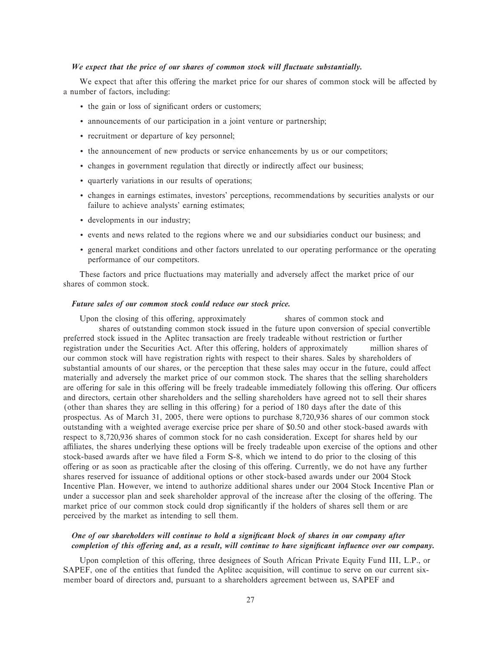#### We expect that the price of our shares of common stock will fluctuate substantially.

We expect that after this offering the market price for our shares of common stock will be affected by a number of factors, including:

- the gain or loss of significant orders or customers;
- ' announcements of our participation in a joint venture or partnership;
- ' recruitment or departure of key personnel;
- ' the announcement of new products or service enhancements by us or our competitors;
- changes in government regulation that directly or indirectly affect our business;
- ' quarterly variations in our results of operations;
- ' changes in earnings estimates, investors' perceptions, recommendations by securities analysts or our failure to achieve analysts' earning estimates;
- ' developments in our industry;
- ' events and news related to the regions where we and our subsidiaries conduct our business; and
- ' general market conditions and other factors unrelated to our operating performance or the operating performance of our competitors.

These factors and price fluctuations may materially and adversely affect the market price of our shares of common stock.

#### *Future sales of our common stock could reduce our stock price.*

Upon the closing of this offering, approximately shares of common stock and shares of outstanding common stock issued in the future upon conversion of special convertible preferred stock issued in the Aplitec transaction are freely tradeable without restriction or further registration under the Securities Act. After this offering, holders of approximately million shares of our common stock will have registration rights with respect to their shares. Sales by shareholders of substantial amounts of our shares, or the perception that these sales may occur in the future, could affect materially and adversely the market price of our common stock. The shares that the selling shareholders are offering for sale in this offering will be freely tradeable immediately following this offering. Our officers and directors, certain other shareholders and the selling shareholders have agreed not to sell their shares (other than shares they are selling in this offering) for a period of 180 days after the date of this prospectus. As of March 31, 2005, there were options to purchase 8,720,936 shares of our common stock outstanding with a weighted average exercise price per share of \$0.50 and other stock-based awards with respect to 8,720,936 shares of common stock for no cash consideration. Except for shares held by our affiliates, the shares underlying these options will be freely tradeable upon exercise of the options and other stock-based awards after we have filed a Form S-8, which we intend to do prior to the closing of this offering or as soon as practicable after the closing of this offering. Currently, we do not have any further shares reserved for issuance of additional options or other stock-based awards under our 2004 Stock Incentive Plan. However, we intend to authorize additional shares under our 2004 Stock Incentive Plan or under a successor plan and seek shareholder approval of the increase after the closing of the offering. The market price of our common stock could drop significantly if the holders of shares sell them or are perceived by the market as intending to sell them.

#### *One of our shareholders will continue to hold a significant block of shares in our company after completion of this offering and, as a result, will continue to have significant influence over our company.*

Upon completion of this offering, three designees of South African Private Equity Fund III, L.P., or SAPEF, one of the entities that funded the Aplitec acquisition, will continue to serve on our current sixmember board of directors and, pursuant to a shareholders agreement between us, SAPEF and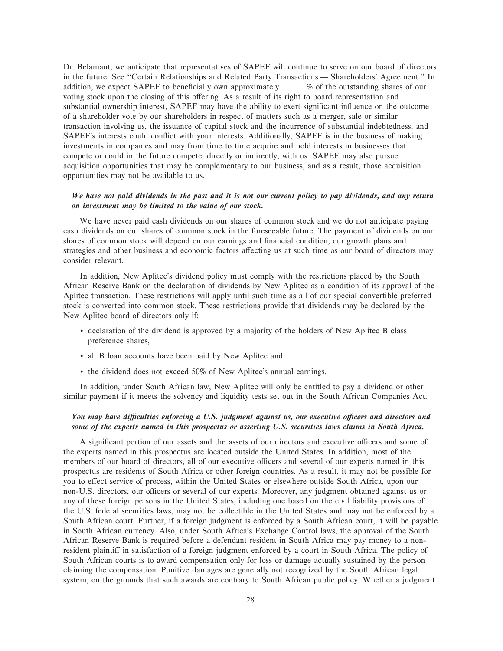Dr. Belamant, we anticipate that representatives of SAPEF will continue to serve on our board of directors in the future. See "Certain Relationships and Related Party Transactions — Shareholders' Agreement." In addition, we expect SAPEF to beneficially own approximately  $\%$  of the outstanding shares of our voting stock upon the closing of this offering. As a result of its right to board representation and substantial ownership interest, SAPEF may have the ability to exert significant influence on the outcome of a shareholder vote by our shareholders in respect of matters such as a merger, sale or similar transaction involving us, the issuance of capital stock and the incurrence of substantial indebtedness, and SAPEF's interests could conflict with your interests. Additionally, SAPEF is in the business of making investments in companies and may from time to time acquire and hold interests in businesses that compete or could in the future compete, directly or indirectly, with us. SAPEF may also pursue acquisition opportunities that may be complementary to our business, and as a result, those acquisition opportunities may not be available to us.

#### *We have not paid dividends in the past and it is not our current policy to pay dividends, and any return on investment may be limited to the value of our stock.*

We have never paid cash dividends on our shares of common stock and we do not anticipate paying cash dividends on our shares of common stock in the foreseeable future. The payment of dividends on our shares of common stock will depend on our earnings and financial condition, our growth plans and strategies and other business and economic factors affecting us at such time as our board of directors may consider relevant.

In addition, New Aplitec's dividend policy must comply with the restrictions placed by the South African Reserve Bank on the declaration of dividends by New Aplitec as a condition of its approval of the Aplitec transaction. These restrictions will apply until such time as all of our special convertible preferred stock is converted into common stock. These restrictions provide that dividends may be declared by the New Aplitec board of directors only if:

- ' declaration of the dividend is approved by a majority of the holders of New Aplitec B class preference shares,
- ' all B loan accounts have been paid by New Aplitec and
- ' the dividend does not exceed 50% of New Aplitec's annual earnings.

In addition, under South African law, New Aplitec will only be entitled to pay a dividend or other similar payment if it meets the solvency and liquidity tests set out in the South African Companies Act.

#### *You may have diÇculties enforcing a U.S. judgment against us, our executive oÇcers and directors and some of the experts named in this prospectus or asserting U.S. securities laws claims in South Africa.*

A significant portion of our assets and the assets of our directors and executive officers and some of the experts named in this prospectus are located outside the United States. In addition, most of the members of our board of directors, all of our executive officers and several of our experts named in this prospectus are residents of South Africa or other foreign countries. As a result, it may not be possible for you to effect service of process, within the United States or elsewhere outside South Africa, upon our non-U.S. directors, our officers or several of our experts. Moreover, any judgment obtained against us or any of these foreign persons in the United States, including one based on the civil liability provisions of the U.S. federal securities laws, may not be collectible in the United States and may not be enforced by a South African court. Further, if a foreign judgment is enforced by a South African court, it will be payable in South African currency. Also, under South Africa's Exchange Control laws, the approval of the South African Reserve Bank is required before a defendant resident in South Africa may pay money to a nonresident plaintiff in satisfaction of a foreign judgment enforced by a court in South Africa. The policy of South African courts is to award compensation only for loss or damage actually sustained by the person claiming the compensation. Punitive damages are generally not recognized by the South African legal system, on the grounds that such awards are contrary to South African public policy. Whether a judgment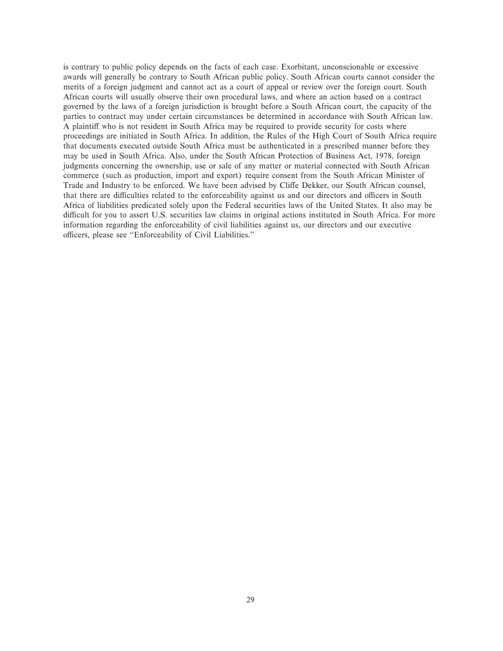is contrary to public policy depends on the facts of each case. Exorbitant, unconscionable or excessive awards will generally be contrary to South African public policy. South African courts cannot consider the merits of a foreign judgment and cannot act as a court of appeal or review over the foreign court. South African courts will usually observe their own procedural laws, and where an action based on a contract governed by the laws of a foreign jurisdiction is brought before a South African court, the capacity of the parties to contract may under certain circumstances be determined in accordance with South African law. A plaintiff who is not resident in South Africa may be required to provide security for costs where proceedings are initiated in South Africa. In addition, the Rules of the High Court of South Africa require that documents executed outside South Africa must be authenticated in a prescribed manner before they may be used in South Africa. Also, under the South African Protection of Business Act, 1978, foreign judgments concerning the ownership, use or sale of any matter or material connected with South African commerce (such as production, import and export) require consent from the South African Minister of Trade and Industry to be enforced. We have been advised by Cliffe Dekker, our South African counsel, that there are difficulties related to the enforceability against us and our directors and officers in South Africa of liabilities predicated solely upon the Federal securities laws of the United States. It also may be difficult for you to assert U.S. securities law claims in original actions instituted in South Africa. For more information regarding the enforceability of civil liabilities against us, our directors and our executive officers, please see "Enforceability of Civil Liabilities."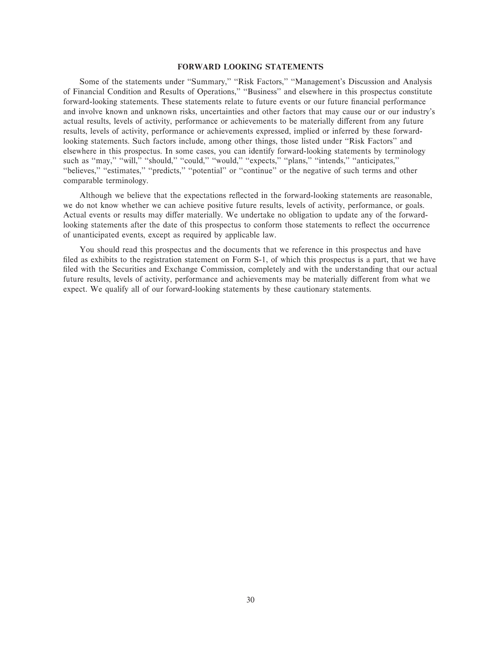#### **FORWARD LOOKING STATEMENTS**

Some of the statements under "Summary," "Risk Factors," "Management's Discussion and Analysis of Financial Condition and Results of Operations,'' ""Business'' and elsewhere in this prospectus constitute forward-looking statements. These statements relate to future events or our future financial performance and involve known and unknown risks, uncertainties and other factors that may cause our or our industry's actual results, levels of activity, performance or achievements to be materially different from any future results, levels of activity, performance or achievements expressed, implied or inferred by these forwardlooking statements. Such factors include, among other things, those listed under "Risk Factors" and elsewhere in this prospectus. In some cases, you can identify forward-looking statements by terminology such as "may," "will," "should," "could," "would," "expects," "plans," "intends," "anticipates," "believes," "estimates," "predicts," "potential" or "continue" or the negative of such terms and other comparable terminology.

Although we believe that the expectations reflected in the forward-looking statements are reasonable, we do not know whether we can achieve positive future results, levels of activity, performance, or goals. Actual events or results may differ materially. We undertake no obligation to update any of the forwardlooking statements after the date of this prospectus to conform those statements to reflect the occurrence of unanticipated events, except as required by applicable law.

You should read this prospectus and the documents that we reference in this prospectus and have filed as exhibits to the registration statement on Form S-1, of which this prospectus is a part, that we have filed with the Securities and Exchange Commission, completely and with the understanding that our actual future results, levels of activity, performance and achievements may be materially different from what we expect. We qualify all of our forward-looking statements by these cautionary statements.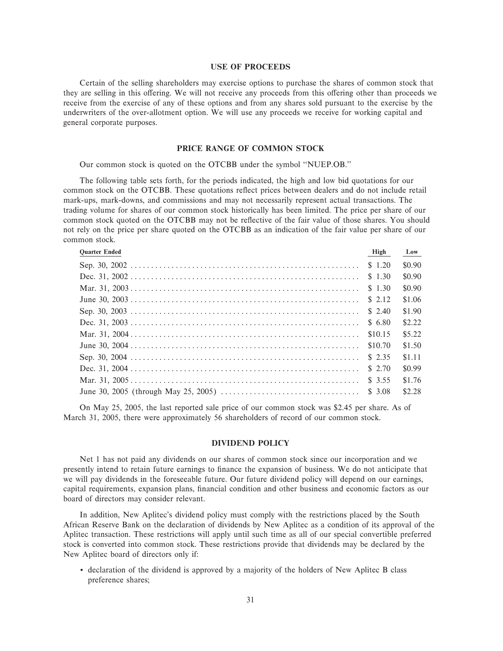#### **USE OF PROCEEDS**

Certain of the selling shareholders may exercise options to purchase the shares of common stock that they are selling in this offering. We will not receive any proceeds from this offering other than proceeds we receive from the exercise of any of these options and from any shares sold pursuant to the exercise by the underwriters of the over-allotment option. We will use any proceeds we receive for working capital and general corporate purposes.

#### **PRICE RANGE OF COMMON STOCK**

Our common stock is quoted on the OTCBB under the symbol ""NUEP.OB.''

The following table sets forth, for the periods indicated, the high and low bid quotations for our common stock on the OTCBB. These quotations reflect prices between dealers and do not include retail mark-ups, mark-downs, and commissions and may not necessarily represent actual transactions. The trading volume for shares of our common stock historically has been limited. The price per share of our common stock quoted on the OTCBB may not be reflective of the fair value of those shares. You should not rely on the price per share quoted on the OTCBB as an indication of the fair value per share of our common stock.

| <b>Quarter Ended</b> | High    | Low    |
|----------------------|---------|--------|
|                      | \$1.20  | \$0.90 |
|                      | \$1.30  | \$0.90 |
|                      | \$ 1.30 | \$0.90 |
|                      | \$ 2.12 | \$1.06 |
|                      | \$ 2.40 | \$1.90 |
|                      | \$ 6.80 | \$2.22 |
|                      | \$10.15 | \$5.22 |
|                      | \$10.70 | \$1.50 |
|                      | \$2.35  | \$1.11 |
|                      | \$2.70  | \$0.99 |
|                      | \$ 3.55 | \$1.76 |
|                      |         | \$2.28 |
|                      |         |        |

On May 25, 2005, the last reported sale price of our common stock was \$2.45 per share. As of March 31, 2005, there were approximately 56 shareholders of record of our common stock.

#### **DIVIDEND POLICY**

Net 1 has not paid any dividends on our shares of common stock since our incorporation and we presently intend to retain future earnings to finance the expansion of business. We do not anticipate that we will pay dividends in the foreseeable future. Our future dividend policy will depend on our earnings, capital requirements, expansion plans, Ñnancial condition and other business and economic factors as our board of directors may consider relevant.

In addition, New Aplitec's dividend policy must comply with the restrictions placed by the South African Reserve Bank on the declaration of dividends by New Aplitec as a condition of its approval of the Aplitec transaction. These restrictions will apply until such time as all of our special convertible preferred stock is converted into common stock. These restrictions provide that dividends may be declared by the New Aplitec board of directors only if:

' declaration of the dividend is approved by a majority of the holders of New Aplitec B class preference shares;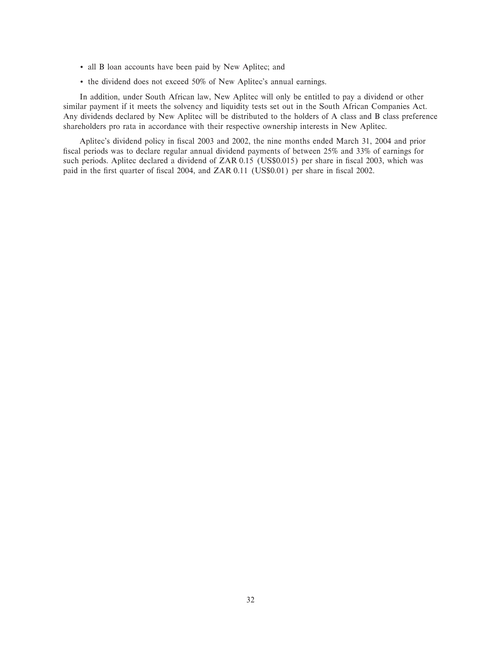- ' all B loan accounts have been paid by New Aplitec; and
- ' the dividend does not exceed 50% of New Aplitec's annual earnings.

In addition, under South African law, New Aplitec will only be entitled to pay a dividend or other similar payment if it meets the solvency and liquidity tests set out in the South African Companies Act. Any dividends declared by New Aplitec will be distributed to the holders of A class and B class preference shareholders pro rata in accordance with their respective ownership interests in New Aplitec.

Aplitec's dividend policy in Ñscal 2003 and 2002, the nine months ended March 31, 2004 and prior fiscal periods was to declare regular annual dividend payments of between 25% and 33% of earnings for such periods. Aplitec declared a dividend of ZAR 0.15 (US\$0.015) per share in fiscal 2003, which was paid in the first quarter of fiscal 2004, and ZAR 0.11 (US\$0.01) per share in fiscal 2002.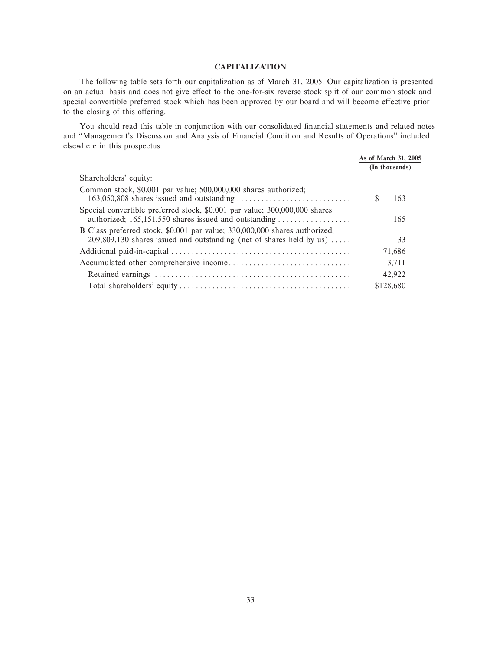#### **CAPITALIZATION**

The following table sets forth our capitalization as of March 31, 2005. Our capitalization is presented on an actual basis and does not give effect to the one-for-six reverse stock split of our common stock and special convertible preferred stock which has been approved by our board and will become effective prior to the closing of this offering.

You should read this table in conjunction with our consolidated financial statements and related notes and "Management's Discussion and Analysis of Financial Condition and Results of Operations" included elsewhere in this prospectus.

| $m$ <b>noite</b> in this prospectus:                                                                                                                 |                      |
|------------------------------------------------------------------------------------------------------------------------------------------------------|----------------------|
|                                                                                                                                                      | As of March 31, 2005 |
|                                                                                                                                                      | (In thousands)       |
| Shareholders' equity:                                                                                                                                |                      |
| Common stock, \$0.001 par value; 500,000,000 shares authorized;                                                                                      | 163                  |
| Special convertible preferred stock, \$0.001 par value; 300,000,000 shares<br>authorized; 165,151,550 shares issued and outstanding                  | 165                  |
| B Class preferred stock, \$0.001 par value; 330,000,000 shares authorized;<br>$209,809,130$ shares issued and outstanding (net of shares held by us) | 33                   |
|                                                                                                                                                      | 71,686               |
|                                                                                                                                                      | 13,711               |
|                                                                                                                                                      | 42.922               |
|                                                                                                                                                      | \$128,680            |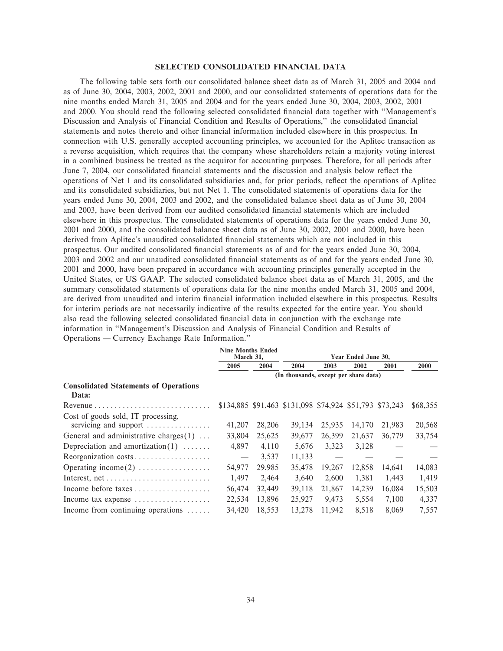### **SELECTED CONSOLIDATED FINANCIAL DATA**

The following table sets forth our consolidated balance sheet data as of March 31, 2005 and 2004 and as of June 30, 2004, 2003, 2002, 2001 and 2000, and our consolidated statements of operations data for the nine months ended March 31, 2005 and 2004 and for the years ended June 30, 2004, 2003, 2002, 2001 and 2000. You should read the following selected consolidated financial data together with "Management's Discussion and Analysis of Financial Condition and Results of Operations," the consolidated financial statements and notes thereto and other financial information included elsewhere in this prospectus. In connection with U.S. generally accepted accounting principles, we accounted for the Aplitec transaction as a reverse acquisition, which requires that the company whose shareholders retain a majority voting interest in a combined business be treated as the acquiror for accounting purposes. Therefore, for all periods after June 7, 2004, our consolidated financial statements and the discussion and analysis below reflect the operations of Net 1 and its consolidated subsidiaries and, for prior periods, reflect the operations of Aplitec and its consolidated subsidiaries, but not Net 1. The consolidated statements of operations data for the years ended June 30, 2004, 2003 and 2002, and the consolidated balance sheet data as of June 30, 2004 and 2003, have been derived from our audited consolidated financial statements which are included elsewhere in this prospectus. The consolidated statements of operations data for the years ended June 30, 2001 and 2000, and the consolidated balance sheet data as of June 30, 2002, 2001 and 2000, have been derived from Aplitec's unaudited consolidated financial statements which are not included in this prospectus. Our audited consolidated Ñnancial statements as of and for the years ended June 30, 2004, 2003 and 2002 and our unaudited consolidated Ñnancial statements as of and for the years ended June 30, 2001 and 2000, have been prepared in accordance with accounting principles generally accepted in the United States, or US GAAP. The selected consolidated balance sheet data as of March 31, 2005, and the summary consolidated statements of operations data for the nine months ended March 31, 2005 and 2004, are derived from unaudited and interim financial information included elsewhere in this prospectus. Results for interim periods are not necessarily indicative of the results expected for the entire year. You should also read the following selected consolidated Ñnancial data in conjunction with the exchange rate information in ""Management's Discussion and Analysis of Financial Condition and Results of Operations — Currency Exchange Rate Information."

|                                                             | <b>Nine Months Ended</b><br>March 31, |        | Year Ended June 30,                                     |        |        |        |             |  |  |
|-------------------------------------------------------------|---------------------------------------|--------|---------------------------------------------------------|--------|--------|--------|-------------|--|--|
|                                                             | 2005                                  | 2004   | 2004                                                    | 2003   | 2002   | 2001   | <b>2000</b> |  |  |
|                                                             | (In thousands, except per share data) |        |                                                         |        |        |        |             |  |  |
| <b>Consolidated Statements of Operations</b><br>Data:       |                                       |        |                                                         |        |        |        |             |  |  |
|                                                             |                                       |        | \$134,885 \$91,463 \$131,098 \$74,924 \$51,793 \$73,243 |        |        |        | \$68,355    |  |  |
| Cost of goods sold, IT processing,<br>servicing and support | 41,207                                | 28,206 | 39.134                                                  | 25,935 | 14,170 | 21,983 | 20,568      |  |  |
| General and administrative charges $(1)$                    | 33,804                                | 25,625 | 39,677                                                  | 26,399 | 21,637 | 36,779 | 33,754      |  |  |
| Depreciation and amortization $(1)$                         | 4.897                                 | 4,110  | 5.676                                                   | 3,323  | 3,128  |        |             |  |  |
| Reorganization costs                                        | $\overbrace{\phantom{12322111}}$      | 3,537  | 11,133                                                  |        |        |        |             |  |  |
| Operating income $(2)$                                      | 54,977                                | 29,985 | 35,478                                                  | 19,267 | 12,858 | 14,641 | 14,083      |  |  |
|                                                             | 1.497                                 | 2,464  | 3.640                                                   | 2.600  | 1,381  | 1,443  | 1,419       |  |  |
| Income before taxes                                         | 56,474                                | 32,449 | 39,118                                                  | 21,867 | 14,239 | 16,084 | 15,503      |  |  |
| Income tax expense $\dots\dots\dots\dots\dots\dots\dots$    | 22,534                                | 13.896 | 25,927                                                  | 9.473  | 5.554  | 7.100  | 4,337       |  |  |
| Income from continuing operations                           | 34.420                                | 18.553 | 13.278                                                  | 11.942 | 8.518  | 8,069  | 7,557       |  |  |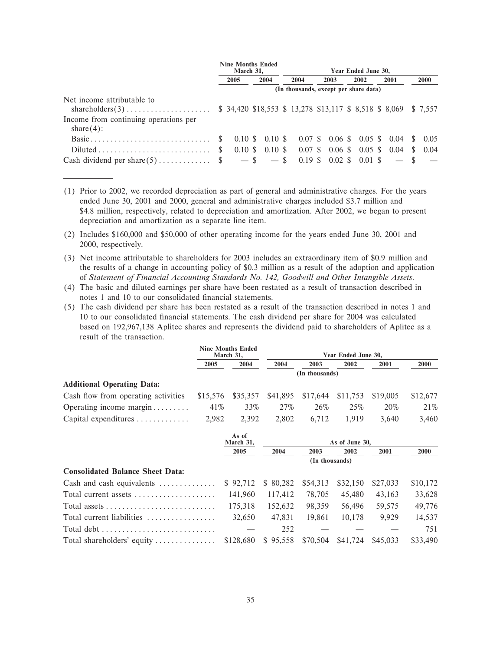|                                                                                      | <b>Nine Months Ended</b><br>March 31, |      | Year Ended June 30,      |                                                                  |  |      |  |      |  |      |  |             |
|--------------------------------------------------------------------------------------|---------------------------------------|------|--------------------------|------------------------------------------------------------------|--|------|--|------|--|------|--|-------------|
|                                                                                      |                                       | 2005 | 2004                     | 2004                                                             |  | 2003 |  | 2002 |  | 2001 |  | <b>2000</b> |
|                                                                                      |                                       |      |                          | (In thousands, except per share data)                            |  |      |  |      |  |      |  |             |
| Net income attributable to<br>Income from continuing operations per<br>share $(4)$ : |                                       |      |                          | $$34,420$ \$18,553 \$ 13,278 \$13,117 \$ 8,518 \$ 8,069 \$ 7,557 |  |      |  |      |  |      |  |             |
|                                                                                      |                                       |      |                          | $0.10 \text{ }$ \$ 0.10 \$ 0.07 \$ 0.06 \$ 0.05 \$ 0.04 \$ 0.05  |  |      |  |      |  |      |  |             |
| $Diluted \ldots \ldots \ldots \ldots \ldots \ldots \ldots$                           | <sup>S</sup>                          |      | $0.10 \text{ s}$ 0.10 \$ |                                                                  |  |      |  |      |  |      |  |             |
| Cash dividend per share $(5)$ \$ - \$ - \$ 0.19 \$ 0.02 \$ 0.01 \$ - \$              |                                       |      |                          |                                                                  |  |      |  |      |  |      |  |             |

- (1) Prior to 2002, we recorded depreciation as part of general and administrative charges. For the years ended June 30, 2001 and 2000, general and administrative charges included \$3.7 million and \$4.8 million, respectively, related to depreciation and amortization. After 2002, we began to present depreciation and amortization as a separate line item.
- (2) Includes \$160,000 and \$50,000 of other operating income for the years ended June 30, 2001 and 2000, respectively.
- (3) Net income attributable to shareholders for 2003 includes an extraordinary item of \$0.9 million and the results of a change in accounting policy of \$0.3 million as a result of the adoption and application of *Statement of Financial Accounting Standards No. 142, Goodwill and Other Intangible Assets*.
- (4) The basic and diluted earnings per share have been restated as a result of transaction described in notes 1 and 10 to our consolidated financial statements.
- (5) The cash dividend per share has been restated as a result of the transaction described in notes 1 and 10 to our consolidated Ñnancial statements. The cash dividend per share for 2004 was calculated based on 192,967,138 Aplitec shares and represents the dividend paid to shareholders of Aplitec as a result of the transaction.

|                                             | <b>Nine Months Ended</b><br>March 31, |          |       | Year Ended June 30,                 |       |       |          |  |  |
|---------------------------------------------|---------------------------------------|----------|-------|-------------------------------------|-------|-------|----------|--|--|
|                                             | 2005                                  | 2004     | 2004  | 2003                                | 2002  | 2001  | 2000     |  |  |
|                                             | (In thousands)                        |          |       |                                     |       |       |          |  |  |
| <b>Additional Operating Data:</b>           |                                       |          |       |                                     |       |       |          |  |  |
| Cash flow from operating activities         | \$15.576                              | \$35.357 |       | \$41,895 \$17,644 \$11,753 \$19,005 |       |       | \$12,677 |  |  |
| Operating income margin                     | 41%                                   | 33%      | 27%   | 26%                                 | 25%   | 20%   | 21%      |  |  |
| Capital expenditures $\ldots \ldots \ldots$ | 2.982                                 | 2.392    | 2.802 | 6.712                               | 1.919 | 3.640 | 3,460    |  |  |

|                                                                      | As of<br>March 31, |         |                |          |          |          |
|----------------------------------------------------------------------|--------------------|---------|----------------|----------|----------|----------|
|                                                                      | 2005               | 2004    | 2003           | 2002     | 2001     | 2000     |
|                                                                      |                    |         | (In thousands) |          |          |          |
| <b>Consolidated Balance Sheet Data:</b>                              |                    |         |                |          |          |          |
| Cash and cash equivalents $$ 92,712 \t $ 80,282 \t $ 54,313$         |                    |         |                | \$32,150 | \$27,033 | \$10,172 |
| Total current assets                                                 | 141,960            | 117.412 | 78,705         | 45,480   | 43,163   | 33,628   |
| Total assets $\dots \dots \dots \dots \dots \dots \dots \dots \dots$ | 175.318            | 152.632 | 98,359         | 56,496   | 59,575   | 49,776   |
| Total current liabilities                                            | 32.650             | 47.831  | 19.861         | 10.178   | 9.929    | 14,537   |
|                                                                      |                    | 252     |                |          |          | 751      |
|                                                                      |                    |         |                |          |          | \$33,490 |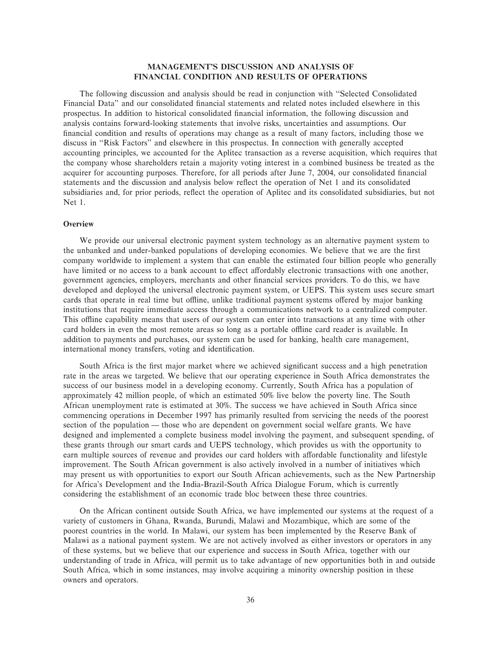# **MANAGEMENT'S DISCUSSION AND ANALYSIS OF FINANCIAL CONDITION AND RESULTS OF OPERATIONS**

The following discussion and analysis should be read in conjunction with ""Selected Consolidated Financial Data" and our consolidated financial statements and related notes included elsewhere in this prospectus. In addition to historical consolidated Ñnancial information, the following discussion and analysis contains forward-looking statements that involve risks, uncertainties and assumptions. Our financial condition and results of operations may change as a result of many factors, including those we discuss in ""Risk Factors'' and elsewhere in this prospectus. In connection with generally accepted accounting principles, we accounted for the Aplitec transaction as a reverse acquisition, which requires that the company whose shareholders retain a majority voting interest in a combined business be treated as the acquirer for accounting purposes. Therefore, for all periods after June 7, 2004, our consolidated financial statements and the discussion and analysis below reflect the operation of Net 1 and its consolidated subsidiaries and, for prior periods, reflect the operation of Aplitec and its consolidated subsidiaries, but not Net 1.

### **Overview**

We provide our universal electronic payment system technology as an alternative payment system to the unbanked and under-banked populations of developing economies. We believe that we are the first company worldwide to implement a system that can enable the estimated four billion people who generally have limited or no access to a bank account to effect affordably electronic transactions with one another, government agencies, employers, merchants and other financial services providers. To do this, we have developed and deployed the universal electronic payment system, or UEPS. This system uses secure smart cards that operate in real time but offline, unlike traditional payment systems offered by major banking institutions that require immediate access through a communications network to a centralized computer. This offline capability means that users of our system can enter into transactions at any time with other card holders in even the most remote areas so long as a portable offline card reader is available. In addition to payments and purchases, our system can be used for banking, health care management, international money transfers, voting and identification.

South Africa is the first major market where we achieved significant success and a high penetration rate in the areas we targeted. We believe that our operating experience in South Africa demonstrates the success of our business model in a developing economy. Currently, South Africa has a population of approximately 42 million people, of which an estimated 50% live below the poverty line. The South African unemployment rate is estimated at 30%. The success we have achieved in South Africa since commencing operations in December 1997 has primarily resulted from servicing the needs of the poorest section of the population — those who are dependent on government social welfare grants. We have designed and implemented a complete business model involving the payment, and subsequent spending, of these grants through our smart cards and UEPS technology, which provides us with the opportunity to earn multiple sources of revenue and provides our card holders with affordable functionality and lifestyle improvement. The South African government is also actively involved in a number of initiatives which may present us with opportunities to export our South African achievements, such as the New Partnership for Africa's Development and the India-Brazil-South Africa Dialogue Forum, which is currently considering the establishment of an economic trade bloc between these three countries.

On the African continent outside South Africa, we have implemented our systems at the request of a variety of customers in Ghana, Rwanda, Burundi, Malawi and Mozambique, which are some of the poorest countries in the world. In Malawi, our system has been implemented by the Reserve Bank of Malawi as a national payment system. We are not actively involved as either investors or operators in any of these systems, but we believe that our experience and success in South Africa, together with our understanding of trade in Africa, will permit us to take advantage of new opportunities both in and outside South Africa, which in some instances, may involve acquiring a minority ownership position in these owners and operators.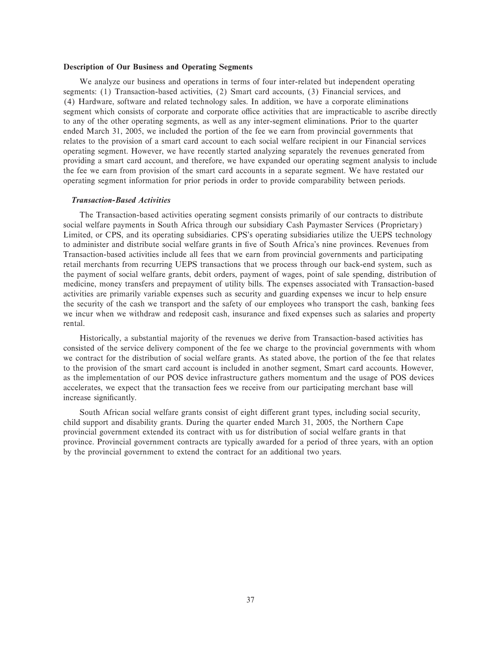#### **Description of Our Business and Operating Segments**

We analyze our business and operations in terms of four inter-related but independent operating segments: (1) Transaction-based activities, (2) Smart card accounts, (3) Financial services, and (4) Hardware, software and related technology sales. In addition, we have a corporate eliminations segment which consists of corporate and corporate office activities that are impracticable to ascribe directly to any of the other operating segments, as well as any inter-segment eliminations. Prior to the quarter ended March 31, 2005, we included the portion of the fee we earn from provincial governments that relates to the provision of a smart card account to each social welfare recipient in our Financial services operating segment. However, we have recently started analyzing separately the revenues generated from providing a smart card account, and therefore, we have expanded our operating segment analysis to include the fee we earn from provision of the smart card accounts in a separate segment. We have restated our operating segment information for prior periods in order to provide comparability between periods.

# *Transaction-Based Activities*

The Transaction-based activities operating segment consists primarily of our contracts to distribute social welfare payments in South Africa through our subsidiary Cash Paymaster Services (Proprietary) Limited, or CPS, and its operating subsidiaries. CPS's operating subsidiaries utilize the UEPS technology to administer and distribute social welfare grants in five of South Africa's nine provinces. Revenues from Transaction-based activities include all fees that we earn from provincial governments and participating retail merchants from recurring UEPS transactions that we process through our back-end system, such as the payment of social welfare grants, debit orders, payment of wages, point of sale spending, distribution of medicine, money transfers and prepayment of utility bills. The expenses associated with Transaction-based activities are primarily variable expenses such as security and guarding expenses we incur to help ensure the security of the cash we transport and the safety of our employees who transport the cash, banking fees we incur when we withdraw and redeposit cash, insurance and fixed expenses such as salaries and property rental.

Historically, a substantial majority of the revenues we derive from Transaction-based activities has consisted of the service delivery component of the fee we charge to the provincial governments with whom we contract for the distribution of social welfare grants. As stated above, the portion of the fee that relates to the provision of the smart card account is included in another segment, Smart card accounts. However, as the implementation of our POS device infrastructure gathers momentum and the usage of POS devices accelerates, we expect that the transaction fees we receive from our participating merchant base will increase significantly.

South African social welfare grants consist of eight different grant types, including social security, child support and disability grants. During the quarter ended March 31, 2005, the Northern Cape provincial government extended its contract with us for distribution of social welfare grants in that province. Provincial government contracts are typically awarded for a period of three years, with an option by the provincial government to extend the contract for an additional two years.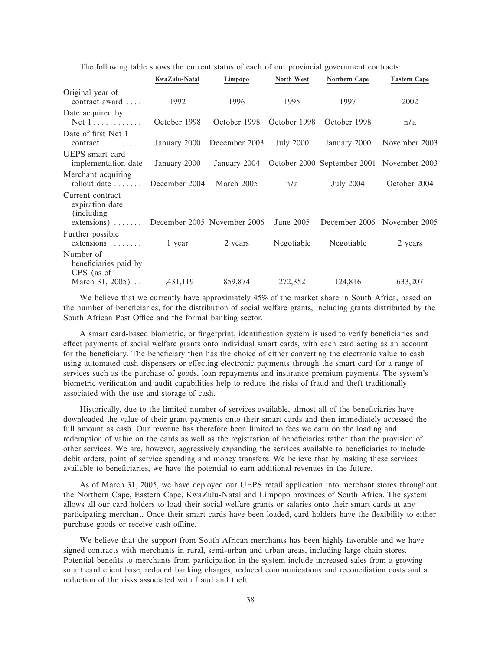The following table shows the current status of each of our provincial government contracts:

|                                                                                                | <b>KwaZulu-Natal</b> | Limpopo                   | North West       | Northern Cape                                          | <b>Eastern Cape</b>         |
|------------------------------------------------------------------------------------------------|----------------------|---------------------------|------------------|--------------------------------------------------------|-----------------------------|
| Original year of<br>contract award                                                             | 1992                 | 1996                      | 1995             | 1997                                                   | 2002                        |
| Date acquired by<br>$Net 1 \ldots \ldots \ldots$                                               | October 1998         | October 1998 October 1998 |                  | October 1998                                           | n/a                         |
| Date of first Net 1<br>$contract \dots \dots \dots$                                            | January 2000         | December 2003             | <b>July 2000</b> | January 2000                                           | November 2003               |
| UEPS smart card<br>implementation date                                                         | January 2000         |                           |                  | January 2004 October 2000 September 2001 November 2003 |                             |
| Merchant acquiring<br>rollout date  December 2004                                              |                      | March 2005                | n/a              | <b>July 2004</b>                                       | October 2004                |
| Current contract<br>expiration date<br>(including)<br>extensions)  December 2005 November 2006 |                      |                           | June 2005        |                                                        | December 2006 November 2005 |
| Further possible<br>$extensions \ldots \ldots \ldots \ldots$ 1 year                            |                      | 2 years                   | Negotiable       | Negotiable                                             | 2 years                     |
| Number of<br>beneficiaries paid by<br>CPS (as of                                               |                      |                           |                  |                                                        |                             |
| March 31, 2005) $\dots$                                                                        | 1,431,119            | 859,874                   | 272,352          | 124,816                                                | 633,207                     |

We believe that we currently have approximately 45% of the market share in South Africa, based on the number of beneficiaries, for the distribution of social welfare grants, including grants distributed by the South African Post Office and the formal banking sector.

A smart card-based biometric, or fingerprint, identification system is used to verify beneficiaries and effect payments of social welfare grants onto individual smart cards, with each card acting as an account for the beneficiary. The beneficiary then has the choice of either converting the electronic value to cash using automated cash dispensers or effecting electronic payments through the smart card for a range of services such as the purchase of goods, loan repayments and insurance premium payments. The system's biometric verification and audit capabilities help to reduce the risks of fraud and theft traditionally associated with the use and storage of cash.

Historically, due to the limited number of services available, almost all of the beneficiaries have downloaded the value of their grant payments onto their smart cards and then immediately accessed the full amount as cash. Our revenue has therefore been limited to fees we earn on the loading and redemption of value on the cards as well as the registration of beneficiaries rather than the provision of other services. We are, however, aggressively expanding the services available to beneficiaries to include debit orders, point of service spending and money transfers. We believe that by making these services available to beneficiaries, we have the potential to earn additional revenues in the future.

As of March 31, 2005, we have deployed our UEPS retail application into merchant stores throughout the Northern Cape, Eastern Cape, KwaZulu-Natal and Limpopo provinces of South Africa. The system allows all our card holders to load their social welfare grants or salaries onto their smart cards at any participating merchant. Once their smart cards have been loaded, card holders have the flexibility to either purchase goods or receive cash offline.

We believe that the support from South African merchants has been highly favorable and we have signed contracts with merchants in rural, semi-urban and urban areas, including large chain stores. Potential benefits to merchants from participation in the system include increased sales from a growing smart card client base, reduced banking charges, reduced communications and reconciliation costs and a reduction of the risks associated with fraud and theft.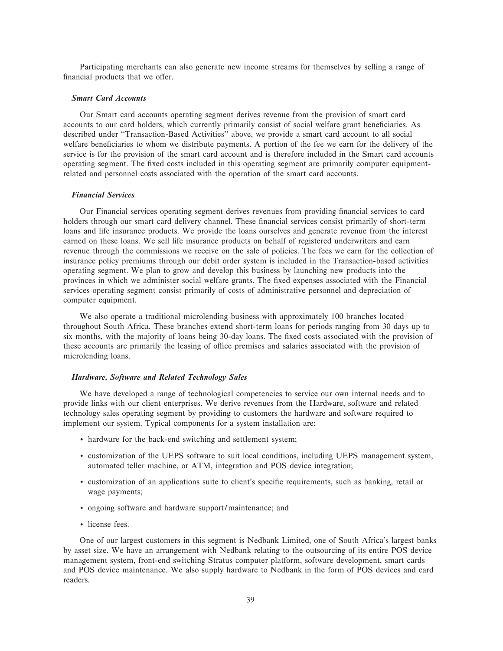Participating merchants can also generate new income streams for themselves by selling a range of financial products that we offer.

#### *Smart Card Accounts*

Our Smart card accounts operating segment derives revenue from the provision of smart card accounts to our card holders, which currently primarily consist of social welfare grant beneficiaries. As described under "Transaction-Based Activities" above, we provide a smart card account to all social welfare beneficiaries to whom we distribute payments. A portion of the fee we earn for the delivery of the service is for the provision of the smart card account and is therefore included in the Smart card accounts operating segment. The Ñxed costs included in this operating segment are primarily computer equipmentrelated and personnel costs associated with the operation of the smart card accounts.

#### *Financial Services*

Our Financial services operating segment derives revenues from providing Ñnancial services to card holders through our smart card delivery channel. These financial services consist primarily of short-term loans and life insurance products. We provide the loans ourselves and generate revenue from the interest earned on these loans. We sell life insurance products on behalf of registered underwriters and earn revenue through the commissions we receive on the sale of policies. The fees we earn for the collection of insurance policy premiums through our debit order system is included in the Transaction-based activities operating segment. We plan to grow and develop this business by launching new products into the provinces in which we administer social welfare grants. The Ñxed expenses associated with the Financial services operating segment consist primarily of costs of administrative personnel and depreciation of computer equipment.

We also operate a traditional microlending business with approximately 100 branches located throughout South Africa. These branches extend short-term loans for periods ranging from 30 days up to six months, with the majority of loans being 30-day loans. The fixed costs associated with the provision of these accounts are primarily the leasing of office premises and salaries associated with the provision of microlending loans.

#### *Hardware, Software and Related Technology Sales*

We have developed a range of technological competencies to service our own internal needs and to provide links with our client enterprises. We derive revenues from the Hardware, software and related technology sales operating segment by providing to customers the hardware and software required to implement our system. Typical components for a system installation are:

- ' hardware for the back-end switching and settlement system;
- ' customization of the UEPS software to suit local conditions, including UEPS management system, automated teller machine, or ATM, integration and POS device integration;
- customization of an applications suite to client's specific requirements, such as banking, retail or wage payments;
- ' ongoing software and hardware support/maintenance; and
- ' license fees.

One of our largest customers in this segment is Nedbank Limited, one of South Africa's largest banks by asset size. We have an arrangement with Nedbank relating to the outsourcing of its entire POS device management system, front-end switching Stratus computer platform, software development, smart cards and POS device maintenance. We also supply hardware to Nedbank in the form of POS devices and card readers.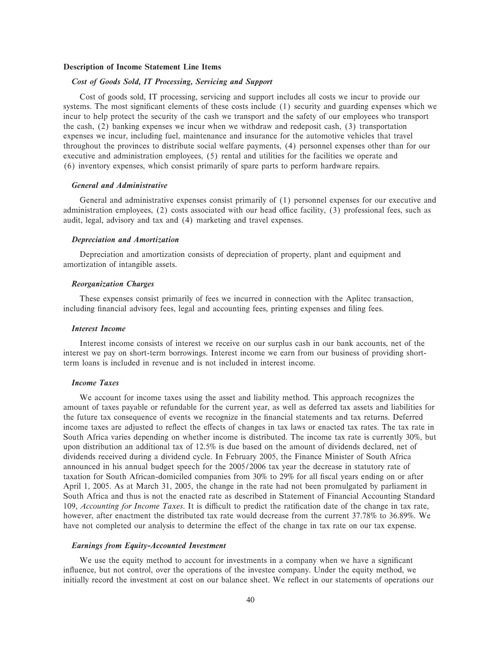### **Description of Income Statement Line Items**

### *Cost of Goods Sold, IT Processing, Servicing and Support*

Cost of goods sold, IT processing, servicing and support includes all costs we incur to provide our systems. The most significant elements of these costs include  $(1)$  security and guarding expenses which we incur to help protect the security of the cash we transport and the safety of our employees who transport the cash, (2) banking expenses we incur when we withdraw and redeposit cash, (3) transportation expenses we incur, including fuel, maintenance and insurance for the automotive vehicles that travel throughout the provinces to distribute social welfare payments, (4) personnel expenses other than for our executive and administration employees, (5) rental and utilities for the facilities we operate and (6) inventory expenses, which consist primarily of spare parts to perform hardware repairs.

# *General and Administrative*

General and administrative expenses consist primarily of (1) personnel expenses for our executive and administration employees,  $(2)$  costs associated with our head office facility,  $(3)$  professional fees, such as audit, legal, advisory and tax and (4) marketing and travel expenses.

## *Depreciation and Amortization*

Depreciation and amortization consists of depreciation of property, plant and equipment and amortization of intangible assets.

#### *Reorganization Charges*

These expenses consist primarily of fees we incurred in connection with the Aplitec transaction, including financial advisory fees, legal and accounting fees, printing expenses and filing fees.

#### *Interest Income*

Interest income consists of interest we receive on our surplus cash in our bank accounts, net of the interest we pay on short-term borrowings. Interest income we earn from our business of providing shortterm loans is included in revenue and is not included in interest income.

#### *Income Taxes*

We account for income taxes using the asset and liability method. This approach recognizes the amount of taxes payable or refundable for the current year, as well as deferred tax assets and liabilities for the future tax consequence of events we recognize in the financial statements and tax returns. Deferred income taxes are adjusted to reflect the effects of changes in tax laws or enacted tax rates. The tax rate in South Africa varies depending on whether income is distributed. The income tax rate is currently 30%, but upon distribution an additional tax of 12.5% is due based on the amount of dividends declared, net of dividends received during a dividend cycle. In February 2005, the Finance Minister of South Africa announced in his annual budget speech for the 2005/2006 tax year the decrease in statutory rate of taxation for South African-domiciled companies from 30% to 29% for all fiscal years ending on or after April 1, 2005. As at March 31, 2005, the change in the rate had not been promulgated by parliament in South Africa and thus is not the enacted rate as described in Statement of Financial Accounting Standard 109, *Accounting for Income Taxes*. It is difficult to predict the ratification date of the change in tax rate, however, after enactment the distributed tax rate would decrease from the current 37.78% to 36.89%. We have not completed our analysis to determine the effect of the change in tax rate on our tax expense.

#### *Earnings from Equity-Accounted Investment*

We use the equity method to account for investments in a company when we have a significant influence, but not control, over the operations of the investee company. Under the equity method, we initially record the investment at cost on our balance sheet. We reflect in our statements of operations our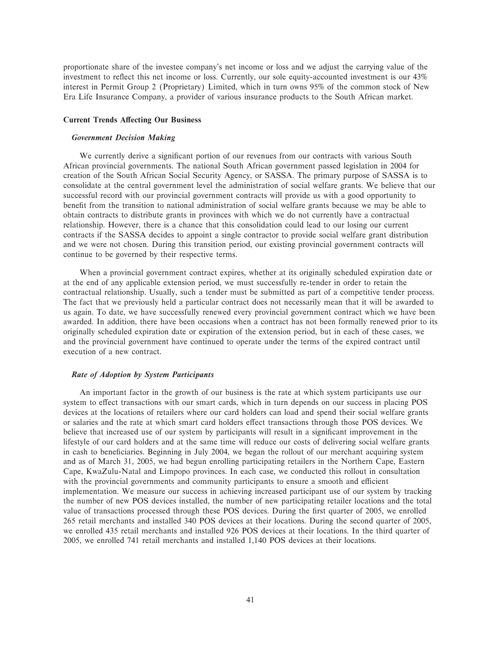proportionate share of the investee company's net income or loss and we adjust the carrying value of the investment to reflect this net income or loss. Currently, our sole equity-accounted investment is our 43% interest in Permit Group 2 (Proprietary) Limited, which in turn owns 95% of the common stock of New Era Life Insurance Company, a provider of various insurance products to the South African market.

### **Current Trends Affecting Our Business**

### *Government Decision Making*

We currently derive a significant portion of our revenues from our contracts with various South African provincial governments. The national South African government passed legislation in 2004 for creation of the South African Social Security Agency, or SASSA. The primary purpose of SASSA is to consolidate at the central government level the administration of social welfare grants. We believe that our successful record with our provincial government contracts will provide us with a good opportunity to benefit from the transition to national administration of social welfare grants because we may be able to obtain contracts to distribute grants in provinces with which we do not currently have a contractual relationship. However, there is a chance that this consolidation could lead to our losing our current contracts if the SASSA decides to appoint a single contractor to provide social welfare grant distribution and we were not chosen. During this transition period, our existing provincial government contracts will continue to be governed by their respective terms.

When a provincial government contract expires, whether at its originally scheduled expiration date or at the end of any applicable extension period, we must successfully re-tender in order to retain the contractual relationship. Usually, such a tender must be submitted as part of a competitive tender process. The fact that we previously held a particular contract does not necessarily mean that it will be awarded to us again. To date, we have successfully renewed every provincial government contract which we have been awarded. In addition, there have been occasions when a contract has not been formally renewed prior to its originally scheduled expiration date or expiration of the extension period, but in each of these cases, we and the provincial government have continued to operate under the terms of the expired contract until execution of a new contract.

#### *Rate of Adoption by System Participants*

An important factor in the growth of our business is the rate at which system participants use our system to effect transactions with our smart cards, which in turn depends on our success in placing POS devices at the locations of retailers where our card holders can load and spend their social welfare grants or salaries and the rate at which smart card holders effect transactions through those POS devices. We believe that increased use of our system by participants will result in a significant improvement in the lifestyle of our card holders and at the same time will reduce our costs of delivering social welfare grants in cash to beneficiaries. Beginning in July 2004, we began the rollout of our merchant acquiring system and as of March 31, 2005, we had begun enrolling participating retailers in the Northern Cape, Eastern Cape, KwaZulu-Natal and Limpopo provinces. In each case, we conducted this rollout in consultation with the provincial governments and community participants to ensure a smooth and efficient implementation. We measure our success in achieving increased participant use of our system by tracking the number of new POS devices installed, the number of new participating retailer locations and the total value of transactions processed through these POS devices. During the first quarter of 2005, we enrolled 265 retail merchants and installed 340 POS devices at their locations. During the second quarter of 2005, we enrolled 435 retail merchants and installed 926 POS devices at their locations. In the third quarter of 2005, we enrolled 741 retail merchants and installed 1,140 POS devices at their locations.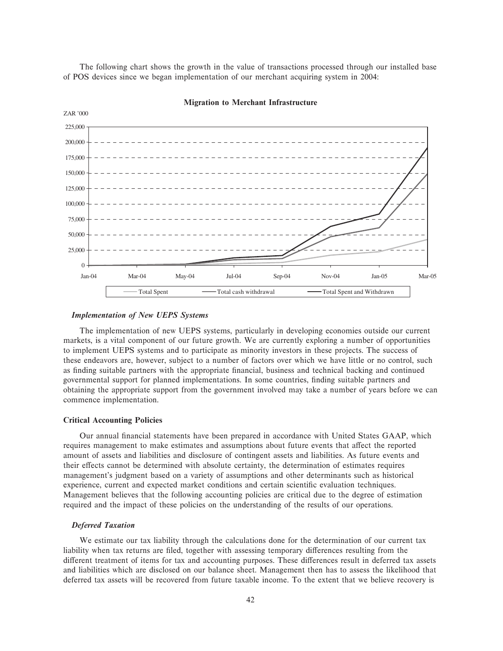The following chart shows the growth in the value of transactions processed through our installed base of POS devices since we began implementation of our merchant acquiring system in 2004:



#### **Migration to Merchant Infrastructure**

### *Implementation of New UEPS Systems*

The implementation of new UEPS systems, particularly in developing economies outside our current markets, is a vital component of our future growth. We are currently exploring a number of opportunities to implement UEPS systems and to participate as minority investors in these projects. The success of these endeavors are, however, subject to a number of factors over which we have little or no control, such as finding suitable partners with the appropriate financial, business and technical backing and continued governmental support for planned implementations. In some countries, finding suitable partners and obtaining the appropriate support from the government involved may take a number of years before we can commence implementation.

### **Critical Accounting Policies**

Our annual financial statements have been prepared in accordance with United States GAAP, which requires management to make estimates and assumptions about future events that affect the reported amount of assets and liabilities and disclosure of contingent assets and liabilities. As future events and their effects cannot be determined with absolute certainty, the determination of estimates requires management's judgment based on a variety of assumptions and other determinants such as historical experience, current and expected market conditions and certain scientific evaluation techniques. Management believes that the following accounting policies are critical due to the degree of estimation required and the impact of these policies on the understanding of the results of our operations.

### *Deferred Taxation*

We estimate our tax liability through the calculations done for the determination of our current tax liability when tax returns are filed, together with assessing temporary differences resulting from the different treatment of items for tax and accounting purposes. These differences result in deferred tax assets and liabilities which are disclosed on our balance sheet. Management then has to assess the likelihood that deferred tax assets will be recovered from future taxable income. To the extent that we believe recovery is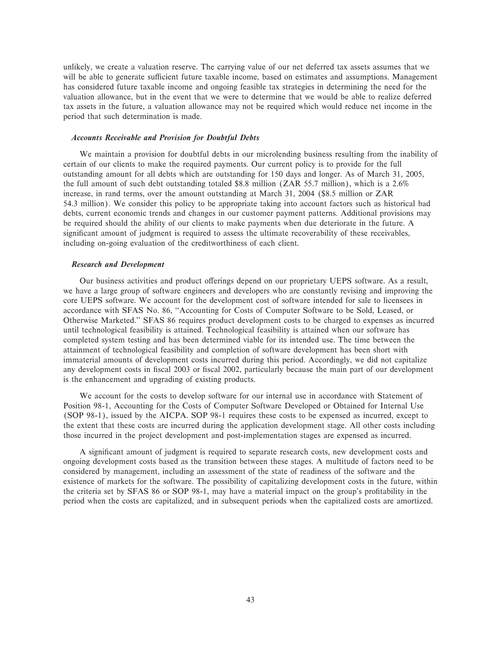unlikely, we create a valuation reserve. The carrying value of our net deferred tax assets assumes that we will be able to generate sufficient future taxable income, based on estimates and assumptions. Management has considered future taxable income and ongoing feasible tax strategies in determining the need for the valuation allowance, but in the event that we were to determine that we would be able to realize deferred tax assets in the future, a valuation allowance may not be required which would reduce net income in the period that such determination is made.

### *Accounts Receivable and Provision for Doubtful Debts*

We maintain a provision for doubtful debts in our microlending business resulting from the inability of certain of our clients to make the required payments. Our current policy is to provide for the full outstanding amount for all debts which are outstanding for 150 days and longer. As of March 31, 2005, the full amount of such debt outstanding totaled \$8.8 million (ZAR 55.7 million), which is a 2.6% increase, in rand terms, over the amount outstanding at March 31, 2004 (\$8.5 million or ZAR 54.3 million). We consider this policy to be appropriate taking into account factors such as historical bad debts, current economic trends and changes in our customer payment patterns. Additional provisions may be required should the ability of our clients to make payments when due deteriorate in the future. A significant amount of judgment is required to assess the ultimate recoverability of these receivables, including on-going evaluation of the creditworthiness of each client.

#### *Research and Development*

Our business activities and product offerings depend on our proprietary UEPS software. As a result, we have a large group of software engineers and developers who are constantly revising and improving the core UEPS software. We account for the development cost of software intended for sale to licensees in accordance with SFAS No. 86, ""Accounting for Costs of Computer Software to be Sold, Leased, or Otherwise Marketed.'' SFAS 86 requires product development costs to be charged to expenses as incurred until technological feasibility is attained. Technological feasibility is attained when our software has completed system testing and has been determined viable for its intended use. The time between the attainment of technological feasibility and completion of software development has been short with immaterial amounts of development costs incurred during this period. Accordingly, we did not capitalize any development costs in fiscal 2003 or fiscal 2002, particularly because the main part of our development is the enhancement and upgrading of existing products.

We account for the costs to develop software for our internal use in accordance with Statement of Position 98-1, Accounting for the Costs of Computer Software Developed or Obtained for Internal Use (SOP 98-1), issued by the AICPA. SOP 98-1 requires these costs to be expensed as incurred, except to the extent that these costs are incurred during the application development stage. All other costs including those incurred in the project development and post-implementation stages are expensed as incurred.

A significant amount of judgment is required to separate research costs, new development costs and ongoing development costs based as the transition between these stages. A multitude of factors need to be considered by management, including an assessment of the state of readiness of the software and the existence of markets for the software. The possibility of capitalizing development costs in the future, within the criteria set by SFAS 86 or SOP 98-1, may have a material impact on the group's profitability in the period when the costs are capitalized, and in subsequent periods when the capitalized costs are amortized.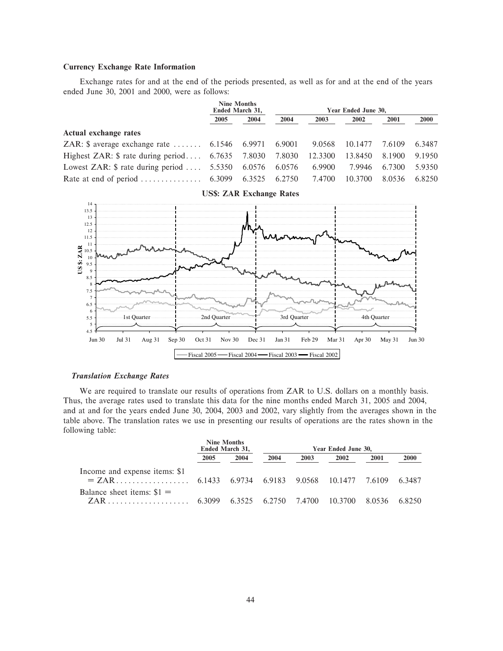# **Currency Exchange Rate Information**

Exchange rates for and at the end of the periods presented, as well as for and at the end of the years ended June 30, 2001 and 2000, were as follows:

|      |      | Year Ended June 30,                   |                                                                                                                      |                                                                       |         |             |
|------|------|---------------------------------------|----------------------------------------------------------------------------------------------------------------------|-----------------------------------------------------------------------|---------|-------------|
| 2005 | 2004 | 2004                                  | 2003                                                                                                                 | 2002                                                                  | 2001    | <b>2000</b> |
|      |      |                                       |                                                                                                                      |                                                                       |         |             |
|      |      |                                       |                                                                                                                      |                                                                       | 7.6109  | 6.3487      |
|      |      |                                       |                                                                                                                      | 13.8450                                                               | 8.1900  | 9.1950      |
|      |      |                                       | 6.9900                                                                                                               | 7.9946                                                                | 6.7300  | 5.9350      |
|      |      |                                       | 7.4700                                                                                                               | 10.3700                                                               | 8.0536  | 6.8250      |
|      |      | <b>Nine Months</b><br>Ended March 31, | Highest ZAR: \$ rate during period 6.7635 7.8030 7.8030<br>Lowest ZAR: $\$$ rate during period  5.5350 6.0576 6.0576 | ZAR: \$ average exchange rate  6.1546 6.9971 6.9001 9.0568<br>12.3300 | 10.1477 |             |



**US\$: ZAR Exchange Rates**

### *Translation Exchange Rates*

We are required to translate our results of operations from ZAR to U.S. dollars on a monthly basis. Thus, the average rates used to translate this data for the nine months ended March 31, 2005 and 2004, and at and for the years ended June 30, 2004, 2003 and 2002, vary slightly from the averages shown in the table above. The translation rates we use in presenting our results of operations are the rates shown in the following table:

|                               | <b>Nine Months</b><br>Ended March 31, |      | Year Ended June 30, |      |      |      |      |  |  |
|-------------------------------|---------------------------------------|------|---------------------|------|------|------|------|--|--|
|                               | 2005                                  | 2004 | 2004                | 2003 | 2002 | 2001 | 2000 |  |  |
| Income and expense items: \$1 |                                       |      |                     |      |      |      |      |  |  |
| Balance sheet items: $$1 =$   |                                       |      |                     |      |      |      |      |  |  |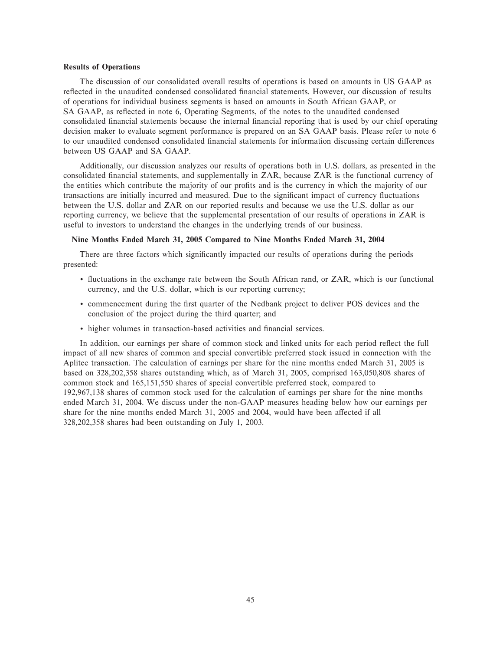#### **Results of Operations**

The discussion of our consolidated overall results of operations is based on amounts in US GAAP as reflected in the unaudited condensed consolidated financial statements. However, our discussion of results of operations for individual business segments is based on amounts in South African GAAP, or SA GAAP, as reflected in note 6, Operating Segments, of the notes to the unaudited condensed consolidated financial statements because the internal financial reporting that is used by our chief operating decision maker to evaluate segment performance is prepared on an SA GAAP basis. Please refer to note 6 to our unaudited condensed consolidated financial statements for information discussing certain differences between US GAAP and SA GAAP.

Additionally, our discussion analyzes our results of operations both in U.S. dollars, as presented in the consolidated Ñnancial statements, and supplementally in ZAR, because ZAR is the functional currency of the entities which contribute the majority of our profits and is the currency in which the majority of our transactions are initially incurred and measured. Due to the significant impact of currency fluctuations between the U.S. dollar and ZAR on our reported results and because we use the U.S. dollar as our reporting currency, we believe that the supplemental presentation of our results of operations in ZAR is useful to investors to understand the changes in the underlying trends of our business.

# **Nine Months Ended March 31, 2005 Compared to Nine Months Ended March 31, 2004**

There are three factors which significantly impacted our results of operations during the periods presented:

- ' Öuctuations in the exchange rate between the South African rand, or ZAR, which is our functional currency, and the U.S. dollar, which is our reporting currency;
- ' commencement during the Ñrst quarter of the Nedbank project to deliver POS devices and the conclusion of the project during the third quarter; and
- $\bullet$  higher volumes in transaction-based activities and financial services.

In addition, our earnings per share of common stock and linked units for each period reflect the full impact of all new shares of common and special convertible preferred stock issued in connection with the Aplitec transaction. The calculation of earnings per share for the nine months ended March 31, 2005 is based on 328,202,358 shares outstanding which, as of March 31, 2005, comprised 163,050,808 shares of common stock and 165,151,550 shares of special convertible preferred stock, compared to 192,967,138 shares of common stock used for the calculation of earnings per share for the nine months ended March 31, 2004. We discuss under the non-GAAP measures heading below how our earnings per share for the nine months ended March 31, 2005 and 2004, would have been affected if all 328,202,358 shares had been outstanding on July 1, 2003.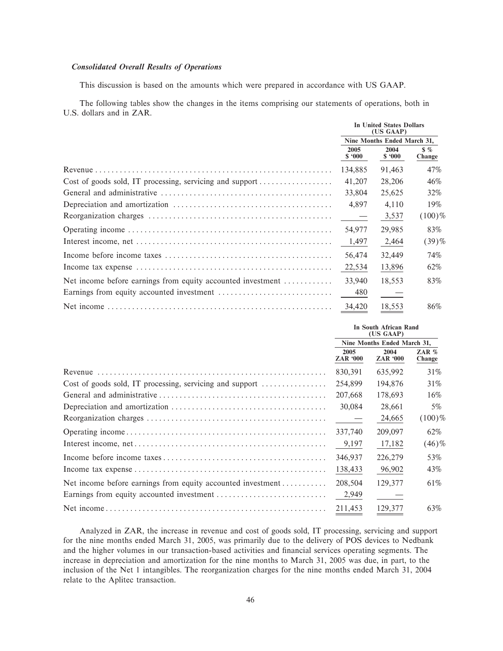# **Consolidated Overall Results of Operations**

This discussion is based on the amounts which were prepared in accordance with US GAAP.

The following tables show the changes in the items comprising our statements of operations, both in U.S. dollars and in ZAR.

|                                                             | In United States Dollars<br>(US GAAP) |                             |                         |  |  |
|-------------------------------------------------------------|---------------------------------------|-----------------------------|-------------------------|--|--|
|                                                             |                                       | Nine Months Ended March 31, |                         |  |  |
|                                                             | 2005<br>\$.000                        | 2004<br>\$.000              | $\frac{8}{2}$<br>Change |  |  |
|                                                             | 134,885                               | 91,463                      | 47%                     |  |  |
| Cost of goods sold, IT processing, servicing and support    | 41,207                                | 28,206                      | 46%                     |  |  |
|                                                             | 33,804                                | 25,625                      | 32%                     |  |  |
|                                                             | 4,897                                 | 4,110                       | 19%                     |  |  |
|                                                             | $\sim$ $-$                            | 3,537                       | $(100)\%$               |  |  |
|                                                             | 54,977                                | 29,985                      | 83%                     |  |  |
|                                                             | 1,497                                 | 2,464                       | $(39)$ %                |  |  |
|                                                             | 56,474                                | 32,449                      | 74%                     |  |  |
|                                                             | 22,534                                | 13,896                      | 62%                     |  |  |
| Net income before earnings from equity accounted investment | 33,940                                | 18,553                      | 83%                     |  |  |
|                                                             | 480                                   |                             |                         |  |  |
|                                                             | 34,420                                | 18,553                      | 86%                     |  |  |

|                                                          |                         | In South African Rand<br>(US GAAP) |                   |  |  |
|----------------------------------------------------------|-------------------------|------------------------------------|-------------------|--|--|
|                                                          |                         | Nine Months Ended March 31,        |                   |  |  |
|                                                          | 2005<br><b>ZAR '000</b> | 2004<br><b>ZAR '000</b>            | ZAR $%$<br>Change |  |  |
|                                                          | 830,391                 | 635,992                            | 31\%              |  |  |
| Cost of goods sold, IT processing, servicing and support | 254,899                 | 194,876                            | 31\%              |  |  |
|                                                          | 207,668                 | 178.693                            | 16%               |  |  |
|                                                          | 30,084                  | 28,661                             | 5%                |  |  |
|                                                          | $\sim$ $-$              | 24,665                             | $(100)\%$         |  |  |
|                                                          | 337,740                 | 209,097                            | 62%               |  |  |
|                                                          | 9,197                   | 17,182                             | $(46)\%$          |  |  |
|                                                          | 346,937                 | 226,279                            | 53%               |  |  |
|                                                          | 138,433                 | 96,902                             | 43%               |  |  |
|                                                          | 208,504                 | 129,377                            | 61\%              |  |  |
|                                                          | 2,949                   |                                    |                   |  |  |
|                                                          | 211,453                 | 129,377                            | 63%               |  |  |

Analyzed in ZAR, the increase in revenue and cost of goods sold, IT processing, servicing and support for the nine months ended March 31, 2005, was primarily due to the delivery of POS devices to Nedbank and the higher volumes in our transaction-based activities and financial services operating segments. The increase in depreciation and amortization for the nine months to March 31, 2005 was due, in part, to the inclusion of the Net 1 intangibles. The reorganization charges for the nine months ended March 31, 2004 relate to the Aplitec transaction.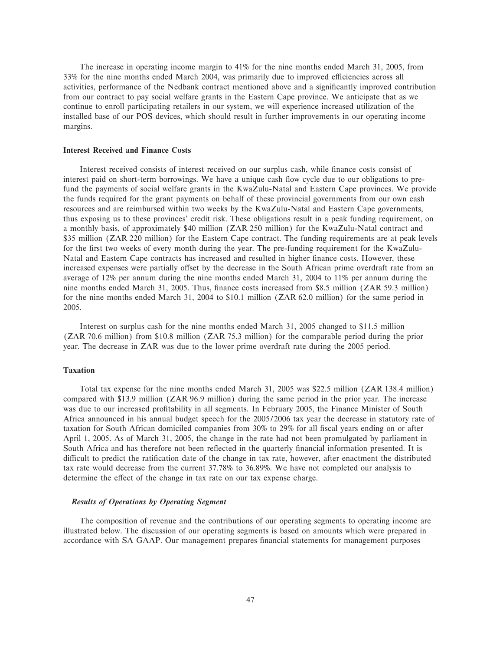The increase in operating income margin to 41% for the nine months ended March 31, 2005, from 33% for the nine months ended March 2004, was primarily due to improved efficiencies across all activities, performance of the Nedbank contract mentioned above and a significantly improved contribution from our contract to pay social welfare grants in the Eastern Cape province. We anticipate that as we continue to enroll participating retailers in our system, we will experience increased utilization of the installed base of our POS devices, which should result in further improvements in our operating income margins.

#### **Interest Received and Finance Costs**

Interest received consists of interest received on our surplus cash, while finance costs consist of interest paid on short-term borrowings. We have a unique cash flow cycle due to our obligations to prefund the payments of social welfare grants in the KwaZulu-Natal and Eastern Cape provinces. We provide the funds required for the grant payments on behalf of these provincial governments from our own cash resources and are reimbursed within two weeks by the KwaZulu-Natal and Eastern Cape governments, thus exposing us to these provinces' credit risk. These obligations result in a peak funding requirement, on a monthly basis, of approximately \$40 million (ZAR 250 million) for the KwaZulu-Natal contract and \$35 million (ZAR 220 million) for the Eastern Cape contract. The funding requirements are at peak levels for the first two weeks of every month during the year. The pre-funding requirement for the KwaZulu-Natal and Eastern Cape contracts has increased and resulted in higher finance costs. However, these increased expenses were partially offset by the decrease in the South African prime overdraft rate from an average of 12% per annum during the nine months ended March 31, 2004 to 11% per annum during the nine months ended March 31, 2005. Thus, finance costs increased from \$8.5 million (ZAR 59.3 million) for the nine months ended March 31, 2004 to \$10.1 million (ZAR 62.0 million) for the same period in 2005.

Interest on surplus cash for the nine months ended March 31, 2005 changed to \$11.5 million (ZAR 70.6 million) from \$10.8 million (ZAR 75.3 million) for the comparable period during the prior year. The decrease in ZAR was due to the lower prime overdraft rate during the 2005 period.

# **Taxation**

Total tax expense for the nine months ended March 31, 2005 was \$22.5 million (ZAR 138.4 million) compared with \$13.9 million (ZAR 96.9 million) during the same period in the prior year. The increase was due to our increased profitability in all segments. In February 2005, the Finance Minister of South Africa announced in his annual budget speech for the 2005/2006 tax year the decrease in statutory rate of taxation for South African domiciled companies from 30% to 29% for all fiscal years ending on or after April 1, 2005. As of March 31, 2005, the change in the rate had not been promulgated by parliament in South Africa and has therefore not been reflected in the quarterly financial information presented. It is difficult to predict the ratification date of the change in tax rate, however, after enactment the distributed tax rate would decrease from the current 37.78% to 36.89%. We have not completed our analysis to determine the effect of the change in tax rate on our tax expense charge.

# *Results of Operations by Operating Segment*

The composition of revenue and the contributions of our operating segments to operating income are illustrated below. The discussion of our operating segments is based on amounts which were prepared in accordance with SA GAAP. Our management prepares Ñnancial statements for management purposes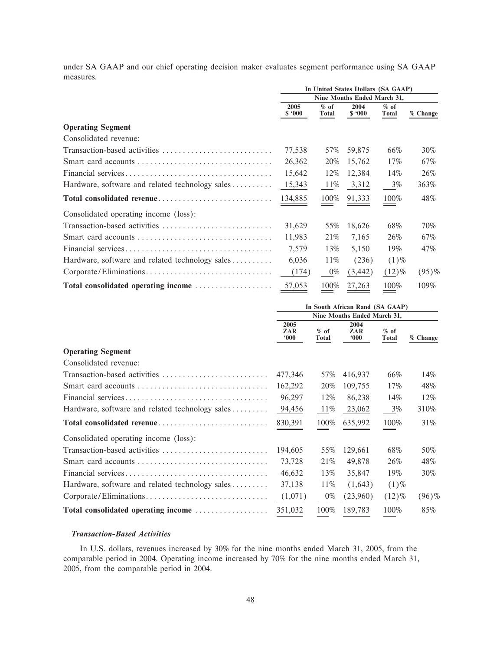under SA GAAP and our chief operating decision maker evaluates segment performance using SA GAAP measures.

|                                                                   | In United States Dollars (SA GAAP) |                        |                |                        |          |  |  |
|-------------------------------------------------------------------|------------------------------------|------------------------|----------------|------------------------|----------|--|--|
|                                                                   | Nine Months Ended March 31,        |                        |                |                        |          |  |  |
|                                                                   | 2005<br>\$.000                     | $%$ of<br><b>Total</b> | 2004<br>\$.000 | $%$ of<br><b>Total</b> | % Change |  |  |
| <b>Operating Segment</b>                                          |                                    |                        |                |                        |          |  |  |
| Consolidated revenue:                                             |                                    |                        |                |                        |          |  |  |
|                                                                   | 77,538                             | 57%                    | 59,875         | 66%                    | 30%      |  |  |
|                                                                   | 26,362                             | 20%                    | 15,762         | 17%                    | 67%      |  |  |
|                                                                   | 15,642                             | 12%                    | 12,384         | 14%                    | 26%      |  |  |
| Hardware, software and related technology sales $\dots\dots\dots$ | 15,343                             | 11%                    | 3,312          | $3\%$                  | 363%     |  |  |
| Total consolidated revenue                                        | 134,885                            | 100%                   | 91,333         | 100%                   | 48%      |  |  |
| Consolidated operating income (loss):                             |                                    |                        |                |                        |          |  |  |
| Transaction-based activities                                      | 31,629                             | 55%                    | 18,626         | 68%                    | 70%      |  |  |
|                                                                   | 11,983                             | 21%                    | 7,165          | 26%                    | 67%      |  |  |
|                                                                   | 7,579                              | 13%                    | 5,150          | 19%                    | 47%      |  |  |
| Hardware, software and related technology sales $\dots\dots\dots$ | 6,036                              | 11%                    | (236)          | $(1)\%$                |          |  |  |
|                                                                   | (174)                              | $0\%$                  | (3, 442)       | $(12)\%$               | $(95)$ % |  |  |
| Total consolidated operating income                               | 57,053                             | 100%                   | 27,263         | 100%                   | 109%     |  |  |

|                                                 | In South African Rand (SA GAAP) |                        |                    |                        |          |  |  |
|-------------------------------------------------|---------------------------------|------------------------|--------------------|------------------------|----------|--|--|
|                                                 | Nine Months Ended March 31,     |                        |                    |                        |          |  |  |
|                                                 | 2005<br>ZAR<br>000              | $%$ of<br><b>Total</b> | 2004<br>ZAR<br>000 | $%$ of<br><b>Total</b> | % Change |  |  |
| <b>Operating Segment</b>                        |                                 |                        |                    |                        |          |  |  |
| Consolidated revenue:                           |                                 |                        |                    |                        |          |  |  |
| Transaction-based activities                    | 477,346                         | 57%                    | 416,937            | 66%                    | 14%      |  |  |
| Smart card accounts                             | 162,292                         | 20%                    | 109,755            | 17%                    | 48%      |  |  |
|                                                 | 96,297                          | 12%                    | 86,238             | 14%                    | 12%      |  |  |
| Hardware, software and related technology sales | 94,456                          | $11\%$                 | 23,062             | $3\%$                  | 310%     |  |  |
| Total consolidated revenue                      | 830,391                         | 100%                   | 635,992            | 100%                   | 31%      |  |  |
| Consolidated operating income (loss):           |                                 |                        |                    |                        |          |  |  |
| Transaction-based activities                    | 194,605                         | 55%                    | 129,661            | 68%                    | 50%      |  |  |
| Smart card accounts                             | 73,728                          | 21\%                   | 49,878             | 26%                    | 48%      |  |  |
|                                                 | 46,632                          | 13%                    | 35,847             | 19%                    | 30%      |  |  |
| Hardware, software and related technology sales | 37,138                          | 11%                    | (1,643)            | $(1)\%$                |          |  |  |
| Corporate/Eliminations                          | (1,071)                         | $0\%$                  | (23,960)           | $(12)\%$               | $(96)\%$ |  |  |
| Total consolidated operating income             | 351,032                         | 100%                   | 189,783            | 100%                   | 85%      |  |  |

# *Transaction-Based Activities*

In U.S. dollars, revenues increased by 30% for the nine months ended March 31, 2005, from the comparable period in 2004. Operating income increased by 70% for the nine months ended March 31, 2005, from the comparable period in 2004.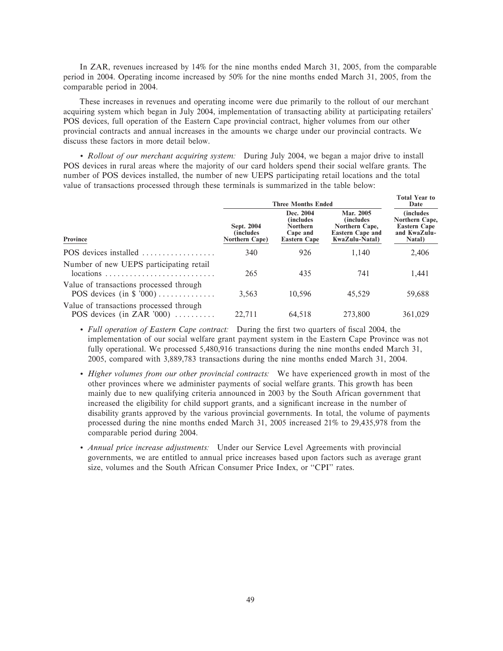In ZAR, revenues increased by 14% for the nine months ended March 31, 2005, from the comparable period in 2004. Operating income increased by 50% for the nine months ended March 31, 2005, from the comparable period in 2004.

These increases in revenues and operating income were due primarily to the rollout of our merchant acquiring system which began in July 2004, implementation of transacting ability at participating retailers' POS devices, full operation of the Eastern Cape provincial contract, higher volumes from our other provincial contracts and annual increases in the amounts we charge under our provincial contracts. We discuss these factors in more detail below.

' *Rollout of our merchant acquiring system:* During July 2004, we began a major drive to install POS devices in rural areas where the majority of our card holders spend their social welfare grants. The number of POS devices installed, the number of new UEPS participating retail locations and the total value of transactions processed through these terminals is summarized in the table below:

|                                                                                                                    | <b>Three Months Ended</b>                         | <b>Total Year to</b><br>Date                                                  |                                                                                               |                                                                                      |
|--------------------------------------------------------------------------------------------------------------------|---------------------------------------------------|-------------------------------------------------------------------------------|-----------------------------------------------------------------------------------------------|--------------------------------------------------------------------------------------|
| Province                                                                                                           | Sept. 2004<br><i>(includes)</i><br>Northern Cape) | Dec. 2004<br><i>(includes)</i><br>Northern<br>Cape and<br><b>Eastern Cape</b> | Mar. 2005<br><i>(includes)</i><br>Northern Cape,<br><b>Eastern Cape and</b><br>KwaZulu-Natal) | <i>(includes)</i><br>Northern Cape,<br><b>Eastern Cape</b><br>and KwaZulu-<br>Natal) |
| POS devices installed                                                                                              | 340                                               | 926                                                                           | 1.140                                                                                         | 2,406                                                                                |
| Number of new UEPS participating retail<br>$locations \dots \dots \dots \dots \dots \dots \dots \dots \dots \dots$ | 265                                               | 435                                                                           | 741                                                                                           | 1,441                                                                                |
| Value of transactions processed through<br>POS devices (in $$7000)$                                                | 3.563                                             | 10.596                                                                        | 45.529                                                                                        | 59,688                                                                               |
| Value of transactions processed through<br>POS devices (in ZAR '000) $\dots$                                       | 22.711                                            | 64.518                                                                        | 273,800                                                                                       | 361,029                                                                              |

- *Full operation of Eastern Cape contract:* During the first two quarters of fiscal 2004, the implementation of our social welfare grant payment system in the Eastern Cape Province was not fully operational. We processed 5,480,916 transactions during the nine months ended March 31, 2005, compared with 3,889,783 transactions during the nine months ended March 31, 2004.
- ' *Higher volumes from our other provincial contracts:* We have experienced growth in most of the other provinces where we administer payments of social welfare grants. This growth has been mainly due to new qualifying criteria announced in 2003 by the South African government that increased the eligibility for child support grants, and a significant increase in the number of disability grants approved by the various provincial governments. In total, the volume of payments processed during the nine months ended March 31, 2005 increased 21% to 29,435,978 from the comparable period during 2004.
- ' *Annual price increase adjustments:* Under our Service Level Agreements with provincial governments, we are entitled to annual price increases based upon factors such as average grant size, volumes and the South African Consumer Price Index, or "CPI" rates.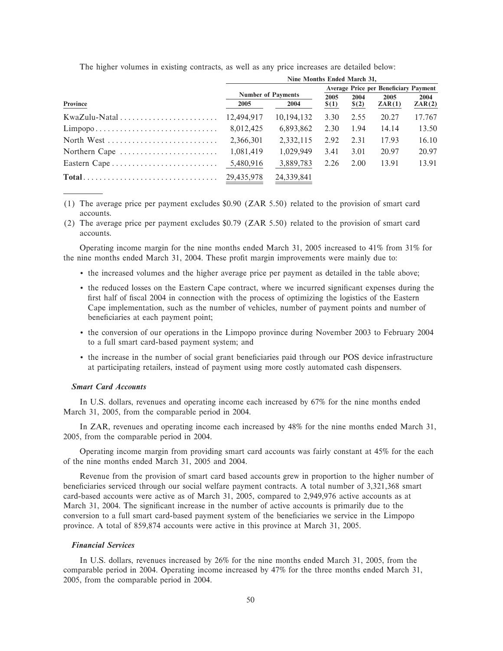| The higher volumes in existing contracts, as well as any price increases are detailed below: |  |
|----------------------------------------------------------------------------------------------|--|
| 31. 35. J.D. L. 135. L. 04.                                                                  |  |

|                                                                   | Nine Months Ended March 31, |            |         |                                              |        |        |  |
|-------------------------------------------------------------------|-----------------------------|------------|---------|----------------------------------------------|--------|--------|--|
|                                                                   |                             |            |         | <b>Average Price per Beneficiary Payment</b> |        |        |  |
|                                                                   | <b>Number of Payments</b>   | 2005       | 2004    | 2005                                         | 2004   |        |  |
| Province                                                          | 2005                        | 2004       | $\$(1)$ | \$(2)                                        | ZAR(1) | ZAR(2) |  |
|                                                                   | 12.494.917                  | 10.194.132 | 3.30    | 2.55                                         | 20.27  | 17.767 |  |
| $Limpopo \ldots \ldots \ldots \ldots \ldots \ldots \ldots \ldots$ | 8,012,425                   | 6,893,862  | 2.30    | 1.94                                         | 14.14  | 13.50  |  |
| North West                                                        | 2.366.301                   | 2,332,115  | 2.92    | 2.31                                         | 17.93  | 16.10  |  |
| Northern Cape $\dots\dots\dots\dots\dots\dots\dots\dots$          | 1.081.419                   | 1.029.949  | 3.41    | 3.01                                         | 20.97  | 20.97  |  |
| Eastern Cape                                                      | 5,480,916                   | 3,889,783  | 2.26    | 2.00                                         | 13.91  | 13.91  |  |
|                                                                   |                             | 24,339,841 |         |                                              |        |        |  |

(1) The average price per payment excludes \$0.90 (ZAR 5.50) related to the provision of smart card accounts.

(2) The average price per payment excludes \$0.79 (ZAR 5.50) related to the provision of smart card accounts.

Operating income margin for the nine months ended March 31, 2005 increased to 41% from 31% for the nine months ended March 31, 2004. These profit margin improvements were mainly due to:

- ' the increased volumes and the higher average price per payment as detailed in the table above;
- the reduced losses on the Eastern Cape contract, where we incurred significant expenses during the first half of fiscal 2004 in connection with the process of optimizing the logistics of the Eastern Cape implementation, such as the number of vehicles, number of payment points and number of beneficiaries at each payment point;
- ' the conversion of our operations in the Limpopo province during November 2003 to February 2004 to a full smart card-based payment system; and
- the increase in the number of social grant beneficiaries paid through our POS device infrastructure at participating retailers, instead of payment using more costly automated cash dispensers.

# *Smart Card Accounts*

In U.S. dollars, revenues and operating income each increased by 67% for the nine months ended March 31, 2005, from the comparable period in 2004.

In ZAR, revenues and operating income each increased by 48% for the nine months ended March 31, 2005, from the comparable period in 2004.

Operating income margin from providing smart card accounts was fairly constant at 45% for the each of the nine months ended March 31, 2005 and 2004.

Revenue from the provision of smart card based accounts grew in proportion to the higher number of beneficiaries serviced through our social welfare payment contracts. A total number of 3,321,368 smart card-based accounts were active as of March 31, 2005, compared to 2,949,976 active accounts as at March 31, 2004. The significant increase in the number of active accounts is primarily due to the conversion to a full smart card-based payment system of the beneficiaries we service in the Limpopo province. A total of 859,874 accounts were active in this province at March 31, 2005.

### *Financial Services*

In U.S. dollars, revenues increased by 26% for the nine months ended March 31, 2005, from the comparable period in 2004. Operating income increased by 47% for the three months ended March 31, 2005, from the comparable period in 2004.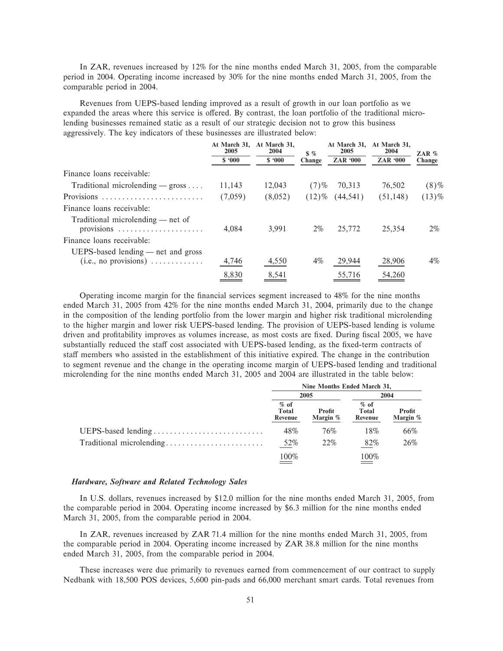In ZAR, revenues increased by 12% for the nine months ended March 31, 2005, from the comparable period in 2004. Operating income increased by 30% for the nine months ended March 31, 2005, from the comparable period in 2004.

Revenues from UEPS-based lending improved as a result of growth in our loan portfolio as we expanded the areas where this service is offered. By contrast, the loan portfolio of the traditional microlending businesses remained static as a result of our strategic decision not to grow this business aggressively. The key indicators of these businesses are illustrated below:

|                                                                                             | At March 31.<br>2005 | At March 31.<br>2004 | $\frac{1}{2}$ | At March 31,<br>2005 | At March 31,<br>2004 | ZAR $%$  |
|---------------------------------------------------------------------------------------------|----------------------|----------------------|---------------|----------------------|----------------------|----------|
|                                                                                             | \$.000               | \$.000               | Change        | <b>ZAR '000</b>      | <b>ZAR '000</b>      | Change   |
| Finance loans receivable:                                                                   |                      |                      |               |                      |                      |          |
| Traditional microlending $-$ gross                                                          | 11,143               | 12.043               | $(7)$ %       | 70.313               | 76,502               | $(8)\%$  |
| Provisions                                                                                  | (7,059)              | (8,052)              | $(12)\%$      | (44, 541)            | (51, 148)            | $(13)\%$ |
| Finance loans receivable:                                                                   |                      |                      |               |                      |                      |          |
| Traditional microlending — net of<br>provisions $\ldots \ldots \ldots \ldots \ldots \ldots$ | 4.084                | 3.991                | $2\%$         | 25,772               | 25,354               | $2\%$    |
| Finance loans receivable:                                                                   |                      |                      |               |                      |                      |          |
| UEPS-based lending — net and gross                                                          | 4,746                | 4,550                | $4\%$         | 29,944               | 28,906               | $4\%$    |
|                                                                                             | 8,830                | 8,541                |               | 55,716               | 54,260               |          |

Operating income margin for the financial services segment increased to 48% for the nine months ended March 31, 2005 from 42% for the nine months ended March 31, 2004, primarily due to the change in the composition of the lending portfolio from the lower margin and higher risk traditional microlending to the higher margin and lower risk UEPS-based lending. The provision of UEPS-based lending is volume driven and profitability improves as volumes increase, as most costs are fixed. During fiscal 2005, we have substantially reduced the staff cost associated with UEPS-based lending, as the fixed-term contracts of staff members who assisted in the establishment of this initiative expired. The change in the contribution to segment revenue and the change in the operating income margin of UEPS-based lending and traditional microlending for the nine months ended March 31, 2005 and 2004 are illustrated in the table below:

|                          | Nine Months Ended March 31, |                    |                            |                    |  |
|--------------------------|-----------------------------|--------------------|----------------------------|--------------------|--|
|                          | 2005                        |                    |                            | 2004               |  |
|                          | $%$ of<br>Total<br>Revenue  | Profit<br>Margin % | $%$ of<br>Total<br>Revenue | Profit<br>Margin % |  |
| UEPS-based lending       | 48%                         | 76%                | 18%                        | 66%                |  |
| Traditional microlending | 52%                         | 22%                | 82%                        | 26%                |  |
|                          | 100%                        |                    | 100%                       |                    |  |

### *Hardware, Software and Related Technology Sales*

In U.S. dollars, revenues increased by \$12.0 million for the nine months ended March 31, 2005, from the comparable period in 2004. Operating income increased by \$6.3 million for the nine months ended March 31, 2005, from the comparable period in 2004.

In ZAR, revenues increased by ZAR 71.4 million for the nine months ended March 31, 2005, from the comparable period in 2004. Operating income increased by ZAR 38.8 million for the nine months ended March 31, 2005, from the comparable period in 2004.

These increases were due primarily to revenues earned from commencement of our contract to supply Nedbank with 18,500 POS devices, 5,600 pin-pads and 66,000 merchant smart cards. Total revenues from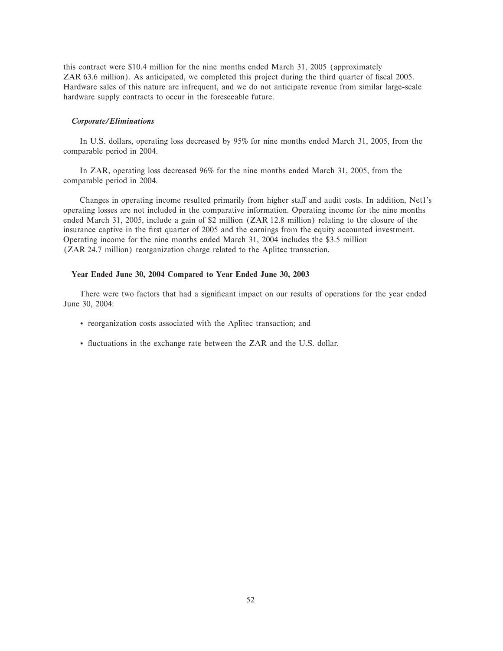this contract were \$10.4 million for the nine months ended March 31, 2005 (approximately ZAR 63.6 million). As anticipated, we completed this project during the third quarter of fiscal 2005. Hardware sales of this nature are infrequent, and we do not anticipate revenue from similar large-scale hardware supply contracts to occur in the foreseeable future.

#### *Corporate/Eliminations*

In U.S. dollars, operating loss decreased by 95% for nine months ended March 31, 2005, from the comparable period in 2004.

In ZAR, operating loss decreased 96% for the nine months ended March 31, 2005, from the comparable period in 2004.

Changes in operating income resulted primarily from higher staff and audit costs. In addition, Net1's operating losses are not included in the comparative information. Operating income for the nine months ended March 31, 2005, include a gain of \$2 million (ZAR 12.8 million) relating to the closure of the insurance captive in the first quarter of 2005 and the earnings from the equity accounted investment. Operating income for the nine months ended March 31, 2004 includes the \$3.5 million (ZAR 24.7 million) reorganization charge related to the Aplitec transaction.

#### **Year Ended June 30, 2004 Compared to Year Ended June 30, 2003**

There were two factors that had a significant impact on our results of operations for the year ended June 30, 2004:

- ' reorganization costs associated with the Aplitec transaction; and
- ' Öuctuations in the exchange rate between the ZAR and the U.S. dollar.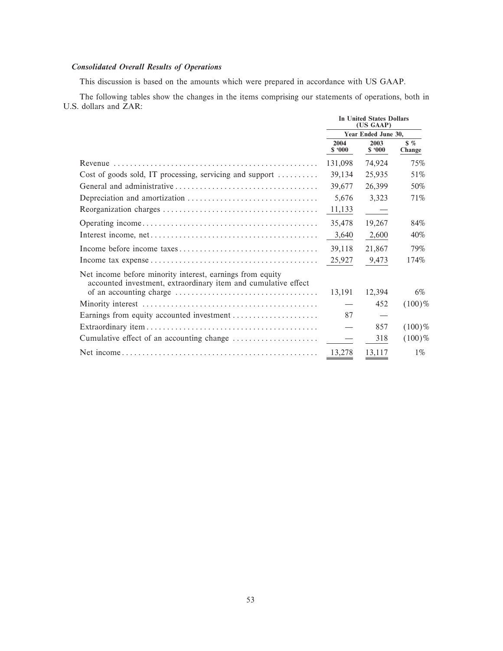# **Consolidated Overall Results of Operations**

This discussion is based on the amounts which were prepared in accordance with US GAAP.

The following tables show the changes in the items comprising our statements of operations, both in U.S. dollars and ZAR:

|                                                                                                                             | In United States Dollars<br>(US GAAP) |                     |                         |  |
|-----------------------------------------------------------------------------------------------------------------------------|---------------------------------------|---------------------|-------------------------|--|
|                                                                                                                             |                                       | Year Ended June 30, |                         |  |
|                                                                                                                             | 2004<br>\$.000                        | 2003<br>\$.000      | $\frac{1}{2}$<br>Change |  |
|                                                                                                                             | 131,098                               | 74,924              | 75%                     |  |
| Cost of goods sold, IT processing, servicing and support                                                                    | 39,134                                | 25,935              | 51\%                    |  |
|                                                                                                                             | 39,677                                | 26,399              | 50%                     |  |
|                                                                                                                             | 5,676                                 | 3,323               | 71%                     |  |
|                                                                                                                             | 11,133                                | $\sim$ $-$          |                         |  |
|                                                                                                                             | 35,478                                | 19,267              | 84%                     |  |
|                                                                                                                             | 3,640                                 | 2,600               | 40%                     |  |
|                                                                                                                             | 39,118                                | 21,867              | 79%                     |  |
|                                                                                                                             | 25,927                                | 9,473               | 174%                    |  |
| Net income before minority interest, earnings from equity<br>accounted investment, extraordinary item and cumulative effect |                                       |                     |                         |  |
| of an accounting charge $\dots\dots\dots\dots\dots\dots\dots\dots\dots\dots\dots\dots\dots\dots$                            | 13,191                                | 12,394              | 6%                      |  |
|                                                                                                                             |                                       | 452                 | $(100)\%$               |  |
|                                                                                                                             | 87                                    |                     |                         |  |
|                                                                                                                             |                                       | 857                 | $(100)\%$               |  |
|                                                                                                                             |                                       | 318                 | $(100)\%$               |  |
|                                                                                                                             | 13,278                                | 13,117              | $1\%$                   |  |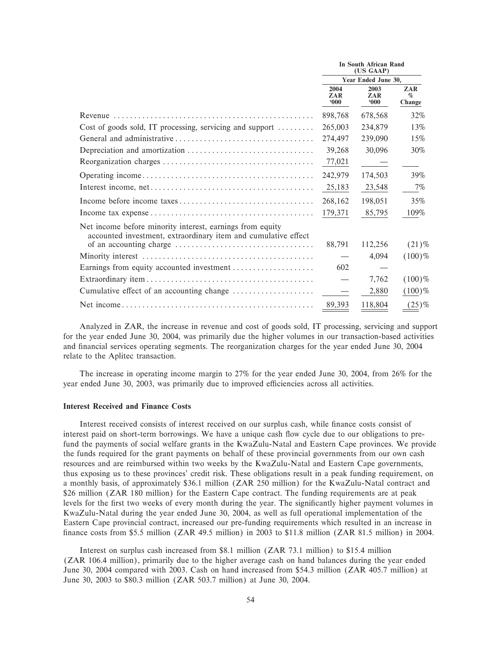|                                                                                                                             | In South African Rand<br>(US GAAP) |                              |                       |  |
|-----------------------------------------------------------------------------------------------------------------------------|------------------------------------|------------------------------|-----------------------|--|
|                                                                                                                             |                                    | Year Ended June 30.          |                       |  |
|                                                                                                                             | 2004<br>ZAR<br>000                 | 2003<br>ZAR<br>$000^{\circ}$ | ZAR<br>$\%$<br>Change |  |
|                                                                                                                             | 898,768                            | 678,568                      | 32%                   |  |
| Cost of goods sold, IT processing, servicing and support $\dots\dots\dots$                                                  | 265,003                            | 234,879                      | 13%                   |  |
|                                                                                                                             | 274,497                            | 239,090                      | 15%                   |  |
|                                                                                                                             | 39,268                             | 30,096                       | 30%                   |  |
|                                                                                                                             | 77,021                             |                              |                       |  |
|                                                                                                                             | 242,979                            | 174,503                      | 39%                   |  |
|                                                                                                                             | 25,183                             | 23,548                       | 7%                    |  |
|                                                                                                                             | 268,162                            | 198,051                      | 35%                   |  |
|                                                                                                                             | 179,371                            | 85,795                       | 109%                  |  |
| Net income before minority interest, earnings from equity<br>accounted investment, extraordinary item and cumulative effect |                                    |                              |                       |  |
|                                                                                                                             | 88,791                             | 112,256                      | $(21)$ %              |  |
|                                                                                                                             |                                    | 4,094                        | $(100)\%$             |  |
| Earnings from equity accounted investment                                                                                   | 602                                |                              |                       |  |
|                                                                                                                             |                                    | 7,762                        | $(100)\%$             |  |
| Cumulative effect of an accounting change                                                                                   |                                    | 2,880                        | $(100)$ %             |  |
|                                                                                                                             | 89,393                             | 118,804                      | $(25)$ %              |  |

Analyzed in ZAR, the increase in revenue and cost of goods sold, IT processing, servicing and support for the year ended June 30, 2004, was primarily due the higher volumes in our transaction-based activities and financial services operating segments. The reorganization charges for the year ended June 30, 2004 relate to the Aplitec transaction.

The increase in operating income margin to 27% for the year ended June 30, 2004, from 26% for the year ended June 30, 2003, was primarily due to improved efficiencies across all activities.

# **Interest Received and Finance Costs**

Interest received consists of interest received on our surplus cash, while finance costs consist of interest paid on short-term borrowings. We have a unique cash flow cycle due to our obligations to prefund the payments of social welfare grants in the KwaZulu-Natal and Eastern Cape provinces. We provide the funds required for the grant payments on behalf of these provincial governments from our own cash resources and are reimbursed within two weeks by the KwaZulu-Natal and Eastern Cape governments, thus exposing us to these provinces' credit risk. These obligations result in a peak funding requirement, on a monthly basis, of approximately \$36.1 million (ZAR 250 million) for the KwaZulu-Natal contract and \$26 million (ZAR 180 million) for the Eastern Cape contract. The funding requirements are at peak levels for the first two weeks of every month during the year. The significantly higher payment volumes in KwaZulu-Natal during the year ended June 30, 2004, as well as full operational implementation of the Eastern Cape provincial contract, increased our pre-funding requirements which resulted in an increase in finance costs from \$5.5 million (ZAR 49.5 million) in 2003 to \$11.8 million (ZAR 81.5 million) in 2004.

Interest on surplus cash increased from \$8.1 million (ZAR 73.1 million) to \$15.4 million (ZAR 106.4 million), primarily due to the higher average cash on hand balances during the year ended June 30, 2004 compared with 2003. Cash on hand increased from \$54.3 million (ZAR 405.7 million) at June 30, 2003 to \$80.3 million (ZAR 503.7 million) at June 30, 2004.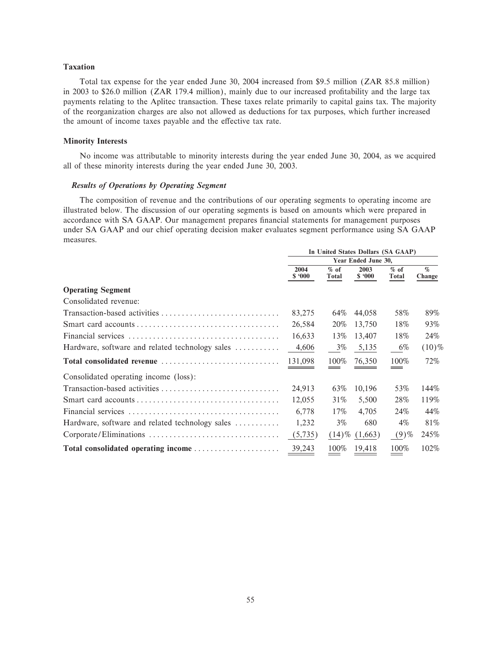# **Taxation**

Total tax expense for the year ended June 30, 2004 increased from \$9.5 million (ZAR 85.8 million) in 2003 to \$26.0 million (ZAR 179.4 million), mainly due to our increased profitability and the large tax payments relating to the Aplitec transaction. These taxes relate primarily to capital gains tax. The majority of the reorganization charges are also not allowed as deductions for tax purposes, which further increased the amount of income taxes payable and the effective tax rate.

### **Minority Interests**

No income was attributable to minority interests during the year ended June 30, 2004, as we acquired all of these minority interests during the year ended June 30, 2003.

# *Results of Operations by Operating Segment*

The composition of revenue and the contributions of our operating segments to operating income are illustrated below. The discussion of our operating segments is based on amounts which were prepared in accordance with SA GAAP. Our management prepares financial statements for management purposes under SA GAAP and our chief operating decision maker evaluates segment performance using SA GAAP measures.

|                                                 | In United States Dollars (SA GAAP) |                 |                     |                 |                |  |
|-------------------------------------------------|------------------------------------|-----------------|---------------------|-----------------|----------------|--|
|                                                 |                                    |                 | Year Ended June 30, |                 |                |  |
|                                                 | 2004<br>\$.000                     | $%$ of<br>Total | 2003<br>\$.000      | $%$ of<br>Total | $\%$<br>Change |  |
| <b>Operating Segment</b>                        |                                    |                 |                     |                 |                |  |
| Consolidated revenue:                           |                                    |                 |                     |                 |                |  |
|                                                 | 83,275                             | 64%             | 44,058              | 58%             | 89%            |  |
|                                                 | 26,584                             | 20%             | 13,750              | 18%             | 93%            |  |
|                                                 | 16,633                             | 13%             | 13,407              | 18%             | 24%            |  |
| Hardware, software and related technology sales | 4,606                              | $3\%$           | 5,135               | 6%              | $(10)\%$       |  |
| Total consolidated revenue                      | 131,098                            | 100%            | 76,350              | 100%            | 72%            |  |
| Consolidated operating income (loss):           |                                    |                 |                     |                 |                |  |
| Transaction-based activities                    | 24,913                             | 63%             | 10,196              | 53%             | 144%           |  |
|                                                 | 12,055                             | 31%             | 5,500               | 28%             | 119%           |  |
|                                                 | 6,778                              | 17%             | 4.705               | 24%             | 44%            |  |
| Hardware, software and related technology sales | 1,232                              | $3\%$           | 680                 | $4\%$           | 81%            |  |
|                                                 | (5,735)                            | $(14)\%$        | (1,663)             | $(9)$ %         | 245%           |  |
| Total consolidated operating income             | 39,243                             | 100%            | 19,418              | 100%            | 102%           |  |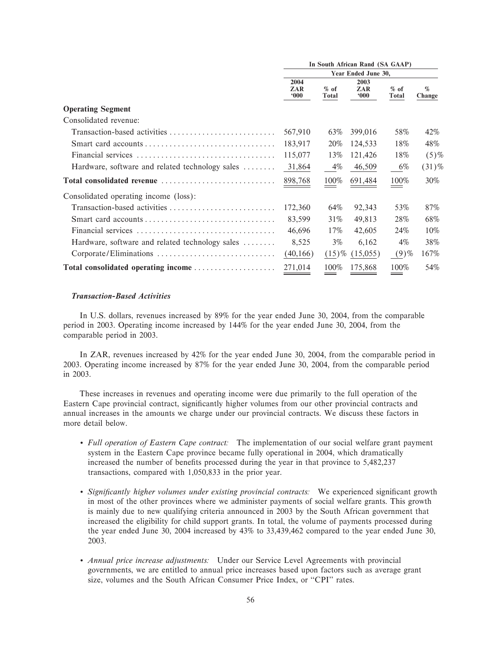|                                                 | In South African Rand (SA GAAP) |                 |                     |                        |                |  |  |
|-------------------------------------------------|---------------------------------|-----------------|---------------------|------------------------|----------------|--|--|
|                                                 |                                 |                 | Year Ended June 30, |                        |                |  |  |
|                                                 | 2004<br>ZAR<br>000              | $%$ of<br>Total | 2003<br>ZAR<br>000  | $%$ of<br><b>Total</b> | $\%$<br>Change |  |  |
| <b>Operating Segment</b>                        |                                 |                 |                     |                        |                |  |  |
| Consolidated revenue:                           |                                 |                 |                     |                        |                |  |  |
| Transaction-based activities                    | 567,910                         | 63%             | 399,016             | 58%                    | 42%            |  |  |
|                                                 | 183,917                         | 20%             | 124,533             | 18%                    | 48%            |  |  |
|                                                 | 115,077                         | 13%             | 121,426             | 18%                    | $(5)$ %        |  |  |
| Hardware, software and related technology sales | 31,864                          | $4\%$           | 46,509              | 6%                     | $(31)\%$       |  |  |
| Total consolidated revenue                      | 898,768                         | 100%            | 691,484             | 100%                   | 30%            |  |  |
| Consolidated operating income (loss):           |                                 |                 |                     |                        |                |  |  |
| Transaction-based activities                    | 172,360                         | 64%             | 92,343              | 53%                    | 87%            |  |  |
|                                                 | 83,599                          | 31%             | 49,813              | 28%                    | 68%            |  |  |
|                                                 | 46,696                          | 17%             | 42,605              | 24%                    | 10%            |  |  |
| Hardware, software and related technology sales | 8,525                           | $3\%$           | 6,162               | $4\%$                  | 38%            |  |  |
| Corporate/Eliminations                          | (40,166)                        |                 | $(15)\%$ $(15,055)$ | $(9)$ %                | 167%           |  |  |
| Total consolidated operating income             | 271,014                         | 100%            | 175,868             | 100%                   | 54%            |  |  |

# *Transaction-Based Activities*

In U.S. dollars, revenues increased by 89% for the year ended June 30, 2004, from the comparable period in 2003. Operating income increased by 144% for the year ended June 30, 2004, from the comparable period in 2003.

In ZAR, revenues increased by 42% for the year ended June 30, 2004, from the comparable period in 2003. Operating income increased by 87% for the year ended June 30, 2004, from the comparable period in 2003.

These increases in revenues and operating income were due primarily to the full operation of the Eastern Cape provincial contract, significantly higher volumes from our other provincial contracts and annual increases in the amounts we charge under our provincial contracts. We discuss these factors in more detail below.

- ' *Full operation of Eastern Cape contract:* The implementation of our social welfare grant payment system in the Eastern Cape province became fully operational in 2004, which dramatically increased the number of benefits processed during the year in that province to 5,482,237 transactions, compared with 1,050,833 in the prior year.
- Significantly higher volumes under existing provincial contracts: We experienced significant growth in most of the other provinces where we administer payments of social welfare grants. This growth is mainly due to new qualifying criteria announced in 2003 by the South African government that increased the eligibility for child support grants. In total, the volume of payments processed during the year ended June 30, 2004 increased by 43% to 33,439,462 compared to the year ended June 30, 2003.
- ' *Annual price increase adjustments:* Under our Service Level Agreements with provincial governments, we are entitled to annual price increases based upon factors such as average grant size, volumes and the South African Consumer Price Index, or "CPI" rates.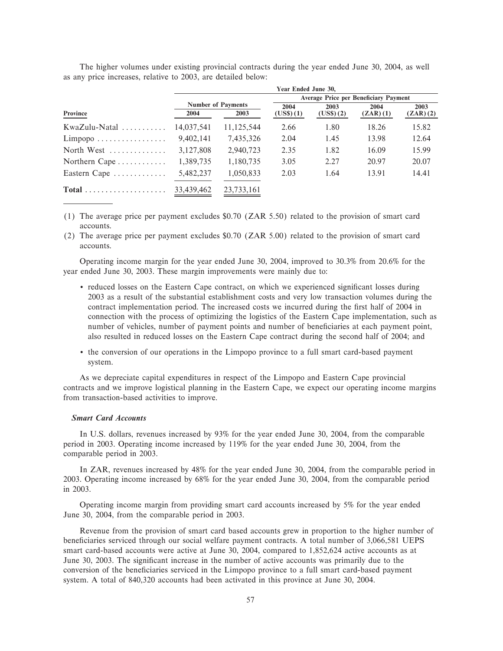|                                       | Year Ended June 30,       |            |                                              |           |          |          |  |  |
|---------------------------------------|---------------------------|------------|----------------------------------------------|-----------|----------|----------|--|--|
|                                       |                           |            | <b>Average Price per Beneficiary Payment</b> |           |          |          |  |  |
|                                       | <b>Number of Payments</b> |            | 2004                                         | 2003      | 2004     | 2003     |  |  |
| Province                              | 2004                      | 2003       | (US\$)(1)                                    | (US\$)(2) | (ZAR)(1) | (ZAR)(2) |  |  |
| $KwaZulu-Natal$                       | 14,037,541                | 11,125,544 | 2.66                                         | 1.80      | 18.26    | 15.82    |  |  |
| $Limpopo \ldots \ldots \ldots \ldots$ | 9,402,141                 | 7,435,326  | 2.04                                         | 1.45      | 13.98    | 12.64    |  |  |
| North West $\dots\dots\dots\dots$     | 3,127,808                 | 2,940,723  | 2.35                                         | 1.82      | 16.09    | 15.99    |  |  |
| Northern Cape $\dots\dots\dots\dots$  | 1,389,735                 | 1,180,735  | 3.05                                         | 2.27      | 20.97    | 20.07    |  |  |
| Eastern Cape                          | 5,482,237                 | 1,050,833  | 2.03                                         | 1.64      | 13.91    | 14.41    |  |  |
|                                       | 33,439,462                | 23.733.161 |                                              |           |          |          |  |  |

The higher volumes under existing provincial contracts during the year ended June 30, 2004, as well as any price increases, relative to 2003, are detailed below:

(1) The average price per payment excludes \$0.70 (ZAR 5.50) related to the provision of smart card accounts.

(2) The average price per payment excludes \$0.70 (ZAR 5.00) related to the provision of smart card accounts.

Operating income margin for the year ended June 30, 2004, improved to 30.3% from 20.6% for the year ended June 30, 2003. These margin improvements were mainly due to:

- reduced losses on the Eastern Cape contract, on which we experienced significant losses during 2003 as a result of the substantial establishment costs and very low transaction volumes during the contract implementation period. The increased costs we incurred during the first half of 2004 in connection with the process of optimizing the logistics of the Eastern Cape implementation, such as number of vehicles, number of payment points and number of beneficiaries at each payment point, also resulted in reduced losses on the Eastern Cape contract during the second half of 2004; and
- ' the conversion of our operations in the Limpopo province to a full smart card-based payment system.

As we depreciate capital expenditures in respect of the Limpopo and Eastern Cape provincial contracts and we improve logistical planning in the Eastern Cape, we expect our operating income margins from transaction-based activities to improve.

#### *Smart Card Accounts*

In U.S. dollars, revenues increased by 93% for the year ended June 30, 2004, from the comparable period in 2003. Operating income increased by 119% for the year ended June 30, 2004, from the comparable period in 2003.

In ZAR, revenues increased by 48% for the year ended June 30, 2004, from the comparable period in 2003. Operating income increased by 68% for the year ended June 30, 2004, from the comparable period in 2003.

Operating income margin from providing smart card accounts increased by 5% for the year ended June 30, 2004, from the comparable period in 2003.

Revenue from the provision of smart card based accounts grew in proportion to the higher number of beneficiaries serviced through our social welfare payment contracts. A total number of 3,066,581 UEPS smart card-based accounts were active at June 30, 2004, compared to 1,852,624 active accounts as at June 30, 2003. The significant increase in the number of active accounts was primarily due to the conversion of the beneficiaries serviced in the Limpopo province to a full smart card-based payment system. A total of 840,320 accounts had been activated in this province at June 30, 2004.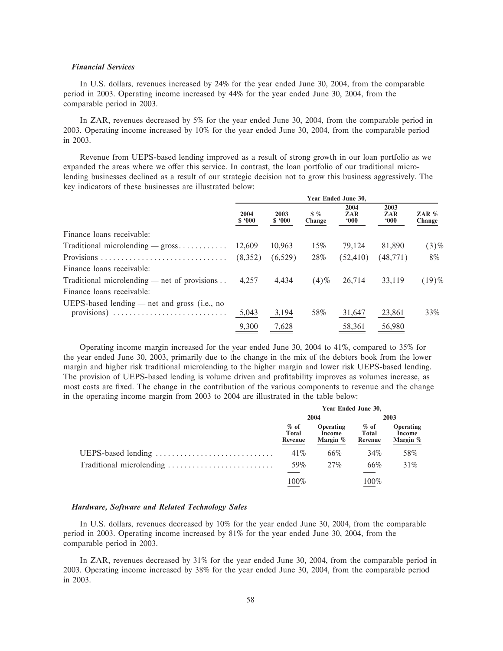### *Financial Services*

In U.S. dollars, revenues increased by 24% for the year ended June 30, 2004, from the comparable period in 2003. Operating income increased by 44% for the year ended June 30, 2004, from the comparable period in 2003.

In ZAR, revenues decreased by 5% for the year ended June 30, 2004, from the comparable period in 2003. Operating income increased by 10% for the year ended June 30, 2004, from the comparable period in 2003.

Revenue from UEPS-based lending improved as a result of strong growth in our loan portfolio as we expanded the areas where we offer this service. In contrast, the loan portfolio of our traditional microlending businesses declined as a result of our strategic decision not to grow this business aggressively. The key indicators of these businesses are illustrated below:

|                                                                                                                         | Year Ended June 30, |                |                         |                              |                       |                   |  |
|-------------------------------------------------------------------------------------------------------------------------|---------------------|----------------|-------------------------|------------------------------|-----------------------|-------------------|--|
|                                                                                                                         | 2004<br>\$.000      | 2003<br>\$.000 | $\frac{1}{2}$<br>Change | 2004<br>ZAR<br>$000^{\circ}$ | 2003<br>ZAR<br>$000*$ | ZAR $%$<br>Change |  |
| Finance loans receivable:                                                                                               |                     |                |                         |                              |                       |                   |  |
| Traditional microlending $-$ gross                                                                                      | 12.609              | 10,963         | 15%                     | 79.124                       | 81,890                | $(3)\%$           |  |
| Provisions                                                                                                              | (8,352)             | (6,529)        | 28%                     | (52, 410)                    | (48, 771)             | 8%                |  |
| Finance loans receivable:                                                                                               |                     |                |                         |                              |                       |                   |  |
| Traditional microlending — net of provisions                                                                            | 4.257               | 4.434          | $(4)$ %                 | 26,714                       | 33.119                | $(19)$ %          |  |
| Finance loans receivable:                                                                                               |                     |                |                         |                              |                       |                   |  |
| UEPS-based lending $-$ net and gross (i.e., no<br>provisions) $\ldots \ldots \ldots \ldots \ldots \ldots \ldots \ldots$ | 5,043               | 3,194          | 58%                     | 31,647                       | 23,861                | 33%               |  |
|                                                                                                                         | 9,300               | 7,628          |                         | 58,361                       | 56,980                |                   |  |

Operating income margin increased for the year ended June 30, 2004 to 41%, compared to 35% for the year ended June 30, 2003, primarily due to the change in the mix of the debtors book from the lower margin and higher risk traditional microlending to the higher margin and lower risk UEPS-based lending. The provision of UEPS-based lending is volume driven and profitability improves as volumes increase, as most costs are fixed. The change in the contribution of the various components to revenue and the change in the operating income margin from 2003 to 2004 are illustrated in the table below:

| Year Ended June 30,        |                                        |                            |                                        |  |
|----------------------------|----------------------------------------|----------------------------|----------------------------------------|--|
| 2004                       |                                        | 2003                       |                                        |  |
| $%$ of<br>Total<br>Revenue | <b>Operating</b><br>Income<br>Margin % | $%$ of<br>Total<br>Revenue | <b>Operating</b><br>Income<br>Margin % |  |
| 41\%                       | 66%                                    | 34%                        | 58%                                    |  |
| 59%                        | 27%                                    | 66%                        | 31%                                    |  |
| 100%                       |                                        | 100%                       |                                        |  |

### *Hardware, Software and Related Technology Sales*

In U.S. dollars, revenues decreased by 10% for the year ended June 30, 2004, from the comparable period in 2003. Operating income increased by 81% for the year ended June 30, 2004, from the comparable period in 2003.

In ZAR, revenues decreased by 31% for the year ended June 30, 2004, from the comparable period in 2003. Operating income increased by 38% for the year ended June 30, 2004, from the comparable period in 2003.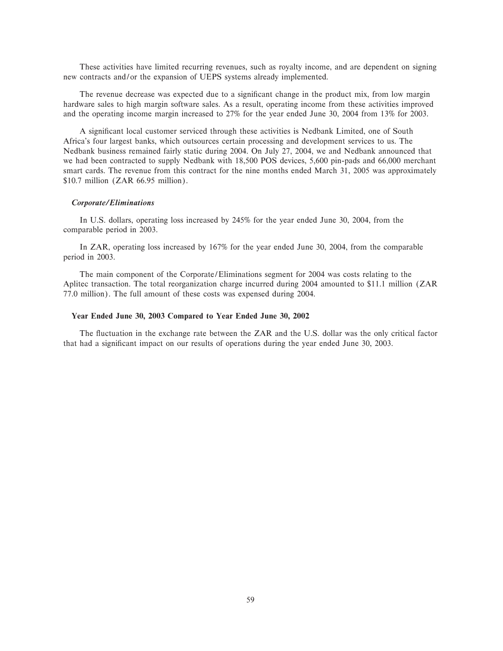These activities have limited recurring revenues, such as royalty income, and are dependent on signing new contracts and/or the expansion of UEPS systems already implemented.

The revenue decrease was expected due to a significant change in the product mix, from low margin hardware sales to high margin software sales. As a result, operating income from these activities improved and the operating income margin increased to 27% for the year ended June 30, 2004 from 13% for 2003.

A significant local customer serviced through these activities is Nedbank Limited, one of South Africa's four largest banks, which outsources certain processing and development services to us. The Nedbank business remained fairly static during 2004. On July 27, 2004, we and Nedbank announced that we had been contracted to supply Nedbank with 18,500 POS devices, 5,600 pin-pads and 66,000 merchant smart cards. The revenue from this contract for the nine months ended March 31, 2005 was approximately \$10.7 million (ZAR 66.95 million).

#### *Corporate/Eliminations*

In U.S. dollars, operating loss increased by 245% for the year ended June 30, 2004, from the comparable period in 2003.

In ZAR, operating loss increased by 167% for the year ended June 30, 2004, from the comparable period in 2003.

The main component of the Corporate/Eliminations segment for 2004 was costs relating to the Aplitec transaction. The total reorganization charge incurred during 2004 amounted to \$11.1 million (ZAR 77.0 million). The full amount of these costs was expensed during 2004.

#### **Year Ended June 30, 2003 Compared to Year Ended June 30, 2002**

The fluctuation in the exchange rate between the ZAR and the U.S. dollar was the only critical factor that had a significant impact on our results of operations during the year ended June 30, 2003.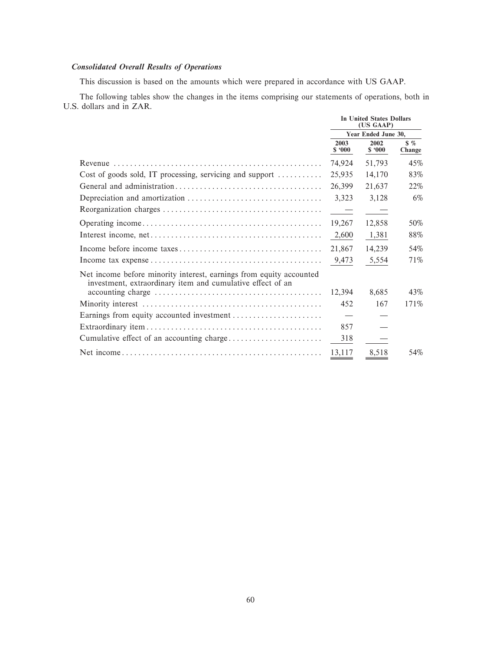# **Consolidated Overall Results of Operations**

This discussion is based on the amounts which were prepared in accordance with US GAAP.

The following tables show the changes in the items comprising our statements of operations, both in U.S. dollars and in ZAR.

|                                                                                                                                   | <b>In United States Dollars</b><br>(US GAAP) |                     |                           |
|-----------------------------------------------------------------------------------------------------------------------------------|----------------------------------------------|---------------------|---------------------------|
|                                                                                                                                   |                                              | Year Ended June 30. |                           |
|                                                                                                                                   | 2003<br>\$.000                               | 2002<br>\$.000      | $\frac{8}{5}$ %<br>Change |
|                                                                                                                                   | 74.924                                       | 51,793              | 45%                       |
| Cost of goods sold, IT processing, servicing and support $\dots\dots\dots$                                                        | 25,935                                       | 14,170              | 83%                       |
|                                                                                                                                   | 26,399                                       | 21,637              | 22\%                      |
|                                                                                                                                   | 3,323                                        | 3,128               | 6%                        |
|                                                                                                                                   | $\sim$ $-$                                   |                     |                           |
|                                                                                                                                   | 19,267                                       | 12,858              | 50%                       |
|                                                                                                                                   | 2,600                                        | 1,381               | 88%                       |
|                                                                                                                                   | 21,867                                       | 14,239              | 54%                       |
|                                                                                                                                   | 9,473                                        | 5,554               | 71%                       |
| Net income before minority interest, earnings from equity accounted<br>investment, extraordinary item and cumulative effect of an |                                              |                     |                           |
|                                                                                                                                   | 12.394                                       | 8.685               | 43%                       |
|                                                                                                                                   | 452                                          | 167                 | 171%                      |
|                                                                                                                                   |                                              |                     |                           |
|                                                                                                                                   | 857                                          |                     |                           |
|                                                                                                                                   | 318                                          |                     |                           |
|                                                                                                                                   | 13,117                                       | 8,518               | 54%                       |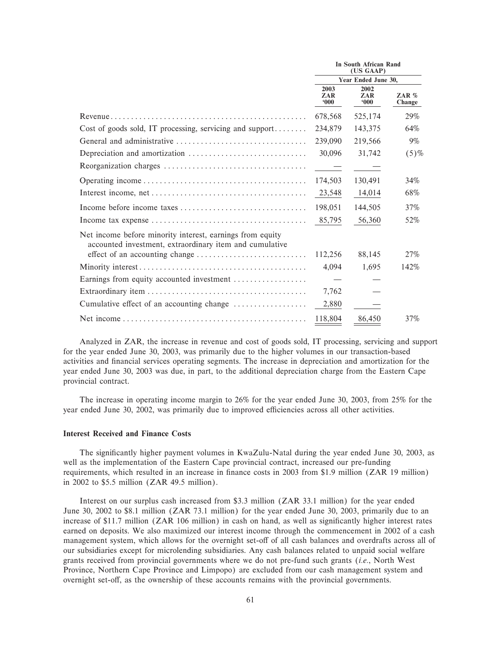|                                                                                                                      |                              | In South African Rand<br>(US GAAP) |                   |  |  |
|----------------------------------------------------------------------------------------------------------------------|------------------------------|------------------------------------|-------------------|--|--|
|                                                                                                                      |                              | Year Ended June 30,                |                   |  |  |
|                                                                                                                      | 2003<br>ZAR<br>$000^{\circ}$ | 2002<br>ZAR<br>000                 | ZAR $%$<br>Change |  |  |
|                                                                                                                      | 678,568                      | 525,174                            | 29%               |  |  |
| Cost of goods sold, IT processing, servicing and support                                                             | 234,879                      | 143,375                            | 64%               |  |  |
|                                                                                                                      | 239,090                      | 219,566                            | $9\%$             |  |  |
|                                                                                                                      | 30,096                       | 31,742                             | $(5)$ %           |  |  |
|                                                                                                                      | $\sim$ $-$                   |                                    |                   |  |  |
|                                                                                                                      | 174,503                      | 130,491                            | 34%               |  |  |
|                                                                                                                      | 23,548                       | 14,014                             | 68%               |  |  |
|                                                                                                                      | 198,051                      | 144,505                            | 37%               |  |  |
|                                                                                                                      | 85,795                       | 56,360                             | 52%               |  |  |
| Net income before minority interest, earnings from equity<br>accounted investment, extraordinary item and cumulative |                              |                                    |                   |  |  |
|                                                                                                                      | 112,256                      | 88,145                             | 27%               |  |  |
|                                                                                                                      | 4,094                        | 1,695                              | 142%              |  |  |
| Earnings from equity accounted investment                                                                            |                              |                                    |                   |  |  |
|                                                                                                                      | 7,762                        |                                    |                   |  |  |
| Cumulative effect of an accounting change                                                                            | 2,880                        |                                    |                   |  |  |
|                                                                                                                      | 118,804                      | 86,450                             | 37%               |  |  |

Analyzed in ZAR, the increase in revenue and cost of goods sold, IT processing, servicing and support for the year ended June 30, 2003, was primarily due to the higher volumes in our transaction-based activities and financial services operating segments. The increase in depreciation and amortization for the year ended June 30, 2003 was due, in part, to the additional depreciation charge from the Eastern Cape provincial contract.

The increase in operating income margin to 26% for the year ended June 30, 2003, from 25% for the year ended June 30, 2002, was primarily due to improved efficiencies across all other activities.

### **Interest Received and Finance Costs**

The significantly higher payment volumes in KwaZulu-Natal during the year ended June 30, 2003, as well as the implementation of the Eastern Cape provincial contract, increased our pre-funding requirements, which resulted in an increase in finance costs in 2003 from \$1.9 million (ZAR 19 million) in 2002 to  $$5.5$  million (ZAR 49.5 million).

Interest on our surplus cash increased from \$3.3 million (ZAR 33.1 million) for the year ended June 30, 2002 to \$8.1 million (ZAR 73.1 million) for the year ended June 30, 2003, primarily due to an increase of \$11.7 million (ZAR 106 million) in cash on hand, as well as significantly higher interest rates earned on deposits. We also maximized our interest income through the commencement in 2002 of a cash management system, which allows for the overnight set-off of all cash balances and overdrafts across all of our subsidiaries except for microlending subsidiaries. Any cash balances related to unpaid social welfare grants received from provincial governments where we do not pre-fund such grants (i.e., North West Province, Northern Cape Province and Limpopo) are excluded from our cash management system and overnight set-off, as the ownership of these accounts remains with the provincial governments.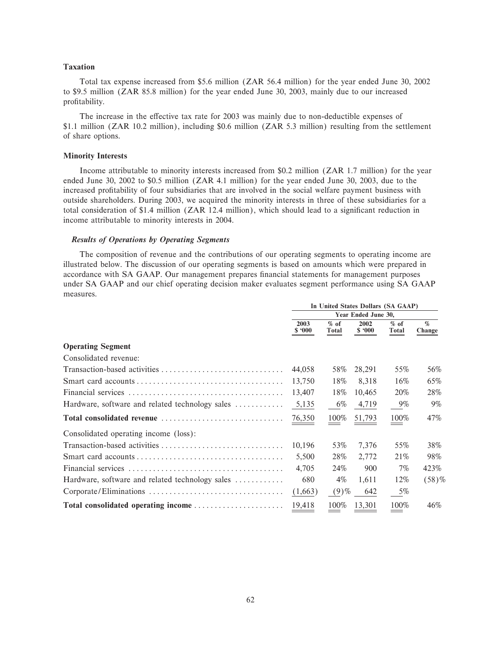### **Taxation**

Total tax expense increased from \$5.6 million (ZAR 56.4 million) for the year ended June 30, 2002 to \$9.5 million (ZAR 85.8 million) for the year ended June 30, 2003, mainly due to our increased profitability.

The increase in the effective tax rate for 2003 was mainly due to non-deductible expenses of \$1.1 million (ZAR 10.2 million), including \$0.6 million (ZAR 5.3 million) resulting from the settlement of share options.

#### **Minority Interests**

Income attributable to minority interests increased from \$0.2 million (ZAR 1.7 million) for the year ended June 30, 2002 to \$0.5 million (ZAR 4.1 million) for the year ended June 30, 2003, due to the increased profitability of four subsidiaries that are involved in the social welfare payment business with outside shareholders. During 2003, we acquired the minority interests in three of these subsidiaries for a total consideration of \$1.4 million (ZAR 12.4 million), which should lead to a significant reduction in income attributable to minority interests in 2004.

# *Results of Operations by Operating Segments*

The composition of revenue and the contributions of our operating segments to operating income are illustrated below. The discussion of our operating segments is based on amounts which were prepared in accordance with SA GAAP. Our management prepares financial statements for management purposes under SA GAAP and our chief operating decision maker evaluates segment performance using SA GAAP measures.

|                                                 | In United States Dollars (SA GAAP) |                 |                |                 |                |  |
|-------------------------------------------------|------------------------------------|-----------------|----------------|-----------------|----------------|--|
|                                                 | Year Ended June 30,                |                 |                |                 |                |  |
|                                                 | 2003<br>\$.000                     | $%$ of<br>Total | 2002<br>\$.000 | $%$ of<br>Total | $\%$<br>Change |  |
| <b>Operating Segment</b>                        |                                    |                 |                |                 |                |  |
| Consolidated revenue:                           |                                    |                 |                |                 |                |  |
|                                                 | 44,058                             | 58%             | 28,291         | 55%             | 56%            |  |
|                                                 | 13,750                             | 18%             | 8,318          | 16%             | 65%            |  |
|                                                 | 13,407                             | 18%             | 10,465         | 20%             | 28%            |  |
| Hardware, software and related technology sales | 5,135                              | 6%              | 4,719          | $9\%$           | $9\%$          |  |
|                                                 | 76,350                             | 100%            | 51,793         | 100%            | 47%            |  |
| Consolidated operating income (loss):           |                                    |                 |                |                 |                |  |
| Transaction-based activities                    | 10,196                             | 53%             | 7,376          | 55%             | 38%            |  |
|                                                 | 5,500                              | 28%             | 2,772          | 21\%            | 98%            |  |
|                                                 | 4,705                              | 24%             | 900            | $7\%$           | 423%           |  |
| Hardware, software and related technology sales | 680                                | 4%              | 1,611          | 12%             | (58)%          |  |
|                                                 | (1,663)                            | $(9)$ %         | 642            | 5%              |                |  |
| Total consolidated operating income             | 19,418                             | 100%            | 13,301         | 100%            | 46%            |  |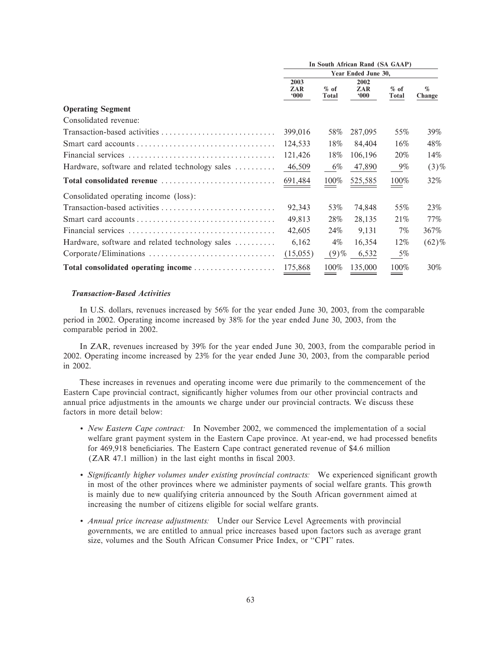|                                                 | In South African Rand (SA GAAP) |                 |                              |                        |                |  |
|-------------------------------------------------|---------------------------------|-----------------|------------------------------|------------------------|----------------|--|
|                                                 | Year Ended June 30,             |                 |                              |                        |                |  |
|                                                 | 2003<br>ZAR<br>000              | $%$ of<br>Total | 2002<br>ZAR<br>$000^{\circ}$ | $%$ of<br><b>Total</b> | $\%$<br>Change |  |
| <b>Operating Segment</b>                        |                                 |                 |                              |                        |                |  |
| Consolidated revenue:                           |                                 |                 |                              |                        |                |  |
|                                                 | 399,016                         | 58%             | 287,095                      | 55%                    | 39%            |  |
|                                                 | 124,533                         | 18%             | 84,404                       | 16%                    | 48%            |  |
|                                                 | 121,426                         | 18%             | 106,196                      | 20%                    | 14%            |  |
| Hardware, software and related technology sales | 46,509                          | 6%              | 47,890                       | 9%                     | $(3)\%$        |  |
| Total consolidated revenue                      | 691,484                         | 100%            | 525,585                      | 100%                   | 32%            |  |
| Consolidated operating income (loss):           |                                 |                 |                              |                        |                |  |
| Transaction-based activities                    | 92,343                          | 53%             | 74,848                       | 55%                    | 23%            |  |
|                                                 | 49,813                          | 28%             | 28,135                       | 21\%                   | 77%            |  |
|                                                 | 42,605                          | 24%             | 9,131                        | 7%                     | 367%           |  |
| Hardware, software and related technology sales | 6,162                           | $4\%$           | 16,354                       | 12%                    | $(62)\%$       |  |
|                                                 | (15,055)                        | $(9)$ %         | 6,532                        | 5%                     |                |  |
| Total consolidated operating income             | 175,868                         | 100%            | 135,000                      | 100%                   | 30%            |  |

# *Transaction-Based Activities*

In U.S. dollars, revenues increased by 56% for the year ended June 30, 2003, from the comparable period in 2002. Operating income increased by 38% for the year ended June 30, 2003, from the comparable period in 2002.

In ZAR, revenues increased by 39% for the year ended June 30, 2003, from the comparable period in 2002. Operating income increased by 23% for the year ended June 30, 2003, from the comparable period in 2002.

These increases in revenues and operating income were due primarily to the commencement of the Eastern Cape provincial contract, significantly higher volumes from our other provincial contracts and annual price adjustments in the amounts we charge under our provincial contracts. We discuss these factors in more detail below:

- ' *New Eastern Cape contract:* In November 2002, we commenced the implementation of a social welfare grant payment system in the Eastern Cape province. At year-end, we had processed benefits for 469,918 beneficiaries. The Eastern Cape contract generated revenue of \$4.6 million (ZAR 47.1 million) in the last eight months in fiscal 2003.
- *Significantly higher volumes under existing provincial contracts:* We experienced significant growth in most of the other provinces where we administer payments of social welfare grants. This growth is mainly due to new qualifying criteria announced by the South African government aimed at increasing the number of citizens eligible for social welfare grants.
- ' *Annual price increase adjustments:* Under our Service Level Agreements with provincial governments, we are entitled to annual price increases based upon factors such as average grant size, volumes and the South African Consumer Price Index, or "CPI" rates.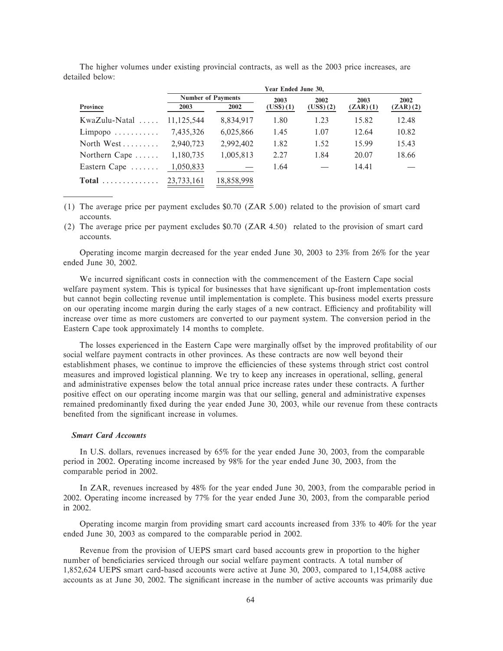|                                |                           |            | Year Ended June 30, |           |          |          |
|--------------------------------|---------------------------|------------|---------------------|-----------|----------|----------|
|                                | <b>Number of Payments</b> |            | 2003                | 2002      | 2003     | 2002     |
| Province                       | 2003                      | 2002       | (US\$)(1)           | (US\$)(2) | (ZAR)(1) | (ZAR)(2) |
| $KwaZulu-Natal$                | 11.125.544                | 8,834,917  | 1.80                | 1.23      | 15.82    | 12.48    |
| $Limpopo \ldots \ldots \ldots$ | 7,435,326                 | 6,025,866  | 1.45                | 1.07      | 12.64    | 10.82    |
| North West $\dots\dots$        | 2,940,723                 | 2,992,402  | 1.82                | 1.52      | 15.99    | 15.43    |
| Northern Cape                  | 1,180,735                 | 1,005,813  | 2.27                | 1.84      | 20.07    | 18.66    |
| Eastern Cape                   | 1,050,833                 |            | 1.64                |           | 14.41    |          |
| <b>Total</b><br>.              | 23,733,161                | 18,858,998 |                     |           |          |          |

The higher volumes under existing provincial contracts, as well as the 2003 price increases, are detailed below:

(1) The average price per payment excludes \$0.70 (ZAR 5.00) related to the provision of smart card accounts.

(2) The average price per payment excludes \$0.70 (ZAR 4.50) related to the provision of smart card accounts.

Operating income margin decreased for the year ended June 30, 2003 to 23% from 26% for the year ended June 30, 2002.

We incurred significant costs in connection with the commencement of the Eastern Cape social welfare payment system. This is typical for businesses that have significant up-front implementation costs but cannot begin collecting revenue until implementation is complete. This business model exerts pressure on our operating income margin during the early stages of a new contract. Efficiency and profitability will increase over time as more customers are converted to our payment system. The conversion period in the Eastern Cape took approximately 14 months to complete.

The losses experienced in the Eastern Cape were marginally offset by the improved profitability of our social welfare payment contracts in other provinces. As these contracts are now well beyond their establishment phases, we continue to improve the efficiencies of these systems through strict cost control measures and improved logistical planning. We try to keep any increases in operational, selling, general and administrative expenses below the total annual price increase rates under these contracts. A further positive effect on our operating income margin was that our selling, general and administrative expenses remained predominantly fixed during the year ended June 30, 2003, while our revenue from these contracts benefited from the significant increase in volumes.

### **Smart Card Accounts**

In U.S. dollars, revenues increased by 65% for the year ended June 30, 2003, from the comparable period in 2002. Operating income increased by 98% for the year ended June 30, 2003, from the comparable period in 2002.

In ZAR, revenues increased by 48% for the year ended June 30, 2003, from the comparable period in 2002. Operating income increased by 77% for the year ended June 30, 2003, from the comparable period in 2002.

Operating income margin from providing smart card accounts increased from 33% to 40% for the year ended June 30, 2003 as compared to the comparable period in 2002.

Revenue from the provision of UEPS smart card based accounts grew in proportion to the higher number of beneficiaries serviced through our social welfare payment contracts. A total number of 1,852,624 UEPS smart card-based accounts were active at June 30, 2003, compared to 1,154,088 active accounts as at June 30, 2002. The significant increase in the number of active accounts was primarily due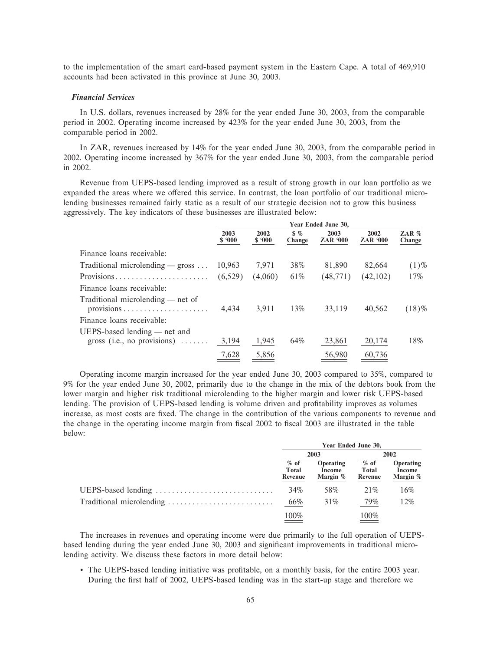to the implementation of the smart card-based payment system in the Eastern Cape. A total of 469,910 accounts had been activated in this province at June 30, 2003.

### *Financial Services*

In U.S. dollars, revenues increased by 28% for the year ended June 30, 2003, from the comparable period in 2002. Operating income increased by 423% for the year ended June 30, 2003, from the comparable period in 2002.

In ZAR, revenues increased by 14% for the year ended June 30, 2003, from the comparable period in 2002. Operating income increased by 367% for the year ended June 30, 2003, from the comparable period in 2002.

Revenue from UEPS-based lending improved as a result of strong growth in our loan portfolio as we expanded the areas where we offered this service. In contrast, the loan portfolio of our traditional microlending businesses remained fairly static as a result of our strategic decision not to grow this business aggressively. The key indicators of these businesses are illustrated below:

|                                                                       | Year Ended June 30, |                |                         |                         |                         |                   |  |
|-----------------------------------------------------------------------|---------------------|----------------|-------------------------|-------------------------|-------------------------|-------------------|--|
|                                                                       | 2003<br>\$.000      | 2002<br>\$.000 | $\frac{1}{2}$<br>Change | 2003<br><b>ZAR '000</b> | 2002<br><b>ZAR '000</b> | ZAR $%$<br>Change |  |
| Finance loans receivable:                                             |                     |                |                         |                         |                         |                   |  |
| Traditional microlending $-$ gross                                    | 10,963              | 7,971          | 38%                     | 81,890                  | 82,664                  | $(1)\%$           |  |
| Provisions                                                            | (6,529)             | (4,060)        | 61\%                    | (48, 771)               | (42,102)                | 17%               |  |
| Finance loans receivable:                                             |                     |                |                         |                         |                         |                   |  |
| Traditional microlending — net of                                     | 4,434               | 3,911          | 13%                     | 33,119                  | 40,562                  | $(18)\%$          |  |
| Finance loans receivable:                                             |                     |                |                         |                         |                         |                   |  |
| $UEPS-based lending - net and$<br>gross (i.e., no provisions) $\dots$ | 3,194               | 1,945          | 64%                     | 23,861                  | 20,174                  | 18%               |  |
|                                                                       | 7,628               | 5,856          |                         | 56,980                  | 60,736                  |                   |  |

Operating income margin increased for the year ended June 30, 2003 compared to 35%, compared to 9% for the year ended June 30, 2002, primarily due to the change in the mix of the debtors book from the lower margin and higher risk traditional microlending to the higher margin and lower risk UEPS-based lending. The provision of UEPS-based lending is volume driven and profitability improves as volumes increase, as most costs are Ñxed. The change in the contribution of the various components to revenue and the change in the operating income margin from fiscal 2002 to fiscal 2003 are illustrated in the table below:

|                          | Year Ended June 30,        |                                 |                            |                                        |  |  |
|--------------------------|----------------------------|---------------------------------|----------------------------|----------------------------------------|--|--|
|                          | 2003                       |                                 | 2002                       |                                        |  |  |
|                          | $%$ of<br>Total<br>Revenue | Operating<br>Income<br>Margin % | $%$ of<br>Total<br>Revenue | <b>Operating</b><br>Income<br>Margin % |  |  |
| UEPS-based lending       | 34%                        | 58%                             | 21\%                       | 16%                                    |  |  |
| Traditional microlending | 66%                        | 31%                             | 79%                        | 12%                                    |  |  |
|                          | 100%                       |                                 | 100%                       |                                        |  |  |

The increases in revenues and operating income were due primarily to the full operation of UEPSbased lending during the year ended June 30, 2003 and significant improvements in traditional microlending activity. We discuss these factors in more detail below:

• The UEPS-based lending initiative was profitable, on a monthly basis, for the entire 2003 year. During the first half of 2002, UEPS-based lending was in the start-up stage and therefore we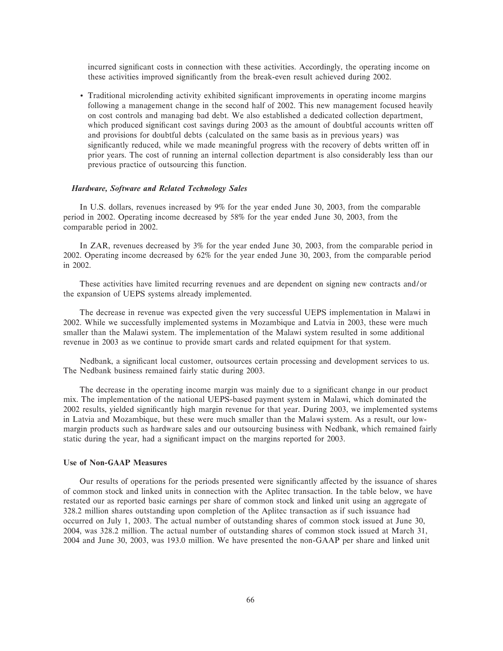incurred significant costs in connection with these activities. Accordingly, the operating income on these activities improved significantly from the break-even result achieved during 2002.

• Traditional microlending activity exhibited significant improvements in operating income margins following a management change in the second half of 2002. This new management focused heavily on cost controls and managing bad debt. We also established a dedicated collection department, which produced significant cost savings during 2003 as the amount of doubtful accounts written off and provisions for doubtful debts (calculated on the same basis as in previous years) was significantly reduced, while we made meaningful progress with the recovery of debts written off in prior years. The cost of running an internal collection department is also considerably less than our previous practice of outsourcing this function.

#### *Hardware, Software and Related Technology Sales*

In U.S. dollars, revenues increased by 9% for the year ended June 30, 2003, from the comparable period in 2002. Operating income decreased by 58% for the year ended June 30, 2003, from the comparable period in 2002.

In ZAR, revenues decreased by 3% for the year ended June 30, 2003, from the comparable period in 2002. Operating income decreased by 62% for the year ended June 30, 2003, from the comparable period in 2002.

These activities have limited recurring revenues and are dependent on signing new contracts and/or the expansion of UEPS systems already implemented.

The decrease in revenue was expected given the very successful UEPS implementation in Malawi in 2002. While we successfully implemented systems in Mozambique and Latvia in 2003, these were much smaller than the Malawi system. The implementation of the Malawi system resulted in some additional revenue in 2003 as we continue to provide smart cards and related equipment for that system.

Nedbank, a significant local customer, outsources certain processing and development services to us. The Nedbank business remained fairly static during 2003.

The decrease in the operating income margin was mainly due to a significant change in our product mix. The implementation of the national UEPS-based payment system in Malawi, which dominated the 2002 results, yielded significantly high margin revenue for that year. During 2003, we implemented systems in Latvia and Mozambique, but these were much smaller than the Malawi system. As a result, our lowmargin products such as hardware sales and our outsourcing business with Nedbank, which remained fairly static during the year, had a significant impact on the margins reported for 2003.

# **Use of Non-GAAP Measures**

Our results of operations for the periods presented were significantly affected by the issuance of shares of common stock and linked units in connection with the Aplitec transaction. In the table below, we have restated our as reported basic earnings per share of common stock and linked unit using an aggregate of 328.2 million shares outstanding upon completion of the Aplitec transaction as if such issuance had occurred on July 1, 2003. The actual number of outstanding shares of common stock issued at June 30, 2004, was 328.2 million. The actual number of outstanding shares of common stock issued at March 31, 2004 and June 30, 2003, was 193.0 million. We have presented the non-GAAP per share and linked unit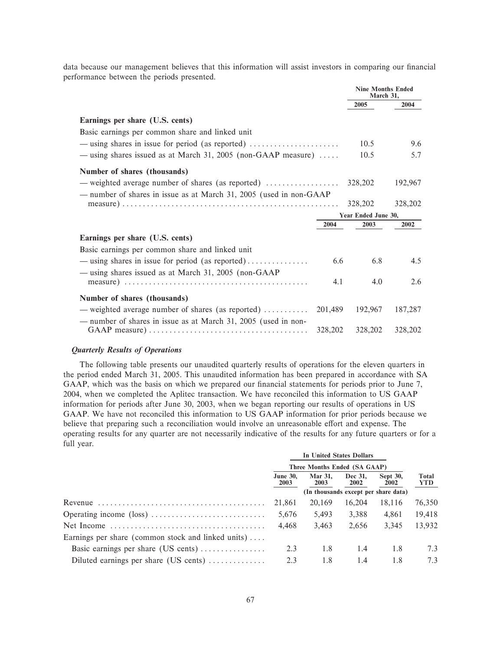data because our management believes that this information will assist investors in comparing our financial performance between the periods presented.

|                                                                               |         | <b>Nine Months Ended</b><br>March 31, |         |  |
|-------------------------------------------------------------------------------|---------|---------------------------------------|---------|--|
|                                                                               |         | 2005                                  | 2004    |  |
| Earnings per share (U.S. cents)                                               |         |                                       |         |  |
| Basic earnings per common share and linked unit                               |         |                                       |         |  |
|                                                                               |         | 10.5                                  | 9.6     |  |
| — using shares issued as at March 31, 2005 (non-GAAP measure) $\dots$         |         | 10.5                                  | 5.7     |  |
| Number of shares (thousands)                                                  |         |                                       |         |  |
| — weighted average number of shares (as reported) $\dots\dots\dots\dots\dots$ |         | 328,202                               | 192,967 |  |
| - number of shares in issue as at March 31, 2005 (used in non-GAAP            |         | 328,202                               | 328,202 |  |
|                                                                               |         | Year Ended June 30,                   |         |  |
|                                                                               | 2004    | 2003                                  | 2002    |  |
| Earnings per share (U.S. cents)                                               |         |                                       |         |  |
| Basic earnings per common share and linked unit                               |         |                                       |         |  |
| $-$ using shares in issue for period (as reported)                            | 6.6     | 6.8                                   | 4.5     |  |
| — using shares issued as at March 31, 2005 (non-GAAP                          |         |                                       |         |  |
|                                                                               | 4.1     | 4.0                                   | 2.6     |  |
| Number of shares (thousands)                                                  |         |                                       |         |  |
| - weighted average number of shares (as reported)                             | 201,489 | 192,967                               | 187,287 |  |
| - number of shares in issue as at March 31, 2005 (used in non-                | 328,202 | 328,202                               | 328,202 |  |

### *Quarterly Results of Operations*

The following table presents our unaudited quarterly results of operations for the eleven quarters in the period ended March 31, 2005. This unaudited information has been prepared in accordance with SA GAAP, which was the basis on which we prepared our financial statements for periods prior to June 7, 2004, when we completed the Aplitec transaction. We have reconciled this information to US GAAP information for periods after June 30, 2003, when we began reporting our results of operations in US GAAP. We have not reconciled this information to US GAAP information for prior periods because we believe that preparing such a reconciliation would involve an unreasonable effort and expense. The operating results for any quarter are not necessarily indicative of the results for any future quarters or for a full year.

|                                                              |                                      | In United States Dollars |                        |                         |                      |
|--------------------------------------------------------------|--------------------------------------|--------------------------|------------------------|-------------------------|----------------------|
|                                                              | Three Months Ended (SA GAAP)         |                          |                        |                         |                      |
|                                                              | <b>June 30.</b><br>2003              | <b>Mar 31.</b><br>2003   | Dec 31.<br><b>2002</b> | <b>Sept 30,</b><br>2002 | <b>Total</b><br>YTD. |
|                                                              | (In thousands except per share data) |                          |                        |                         |                      |
|                                                              | 21,861                               | 20,169                   | 16,204                 | 18,116                  | 76,350               |
|                                                              | 5,676                                | 5,493                    | 3,388                  | 4,861                   | 19,418               |
|                                                              | 4,468                                | 3,463                    | 2,656                  | 3,345                   | 13,932               |
| Earnings per share (common stock and linked units)           |                                      |                          |                        |                         |                      |
| Basic earnings per share (US cents)                          | 2.3                                  | 1.8                      | 1.4                    | 1.8                     | 7.3                  |
| Diluted earnings per share (US cents) $\dots\dots\dots\dots$ | 2.3                                  | 1.8                      | 1.4                    | 1.8                     | 7.3                  |
|                                                              |                                      |                          |                        |                         |                      |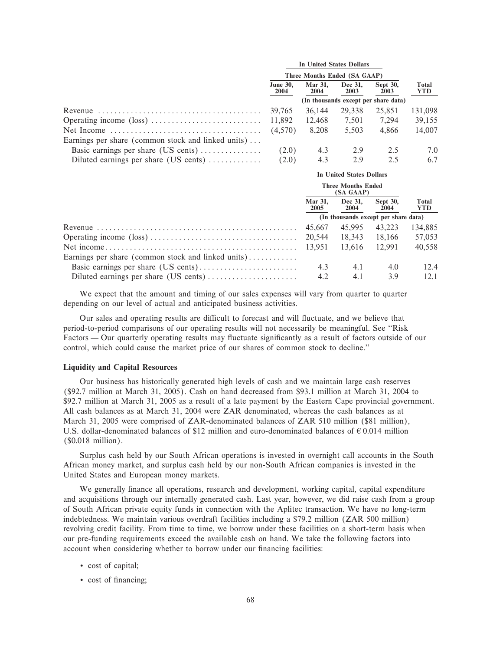|                                                                   |                              |                        | In United States Dollars               |                                      |              |
|-------------------------------------------------------------------|------------------------------|------------------------|----------------------------------------|--------------------------------------|--------------|
|                                                                   | Three Months Ended (SA GAAP) |                        |                                        |                                      |              |
|                                                                   | <b>June 30.</b><br>2004      | Mar 31,<br>2004        | Dec 31.<br>2003                        | Sept 30,<br>2003                     | Total<br>YTD |
|                                                                   |                              |                        |                                        | (In thousands except per share data) |              |
|                                                                   | 39,765                       | 36,144                 | 29,338                                 | 25,851                               | 131,098      |
|                                                                   | 11,892                       | 12,468                 | 7,501                                  | 7,294                                | 39,155       |
|                                                                   | (4,570)                      | 8,208                  | 5,503                                  | 4,866                                | 14,007       |
| Earnings per share (common stock and linked units)                |                              |                        |                                        |                                      |              |
| Basic earnings per share (US cents)                               | (2.0)                        | 4.3                    | 2.9                                    | 2.5                                  | 7.0          |
| Diluted earnings per share $(US \text{ cents}) \dots \dots \dots$ | (2.0)                        | 4.3                    | 2.9                                    | 2.5                                  | 6.7          |
|                                                                   |                              |                        | <b>In United States Dollars</b>        |                                      |              |
|                                                                   |                              |                        | <b>Three Months Ended</b><br>(SA GAAP) |                                      |              |
|                                                                   |                              | <b>Mar 31,</b><br>2005 | Dec 31,<br>2004                        | Sept 30,<br>2004                     | Total<br>YTD |
|                                                                   |                              |                        |                                        | (In thousands except per share data) |              |
|                                                                   |                              | 45,667                 | 45,995                                 | 43,223                               | 134,885      |
|                                                                   |                              | 20,544                 | 18,343                                 | 18,166                               | 57,053       |
|                                                                   |                              | 13,951                 | 13,616                                 | 12,991                               | 40,558       |
| Earnings per share (common stock and linked units)                |                              |                        |                                        |                                      |              |

We expect that the amount and timing of our sales expenses will vary from quarter to quarter depending on our level of actual and anticipated business activities.

Basic earnings per share (US cents)ÏÏÏÏÏÏÏÏÏÏÏÏÏÏÏÏÏÏÏÏÏÏÏÏ 4.3 4.1 4.0 12.4 Diluted earnings per share (US cents)  $\ldots$   $\ldots$   $\ldots$   $\ldots$   $\ldots$   $\ldots$   $\ldots$  4.2  $\ldots$  4.1  $\ldots$  3.9 12.1

Our sales and operating results are difficult to forecast and will fluctuate, and we believe that period-to-period comparisons of our operating results will not necessarily be meaningful. See ""Risk Factors — Our quarterly operating results may fluctuate significantly as a result of factors outside of our control, which could cause the market price of our shares of common stock to decline.''

### **Liquidity and Capital Resources**

Our business has historically generated high levels of cash and we maintain large cash reserves (\$92.7 million at March 31, 2005). Cash on hand decreased from \$93.1 million at March 31, 2004 to \$92.7 million at March 31, 2005 as a result of a late payment by the Eastern Cape provincial government. All cash balances as at March 31, 2004 were ZAR denominated, whereas the cash balances as at March 31, 2005 were comprised of ZAR-denominated balances of ZAR 510 million (\$81 million), U.S. dollar-denominated balances of \$12 million and euro-denominated balances of  $\epsilon$  0.014 million (\$0.018 million).

Surplus cash held by our South African operations is invested in overnight call accounts in the South African money market, and surplus cash held by our non-South African companies is invested in the United States and European money markets.

We generally finance all operations, research and development, working capital, capital expenditure and acquisitions through our internally generated cash. Last year, however, we did raise cash from a group of South African private equity funds in connection with the Aplitec transaction. We have no long-term indebtedness. We maintain various overdraft facilities including a \$79.2 million (ZAR 500 million) revolving credit facility. From time to time, we borrow under these facilities on a short-term basis when our pre-funding requirements exceed the available cash on hand. We take the following factors into account when considering whether to borrow under our financing facilities:

- ' cost of capital;
- cost of financing;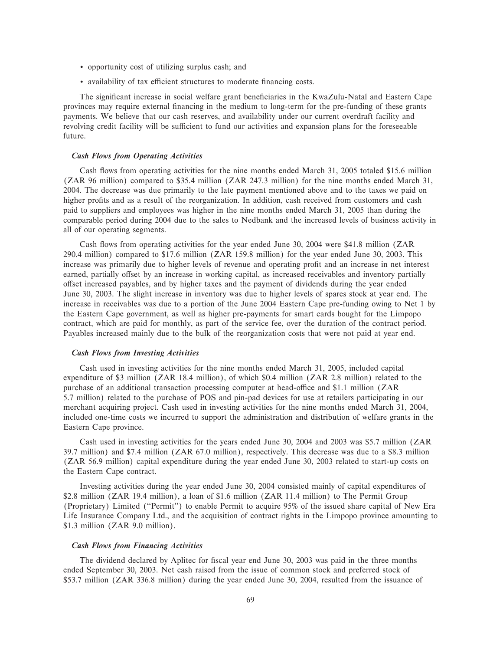- ' opportunity cost of utilizing surplus cash; and
- availability of tax efficient structures to moderate financing costs.

The significant increase in social welfare grant beneficiaries in the KwaZulu-Natal and Eastern Cape provinces may require external Ñnancing in the medium to long-term for the pre-funding of these grants payments. We believe that our cash reserves, and availability under our current overdraft facility and revolving credit facility will be sufficient to fund our activities and expansion plans for the foreseeable future.

### *Cash Flows from Operating Activities*

Cash flows from operating activities for the nine months ended March 31, 2005 totaled \$15.6 million (ZAR 96 million) compared to \$35.4 million (ZAR 247.3 million) for the nine months ended March 31, 2004. The decrease was due primarily to the late payment mentioned above and to the taxes we paid on higher profits and as a result of the reorganization. In addition, cash received from customers and cash paid to suppliers and employees was higher in the nine months ended March 31, 2005 than during the comparable period during 2004 due to the sales to Nedbank and the increased levels of business activity in all of our operating segments.

Cash flows from operating activities for the year ended June 30, 2004 were \$41.8 million (ZAR 290.4 million) compared to \$17.6 million (ZAR 159.8 million) for the year ended June 30, 2003. This increase was primarily due to higher levels of revenue and operating profit and an increase in net interest earned, partially offset by an increase in working capital, as increased receivables and inventory partially oÅset increased payables, and by higher taxes and the payment of dividends during the year ended June 30, 2003. The slight increase in inventory was due to higher levels of spares stock at year end. The increase in receivables was due to a portion of the June 2004 Eastern Cape pre-funding owing to Net 1 by the Eastern Cape government, as well as higher pre-payments for smart cards bought for the Limpopo contract, which are paid for monthly, as part of the service fee, over the duration of the contract period. Payables increased mainly due to the bulk of the reorganization costs that were not paid at year end.

### *Cash Flows from Investing Activities*

Cash used in investing activities for the nine months ended March 31, 2005, included capital expenditure of \$3 million (ZAR 18.4 million), of which \$0.4 million (ZAR 2.8 million) related to the purchase of an additional transaction processing computer at head-office and \$1.1 million (ZAR 5.7 million) related to the purchase of POS and pin-pad devices for use at retailers participating in our merchant acquiring project. Cash used in investing activities for the nine months ended March 31, 2004, included one-time costs we incurred to support the administration and distribution of welfare grants in the Eastern Cape province.

Cash used in investing activities for the years ended June 30, 2004 and 2003 was \$5.7 million (ZAR 39.7 million) and \$7.4 million (ZAR 67.0 million), respectively. This decrease was due to a \$8.3 million (ZAR 56.9 million) capital expenditure during the year ended June 30, 2003 related to start-up costs on the Eastern Cape contract.

Investing activities during the year ended June 30, 2004 consisted mainly of capital expenditures of \$2.8 million (ZAR 19.4 million), a loan of \$1.6 million (ZAR 11.4 million) to The Permit Group (Proprietary) Limited (""Permit'') to enable Permit to acquire 95% of the issued share capital of New Era Life Insurance Company Ltd., and the acquisition of contract rights in the Limpopo province amounting to \$1.3 million (ZAR 9.0 million).

### *Cash Flows from Financing Activities*

The dividend declared by Aplitec for fiscal year end June 30, 2003 was paid in the three months ended September 30, 2003. Net cash raised from the issue of common stock and preferred stock of \$53.7 million (ZAR 336.8 million) during the year ended June 30, 2004, resulted from the issuance of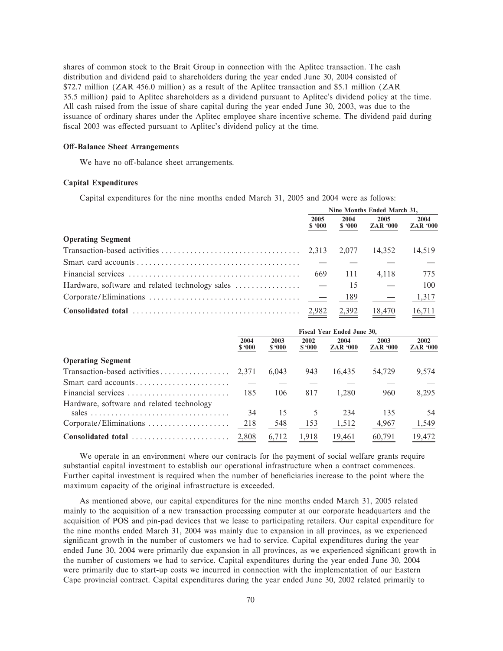shares of common stock to the Brait Group in connection with the Aplitec transaction. The cash distribution and dividend paid to shareholders during the year ended June 30, 2004 consisted of \$72.7 million (ZAR 456.0 million) as a result of the Aplitec transaction and \$5.1 million (ZAR 35.5 million) paid to Aplitec shareholders as a dividend pursuant to Aplitec's dividend policy at the time. All cash raised from the issue of share capital during the year ended June 30, 2003, was due to the issuance of ordinary shares under the Aplitec employee share incentive scheme. The dividend paid during fiscal 2003 was effected pursuant to Aplitec's dividend policy at the time.

## **Off-Balance Sheet Arrangements**

We have no off-balance sheet arrangements.

## **Capital Expenditures**

Capital expenditures for the nine months ended March 31, 2005 and 2004 were as follows:

|                                                                                  | Nine Months Ended March 31, |                |                         |                         |
|----------------------------------------------------------------------------------|-----------------------------|----------------|-------------------------|-------------------------|
|                                                                                  | 2005<br>\$.000              | 2004<br>\$.000 | 2005<br><b>ZAR '000</b> | 2004<br><b>ZAR '000</b> |
| <b>Operating Segment</b>                                                         |                             |                |                         |                         |
|                                                                                  |                             | 2.077          | 14.352                  | 14,519                  |
|                                                                                  |                             |                |                         |                         |
|                                                                                  | 669                         | -111           | 4.118                   | 775                     |
| Hardware, software and related technology sales $\dots\dots\dots\dots\dots\dots$ |                             | 15             |                         | 100                     |
|                                                                                  |                             | 189            |                         | 1,317                   |
|                                                                                  |                             | 2,392          | 18,470                  | $\frac{16,711}{2}$      |

|                                           | Fiscal Year Ended June 30. |                |                |                         |                         |                         |
|-------------------------------------------|----------------------------|----------------|----------------|-------------------------|-------------------------|-------------------------|
|                                           | 2004<br>\$.000             | 2003<br>\$.000 | 2002<br>\$.000 | 2004<br><b>ZAR '000</b> | 2003<br><b>ZAR '000</b> | 2002<br><b>ZAR '000</b> |
| <b>Operating Segment</b>                  |                            |                |                |                         |                         |                         |
| Transaction-based activities              | 2.371                      | 6.043          | 943            | 16.435                  | 54,729                  | 9.574                   |
| Smart card accounts                       |                            |                |                |                         |                         |                         |
| Financial services                        | 185                        | 106            | 817            | 1.280                   | 960                     | 8.295                   |
| Hardware, software and related technology |                            |                |                |                         |                         |                         |
|                                           | 34                         | 15             | 5              | 234                     | 135                     | 54                      |
| Corporate/Eliminations                    | 218                        | 548            | 153            | 1,512                   | 4,967                   | 1,549                   |
| Consolidated total                        | 2,808                      | 6,712          | 1,918          | 19,461                  | 60,791                  | 19,472                  |

We operate in an environment where our contracts for the payment of social welfare grants require substantial capital investment to establish our operational infrastructure when a contract commences. Further capital investment is required when the number of beneficiaries increase to the point where the maximum capacity of the original infrastructure is exceeded.

As mentioned above, our capital expenditures for the nine months ended March 31, 2005 related mainly to the acquisition of a new transaction processing computer at our corporate headquarters and the acquisition of POS and pin-pad devices that we lease to participating retailers. Our capital expenditure for the nine months ended March 31, 2004 was mainly due to expansion in all provinces, as we experienced significant growth in the number of customers we had to service. Capital expenditures during the year ended June 30, 2004 were primarily due expansion in all provinces, as we experienced significant growth in the number of customers we had to service. Capital expenditures during the year ended June 30, 2004 were primarily due to start-up costs we incurred in connection with the implementation of our Eastern Cape provincial contract. Capital expenditures during the year ended June 30, 2002 related primarily to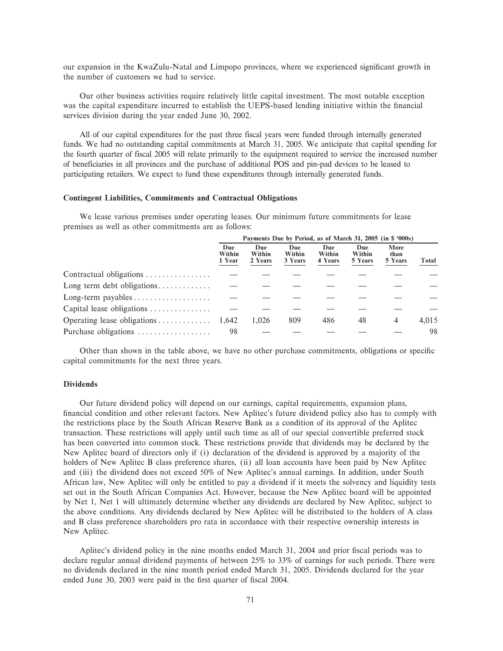our expansion in the KwaZulu-Natal and Limpopo provinces, where we experienced significant growth in the number of customers we had to service.

Our other business activities require relatively little capital investment. The most notable exception was the capital expenditure incurred to establish the UEPS-based lending initiative within the financial services division during the year ended June 30, 2002.

All of our capital expenditures for the past three fiscal years were funded through internally generated funds. We had no outstanding capital commitments at March 31, 2005. We anticipate that capital spending for the fourth quarter of fiscal 2005 will relate primarily to the equipment required to service the increased number of beneficiaries in all provinces and the purchase of additional POS and pin-pad devices to be leased to participating retailers. We expect to fund these expenditures through internally generated funds.

### **Contingent Liabilities, Commitments and Contractual Obligations**

We lease various premises under operating leases. Our minimum future commitments for lease premises as well as other commitments are as follows:

|                                                          | Payments Due by Period, as of March 31, 2005 (in \$ '000s) |                                 |                          |                          |                          |                         |       |
|----------------------------------------------------------|------------------------------------------------------------|---------------------------------|--------------------------|--------------------------|--------------------------|-------------------------|-------|
|                                                          | Due<br>Within<br>1 Year                                    | <b>Due</b><br>Within<br>2 Years | Due<br>Within<br>3 Years | Due<br>Within<br>4 Years | Due<br>Within<br>5 Years | More<br>than<br>5 Years | Total |
| Contractual obligations                                  |                                                            |                                 |                          |                          |                          |                         |       |
| Long term debt obligations                               |                                                            |                                 |                          |                          |                          |                         |       |
| Long-term payables $\dots \dots \dots \dots \dots \dots$ |                                                            |                                 |                          |                          |                          |                         |       |
| Capital lease obligations                                |                                                            |                                 |                          |                          |                          |                         |       |
| Operating lease obligations                              | 1,642                                                      | 1.026                           | 809                      | 486                      | 48                       | 4                       | 4,015 |
| Purchase obligations                                     | 98                                                         |                                 |                          |                          |                          |                         | 98    |

Other than shown in the table above, we have no other purchase commitments, obligations or specific capital commitments for the next three years.

# **Dividends**

Our future dividend policy will depend on our earnings, capital requirements, expansion plans, financial condition and other relevant factors. New Aplitec's future dividend policy also has to comply with the restrictions place by the South African Reserve Bank as a condition of its approval of the Aplitec transaction. These restrictions will apply until such time as all of our special convertible preferred stock has been converted into common stock. These restrictions provide that dividends may be declared by the New Aplitec board of directors only if (i) declaration of the dividend is approved by a majority of the holders of New Aplitec B class preference shares, (ii) all loan accounts have been paid by New Aplitec and (iii) the dividend does not exceed 50% of New Aplitec's annual earnings. In addition, under South African law, New Aplitec will only be entitled to pay a dividend if it meets the solvency and liquidity tests set out in the South African Companies Act. However, because the New Aplitec board will be appointed by Net 1, Net 1 will ultimately determine whether any dividends are declared by New Aplitec, subject to the above conditions. Any dividends declared by New Aplitec will be distributed to the holders of A class and B class preference shareholders pro rata in accordance with their respective ownership interests in New Aplitec.

Aplitec's dividend policy in the nine months ended March 31, 2004 and prior fiscal periods was to declare regular annual dividend payments of between 25% to 33% of earnings for such periods. There were no dividends declared in the nine month period ended March 31, 2005. Dividends declared for the year ended June 30, 2003 were paid in the first quarter of fiscal 2004.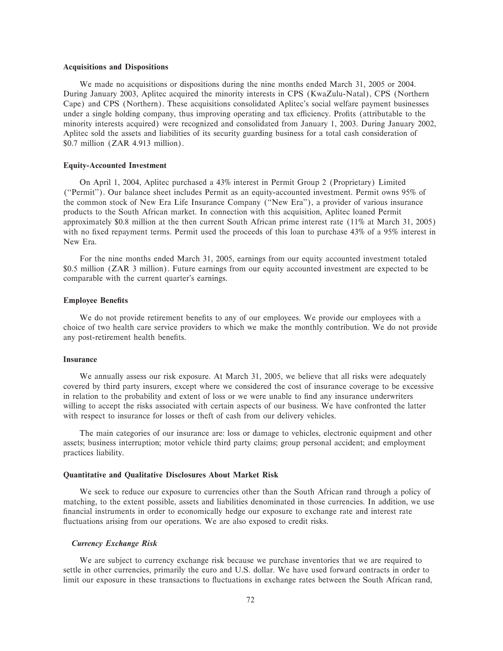### **Acquisitions and Dispositions**

We made no acquisitions or dispositions during the nine months ended March 31, 2005 or 2004. During January 2003, Aplitec acquired the minority interests in CPS (KwaZulu-Natal), CPS (Northern Cape) and CPS (Northern). These acquisitions consolidated Aplitec's social welfare payment businesses under a single holding company, thus improving operating and tax efficiency. Profits (attributable to the minority interests acquired) were recognized and consolidated from January 1, 2003. During January 2002, Aplitec sold the assets and liabilities of its security guarding business for a total cash consideration of \$0.7 million (ZAR 4.913 million).

## **Equity-Accounted Investment**

On April 1, 2004, Aplitec purchased a 43% interest in Permit Group 2 (Proprietary) Limited (""Permit''). Our balance sheet includes Permit as an equity-accounted investment. Permit owns 95% of the common stock of New Era Life Insurance Company (""New Era''), a provider of various insurance products to the South African market. In connection with this acquisition, Aplitec loaned Permit approximately \$0.8 million at the then current South African prime interest rate (11% at March 31, 2005) with no fixed repayment terms. Permit used the proceeds of this loan to purchase  $43\%$  of a  $95\%$  interest in New Era.

For the nine months ended March 31, 2005, earnings from our equity accounted investment totaled \$0.5 million (ZAR 3 million). Future earnings from our equity accounted investment are expected to be comparable with the current quarter's earnings.

## **Employee Benefits**

We do not provide retirement benefits to any of our employees. We provide our employees with a choice of two health care service providers to which we make the monthly contribution. We do not provide any post-retirement health benefits.

### **Insurance**

We annually assess our risk exposure. At March 31, 2005, we believe that all risks were adequately covered by third party insurers, except where we considered the cost of insurance coverage to be excessive in relation to the probability and extent of loss or we were unable to find any insurance underwriters willing to accept the risks associated with certain aspects of our business. We have confronted the latter with respect to insurance for losses or theft of cash from our delivery vehicles.

The main categories of our insurance are: loss or damage to vehicles, electronic equipment and other assets; business interruption; motor vehicle third party claims; group personal accident; and employment practices liability.

### **Quantitative and Qualitative Disclosures About Market Risk**

We seek to reduce our exposure to currencies other than the South African rand through a policy of matching, to the extent possible, assets and liabilities denominated in those currencies. In addition, we use financial instruments in order to economically hedge our exposure to exchange rate and interest rate fluctuations arising from our operations. We are also exposed to credit risks.

### *Currency Exchange Risk*

We are subject to currency exchange risk because we purchase inventories that we are required to settle in other currencies, primarily the euro and U.S. dollar. We have used forward contracts in order to limit our exposure in these transactions to fluctuations in exchange rates between the South African rand,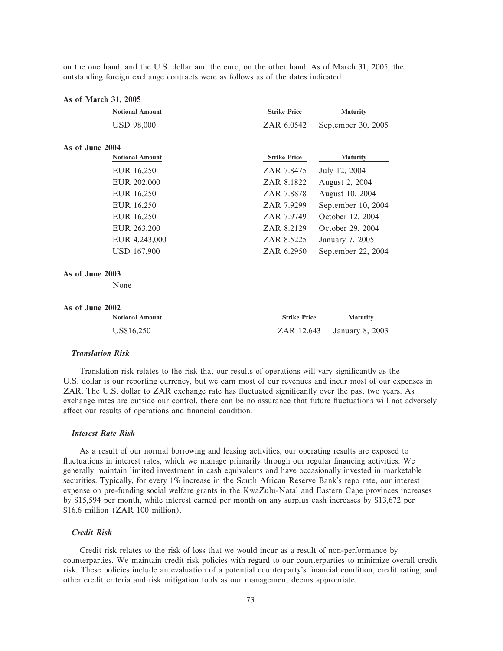on the one hand, and the U.S. dollar and the euro, on the other hand. As of March 31, 2005, the outstanding foreign exchange contracts were as follows as of the dates indicated:

#### **As of March 31, 2005**

| <b>Notional Amount</b> | <b>Strike Price</b> | <b>Maturity</b>    |  |
|------------------------|---------------------|--------------------|--|
| <b>USD 98,000</b>      | ZAR 6.0542          | September 30, 2005 |  |
| As of June 2004        |                     |                    |  |
| <b>Notional Amount</b> | <b>Strike Price</b> | <b>Maturity</b>    |  |
| EUR 16,250             | ZAR 7.8475          | July 12, 2004      |  |
| EUR 202,000            | ZAR 8.1822          | August 2, 2004     |  |
| EUR 16,250             | ZAR 7.8878          | August 10, 2004    |  |
| EUR 16,250             | ZAR 7.9299          | September 10, 2004 |  |
| EUR 16,250             | ZAR 7.9749          | October 12, 2004   |  |
| EUR 263,200            | ZAR 8.2129          | October 29, 2004   |  |
| EUR 4,243,000          | ZAR 8.5225          | January 7, 2005    |  |
| <b>USD 167,900</b>     | ZAR 6.2950          | September 22, 2004 |  |
|                        |                     |                    |  |

### **As of June 2003**

None

## **As of June 2002**

| <b>Notional Amount</b> | <b>Strike Price</b> | <b>Maturity</b> |  |
|------------------------|---------------------|-----------------|--|
| US\$16,250             | ZAR 12.643          | January 8, 2003 |  |

# *Translation Risk*

Translation risk relates to the risk that our results of operations will vary significantly as the U.S. dollar is our reporting currency, but we earn most of our revenues and incur most of our expenses in ZAR. The U.S. dollar to ZAR exchange rate has fluctuated significantly over the past two years. As exchange rates are outside our control, there can be no assurance that future fluctuations will not adversely affect our results of operations and financial condition.

# *Interest Rate Risk*

As a result of our normal borrowing and leasing activities, our operating results are exposed to fluctuations in interest rates, which we manage primarily through our regular financing activities. We generally maintain limited investment in cash equivalents and have occasionally invested in marketable securities. Typically, for every 1% increase in the South African Reserve Bank's repo rate, our interest expense on pre-funding social welfare grants in the KwaZulu-Natal and Eastern Cape provinces increases by \$15,594 per month, while interest earned per month on any surplus cash increases by \$13,672 per \$16.6 million (ZAR 100 million).

# *Credit Risk*

Credit risk relates to the risk of loss that we would incur as a result of non-performance by counterparties. We maintain credit risk policies with regard to our counterparties to minimize overall credit risk. These policies include an evaluation of a potential counterparty's financial condition, credit rating, and other credit criteria and risk mitigation tools as our management deems appropriate.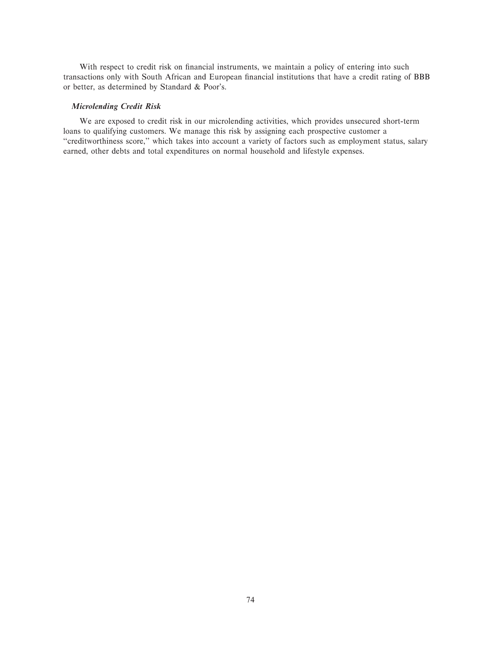With respect to credit risk on financial instruments, we maintain a policy of entering into such transactions only with South African and European financial institutions that have a credit rating of BBB or better, as determined by Standard & Poor's.

## *Microlending Credit Risk*

We are exposed to credit risk in our microlending activities, which provides unsecured short-term loans to qualifying customers. We manage this risk by assigning each prospective customer a "creditworthiness score," which takes into account a variety of factors such as employment status, salary earned, other debts and total expenditures on normal household and lifestyle expenses.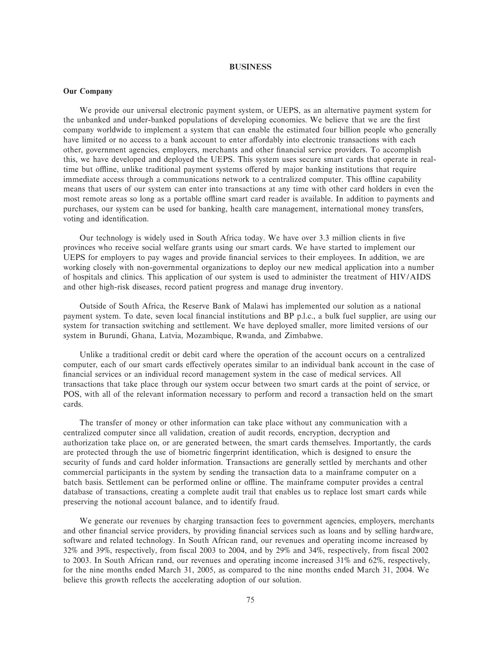### **BUSINESS**

### **Our Company**

We provide our universal electronic payment system, or UEPS, as an alternative payment system for the unbanked and under-banked populations of developing economies. We believe that we are the first company worldwide to implement a system that can enable the estimated four billion people who generally have limited or no access to a bank account to enter affordably into electronic transactions with each other, government agencies, employers, merchants and other financial service providers. To accomplish this, we have developed and deployed the UEPS. This system uses secure smart cards that operate in realtime but offline, unlike traditional payment systems offered by major banking institutions that require immediate access through a communications network to a centralized computer. This offline capability means that users of our system can enter into transactions at any time with other card holders in even the most remote areas so long as a portable offline smart card reader is available. In addition to payments and purchases, our system can be used for banking, health care management, international money transfers, voting and identification.

Our technology is widely used in South Africa today. We have over 3.3 million clients in five provinces who receive social welfare grants using our smart cards. We have started to implement our UEPS for employers to pay wages and provide financial services to their employees. In addition, we are working closely with non-governmental organizations to deploy our new medical application into a number of hospitals and clinics. This application of our system is used to administer the treatment of HIV/AIDS and other high-risk diseases, record patient progress and manage drug inventory.

Outside of South Africa, the Reserve Bank of Malawi has implemented our solution as a national payment system. To date, seven local financial institutions and BP p.l.c., a bulk fuel supplier, are using our system for transaction switching and settlement. We have deployed smaller, more limited versions of our system in Burundi, Ghana, Latvia, Mozambique, Rwanda, and Zimbabwe.

Unlike a traditional credit or debit card where the operation of the account occurs on a centralized computer, each of our smart cards effectively operates similar to an individual bank account in the case of financial services or an individual record management system in the case of medical services. All transactions that take place through our system occur between two smart cards at the point of service, or POS, with all of the relevant information necessary to perform and record a transaction held on the smart cards.

The transfer of money or other information can take place without any communication with a centralized computer since all validation, creation of audit records, encryption, decryption and authorization take place on, or are generated between, the smart cards themselves. Importantly, the cards are protected through the use of biometric fingerprint identification, which is designed to ensure the security of funds and card holder information. Transactions are generally settled by merchants and other commercial participants in the system by sending the transaction data to a mainframe computer on a batch basis. Settlement can be performed online or offline. The mainframe computer provides a central database of transactions, creating a complete audit trail that enables us to replace lost smart cards while preserving the notional account balance, and to identify fraud.

We generate our revenues by charging transaction fees to government agencies, employers, merchants and other financial service providers, by providing financial services such as loans and by selling hardware, software and related technology. In South African rand, our revenues and operating income increased by 32% and 39%, respectively, from Ñscal 2003 to 2004, and by 29% and 34%, respectively, from Ñscal 2002 to 2003. In South African rand, our revenues and operating income increased 31% and 62%, respectively, for the nine months ended March 31, 2005, as compared to the nine months ended March 31, 2004. We believe this growth reflects the accelerating adoption of our solution.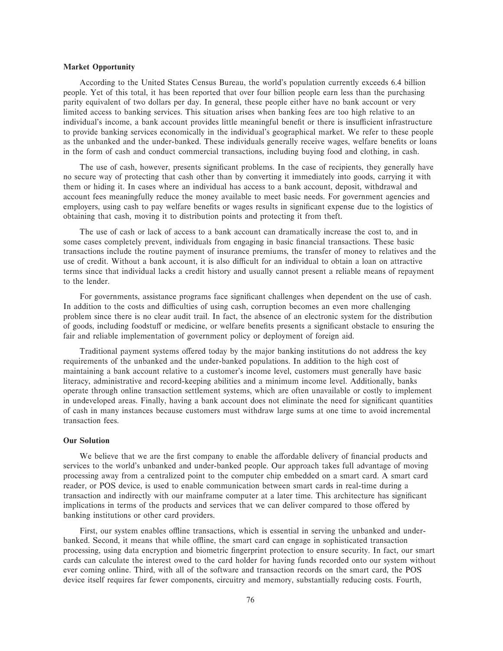## **Market Opportunity**

According to the United States Census Bureau, the world's population currently exceeds 6.4 billion people. Yet of this total, it has been reported that over four billion people earn less than the purchasing parity equivalent of two dollars per day. In general, these people either have no bank account or very limited access to banking services. This situation arises when banking fees are too high relative to an individual's income, a bank account provides little meaningful benefit or there is insufficient infrastructure to provide banking services economically in the individual's geographical market. We refer to these people as the unbanked and the under-banked. These individuals generally receive wages, welfare benefits or loans in the form of cash and conduct commercial transactions, including buying food and clothing, in cash.

The use of cash, however, presents significant problems. In the case of recipients, they generally have no secure way of protecting that cash other than by converting it immediately into goods, carrying it with them or hiding it. In cases where an individual has access to a bank account, deposit, withdrawal and account fees meaningfully reduce the money available to meet basic needs. For government agencies and employers, using cash to pay welfare benefits or wages results in significant expense due to the logistics of obtaining that cash, moving it to distribution points and protecting it from theft.

The use of cash or lack of access to a bank account can dramatically increase the cost to, and in some cases completely prevent, individuals from engaging in basic financial transactions. These basic transactions include the routine payment of insurance premiums, the transfer of money to relatives and the use of credit. Without a bank account, it is also difficult for an individual to obtain a loan on attractive terms since that individual lacks a credit history and usually cannot present a reliable means of repayment to the lender.

For governments, assistance programs face significant challenges when dependent on the use of cash. In addition to the costs and difficulties of using cash, corruption becomes an even more challenging problem since there is no clear audit trail. In fact, the absence of an electronic system for the distribution of goods, including foodstuff or medicine, or welfare benefits presents a significant obstacle to ensuring the fair and reliable implementation of government policy or deployment of foreign aid.

Traditional payment systems offered today by the major banking institutions do not address the key requirements of the unbanked and the under-banked populations. In addition to the high cost of maintaining a bank account relative to a customer's income level, customers must generally have basic literacy, administrative and record-keeping abilities and a minimum income level. Additionally, banks operate through online transaction settlement systems, which are often unavailable or costly to implement in undeveloped areas. Finally, having a bank account does not eliminate the need for significant quantities of cash in many instances because customers must withdraw large sums at one time to avoid incremental transaction fees.

### **Our Solution**

We believe that we are the first company to enable the affordable delivery of financial products and services to the world's unbanked and under-banked people. Our approach takes full advantage of moving processing away from a centralized point to the computer chip embedded on a smart card. A smart card reader, or POS device, is used to enable communication between smart cards in real-time during a transaction and indirectly with our mainframe computer at a later time. This architecture has significant implications in terms of the products and services that we can deliver compared to those offered by banking institutions or other card providers.

First, our system enables offline transactions, which is essential in serving the unbanked and underbanked. Second, it means that while offline, the smart card can engage in sophisticated transaction processing, using data encryption and biometric Ñngerprint protection to ensure security. In fact, our smart cards can calculate the interest owed to the card holder for having funds recorded onto our system without ever coming online. Third, with all of the software and transaction records on the smart card, the POS device itself requires far fewer components, circuitry and memory, substantially reducing costs. Fourth,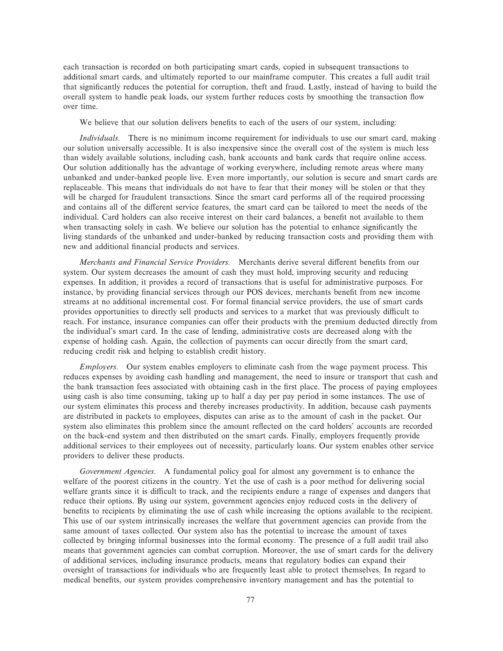each transaction is recorded on both participating smart cards, copied in subsequent transactions to additional smart cards, and ultimately reported to our mainframe computer. This creates a full audit trail that significantly reduces the potential for corruption, theft and fraud. Lastly, instead of having to build the overall system to handle peak loads, our system further reduces costs by smoothing the transaction flow over time.

We believe that our solution delivers benefits to each of the users of our system, including:

*Individuals.* There is no minimum income requirement for individuals to use our smart card, making our solution universally accessible. It is also inexpensive since the overall cost of the system is much less than widely available solutions, including cash, bank accounts and bank cards that require online access. Our solution additionally has the advantage of working everywhere, including remote areas where many unbanked and under-banked people live. Even more importantly, our solution is secure and smart cards are replaceable. This means that individuals do not have to fear that their money will be stolen or that they will be charged for fraudulent transactions. Since the smart card performs all of the required processing and contains all of the different service features, the smart card can be tailored to meet the needs of the individual. Card holders can also receive interest on their card balances, a benefit not available to them when transacting solely in cash. We believe our solution has the potential to enhance significantly the living standards of the unbanked and under-banked by reducing transaction costs and providing them with new and additional financial products and services.

*Merchants and Financial Service Providers.* Merchants derive several different benefits from our system. Our system decreases the amount of cash they must hold, improving security and reducing expenses. In addition, it provides a record of transactions that is useful for administrative purposes. For instance, by providing financial services through our POS devices, merchants benefit from new income streams at no additional incremental cost. For formal financial service providers, the use of smart cards provides opportunities to directly sell products and services to a market that was previously difficult to reach. For instance, insurance companies can offer their products with the premium deducted directly from the individual's smart card. In the case of lending, administrative costs are decreased along with the expense of holding cash. Again, the collection of payments can occur directly from the smart card, reducing credit risk and helping to establish credit history.

*Employers.* Our system enables employers to eliminate cash from the wage payment process. This reduces expenses by avoiding cash handling and management, the need to insure or transport that cash and the bank transaction fees associated with obtaining cash in the first place. The process of paying employees using cash is also time consuming, taking up to half a day per pay period in some instances. The use of our system eliminates this process and thereby increases productivity. In addition, because cash payments are distributed in packets to employees, disputes can arise as to the amount of cash in the packet. Our system also eliminates this problem since the amount reflected on the card holders' accounts are recorded on the back-end system and then distributed on the smart cards. Finally, employers frequently provide additional services to their employees out of necessity, particularly loans. Our system enables other service providers to deliver these products.

*Government Agencies.* A fundamental policy goal for almost any government is to enhance the welfare of the poorest citizens in the country. Yet the use of cash is a poor method for delivering social welfare grants since it is difficult to track, and the recipients endure a range of expenses and dangers that reduce their options. By using our system, government agencies enjoy reduced costs in the delivery of benefits to recipients by eliminating the use of cash while increasing the options available to the recipient. This use of our system intrinsically increases the welfare that government agencies can provide from the same amount of taxes collected. Our system also has the potential to increase the amount of taxes collected by bringing informal businesses into the formal economy. The presence of a full audit trail also means that government agencies can combat corruption. Moreover, the use of smart cards for the delivery of additional services, including insurance products, means that regulatory bodies can expand their oversight of transactions for individuals who are frequently least able to protect themselves. In regard to medical benefits, our system provides comprehensive inventory management and has the potential to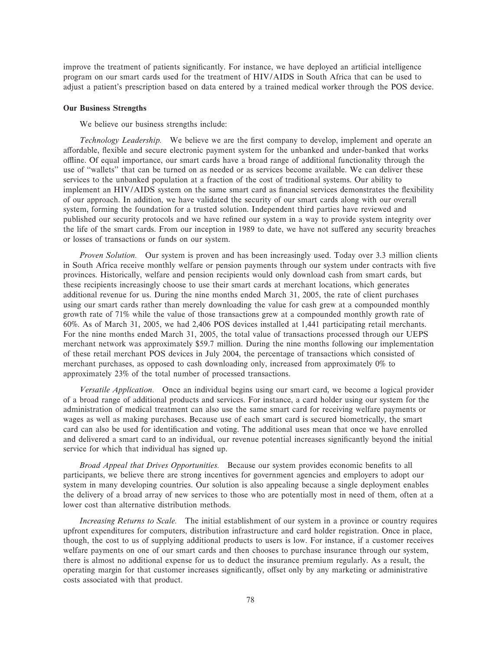improve the treatment of patients significantly. For instance, we have deployed an artificial intelligence program on our smart cards used for the treatment of HIV/AIDS in South Africa that can be used to adjust a patient's prescription based on data entered by a trained medical worker through the POS device.

## **Our Business Strengths**

We believe our business strengths include:

*Technology Leadership.* We believe we are the first company to develop, implement and operate an affordable, flexible and secure electronic payment system for the unbanked and under-banked that works oÉine. Of equal importance, our smart cards have a broad range of additional functionality through the use of "wallets" that can be turned on as needed or as services become available. We can deliver these services to the unbanked population at a fraction of the cost of traditional systems. Our ability to implement an HIV/AIDS system on the same smart card as financial services demonstrates the flexibility of our approach. In addition, we have validated the security of our smart cards along with our overall system, forming the foundation for a trusted solution. Independent third parties have reviewed and published our security protocols and we have refined our system in a way to provide system integrity over the life of the smart cards. From our inception in 1989 to date, we have not suffered any security breaches or losses of transactions or funds on our system.

*Proven Solution.* Our system is proven and has been increasingly used. Today over 3.3 million clients in South Africa receive monthly welfare or pension payments through our system under contracts with five provinces. Historically, welfare and pension recipients would only download cash from smart cards, but these recipients increasingly choose to use their smart cards at merchant locations, which generates additional revenue for us. During the nine months ended March 31, 2005, the rate of client purchases using our smart cards rather than merely downloading the value for cash grew at a compounded monthly growth rate of 71% while the value of those transactions grew at a compounded monthly growth rate of 60%. As of March 31, 2005, we had 2,406 POS devices installed at 1,441 participating retail merchants. For the nine months ended March 31, 2005, the total value of transactions processed through our UEPS merchant network was approximately \$59.7 million. During the nine months following our implementation of these retail merchant POS devices in July 2004, the percentage of transactions which consisted of merchant purchases, as opposed to cash downloading only, increased from approximately 0% to approximately 23% of the total number of processed transactions.

*Versatile Application.* Once an individual begins using our smart card, we become a logical provider of a broad range of additional products and services. For instance, a card holder using our system for the administration of medical treatment can also use the same smart card for receiving welfare payments or wages as well as making purchases. Because use of each smart card is secured biometrically, the smart card can also be used for identification and voting. The additional uses mean that once we have enrolled and delivered a smart card to an individual, our revenue potential increases significantly beyond the initial service for which that individual has signed up.

Broad Appeal that Drives Opportunities. Because our system provides economic benefits to all participants, we believe there are strong incentives for government agencies and employers to adopt our system in many developing countries. Our solution is also appealing because a single deployment enables the delivery of a broad array of new services to those who are potentially most in need of them, often at a lower cost than alternative distribution methods.

*Increasing Returns to Scale.* The initial establishment of our system in a province or country requires upfront expenditures for computers, distribution infrastructure and card holder registration. Once in place, though, the cost to us of supplying additional products to users is low. For instance, if a customer receives welfare payments on one of our smart cards and then chooses to purchase insurance through our system, there is almost no additional expense for us to deduct the insurance premium regularly. As a result, the operating margin for that customer increases significantly, offset only by any marketing or administrative costs associated with that product.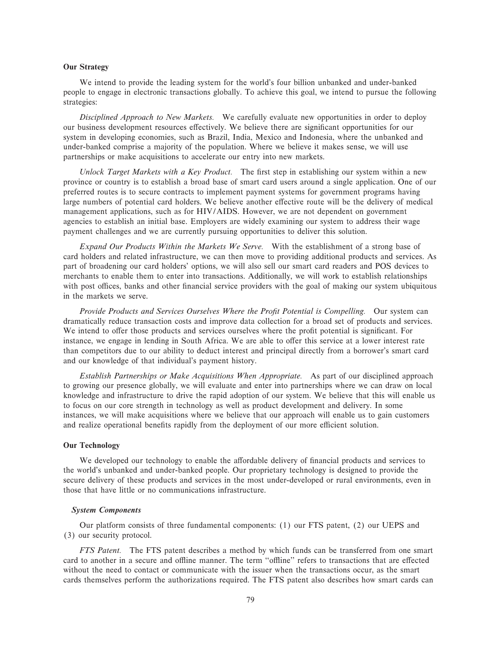## **Our Strategy**

We intend to provide the leading system for the world's four billion unbanked and under-banked people to engage in electronic transactions globally. To achieve this goal, we intend to pursue the following strategies:

*Disciplined Approach to New Markets.* We carefully evaluate new opportunities in order to deploy our business development resources effectively. We believe there are significant opportunities for our system in developing economies, such as Brazil, India, Mexico and Indonesia, where the unbanked and under-banked comprise a majority of the population. Where we believe it makes sense, we will use partnerships or make acquisitions to accelerate our entry into new markets.

*Unlock Target Markets with a Key Product*. The first step in establishing our system within a new province or country is to establish a broad base of smart card users around a single application. One of our preferred routes is to secure contracts to implement payment systems for government programs having large numbers of potential card holders. We believe another effective route will be the delivery of medical management applications, such as for HIV/AIDS. However, we are not dependent on government agencies to establish an initial base. Employers are widely examining our system to address their wage payment challenges and we are currently pursuing opportunities to deliver this solution.

*Expand Our Products Within the Markets We Serve.* With the establishment of a strong base of card holders and related infrastructure, we can then move to providing additional products and services. As part of broadening our card holders' options, we will also sell our smart card readers and POS devices to merchants to enable them to enter into transactions. Additionally, we will work to establish relationships with post offices, banks and other financial service providers with the goal of making our system ubiquitous in the markets we serve.

Provide Products and Services Ourselves Where the Profit Potential is Compelling. Our system can dramatically reduce transaction costs and improve data collection for a broad set of products and services. We intend to offer those products and services ourselves where the profit potential is significant. For instance, we engage in lending in South Africa. We are able to offer this service at a lower interest rate than competitors due to our ability to deduct interest and principal directly from a borrower's smart card and our knowledge of that individual's payment history.

*Establish Partnerships or Make Acquisitions When Appropriate.* As part of our disciplined approach to growing our presence globally, we will evaluate and enter into partnerships where we can draw on local knowledge and infrastructure to drive the rapid adoption of our system. We believe that this will enable us to focus on our core strength in technology as well as product development and delivery. In some instances, we will make acquisitions where we believe that our approach will enable us to gain customers and realize operational benefits rapidly from the deployment of our more efficient solution.

# **Our Technology**

We developed our technology to enable the affordable delivery of financial products and services to the world's unbanked and under-banked people. Our proprietary technology is designed to provide the secure delivery of these products and services in the most under-developed or rural environments, even in those that have little or no communications infrastructure.

# *System Components*

Our platform consists of three fundamental components: (1) our FTS patent, (2) our UEPS and (3) our security protocol.

*FTS Patent.* The FTS patent describes a method by which funds can be transferred from one smart card to another in a secure and offline manner. The term "offline" refers to transactions that are effected without the need to contact or communicate with the issuer when the transactions occur, as the smart cards themselves perform the authorizations required. The FTS patent also describes how smart cards can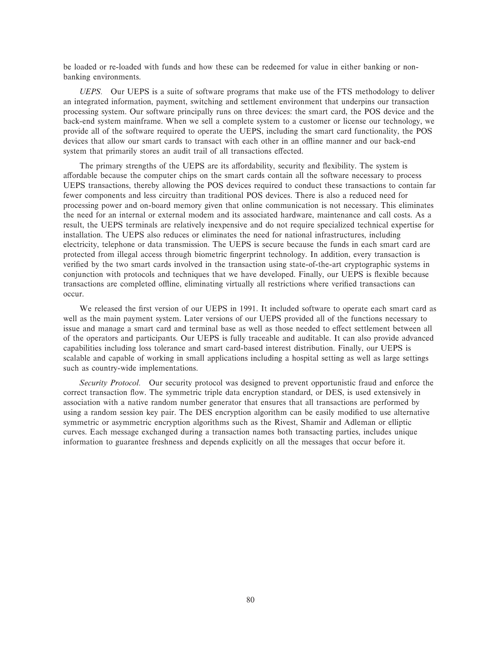be loaded or re-loaded with funds and how these can be redeemed for value in either banking or nonbanking environments.

*UEPS.* Our UEPS is a suite of software programs that make use of the FTS methodology to deliver an integrated information, payment, switching and settlement environment that underpins our transaction processing system. Our software principally runs on three devices: the smart card, the POS device and the back-end system mainframe. When we sell a complete system to a customer or license our technology, we provide all of the software required to operate the UEPS, including the smart card functionality, the POS devices that allow our smart cards to transact with each other in an offline manner and our back-end system that primarily stores an audit trail of all transactions effected.

The primary strengths of the UEPS are its affordability, security and flexibility. The system is affordable because the computer chips on the smart cards contain all the software necessary to process UEPS transactions, thereby allowing the POS devices required to conduct these transactions to contain far fewer components and less circuitry than traditional POS devices. There is also a reduced need for processing power and on-board memory given that online communication is not necessary. This eliminates the need for an internal or external modem and its associated hardware, maintenance and call costs. As a result, the UEPS terminals are relatively inexpensive and do not require specialized technical expertise for installation. The UEPS also reduces or eliminates the need for national infrastructures, including electricity, telephone or data transmission. The UEPS is secure because the funds in each smart card are protected from illegal access through biometric Ñngerprint technology. In addition, every transaction is verified by the two smart cards involved in the transaction using state-of-the-art cryptographic systems in conjunction with protocols and techniques that we have developed. Finally, our UEPS is flexible because transactions are completed offline, eliminating virtually all restrictions where verified transactions can occur.

We released the first version of our UEPS in 1991. It included software to operate each smart card as well as the main payment system. Later versions of our UEPS provided all of the functions necessary to issue and manage a smart card and terminal base as well as those needed to effect settlement between all of the operators and participants. Our UEPS is fully traceable and auditable. It can also provide advanced capabilities including loss tolerance and smart card-based interest distribution. Finally, our UEPS is scalable and capable of working in small applications including a hospital setting as well as large settings such as country-wide implementations.

*Security Protocol.* Our security protocol was designed to prevent opportunistic fraud and enforce the correct transaction flow. The symmetric triple data encryption standard, or DES, is used extensively in association with a native random number generator that ensures that all transactions are performed by using a random session key pair. The DES encryption algorithm can be easily modified to use alternative symmetric or asymmetric encryption algorithms such as the Rivest, Shamir and Adleman or elliptic curves. Each message exchanged during a transaction names both transacting parties, includes unique information to guarantee freshness and depends explicitly on all the messages that occur before it.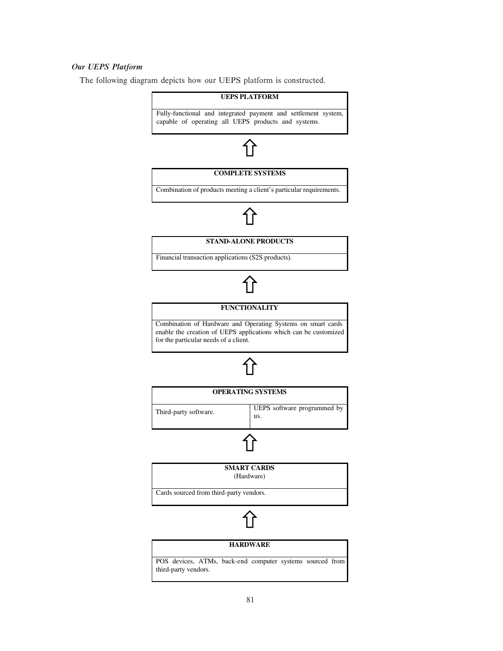# *Our UEPS Platform*

The following diagram depicts how our UEPS platform is constructed.

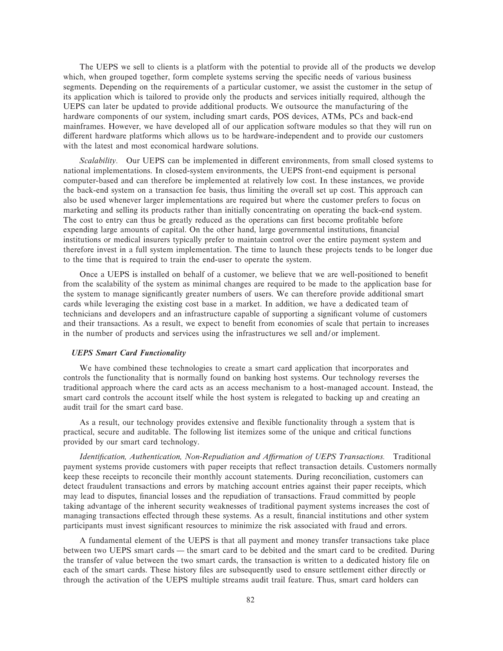The UEPS we sell to clients is a platform with the potential to provide all of the products we develop which, when grouped together, form complete systems serving the specific needs of various business segments. Depending on the requirements of a particular customer, we assist the customer in the setup of its application which is tailored to provide only the products and services initially required, although the UEPS can later be updated to provide additional products. We outsource the manufacturing of the hardware components of our system, including smart cards, POS devices, ATMs, PCs and back-end mainframes. However, we have developed all of our application software modules so that they will run on different hardware platforms which allows us to be hardware-independent and to provide our customers with the latest and most economical hardware solutions.

*Scalability*. Our UEPS can be implemented in different environments, from small closed systems to national implementations. In closed-system environments, the UEPS front-end equipment is personal computer-based and can therefore be implemented at relatively low cost. In these instances, we provide the back-end system on a transaction fee basis, thus limiting the overall set up cost. This approach can also be used whenever larger implementations are required but where the customer prefers to focus on marketing and selling its products rather than initially concentrating on operating the back-end system. The cost to entry can thus be greatly reduced as the operations can first become profitable before expending large amounts of capital. On the other hand, large governmental institutions, financial institutions or medical insurers typically prefer to maintain control over the entire payment system and therefore invest in a full system implementation. The time to launch these projects tends to be longer due to the time that is required to train the end-user to operate the system.

Once a UEPS is installed on behalf of a customer, we believe that we are well-positioned to benefit from the scalability of the system as minimal changes are required to be made to the application base for the system to manage significantly greater numbers of users. We can therefore provide additional smart cards while leveraging the existing cost base in a market. In addition, we have a dedicated team of technicians and developers and an infrastructure capable of supporting a significant volume of customers and their transactions. As a result, we expect to benefit from economies of scale that pertain to increases in the number of products and services using the infrastructures we sell and/or implement.

### *UEPS Smart Card Functionality*

We have combined these technologies to create a smart card application that incorporates and controls the functionality that is normally found on banking host systems. Our technology reverses the traditional approach where the card acts as an access mechanism to a host-managed account. Instead, the smart card controls the account itself while the host system is relegated to backing up and creating an audit trail for the smart card base.

As a result, our technology provides extensive and flexible functionality through a system that is practical, secure and auditable. The following list itemizes some of the unique and critical functions provided by our smart card technology.

Identification, Authentication, Non-Repudiation and Affirmation of UEPS Transactions. Traditional payment systems provide customers with paper receipts that reflect transaction details. Customers normally keep these receipts to reconcile their monthly account statements. During reconciliation, customers can detect fraudulent transactions and errors by matching account entries against their paper receipts, which may lead to disputes, financial losses and the repudiation of transactions. Fraud committed by people taking advantage of the inherent security weaknesses of traditional payment systems increases the cost of managing transactions effected through these systems. As a result, financial institutions and other system participants must invest significant resources to minimize the risk associated with fraud and errors.

A fundamental element of the UEPS is that all payment and money transfer transactions take place between two UEPS smart cards — the smart card to be debited and the smart card to be credited. During the transfer of value between the two smart cards, the transaction is written to a dedicated history file on each of the smart cards. These history files are subsequently used to ensure settlement either directly or through the activation of the UEPS multiple streams audit trail feature. Thus, smart card holders can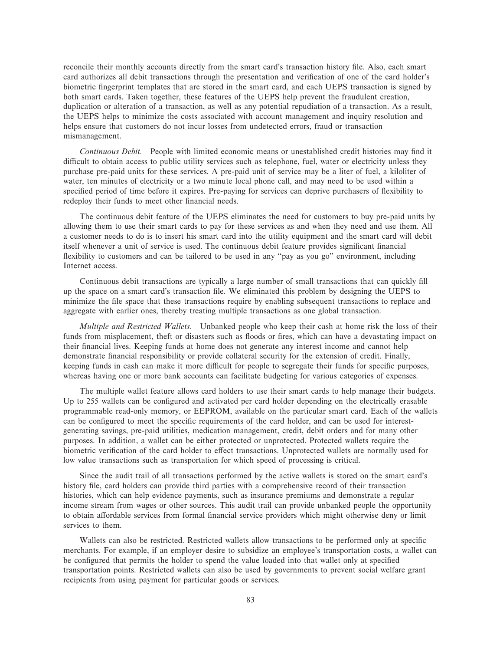reconcile their monthly accounts directly from the smart card's transaction history file. Also, each smart card authorizes all debit transactions through the presentation and verification of one of the card holder's biometric fingerprint templates that are stored in the smart card, and each UEPS transaction is signed by both smart cards. Taken together, these features of the UEPS help prevent the fraudulent creation, duplication or alteration of a transaction, as well as any potential repudiation of a transaction. As a result, the UEPS helps to minimize the costs associated with account management and inquiry resolution and helps ensure that customers do not incur losses from undetected errors, fraud or transaction mismanagement.

*Continuous Debit.* People with limited economic means or unestablished credit histories may find it difficult to obtain access to public utility services such as telephone, fuel, water or electricity unless they purchase pre-paid units for these services. A pre-paid unit of service may be a liter of fuel, a kiloliter of water, ten minutes of electricity or a two minute local phone call, and may need to be used within a specified period of time before it expires. Pre-paying for services can deprive purchasers of flexibility to redeploy their funds to meet other financial needs.

The continuous debit feature of the UEPS eliminates the need for customers to buy pre-paid units by allowing them to use their smart cards to pay for these services as and when they need and use them. All a customer needs to do is to insert his smart card into the utility equipment and the smart card will debit itself whenever a unit of service is used. The continuous debit feature provides significant financial flexibility to customers and can be tailored to be used in any "pay as you go" environment, including Internet access.

Continuous debit transactions are typically a large number of small transactions that can quickly Ñll up the space on a smart card's transaction Ñle. We eliminated this problem by designing the UEPS to minimize the file space that these transactions require by enabling subsequent transactions to replace and aggregate with earlier ones, thereby treating multiple transactions as one global transaction.

*Multiple and Restricted Wallets.* Unbanked people who keep their cash at home risk the loss of their funds from misplacement, theft or disasters such as floods or fires, which can have a devastating impact on their financial lives. Keeping funds at home does not generate any interest income and cannot help demonstrate financial responsibility or provide collateral security for the extension of credit. Finally, keeping funds in cash can make it more difficult for people to segregate their funds for specific purposes, whereas having one or more bank accounts can facilitate budgeting for various categories of expenses.

The multiple wallet feature allows card holders to use their smart cards to help manage their budgets. Up to 255 wallets can be configured and activated per card holder depending on the electrically erasable programmable read-only memory, or EEPROM, available on the particular smart card. Each of the wallets can be configured to meet the specific requirements of the card holder, and can be used for interestgenerating savings, pre-paid utilities, medication management, credit, debit orders and for many other purposes. In addition, a wallet can be either protected or unprotected. Protected wallets require the biometric verification of the card holder to effect transactions. Unprotected wallets are normally used for low value transactions such as transportation for which speed of processing is critical.

Since the audit trail of all transactions performed by the active wallets is stored on the smart card's history file, card holders can provide third parties with a comprehensive record of their transaction histories, which can help evidence payments, such as insurance premiums and demonstrate a regular income stream from wages or other sources. This audit trail can provide unbanked people the opportunity to obtain affordable services from formal financial service providers which might otherwise deny or limit services to them.

Wallets can also be restricted. Restricted wallets allow transactions to be performed only at specific merchants. For example, if an employer desire to subsidize an employee's transportation costs, a wallet can be configured that permits the holder to spend the value loaded into that wallet only at specified transportation points. Restricted wallets can also be used by governments to prevent social welfare grant recipients from using payment for particular goods or services.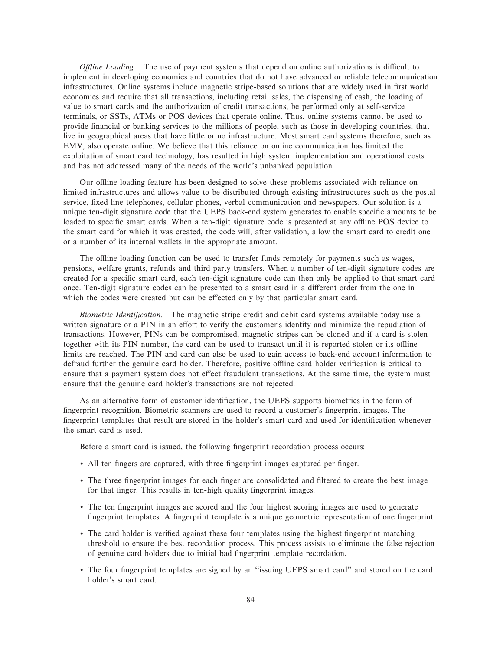*Offline Loading.* The use of payment systems that depend on online authorizations is difficult to implement in developing economies and countries that do not have advanced or reliable telecommunication infrastructures. Online systems include magnetic stripe-based solutions that are widely used in first world economies and require that all transactions, including retail sales, the dispensing of cash, the loading of value to smart cards and the authorization of credit transactions, be performed only at self-service terminals, or SSTs, ATMs or POS devices that operate online. Thus, online systems cannot be used to provide financial or banking services to the millions of people, such as those in developing countries, that live in geographical areas that have little or no infrastructure. Most smart card systems therefore, such as EMV, also operate online. We believe that this reliance on online communication has limited the exploitation of smart card technology, has resulted in high system implementation and operational costs and has not addressed many of the needs of the world's unbanked population.

Our offline loading feature has been designed to solve these problems associated with reliance on limited infrastructures and allows value to be distributed through existing infrastructures such as the postal service, fixed line telephones, cellular phones, verbal communication and newspapers. Our solution is a unique ten-digit signature code that the UEPS back-end system generates to enable specific amounts to be loaded to specific smart cards. When a ten-digit signature code is presented at any offline POS device to the smart card for which it was created, the code will, after validation, allow the smart card to credit one or a number of its internal wallets in the appropriate amount.

The offline loading function can be used to transfer funds remotely for payments such as wages, pensions, welfare grants, refunds and third party transfers. When a number of ten-digit signature codes are created for a specific smart card, each ten-digit signature code can then only be applied to that smart card once. Ten-digit signature codes can be presented to a smart card in a different order from the one in which the codes were created but can be effected only by that particular smart card.

*Biometric Identification.* The magnetic stripe credit and debit card systems available today use a written signature or a PIN in an effort to verify the customer's identity and minimize the repudiation of transactions. However, PINs can be compromised, magnetic stripes can be cloned and if a card is stolen together with its PIN number, the card can be used to transact until it is reported stolen or its offline limits are reached. The PIN and card can also be used to gain access to back-end account information to defraud further the genuine card holder. Therefore, positive offline card holder verification is critical to ensure that a payment system does not effect fraudulent transactions. At the same time, the system must ensure that the genuine card holder's transactions are not rejected.

As an alternative form of customer identification, the UEPS supports biometrics in the form of fingerprint recognition. Biometric scanners are used to record a customer's fingerprint images. The fingerprint templates that result are stored in the holder's smart card and used for identification whenever the smart card is used.

Before a smart card is issued, the following fingerprint recordation process occurs:

- All ten fingers are captured, with three fingerprint images captured per finger.
- The three fingerprint images for each finger are consolidated and filtered to create the best image for that finger. This results in ten-high quality fingerprint images.
- The ten fingerprint images are scored and the four highest scoring images are used to generate fingerprint templates. A fingerprint template is a unique geometric representation of one fingerprint.
- The card holder is verified against these four templates using the highest fingerprint matching threshold to ensure the best recordation process. This process assists to eliminate the false rejection of genuine card holders due to initial bad Ñngerprint template recordation.
- The four fingerprint templates are signed by an "issuing UEPS smart card" and stored on the card holder's smart card.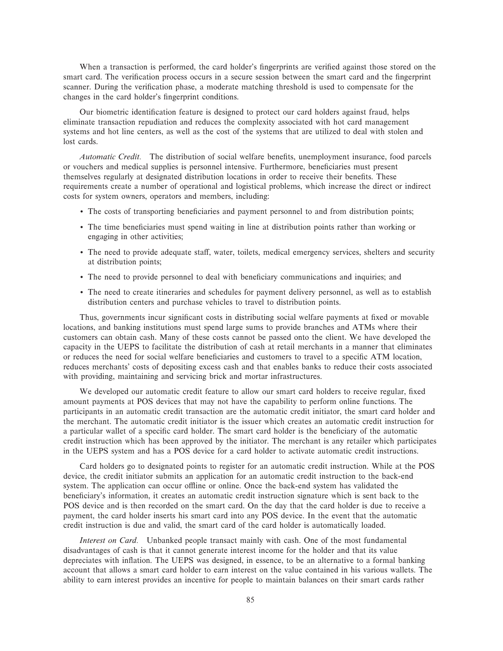When a transaction is performed, the card holder's fingerprints are verified against those stored on the smart card. The verification process occurs in a secure session between the smart card and the fingerprint scanner. During the verification phase, a moderate matching threshold is used to compensate for the changes in the card holder's fingerprint conditions.

Our biometric identification feature is designed to protect our card holders against fraud, helps eliminate transaction repudiation and reduces the complexity associated with hot card management systems and hot line centers, as well as the cost of the systems that are utilized to deal with stolen and lost cards.

*Automatic Credit.* The distribution of social welfare benefits, unemployment insurance, food parcels or vouchers and medical supplies is personnel intensive. Furthermore, beneficiaries must present themselves regularly at designated distribution locations in order to receive their benefits. These requirements create a number of operational and logistical problems, which increase the direct or indirect costs for system owners, operators and members, including:

- The costs of transporting beneficiaries and payment personnel to and from distribution points;
- The time beneficiaries must spend waiting in line at distribution points rather than working or engaging in other activities;
- The need to provide adequate staff, water, toilets, medical emergency services, shelters and security at distribution points;
- The need to provide personnel to deal with beneficiary communications and inquiries; and
- ' The need to create itineraries and schedules for payment delivery personnel, as well as to establish distribution centers and purchase vehicles to travel to distribution points.

Thus, governments incur significant costs in distributing social welfare payments at fixed or movable locations, and banking institutions must spend large sums to provide branches and ATMs where their customers can obtain cash. Many of these costs cannot be passed onto the client. We have developed the capacity in the UEPS to facilitate the distribution of cash at retail merchants in a manner that eliminates or reduces the need for social welfare beneficiaries and customers to travel to a specific ATM location, reduces merchants' costs of depositing excess cash and that enables banks to reduce their costs associated with providing, maintaining and servicing brick and mortar infrastructures.

We developed our automatic credit feature to allow our smart card holders to receive regular, fixed amount payments at POS devices that may not have the capability to perform online functions. The participants in an automatic credit transaction are the automatic credit initiator, the smart card holder and the merchant. The automatic credit initiator is the issuer which creates an automatic credit instruction for a particular wallet of a specific card holder. The smart card holder is the beneficiary of the automatic credit instruction which has been approved by the initiator. The merchant is any retailer which participates in the UEPS system and has a POS device for a card holder to activate automatic credit instructions.

Card holders go to designated points to register for an automatic credit instruction. While at the POS device, the credit initiator submits an application for an automatic credit instruction to the back-end system. The application can occur offline or online. Once the back-end system has validated the beneficiary's information, it creates an automatic credit instruction signature which is sent back to the POS device and is then recorded on the smart card. On the day that the card holder is due to receive a payment, the card holder inserts his smart card into any POS device. In the event that the automatic credit instruction is due and valid, the smart card of the card holder is automatically loaded.

*Interest on Card.* Unbanked people transact mainly with cash. One of the most fundamental disadvantages of cash is that it cannot generate interest income for the holder and that its value depreciates with inflation. The UEPS was designed, in essence, to be an alternative to a formal banking account that allows a smart card holder to earn interest on the value contained in his various wallets. The ability to earn interest provides an incentive for people to maintain balances on their smart cards rather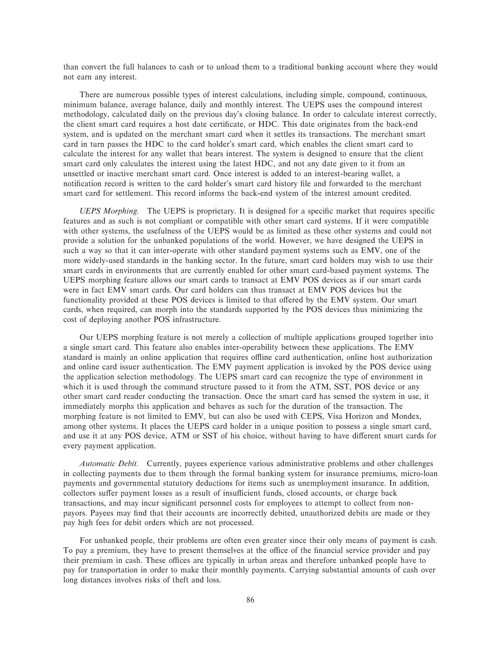than convert the full balances to cash or to unload them to a traditional banking account where they would not earn any interest.

There are numerous possible types of interest calculations, including simple, compound, continuous, minimum balance, average balance, daily and monthly interest. The UEPS uses the compound interest methodology, calculated daily on the previous day's closing balance. In order to calculate interest correctly, the client smart card requires a host date certificate, or HDC. This date originates from the back-end system, and is updated on the merchant smart card when it settles its transactions. The merchant smart card in turn passes the HDC to the card holder's smart card, which enables the client smart card to calculate the interest for any wallet that bears interest. The system is designed to ensure that the client smart card only calculates the interest using the latest HDC, and not any date given to it from an unsettled or inactive merchant smart card. Once interest is added to an interest-bearing wallet, a notification record is written to the card holder's smart card history file and forwarded to the merchant smart card for settlement. This record informs the back-end system of the interest amount credited.

*UEPS Morphing.* The UEPS is proprietary. It is designed for a specific market that requires specific features and as such is not compliant or compatible with other smart card systems. If it were compatible with other systems, the usefulness of the UEPS would be as limited as these other systems and could not provide a solution for the unbanked populations of the world. However, we have designed the UEPS in such a way so that it can inter-operate with other standard payment systems such as EMV, one of the more widely-used standards in the banking sector. In the future, smart card holders may wish to use their smart cards in environments that are currently enabled for other smart card-based payment systems. The UEPS morphing feature allows our smart cards to transact at EMV POS devices as if our smart cards were in fact EMV smart cards. Our card holders can thus transact at EMV POS devices but the functionality provided at these POS devices is limited to that offered by the EMV system. Our smart cards, when required, can morph into the standards supported by the POS devices thus minimizing the cost of deploying another POS infrastructure.

Our UEPS morphing feature is not merely a collection of multiple applications grouped together into a single smart card. This feature also enables inter-operability between these applications. The EMV standard is mainly an online application that requires offline card authentication, online host authorization and online card issuer authentication. The EMV payment application is invoked by the POS device using the application selection methodology. The UEPS smart card can recognize the type of environment in which it is used through the command structure passed to it from the ATM, SST, POS device or any other smart card reader conducting the transaction. Once the smart card has sensed the system in use, it immediately morphs this application and behaves as such for the duration of the transaction. The morphing feature is not limited to EMV, but can also be used with CEPS, Visa Horizon and Mondex, among other systems. It places the UEPS card holder in a unique position to possess a single smart card, and use it at any POS device, ATM or SST of his choice, without having to have different smart cards for every payment application.

*Automatic Debit.* Currently, payees experience various administrative problems and other challenges in collecting payments due to them through the formal banking system for insurance premiums, micro-loan payments and governmental statutory deductions for items such as unemployment insurance. In addition, collectors suffer payment losses as a result of insufficient funds, closed accounts, or charge back transactions, and may incur significant personnel costs for employees to attempt to collect from nonpayors. Payees may find that their accounts are incorrectly debited, unauthorized debits are made or they pay high fees for debit orders which are not processed.

For unbanked people, their problems are often even greater since their only means of payment is cash. To pay a premium, they have to present themselves at the office of the financial service provider and pay their premium in cash. These offices are typically in urban areas and therefore unbanked people have to pay for transportation in order to make their monthly payments. Carrying substantial amounts of cash over long distances involves risks of theft and loss.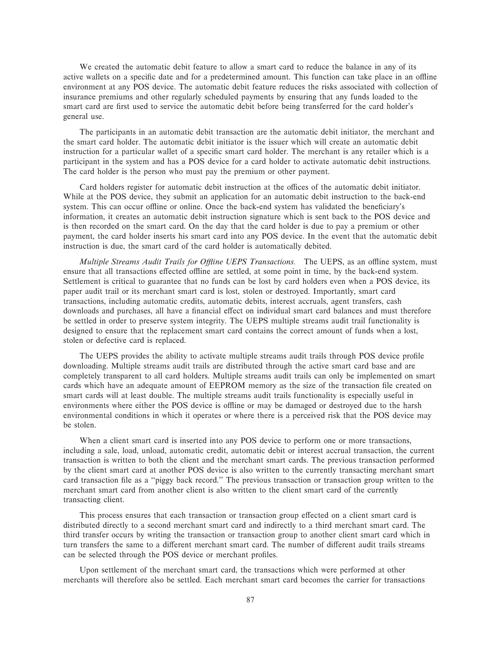We created the automatic debit feature to allow a smart card to reduce the balance in any of its active wallets on a specific date and for a predetermined amount. This function can take place in an offline environment at any POS device. The automatic debit feature reduces the risks associated with collection of insurance premiums and other regularly scheduled payments by ensuring that any funds loaded to the smart card are first used to service the automatic debit before being transferred for the card holder's general use.

The participants in an automatic debit transaction are the automatic debit initiator, the merchant and the smart card holder. The automatic debit initiator is the issuer which will create an automatic debit instruction for a particular wallet of a specific smart card holder. The merchant is any retailer which is a participant in the system and has a POS device for a card holder to activate automatic debit instructions. The card holder is the person who must pay the premium or other payment.

Card holders register for automatic debit instruction at the offices of the automatic debit initiator. While at the POS device, they submit an application for an automatic debit instruction to the back-end system. This can occur offline or online. Once the back-end system has validated the beneficiary's information, it creates an automatic debit instruction signature which is sent back to the POS device and is then recorded on the smart card. On the day that the card holder is due to pay a premium or other payment, the card holder inserts his smart card into any POS device. In the event that the automatic debit instruction is due, the smart card of the card holder is automatically debited.

*Multiple Streams Audit Trails for Offline UEPS Transactions.* The UEPS, as an offline system, must ensure that all transactions effected offline are settled, at some point in time, by the back-end system. Settlement is critical to guarantee that no funds can be lost by card holders even when a POS device, its paper audit trail or its merchant smart card is lost, stolen or destroyed. Importantly, smart card transactions, including automatic credits, automatic debits, interest accruals, agent transfers, cash downloads and purchases, all have a financial effect on individual smart card balances and must therefore be settled in order to preserve system integrity. The UEPS multiple streams audit trail functionality is designed to ensure that the replacement smart card contains the correct amount of funds when a lost, stolen or defective card is replaced.

The UEPS provides the ability to activate multiple streams audit trails through POS device profile downloading. Multiple streams audit trails are distributed through the active smart card base and are completely transparent to all card holders. Multiple streams audit trails can only be implemented on smart cards which have an adequate amount of EEPROM memory as the size of the transaction file created on smart cards will at least double. The multiple streams audit trails functionality is especially useful in environments where either the POS device is offline or may be damaged or destroyed due to the harsh environmental conditions in which it operates or where there is a perceived risk that the POS device may be stolen.

When a client smart card is inserted into any POS device to perform one or more transactions, including a sale, load, unload, automatic credit, automatic debit or interest accrual transaction, the current transaction is written to both the client and the merchant smart cards. The previous transaction performed by the client smart card at another POS device is also written to the currently transacting merchant smart card transaction file as a "piggy back record." The previous transaction or transaction group written to the merchant smart card from another client is also written to the client smart card of the currently transacting client.

This process ensures that each transaction or transaction group effected on a client smart card is distributed directly to a second merchant smart card and indirectly to a third merchant smart card. The third transfer occurs by writing the transaction or transaction group to another client smart card which in turn transfers the same to a different merchant smart card. The number of different audit trails streams can be selected through the POS device or merchant profiles.

Upon settlement of the merchant smart card, the transactions which were performed at other merchants will therefore also be settled. Each merchant smart card becomes the carrier for transactions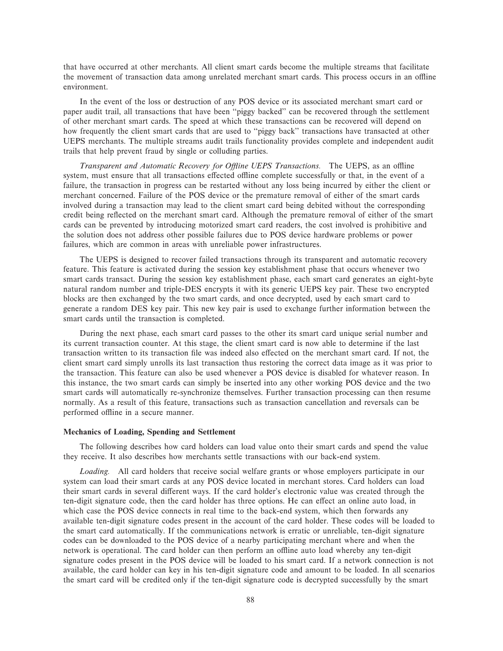that have occurred at other merchants. All client smart cards become the multiple streams that facilitate the movement of transaction data among unrelated merchant smart cards. This process occurs in an offline environment.

In the event of the loss or destruction of any POS device or its associated merchant smart card or paper audit trail, all transactions that have been "piggy backed" can be recovered through the settlement of other merchant smart cards. The speed at which these transactions can be recovered will depend on how frequently the client smart cards that are used to "piggy back" transactions have transacted at other UEPS merchants. The multiple streams audit trails functionality provides complete and independent audit trails that help prevent fraud by single or colluding parties.

*Transparent and Automatic Recovery for Offline UEPS Transactions.* The UEPS, as an offline system, must ensure that all transactions effected offline complete successfully or that, in the event of a failure, the transaction in progress can be restarted without any loss being incurred by either the client or merchant concerned. Failure of the POS device or the premature removal of either of the smart cards involved during a transaction may lead to the client smart card being debited without the corresponding credit being reÖected on the merchant smart card. Although the premature removal of either of the smart cards can be prevented by introducing motorized smart card readers, the cost involved is prohibitive and the solution does not address other possible failures due to POS device hardware problems or power failures, which are common in areas with unreliable power infrastructures.

The UEPS is designed to recover failed transactions through its transparent and automatic recovery feature. This feature is activated during the session key establishment phase that occurs whenever two smart cards transact. During the session key establishment phase, each smart card generates an eight-byte natural random number and triple-DES encrypts it with its generic UEPS key pair. These two encrypted blocks are then exchanged by the two smart cards, and once decrypted, used by each smart card to generate a random DES key pair. This new key pair is used to exchange further information between the smart cards until the transaction is completed.

During the next phase, each smart card passes to the other its smart card unique serial number and its current transaction counter. At this stage, the client smart card is now able to determine if the last transaction written to its transaction file was indeed also effected on the merchant smart card. If not, the client smart card simply unrolls its last transaction thus restoring the correct data image as it was prior to the transaction. This feature can also be used whenever a POS device is disabled for whatever reason. In this instance, the two smart cards can simply be inserted into any other working POS device and the two smart cards will automatically re-synchronize themselves. Further transaction processing can then resume normally. As a result of this feature, transactions such as transaction cancellation and reversals can be performed offline in a secure manner.

### **Mechanics of Loading, Spending and Settlement**

The following describes how card holders can load value onto their smart cards and spend the value they receive. It also describes how merchants settle transactions with our back-end system.

*Loading.* All card holders that receive social welfare grants or whose employers participate in our system can load their smart cards at any POS device located in merchant stores. Card holders can load their smart cards in several different ways. If the card holder's electronic value was created through the ten-digit signature code, then the card holder has three options. He can effect an online auto load, in which case the POS device connects in real time to the back-end system, which then forwards any available ten-digit signature codes present in the account of the card holder. These codes will be loaded to the smart card automatically. If the communications network is erratic or unreliable, ten-digit signature codes can be downloaded to the POS device of a nearby participating merchant where and when the network is operational. The card holder can then perform an offline auto load whereby any ten-digit signature codes present in the POS device will be loaded to his smart card. If a network connection is not available, the card holder can key in his ten-digit signature code and amount to be loaded. In all scenarios the smart card will be credited only if the ten-digit signature code is decrypted successfully by the smart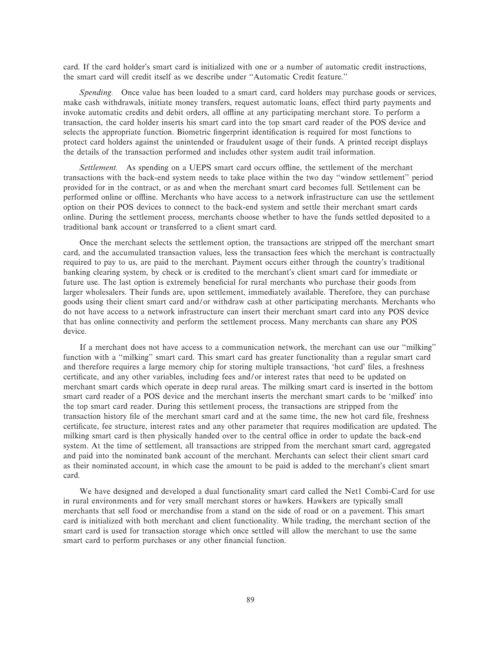card. If the card holder's smart card is initialized with one or a number of automatic credit instructions, the smart card will credit itself as we describe under ""Automatic Credit feature.''

*Spending.* Once value has been loaded to a smart card, card holders may purchase goods or services, make cash withdrawals, initiate money transfers, request automatic loans, effect third party payments and invoke automatic credits and debit orders, all offline at any participating merchant store. To perform a transaction, the card holder inserts his smart card into the top smart card reader of the POS device and selects the appropriate function. Biometric fingerprint identification is required for most functions to protect card holders against the unintended or fraudulent usage of their funds. A printed receipt displays the details of the transaction performed and includes other system audit trail information.

Settlement. As spending on a UEPS smart card occurs offline, the settlement of the merchant transactions with the back-end system needs to take place within the two day ""window settlement'' period provided for in the contract, or as and when the merchant smart card becomes full. Settlement can be performed online or offline. Merchants who have access to a network infrastructure can use the settlement option on their POS devices to connect to the back-end system and settle their merchant smart cards online. During the settlement process, merchants choose whether to have the funds settled deposited to a traditional bank account or transferred to a client smart card.

Once the merchant selects the settlement option, the transactions are stripped off the merchant smart card, and the accumulated transaction values, less the transaction fees which the merchant is contractually required to pay to us, are paid to the merchant. Payment occurs either through the country's traditional banking clearing system, by check or is credited to the merchant's client smart card for immediate or future use. The last option is extremely beneficial for rural merchants who purchase their goods from larger wholesalers. Their funds are, upon settlement, immediately available. Therefore, they can purchase goods using their client smart card and/or withdraw cash at other participating merchants. Merchants who do not have access to a network infrastructure can insert their merchant smart card into any POS device that has online connectivity and perform the settlement process. Many merchants can share any POS device.

If a merchant does not have access to a communication network, the merchant can use our ""milking'' function with a "milking" smart card. This smart card has greater functionality than a regular smart card and therefore requires a large memory chip for storing multiple transactions, "hot card' Ñles, a freshness certificate, and any other variables, including fees and/or interest rates that need to be updated on merchant smart cards which operate in deep rural areas. The milking smart card is inserted in the bottom smart card reader of a POS device and the merchant inserts the merchant smart cards to be "milked' into the top smart card reader. During this settlement process, the transactions are stripped from the transaction history file of the merchant smart card and at the same time, the new hot card file, freshness certificate, fee structure, interest rates and any other parameter that requires modification are updated. The milking smart card is then physically handed over to the central office in order to update the back-end system. At the time of settlement, all transactions are stripped from the merchant smart card, aggregated and paid into the nominated bank account of the merchant. Merchants can select their client smart card as their nominated account, in which case the amount to be paid is added to the merchant's client smart card.

We have designed and developed a dual functionality smart card called the Net1 Combi-Card for use in rural environments and for very small merchant stores or hawkers. Hawkers are typically small merchants that sell food or merchandise from a stand on the side of road or on a pavement. This smart card is initialized with both merchant and client functionality. While trading, the merchant section of the smart card is used for transaction storage which once settled will allow the merchant to use the same smart card to perform purchases or any other financial function.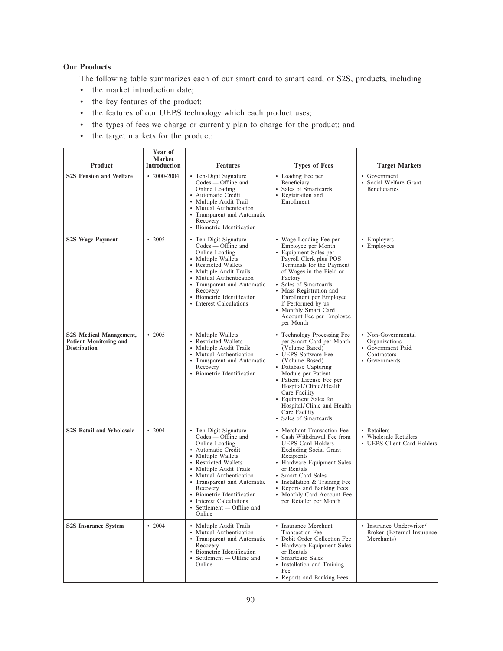# **Our Products**

The following table summarizes each of our smart card to smart card, or S2S, products, including

- ' the market introduction date;
- ' the key features of the product;
- ' the features of our UEPS technology which each product uses;
- ' the types of fees we charge or currently plan to charge for the product; and
- ' the target markets for the product:

| Product                                                                         | Year of<br><b>Market</b><br>Introduction | <b>Features</b>                                                                                                                                                                                                                                                                                                                                      | <b>Types of Fees</b>                                                                                                                                                                                                                                                                                                                      | <b>Target Markets</b>                                                                  |
|---------------------------------------------------------------------------------|------------------------------------------|------------------------------------------------------------------------------------------------------------------------------------------------------------------------------------------------------------------------------------------------------------------------------------------------------------------------------------------------------|-------------------------------------------------------------------------------------------------------------------------------------------------------------------------------------------------------------------------------------------------------------------------------------------------------------------------------------------|----------------------------------------------------------------------------------------|
| <b>S2S Pension and Welfare</b>                                                  | $\cdot$ 2000-2004                        | • Ten-Digit Signature<br>Codes — Offline and<br>Online Loading<br>• Automatic Credit<br>• Multiple Audit Trail<br>• Mutual Authentication<br>• Transparent and Automatic<br>Recovery<br>• Biometric Identification                                                                                                                                   | • Loading Fee per<br>Beneficiary<br>• Sales of Smartcards<br>• Registration and<br>Enrollment                                                                                                                                                                                                                                             | • Government<br>• Social Welfare Grant<br><b>Beneficiaries</b>                         |
| <b>S2S Wage Payment</b>                                                         | $\cdot$ 2005                             | • Ten-Digit Signature<br>$\text{Codes}$ — Offline and<br>Online Loading<br>• Multiple Wallets<br>• Restricted Wallets<br>• Multiple Audit Trails<br>• Mutual Authentication<br>• Transparent and Automatic<br>Recovery<br>• Biometric Identification<br>• Interest Calculations                                                                      | • Wage Loading Fee per<br>Employee per Month<br>• Equipment Sales per<br>Payroll Clerk plus POS<br>Terminals for the Payment<br>of Wages in the Field or<br>Factory<br>• Sales of Smartcards<br>• Mass Registration and<br>Enrollment per Employee<br>if Performed by us<br>• Monthly Smart Card<br>Account Fee per Employee<br>per Month | • Employers<br>• Employees                                                             |
| S2S Medical Management,<br><b>Patient Monitoring and</b><br><b>Distribution</b> | $\cdot$ 2005                             | • Multiple Wallets<br>• Restricted Wallets<br>• Multiple Audit Trails<br>• Mutual Authentication<br>• Transparent and Automatic<br>Recovery<br>• Biometric Identification                                                                                                                                                                            | • Technology Processing Fee<br>per Smart Card per Month<br>(Volume Based)<br>• UEPS Software Fee<br>(Volume Based)<br>• Database Capturing<br>Module per Patient<br>• Patient License Fee per<br>Hospital/Clinic/Health<br>Care Facility<br>• Equipment Sales for<br>Hospital/Clinic and Health<br>Care Facility<br>• Sales of Smartcards | • Non-Governmental<br>Organizations<br>• Government Paid<br>Contractors<br>Governments |
| <b>S2S Retail and Wholesale</b>                                                 | $\cdot$ 2004                             | • Ten-Digit Signature<br>$\text{Codes} - \text{Offline}$ and<br>Online Loading<br>• Automatic Credit<br>• Multiple Wallets<br>• Restricted Wallets<br>• Multiple Audit Trails<br>• Mutual Authentication<br>• Transparent and Automatic<br>Recovery<br>• Biometric Identification<br>• Interest Calculations<br>• Settlement — Offline and<br>Online | • Merchant Transaction Fee<br>• Cash Withdrawal Fee from<br><b>UEPS Card Holders</b><br><b>Excluding Social Grant</b><br>Recipients<br>• Hardware Equipment Sales<br>or Rentals<br>• Smart Card Sales<br>• Installation & Training Fee<br>• Reports and Banking Fees<br>• Monthly Card Account Fee<br>per Retailer per Month              | • Retailers<br>• Wholesale Retailers<br>• UEPS Client Card Holders                     |
| <b>S2S Insurance System</b>                                                     | $\cdot$ 2004                             | • Multiple Audit Trails<br>• Mutual Authentication<br>• Transparent and Automatic<br>Recovery<br>· Biometric Identification<br>Settlement — Offline and<br>$\bullet$<br>Online                                                                                                                                                                       | • Insurance Merchant<br><b>Transaction Fee</b><br>• Debit Order Collection Fee<br>• Hardware Equipment Sales<br>or Rentals<br>• Smartcard Sales<br>• Installation and Training<br>Fee<br>• Reports and Banking Fees                                                                                                                       | • Insurance Underwriter/<br>Broker (External Insurance)<br>Merchants)                  |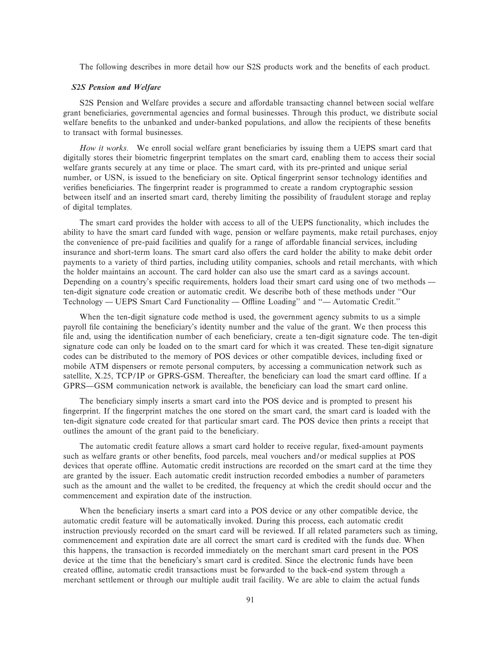The following describes in more detail how our S2S products work and the benefits of each product.

### *S2S Pension and Welfare*

S2S Pension and Welfare provides a secure and affordable transacting channel between social welfare grant beneficiaries, governmental agencies and formal businesses. Through this product, we distribute social welfare benefits to the unbanked and under-banked populations, and allow the recipients of these benefits to transact with formal businesses.

*How it works.* We enroll social welfare grant beneficiaries by issuing them a UEPS smart card that digitally stores their biometric fingerprint templates on the smart card, enabling them to access their social welfare grants securely at any time or place. The smart card, with its pre-printed and unique serial number, or USN, is issued to the beneficiary on site. Optical fingerprint sensor technology identifies and verifies beneficiaries. The fingerprint reader is programmed to create a random cryptographic session between itself and an inserted smart card, thereby limiting the possibility of fraudulent storage and replay of digital templates.

The smart card provides the holder with access to all of the UEPS functionality, which includes the ability to have the smart card funded with wage, pension or welfare payments, make retail purchases, enjoy the convenience of pre-paid facilities and qualify for a range of affordable financial services, including insurance and short-term loans. The smart card also offers the card holder the ability to make debit order payments to a variety of third parties, including utility companies, schools and retail merchants, with which the holder maintains an account. The card holder can also use the smart card as a savings account. Depending on a country's specific requirements, holders load their smart card using one of two methods ten-digit signature code creation or automatic credit. We describe both of these methods under ""Our Technology — UEPS Smart Card Functionality — Offline Loading" and "— Automatic Credit."

When the ten-digit signature code method is used, the government agency submits to us a simple payroll file containing the beneficiary's identity number and the value of the grant. We then process this file and, using the identification number of each beneficiary, create a ten-digit signature code. The ten-digit signature code can only be loaded on to the smart card for which it was created. These ten-digit signature codes can be distributed to the memory of POS devices or other compatible devices, including fixed or mobile ATM dispensers or remote personal computers, by accessing a communication network such as satellite, X.25, TCP/IP or GPRS-GSM. Thereafter, the beneficiary can load the smart card offline. If a GPRS—GSM communication network is available, the beneficiary can load the smart card online.

The beneficiary simply inserts a smart card into the POS device and is prompted to present his fingerprint. If the fingerprint matches the one stored on the smart card, the smart card is loaded with the ten-digit signature code created for that particular smart card. The POS device then prints a receipt that outlines the amount of the grant paid to the beneficiary.

The automatic credit feature allows a smart card holder to receive regular, fixed-amount payments such as welfare grants or other benefits, food parcels, meal vouchers and/or medical supplies at POS devices that operate offline. Automatic credit instructions are recorded on the smart card at the time they are granted by the issuer. Each automatic credit instruction recorded embodies a number of parameters such as the amount and the wallet to be credited, the frequency at which the credit should occur and the commencement and expiration date of the instruction.

When the beneficiary inserts a smart card into a POS device or any other compatible device, the automatic credit feature will be automatically invoked. During this process, each automatic credit instruction previously recorded on the smart card will be reviewed. If all related parameters such as timing, commencement and expiration date are all correct the smart card is credited with the funds due. When this happens, the transaction is recorded immediately on the merchant smart card present in the POS device at the time that the beneficiary's smart card is credited. Since the electronic funds have been created offline, automatic credit transactions must be forwarded to the back-end system through a merchant settlement or through our multiple audit trail facility. We are able to claim the actual funds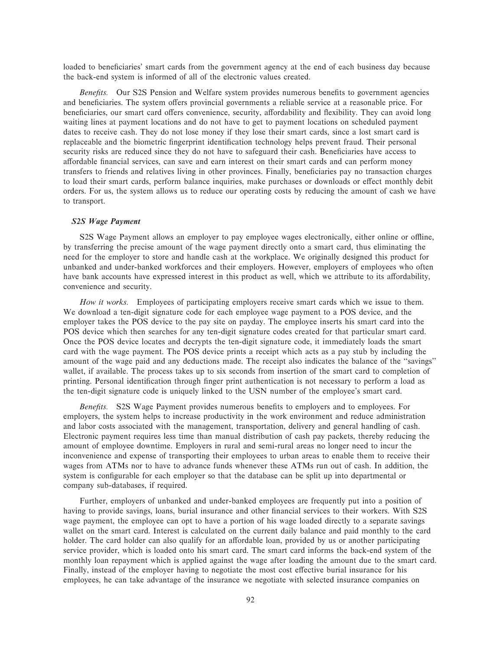loaded to beneficiaries' smart cards from the government agency at the end of each business day because the back-end system is informed of all of the electronic values created.

*Benefits.* Our S2S Pension and Welfare system provides numerous benefits to government agencies and beneficiaries. The system offers provincial governments a reliable service at a reasonable price. For beneficiaries, our smart card offers convenience, security, affordability and flexibility. They can avoid long waiting lines at payment locations and do not have to get to payment locations on scheduled payment dates to receive cash. They do not lose money if they lose their smart cards, since a lost smart card is replaceable and the biometric fingerprint identification technology helps prevent fraud. Their personal security risks are reduced since they do not have to safeguard their cash. Beneficiaries have access to affordable financial services, can save and earn interest on their smart cards and can perform money transfers to friends and relatives living in other provinces. Finally, beneficiaries pay no transaction charges to load their smart cards, perform balance inquiries, make purchases or downloads or effect monthly debit orders. For us, the system allows us to reduce our operating costs by reducing the amount of cash we have to transport.

# *S2S Wage Payment*

S2S Wage Payment allows an employer to pay employee wages electronically, either online or offline, by transferring the precise amount of the wage payment directly onto a smart card, thus eliminating the need for the employer to store and handle cash at the workplace. We originally designed this product for unbanked and under-banked workforces and their employers. However, employers of employees who often have bank accounts have expressed interest in this product as well, which we attribute to its affordability, convenience and security.

*How it works.* Employees of participating employers receive smart cards which we issue to them. We download a ten-digit signature code for each employee wage payment to a POS device, and the employer takes the POS device to the pay site on payday. The employee inserts his smart card into the POS device which then searches for any ten-digit signature codes created for that particular smart card. Once the POS device locates and decrypts the ten-digit signature code, it immediately loads the smart card with the wage payment. The POS device prints a receipt which acts as a pay stub by including the amount of the wage paid and any deductions made. The receipt also indicates the balance of the "savings" wallet, if available. The process takes up to six seconds from insertion of the smart card to completion of printing. Personal identification through finger print authentication is not necessary to perform a load as the ten-digit signature code is uniquely linked to the USN number of the employee's smart card.

*Benefits.* S2S Wage Payment provides numerous benefits to employers and to employees. For employers, the system helps to increase productivity in the work environment and reduce administration and labor costs associated with the management, transportation, delivery and general handling of cash. Electronic payment requires less time than manual distribution of cash pay packets, thereby reducing the amount of employee downtime. Employers in rural and semi-rural areas no longer need to incur the inconvenience and expense of transporting their employees to urban areas to enable them to receive their wages from ATMs nor to have to advance funds whenever these ATMs run out of cash. In addition, the system is configurable for each employer so that the database can be split up into departmental or company sub-databases, if required.

Further, employers of unbanked and under-banked employees are frequently put into a position of having to provide savings, loans, burial insurance and other financial services to their workers. With S2S wage payment, the employee can opt to have a portion of his wage loaded directly to a separate savings wallet on the smart card. Interest is calculated on the current daily balance and paid monthly to the card holder. The card holder can also qualify for an affordable loan, provided by us or another participating service provider, which is loaded onto his smart card. The smart card informs the back-end system of the monthly loan repayment which is applied against the wage after loading the amount due to the smart card. Finally, instead of the employer having to negotiate the most cost effective burial insurance for his employees, he can take advantage of the insurance we negotiate with selected insurance companies on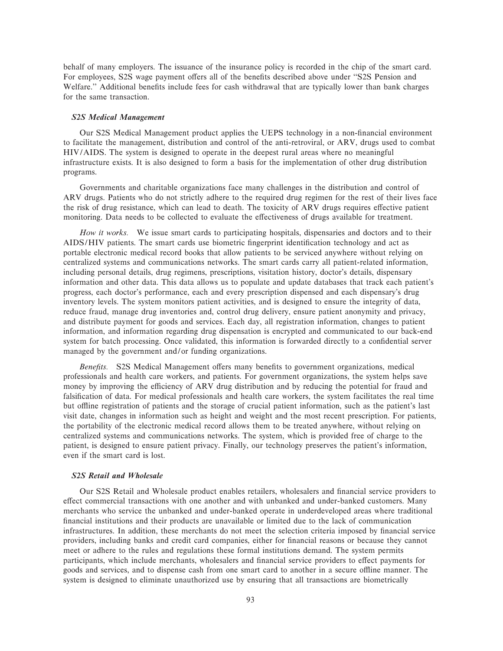behalf of many employers. The issuance of the insurance policy is recorded in the chip of the smart card. For employees, S2S wage payment offers all of the benefits described above under "S2S Pension and Welfare." Additional benefits include fees for cash withdrawal that are typically lower than bank charges for the same transaction.

## *S2S Medical Management*

Our S2S Medical Management product applies the UEPS technology in a non-financial environment to facilitate the management, distribution and control of the anti-retroviral, or ARV, drugs used to combat HIV/AIDS. The system is designed to operate in the deepest rural areas where no meaningful infrastructure exists. It is also designed to form a basis for the implementation of other drug distribution programs.

Governments and charitable organizations face many challenges in the distribution and control of ARV drugs. Patients who do not strictly adhere to the required drug regimen for the rest of their lives face the risk of drug resistance, which can lead to death. The toxicity of ARV drugs requires effective patient monitoring. Data needs to be collected to evaluate the effectiveness of drugs available for treatment.

*How it works.* We issue smart cards to participating hospitals, dispensaries and doctors and to their AIDS/HIV patients. The smart cards use biometric fingerprint identification technology and act as portable electronic medical record books that allow patients to be serviced anywhere without relying on centralized systems and communications networks. The smart cards carry all patient-related information, including personal details, drug regimens, prescriptions, visitation history, doctor's details, dispensary information and other data. This data allows us to populate and update databases that track each patient's progress, each doctor's performance, each and every prescription dispensed and each dispensary's drug inventory levels. The system monitors patient activities, and is designed to ensure the integrity of data, reduce fraud, manage drug inventories and, control drug delivery, ensure patient anonymity and privacy, and distribute payment for goods and services. Each day, all registration information, changes to patient information, and information regarding drug dispensation is encrypted and communicated to our back-end system for batch processing. Once validated, this information is forwarded directly to a confidential server managed by the government and/or funding organizations.

*Benefits.* S2S Medical Management offers many benefits to government organizations, medical professionals and health care workers, and patients. For government organizations, the system helps save money by improving the efficiency of ARV drug distribution and by reducing the potential for fraud and falsification of data. For medical professionals and health care workers, the system facilitates the real time but offline registration of patients and the storage of crucial patient information, such as the patient's last visit date, changes in information such as height and weight and the most recent prescription. For patients, the portability of the electronic medical record allows them to be treated anywhere, without relying on centralized systems and communications networks. The system, which is provided free of charge to the patient, is designed to ensure patient privacy. Finally, our technology preserves the patient's information, even if the smart card is lost.

# *S2S Retail and Wholesale*

Our S2S Retail and Wholesale product enables retailers, wholesalers and financial service providers to effect commercial transactions with one another and with unbanked and under-banked customers. Many merchants who service the unbanked and under-banked operate in underdeveloped areas where traditional financial institutions and their products are unavailable or limited due to the lack of communication infrastructures. In addition, these merchants do not meet the selection criteria imposed by financial service providers, including banks and credit card companies, either for financial reasons or because they cannot meet or adhere to the rules and regulations these formal institutions demand. The system permits participants, which include merchants, wholesalers and financial service providers to effect payments for goods and services, and to dispense cash from one smart card to another in a secure offline manner. The system is designed to eliminate unauthorized use by ensuring that all transactions are biometrically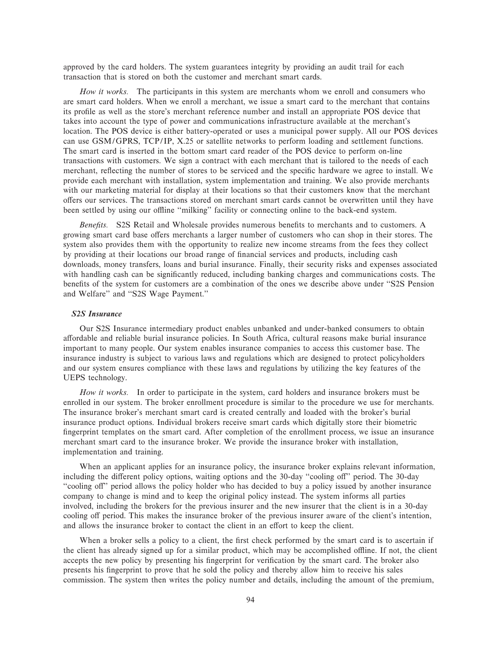approved by the card holders. The system guarantees integrity by providing an audit trail for each transaction that is stored on both the customer and merchant smart cards.

*How it works.* The participants in this system are merchants whom we enroll and consumers who are smart card holders. When we enroll a merchant, we issue a smart card to the merchant that contains its profile as well as the store's merchant reference number and install an appropriate POS device that takes into account the type of power and communications infrastructure available at the merchant's location. The POS device is either battery-operated or uses a municipal power supply. All our POS devices can use GSM/GPRS, TCP/IP, X.25 or satellite networks to perform loading and settlement functions. The smart card is inserted in the bottom smart card reader of the POS device to perform on-line transactions with customers. We sign a contract with each merchant that is tailored to the needs of each merchant, reflecting the number of stores to be serviced and the specific hardware we agree to install. We provide each merchant with installation, system implementation and training. We also provide merchants with our marketing material for display at their locations so that their customers know that the merchant offers our services. The transactions stored on merchant smart cards cannot be overwritten until they have been settled by using our offline "milking" facility or connecting online to the back-end system.

*Benefits.* S2S Retail and Wholesale provides numerous benefits to merchants and to customers. A growing smart card base offers merchants a larger number of customers who can shop in their stores. The system also provides them with the opportunity to realize new income streams from the fees they collect by providing at their locations our broad range of financial services and products, including cash downloads, money transfers, loans and burial insurance. Finally, their security risks and expenses associated with handling cash can be significantly reduced, including banking charges and communications costs. The benefits of the system for customers are a combination of the ones we describe above under "S2S Pension" and Welfare" and "S2S Wage Payment."

# *S2S Insurance*

Our S2S Insurance intermediary product enables unbanked and under-banked consumers to obtain affordable and reliable burial insurance policies. In South Africa, cultural reasons make burial insurance important to many people. Our system enables insurance companies to access this customer base. The insurance industry is subject to various laws and regulations which are designed to protect policyholders and our system ensures compliance with these laws and regulations by utilizing the key features of the UEPS technology.

*How it works.* In order to participate in the system, card holders and insurance brokers must be enrolled in our system. The broker enrollment procedure is similar to the procedure we use for merchants. The insurance broker's merchant smart card is created centrally and loaded with the broker's burial insurance product options. Individual brokers receive smart cards which digitally store their biometric fingerprint templates on the smart card. After completion of the enrollment process, we issue an insurance merchant smart card to the insurance broker. We provide the insurance broker with installation, implementation and training.

When an applicant applies for an insurance policy, the insurance broker explains relevant information, including the different policy options, waiting options and the 30-day "cooling off" period. The 30-day "cooling off" period allows the policy holder who has decided to buy a policy issued by another insurance company to change is mind and to keep the original policy instead. The system informs all parties involved, including the brokers for the previous insurer and the new insurer that the client is in a 30-day cooling off period. This makes the insurance broker of the previous insurer aware of the client's intention, and allows the insurance broker to contact the client in an effort to keep the client.

When a broker sells a policy to a client, the first check performed by the smart card is to ascertain if the client has already signed up for a similar product, which may be accomplished oÉine. If not, the client accepts the new policy by presenting his fingerprint for verification by the smart card. The broker also presents his fingerprint to prove that he sold the policy and thereby allow him to receive his sales commission. The system then writes the policy number and details, including the amount of the premium,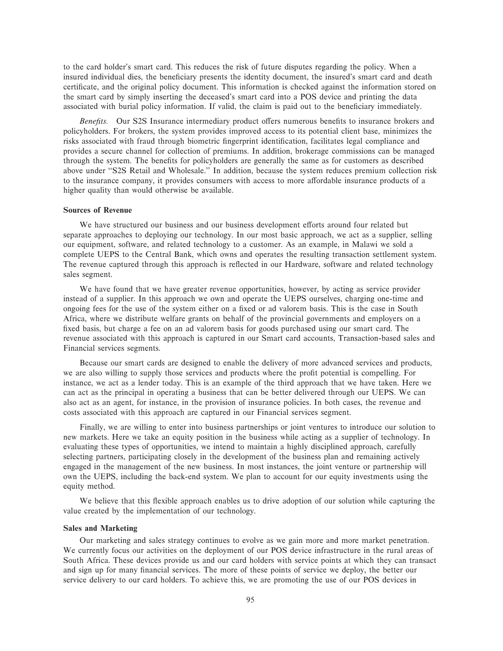to the card holder's smart card. This reduces the risk of future disputes regarding the policy. When a insured individual dies, the beneficiary presents the identity document, the insured's smart card and death certificate, and the original policy document. This information is checked against the information stored on the smart card by simply inserting the deceased's smart card into a POS device and printing the data associated with burial policy information. If valid, the claim is paid out to the beneficiary immediately.

*Benefits.* Our S2S Insurance intermediary product offers numerous benefits to insurance brokers and policyholders. For brokers, the system provides improved access to its potential client base, minimizes the risks associated with fraud through biometric fingerprint identification, facilitates legal compliance and provides a secure channel for collection of premiums. In addition, brokerage commissions can be managed through the system. The benefits for policyholders are generally the same as for customers as described above under ""S2S Retail and Wholesale.'' In addition, because the system reduces premium collection risk to the insurance company, it provides consumers with access to more affordable insurance products of a higher quality than would otherwise be available.

### **Sources of Revenue**

We have structured our business and our business development efforts around four related but separate approaches to deploying our technology. In our most basic approach, we act as a supplier, selling our equipment, software, and related technology to a customer. As an example, in Malawi we sold a complete UEPS to the Central Bank, which owns and operates the resulting transaction settlement system. The revenue captured through this approach is reflected in our Hardware, software and related technology sales segment.

We have found that we have greater revenue opportunities, however, by acting as service provider instead of a supplier. In this approach we own and operate the UEPS ourselves, charging one-time and ongoing fees for the use of the system either on a Ñxed or ad valorem basis. This is the case in South Africa, where we distribute welfare grants on behalf of the provincial governments and employers on a fixed basis, but charge a fee on an ad valorem basis for goods purchased using our smart card. The revenue associated with this approach is captured in our Smart card accounts, Transaction-based sales and Financial services segments.

Because our smart cards are designed to enable the delivery of more advanced services and products, we are also willing to supply those services and products where the profit potential is compelling. For instance, we act as a lender today. This is an example of the third approach that we have taken. Here we can act as the principal in operating a business that can be better delivered through our UEPS. We can also act as an agent, for instance, in the provision of insurance policies. In both cases, the revenue and costs associated with this approach are captured in our Financial services segment.

Finally, we are willing to enter into business partnerships or joint ventures to introduce our solution to new markets. Here we take an equity position in the business while acting as a supplier of technology. In evaluating these types of opportunities, we intend to maintain a highly disciplined approach, carefully selecting partners, participating closely in the development of the business plan and remaining actively engaged in the management of the new business. In most instances, the joint venture or partnership will own the UEPS, including the back-end system. We plan to account for our equity investments using the equity method.

We believe that this flexible approach enables us to drive adoption of our solution while capturing the value created by the implementation of our technology.

# **Sales and Marketing**

Our marketing and sales strategy continues to evolve as we gain more and more market penetration. We currently focus our activities on the deployment of our POS device infrastructure in the rural areas of South Africa. These devices provide us and our card holders with service points at which they can transact and sign up for many financial services. The more of these points of service we deploy, the better our service delivery to our card holders. To achieve this, we are promoting the use of our POS devices in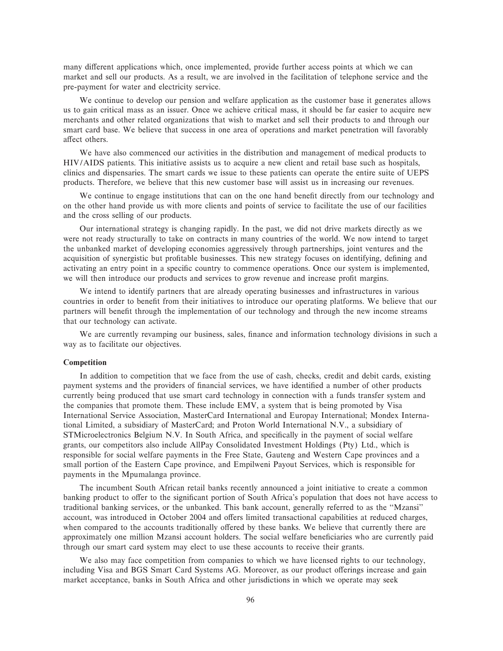many different applications which, once implemented, provide further access points at which we can market and sell our products. As a result, we are involved in the facilitation of telephone service and the pre-payment for water and electricity service.

We continue to develop our pension and welfare application as the customer base it generates allows us to gain critical mass as an issuer. Once we achieve critical mass, it should be far easier to acquire new merchants and other related organizations that wish to market and sell their products to and through our smart card base. We believe that success in one area of operations and market penetration will favorably affect others.

We have also commenced our activities in the distribution and management of medical products to HIV/AIDS patients. This initiative assists us to acquire a new client and retail base such as hospitals, clinics and dispensaries. The smart cards we issue to these patients can operate the entire suite of UEPS products. Therefore, we believe that this new customer base will assist us in increasing our revenues.

We continue to engage institutions that can on the one hand benefit directly from our technology and on the other hand provide us with more clients and points of service to facilitate the use of our facilities and the cross selling of our products.

Our international strategy is changing rapidly. In the past, we did not drive markets directly as we were not ready structurally to take on contracts in many countries of the world. We now intend to target the unbanked market of developing economies aggressively through partnerships, joint ventures and the acquisition of synergistic but profitable businesses. This new strategy focuses on identifying, defining and activating an entry point in a specific country to commence operations. Once our system is implemented, we will then introduce our products and services to grow revenue and increase profit margins.

We intend to identify partners that are already operating businesses and infrastructures in various countries in order to benefit from their initiatives to introduce our operating platforms. We believe that our partners will benefit through the implementation of our technology and through the new income streams that our technology can activate.

We are currently revamping our business, sales, finance and information technology divisions in such a way as to facilitate our objectives.

### **Competition**

In addition to competition that we face from the use of cash, checks, credit and debit cards, existing payment systems and the providers of financial services, we have identified a number of other products currently being produced that use smart card technology in connection with a funds transfer system and the companies that promote them. These include EMV, a system that is being promoted by Visa International Service Association, MasterCard International and Europay International; Mondex International Limited, a subsidiary of MasterCard; and Proton World International N.V., a subsidiary of STMicroelectronics Belgium N.V. In South Africa, and specifically in the payment of social welfare grants, our competitors also include AllPay Consolidated Investment Holdings (Pty) Ltd., which is responsible for social welfare payments in the Free State, Gauteng and Western Cape provinces and a small portion of the Eastern Cape province, and Empilweni Payout Services, which is responsible for payments in the Mpumalanga province.

The incumbent South African retail banks recently announced a joint initiative to create a common banking product to offer to the significant portion of South Africa's population that does not have access to traditional banking services, or the unbanked. This bank account, generally referred to as the ""Mzansi'' account, was introduced in October 2004 and offers limited transactional capabilities at reduced charges, when compared to the accounts traditionally offered by these banks. We believe that currently there are approximately one million Mzansi account holders. The social welfare beneficiaries who are currently paid through our smart card system may elect to use these accounts to receive their grants.

We also may face competition from companies to which we have licensed rights to our technology, including Visa and BGS Smart Card Systems AG. Moreover, as our product offerings increase and gain market acceptance, banks in South Africa and other jurisdictions in which we operate may seek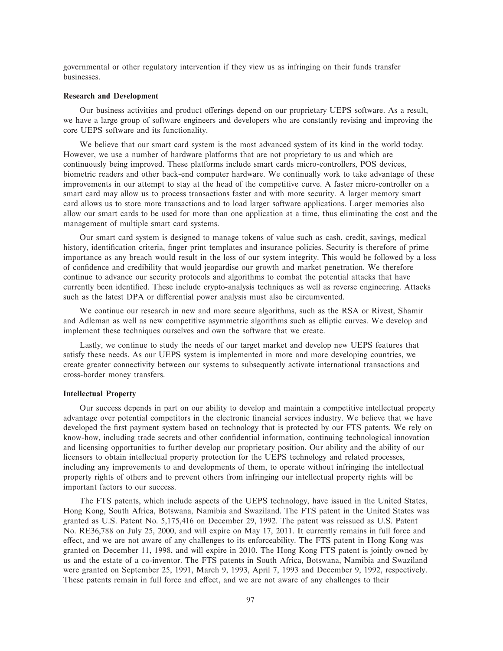governmental or other regulatory intervention if they view us as infringing on their funds transfer businesses.

### **Research and Development**

Our business activities and product offerings depend on our proprietary UEPS software. As a result, we have a large group of software engineers and developers who are constantly revising and improving the core UEPS software and its functionality.

We believe that our smart card system is the most advanced system of its kind in the world today. However, we use a number of hardware platforms that are not proprietary to us and which are continuously being improved. These platforms include smart cards micro-controllers, POS devices, biometric readers and other back-end computer hardware. We continually work to take advantage of these improvements in our attempt to stay at the head of the competitive curve. A faster micro-controller on a smart card may allow us to process transactions faster and with more security. A larger memory smart card allows us to store more transactions and to load larger software applications. Larger memories also allow our smart cards to be used for more than one application at a time, thus eliminating the cost and the management of multiple smart card systems.

Our smart card system is designed to manage tokens of value such as cash, credit, savings, medical history, identification criteria, finger print templates and insurance policies. Security is therefore of prime importance as any breach would result in the loss of our system integrity. This would be followed by a loss of confidence and credibility that would jeopardise our growth and market penetration. We therefore continue to advance our security protocols and algorithms to combat the potential attacks that have currently been identified. These include crypto-analysis techniques as well as reverse engineering. Attacks such as the latest DPA or differential power analysis must also be circumvented.

We continue our research in new and more secure algorithms, such as the RSA or Rivest, Shamir and Adleman as well as new competitive asymmetric algorithms such as elliptic curves. We develop and implement these techniques ourselves and own the software that we create.

Lastly, we continue to study the needs of our target market and develop new UEPS features that satisfy these needs. As our UEPS system is implemented in more and more developing countries, we create greater connectivity between our systems to subsequently activate international transactions and cross-border money transfers.

### **Intellectual Property**

Our success depends in part on our ability to develop and maintain a competitive intellectual property advantage over potential competitors in the electronic financial services industry. We believe that we have developed the first payment system based on technology that is protected by our FTS patents. We rely on know-how, including trade secrets and other confidential information, continuing technological innovation and licensing opportunities to further develop our proprietary position. Our ability and the ability of our licensors to obtain intellectual property protection for the UEPS technology and related processes, including any improvements to and developments of them, to operate without infringing the intellectual property rights of others and to prevent others from infringing our intellectual property rights will be important factors to our success.

The FTS patents, which include aspects of the UEPS technology, have issued in the United States, Hong Kong, South Africa, Botswana, Namibia and Swaziland. The FTS patent in the United States was granted as U.S. Patent No. 5,175,416 on December 29, 1992. The patent was reissued as U.S. Patent No. RE36,788 on July 25, 2000, and will expire on May 17, 2011. It currently remains in full force and effect, and we are not aware of any challenges to its enforceability. The FTS patent in Hong Kong was granted on December 11, 1998, and will expire in 2010. The Hong Kong FTS patent is jointly owned by us and the estate of a co-inventor. The FTS patents in South Africa, Botswana, Namibia and Swaziland were granted on September 25, 1991, March 9, 1993, April 7, 1993 and December 9, 1992, respectively. These patents remain in full force and effect, and we are not aware of any challenges to their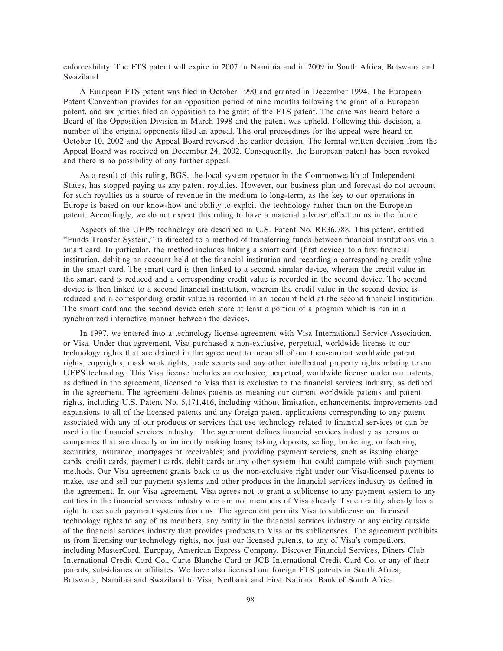enforceability. The FTS patent will expire in 2007 in Namibia and in 2009 in South Africa, Botswana and Swaziland.

A European FTS patent was filed in October 1990 and granted in December 1994. The European Patent Convention provides for an opposition period of nine months following the grant of a European patent, and six parties filed an opposition to the grant of the FTS patent. The case was heard before a Board of the Opposition Division in March 1998 and the patent was upheld. Following this decision, a number of the original opponents filed an appeal. The oral proceedings for the appeal were heard on October 10, 2002 and the Appeal Board reversed the earlier decision. The formal written decision from the Appeal Board was received on December 24, 2002. Consequently, the European patent has been revoked and there is no possibility of any further appeal.

As a result of this ruling, BGS, the local system operator in the Commonwealth of Independent States, has stopped paying us any patent royalties. However, our business plan and forecast do not account for such royalties as a source of revenue in the medium to long-term, as the key to our operations in Europe is based on our know-how and ability to exploit the technology rather than on the European patent. Accordingly, we do not expect this ruling to have a material adverse effect on us in the future.

Aspects of the UEPS technology are described in U.S. Patent No. RE36,788. This patent, entitled "Funds Transfer System," is directed to a method of transferring funds between financial institutions via a smart card. In particular, the method includes linking a smart card (first device) to a first financial institution, debiting an account held at the financial institution and recording a corresponding credit value in the smart card. The smart card is then linked to a second, similar device, wherein the credit value in the smart card is reduced and a corresponding credit value is recorded in the second device. The second device is then linked to a second financial institution, wherein the credit value in the second device is reduced and a corresponding credit value is recorded in an account held at the second financial institution. The smart card and the second device each store at least a portion of a program which is run in a synchronized interactive manner between the devices.

In 1997, we entered into a technology license agreement with Visa International Service Association, or Visa. Under that agreement, Visa purchased a non-exclusive, perpetual, worldwide license to our technology rights that are defined in the agreement to mean all of our then-current worldwide patent rights, copyrights, mask work rights, trade secrets and any other intellectual property rights relating to our UEPS technology. This Visa license includes an exclusive, perpetual, worldwide license under our patents, as defined in the agreement, licensed to Visa that is exclusive to the financial services industry, as defined in the agreement. The agreement defines patents as meaning our current worldwide patents and patent rights, including U.S. Patent No. 5,171,416, including without limitation, enhancements, improvements and expansions to all of the licensed patents and any foreign patent applications corresponding to any patent associated with any of our products or services that use technology related to Ñnancial services or can be used in the financial services industry. The agreement defines financial services industry as persons or companies that are directly or indirectly making loans; taking deposits; selling, brokering, or factoring securities, insurance, mortgages or receivables; and providing payment services, such as issuing charge cards, credit cards, payment cards, debit cards or any other system that could compete with such payment methods. Our Visa agreement grants back to us the non-exclusive right under our Visa-licensed patents to make, use and sell our payment systems and other products in the financial services industry as defined in the agreement. In our Visa agreement, Visa agrees not to grant a sublicense to any payment system to any entities in the financial services industry who are not members of Visa already if such entity already has a right to use such payment systems from us. The agreement permits Visa to sublicense our licensed technology rights to any of its members, any entity in the financial services industry or any entity outside of the Ñnancial services industry that provides products to Visa or its sublicensees. The agreement prohibits us from licensing our technology rights, not just our licensed patents, to any of Visa's competitors, including MasterCard, Europay, American Express Company, Discover Financial Services, Diners Club International Credit Card Co., Carte Blanche Card or JCB International Credit Card Co. or any of their parents, subsidiaries or affiliates. We have also licensed our foreign FTS patents in South Africa, Botswana, Namibia and Swaziland to Visa, Nedbank and First National Bank of South Africa.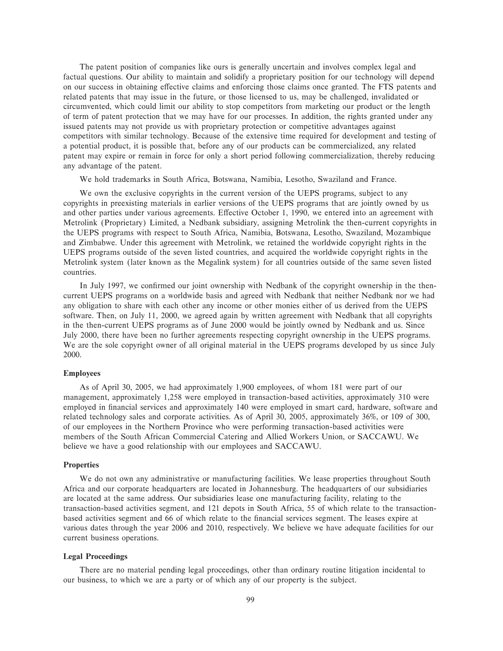The patent position of companies like ours is generally uncertain and involves complex legal and factual questions. Our ability to maintain and solidify a proprietary position for our technology will depend on our success in obtaining effective claims and enforcing those claims once granted. The FTS patents and related patents that may issue in the future, or those licensed to us, may be challenged, invalidated or circumvented, which could limit our ability to stop competitors from marketing our product or the length of term of patent protection that we may have for our processes. In addition, the rights granted under any issued patents may not provide us with proprietary protection or competitive advantages against competitors with similar technology. Because of the extensive time required for development and testing of a potential product, it is possible that, before any of our products can be commercialized, any related patent may expire or remain in force for only a short period following commercialization, thereby reducing any advantage of the patent.

We hold trademarks in South Africa, Botswana, Namibia, Lesotho, Swaziland and France.

We own the exclusive copyrights in the current version of the UEPS programs, subject to any copyrights in preexisting materials in earlier versions of the UEPS programs that are jointly owned by us and other parties under various agreements. Effective October 1, 1990, we entered into an agreement with Metrolink (Proprietary) Limited, a Nedbank subsidiary, assigning Metrolink the then-current copyrights in the UEPS programs with respect to South Africa, Namibia, Botswana, Lesotho, Swaziland, Mozambique and Zimbabwe. Under this agreement with Metrolink, we retained the worldwide copyright rights in the UEPS programs outside of the seven listed countries, and acquired the worldwide copyright rights in the Metrolink system (later known as the Megalink system) for all countries outside of the same seven listed countries.

In July 1997, we confirmed our joint ownership with Nedbank of the copyright ownership in the thencurrent UEPS programs on a worldwide basis and agreed with Nedbank that neither Nedbank nor we had any obligation to share with each other any income or other monies either of us derived from the UEPS software. Then, on July 11, 2000, we agreed again by written agreement with Nedbank that all copyrights in the then-current UEPS programs as of June 2000 would be jointly owned by Nedbank and us. Since July 2000, there have been no further agreements respecting copyright ownership in the UEPS programs. We are the sole copyright owner of all original material in the UEPS programs developed by us since July 2000.

### **Employees**

As of April 30, 2005, we had approximately 1,900 employees, of whom 181 were part of our management, approximately 1,258 were employed in transaction-based activities, approximately 310 were employed in financial services and approximately 140 were employed in smart card, hardware, software and related technology sales and corporate activities. As of April 30, 2005, approximately 36%, or 109 of 300, of our employees in the Northern Province who were performing transaction-based activities were members of the South African Commercial Catering and Allied Workers Union, or SACCAWU. We believe we have a good relationship with our employees and SACCAWU.

## **Properties**

We do not own any administrative or manufacturing facilities. We lease properties throughout South Africa and our corporate headquarters are located in Johannesburg. The headquarters of our subsidiaries are located at the same address. Our subsidiaries lease one manufacturing facility, relating to the transaction-based activities segment, and 121 depots in South Africa, 55 of which relate to the transactionbased activities segment and 66 of which relate to the financial services segment. The leases expire at various dates through the year 2006 and 2010, respectively. We believe we have adequate facilities for our current business operations.

### **Legal Proceedings**

There are no material pending legal proceedings, other than ordinary routine litigation incidental to our business, to which we are a party or of which any of our property is the subject.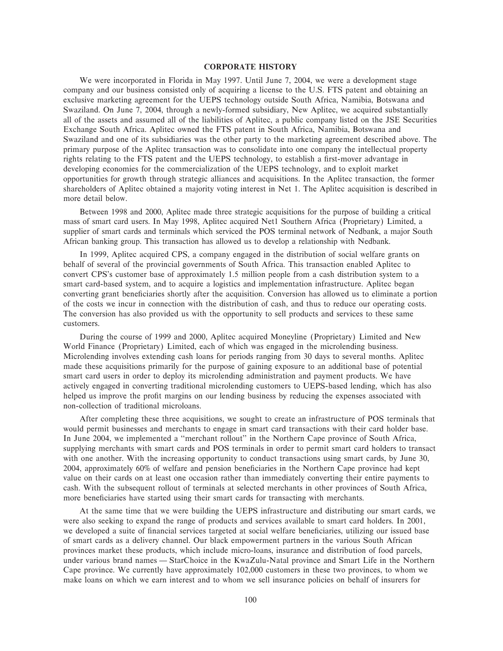## **CORPORATE HISTORY**

We were incorporated in Florida in May 1997. Until June 7, 2004, we were a development stage company and our business consisted only of acquiring a license to the U.S. FTS patent and obtaining an exclusive marketing agreement for the UEPS technology outside South Africa, Namibia, Botswana and Swaziland. On June 7, 2004, through a newly-formed subsidiary, New Aplitec, we acquired substantially all of the assets and assumed all of the liabilities of Aplitec, a public company listed on the JSE Securities Exchange South Africa. Aplitec owned the FTS patent in South Africa, Namibia, Botswana and Swaziland and one of its subsidiaries was the other party to the marketing agreement described above. The primary purpose of the Aplitec transaction was to consolidate into one company the intellectual property rights relating to the FTS patent and the UEPS technology, to establish a first-mover advantage in developing economies for the commercialization of the UEPS technology, and to exploit market opportunities for growth through strategic alliances and acquisitions. In the Aplitec transaction, the former shareholders of Aplitec obtained a majority voting interest in Net 1. The Aplitec acquisition is described in more detail below.

Between 1998 and 2000, Aplitec made three strategic acquisitions for the purpose of building a critical mass of smart card users. In May 1998, Aplitec acquired Net1 Southern Africa (Proprietary) Limited, a supplier of smart cards and terminals which serviced the POS terminal network of Nedbank, a major South African banking group. This transaction has allowed us to develop a relationship with Nedbank.

In 1999, Aplitec acquired CPS, a company engaged in the distribution of social welfare grants on behalf of several of the provincial governments of South Africa. This transaction enabled Aplitec to convert CPS's customer base of approximately 1.5 million people from a cash distribution system to a smart card-based system, and to acquire a logistics and implementation infrastructure. Aplitec began converting grant beneficiaries shortly after the acquisition. Conversion has allowed us to eliminate a portion of the costs we incur in connection with the distribution of cash, and thus to reduce our operating costs. The conversion has also provided us with the opportunity to sell products and services to these same customers.

During the course of 1999 and 2000, Aplitec acquired Moneyline (Proprietary) Limited and New World Finance (Proprietary) Limited, each of which was engaged in the microlending business. Microlending involves extending cash loans for periods ranging from 30 days to several months. Aplitec made these acquisitions primarily for the purpose of gaining exposure to an additional base of potential smart card users in order to deploy its microlending administration and payment products. We have actively engaged in converting traditional microlending customers to UEPS-based lending, which has also helped us improve the profit margins on our lending business by reducing the expenses associated with non-collection of traditional microloans.

After completing these three acquisitions, we sought to create an infrastructure of POS terminals that would permit businesses and merchants to engage in smart card transactions with their card holder base. In June 2004, we implemented a ""merchant rollout'' in the Northern Cape province of South Africa, supplying merchants with smart cards and POS terminals in order to permit smart card holders to transact with one another. With the increasing opportunity to conduct transactions using smart cards, by June 30, 2004, approximately 60% of welfare and pension beneficiaries in the Northern Cape province had kept value on their cards on at least one occasion rather than immediately converting their entire payments to cash. With the subsequent rollout of terminals at selected merchants in other provinces of South Africa, more beneficiaries have started using their smart cards for transacting with merchants.

At the same time that we were building the UEPS infrastructure and distributing our smart cards, we were also seeking to expand the range of products and services available to smart card holders. In 2001, we developed a suite of financial services targeted at social welfare beneficiaries, utilizing our issued base of smart cards as a delivery channel. Our black empowerment partners in the various South African provinces market these products, which include micro-loans, insurance and distribution of food parcels, under various brand names — StarChoice in the KwaZulu-Natal province and Smart Life in the Northern Cape province. We currently have approximately 102,000 customers in these two provinces, to whom we make loans on which we earn interest and to whom we sell insurance policies on behalf of insurers for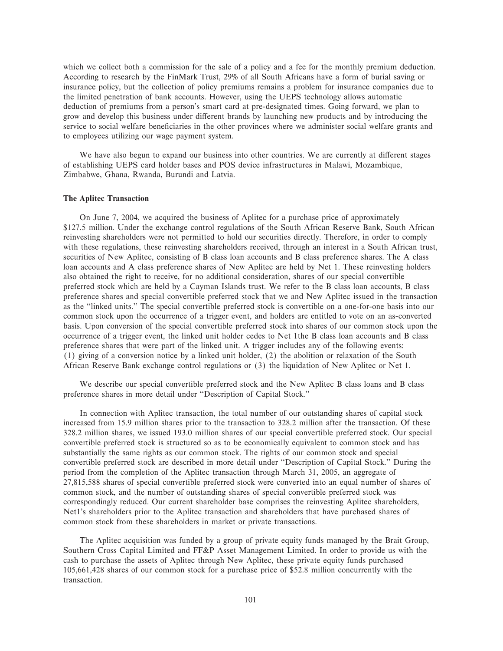which we collect both a commission for the sale of a policy and a fee for the monthly premium deduction. According to research by the FinMark Trust, 29% of all South Africans have a form of burial saving or insurance policy, but the collection of policy premiums remains a problem for insurance companies due to the limited penetration of bank accounts. However, using the UEPS technology allows automatic deduction of premiums from a person's smart card at pre-designated times. Going forward, we plan to grow and develop this business under different brands by launching new products and by introducing the service to social welfare beneficiaries in the other provinces where we administer social welfare grants and to employees utilizing our wage payment system.

We have also begun to expand our business into other countries. We are currently at different stages of establishing UEPS card holder bases and POS device infrastructures in Malawi, Mozambique, Zimbabwe, Ghana, Rwanda, Burundi and Latvia.

## **The Aplitec Transaction**

On June 7, 2004, we acquired the business of Aplitec for a purchase price of approximately \$127.5 million. Under the exchange control regulations of the South African Reserve Bank, South African reinvesting shareholders were not permitted to hold our securities directly. Therefore, in order to comply with these regulations, these reinvesting shareholders received, through an interest in a South African trust, securities of New Aplitec, consisting of B class loan accounts and B class preference shares. The A class loan accounts and A class preference shares of New Aplitec are held by Net 1. These reinvesting holders also obtained the right to receive, for no additional consideration, shares of our special convertible preferred stock which are held by a Cayman Islands trust. We refer to the B class loan accounts, B class preference shares and special convertible preferred stock that we and New Aplitec issued in the transaction as the ""linked units.'' The special convertible preferred stock is convertible on a one-for-one basis into our common stock upon the occurrence of a trigger event, and holders are entitled to vote on an as-converted basis. Upon conversion of the special convertible preferred stock into shares of our common stock upon the occurrence of a trigger event, the linked unit holder cedes to Net 1the B class loan accounts and B class preference shares that were part of the linked unit. A trigger includes any of the following events: (1) giving of a conversion notice by a linked unit holder, (2) the abolition or relaxation of the South African Reserve Bank exchange control regulations or (3) the liquidation of New Aplitec or Net 1.

We describe our special convertible preferred stock and the New Aplitec B class loans and B class preference shares in more detail under "Description of Capital Stock."

In connection with Aplitec transaction, the total number of our outstanding shares of capital stock increased from 15.9 million shares prior to the transaction to 328.2 million after the transaction. Of these 328.2 million shares, we issued 193.0 million shares of our special convertible preferred stock. Our special convertible preferred stock is structured so as to be economically equivalent to common stock and has substantially the same rights as our common stock. The rights of our common stock and special convertible preferred stock are described in more detail under ""Description of Capital Stock.'' During the period from the completion of the Aplitec transaction through March 31, 2005, an aggregate of 27,815,588 shares of special convertible preferred stock were converted into an equal number of shares of common stock, and the number of outstanding shares of special convertible preferred stock was correspondingly reduced. Our current shareholder base comprises the reinvesting Aplitec shareholders, Net1's shareholders prior to the Aplitec transaction and shareholders that have purchased shares of common stock from these shareholders in market or private transactions.

The Aplitec acquisition was funded by a group of private equity funds managed by the Brait Group, Southern Cross Capital Limited and FF&P Asset Management Limited. In order to provide us with the cash to purchase the assets of Aplitec through New Aplitec, these private equity funds purchased 105,661,428 shares of our common stock for a purchase price of \$52.8 million concurrently with the transaction.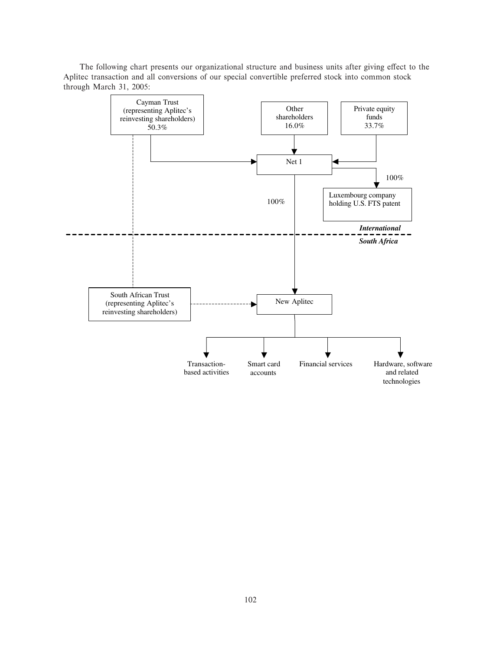The following chart presents our organizational structure and business units after giving effect to the Aplitec transaction and all conversions of our special convertible preferred stock into common stock through March 31, 2005:

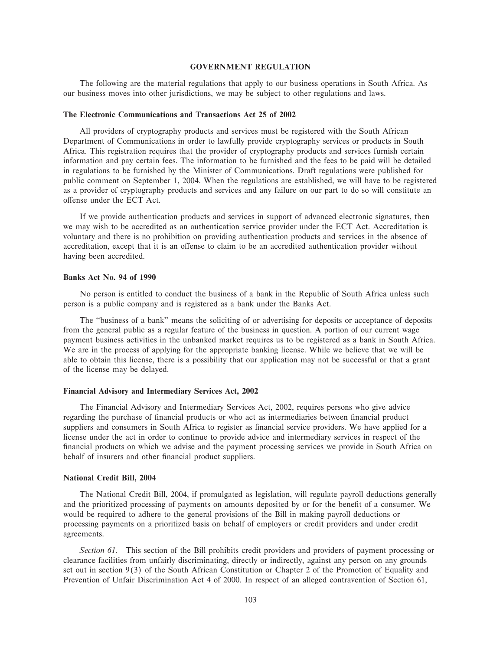## **GOVERNMENT REGULATION**

The following are the material regulations that apply to our business operations in South Africa. As our business moves into other jurisdictions, we may be subject to other regulations and laws.

### **The Electronic Communications and Transactions Act 25 of 2002**

All providers of cryptography products and services must be registered with the South African Department of Communications in order to lawfully provide cryptography services or products in South Africa. This registration requires that the provider of cryptography products and services furnish certain information and pay certain fees. The information to be furnished and the fees to be paid will be detailed in regulations to be furnished by the Minister of Communications. Draft regulations were published for public comment on September 1, 2004. When the regulations are established, we will have to be registered as a provider of cryptography products and services and any failure on our part to do so will constitute an offense under the ECT Act.

If we provide authentication products and services in support of advanced electronic signatures, then we may wish to be accredited as an authentication service provider under the ECT Act. Accreditation is voluntary and there is no prohibition on providing authentication products and services in the absence of accreditation, except that it is an offense to claim to be an accredited authentication provider without having been accredited.

## **Banks Act No. 94 of 1990**

No person is entitled to conduct the business of a bank in the Republic of South Africa unless such person is a public company and is registered as a bank under the Banks Act.

The "business of a bank" means the soliciting of or advertising for deposits or acceptance of deposits from the general public as a regular feature of the business in question. A portion of our current wage payment business activities in the unbanked market requires us to be registered as a bank in South Africa. We are in the process of applying for the appropriate banking license. While we believe that we will be able to obtain this license, there is a possibility that our application may not be successful or that a grant of the license may be delayed.

### **Financial Advisory and Intermediary Services Act, 2002**

The Financial Advisory and Intermediary Services Act, 2002, requires persons who give advice regarding the purchase of financial products or who act as intermediaries between financial product suppliers and consumers in South Africa to register as financial service providers. We have applied for a license under the act in order to continue to provide advice and intermediary services in respect of the financial products on which we advise and the payment processing services we provide in South Africa on behalf of insurers and other financial product suppliers.

### **National Credit Bill, 2004**

The National Credit Bill, 2004, if promulgated as legislation, will regulate payroll deductions generally and the prioritized processing of payments on amounts deposited by or for the benefit of a consumer. We would be required to adhere to the general provisions of the Bill in making payroll deductions or processing payments on a prioritized basis on behalf of employers or credit providers and under credit agreements.

*Section 61.* This section of the Bill prohibits credit providers and providers of payment processing or clearance facilities from unfairly discriminating, directly or indirectly, against any person on any grounds set out in section 9(3) of the South African Constitution or Chapter 2 of the Promotion of Equality and Prevention of Unfair Discrimination Act 4 of 2000. In respect of an alleged contravention of Section 61,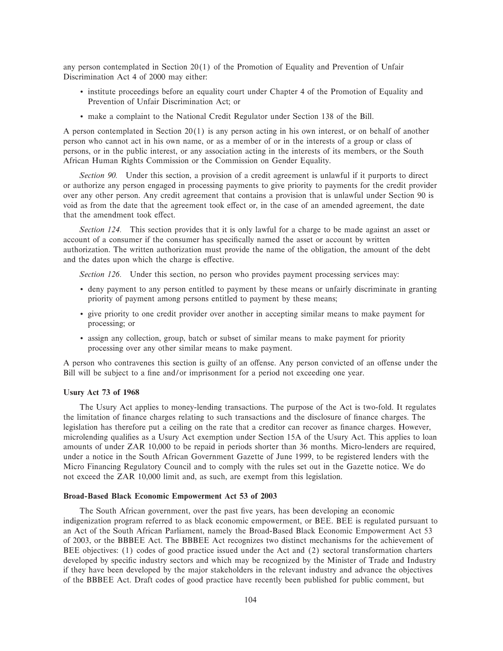any person contemplated in Section 20(1) of the Promotion of Equality and Prevention of Unfair Discrimination Act 4 of 2000 may either:

- ' institute proceedings before an equality court under Chapter 4 of the Promotion of Equality and Prevention of Unfair Discrimination Act; or
- ' make a complaint to the National Credit Regulator under Section 138 of the Bill.

A person contemplated in Section 20(1) is any person acting in his own interest, or on behalf of another person who cannot act in his own name, or as a member of or in the interests of a group or class of persons, or in the public interest, or any association acting in the interests of its members, or the South African Human Rights Commission or the Commission on Gender Equality.

*Section 90.* Under this section, a provision of a credit agreement is unlawful if it purports to direct or authorize any person engaged in processing payments to give priority to payments for the credit provider over any other person. Any credit agreement that contains a provision that is unlawful under Section 90 is void as from the date that the agreement took effect or, in the case of an amended agreement, the date that the amendment took effect.

*Section 124.* This section provides that it is only lawful for a charge to be made against an asset or account of a consumer if the consumer has specifically named the asset or account by written authorization. The written authorization must provide the name of the obligation, the amount of the debt and the dates upon which the charge is effective.

*Section 126.* Under this section, no person who provides payment processing services may:

- ' deny payment to any person entitled to payment by these means or unfairly discriminate in granting priority of payment among persons entitled to payment by these means;
- ' give priority to one credit provider over another in accepting similar means to make payment for processing; or
- ' assign any collection, group, batch or subset of similar means to make payment for priority processing over any other similar means to make payment.

A person who contravenes this section is guilty of an offense. Any person convicted of an offense under the Bill will be subject to a fine and/or imprisonment for a period not exceeding one year.

# **Usury Act 73 of 1968**

The Usury Act applies to money-lending transactions. The purpose of the Act is two-fold. It regulates the limitation of finance charges relating to such transactions and the disclosure of finance charges. The legislation has therefore put a ceiling on the rate that a creditor can recover as finance charges. However, microlending qualifies as a Usury Act exemption under Section 15A of the Usury Act. This applies to loan amounts of under ZAR 10,000 to be repaid in periods shorter than 36 months. Micro-lenders are required, under a notice in the South African Government Gazette of June 1999, to be registered lenders with the Micro Financing Regulatory Council and to comply with the rules set out in the Gazette notice. We do not exceed the ZAR 10,000 limit and, as such, are exempt from this legislation.

#### **Broad-Based Black Economic Empowerment Act 53 of 2003**

The South African government, over the past five years, has been developing an economic indigenization program referred to as black economic empowerment, or BEE. BEE is regulated pursuant to an Act of the South African Parliament, namely the Broad-Based Black Economic Empowerment Act 53 of 2003, or the BBBEE Act. The BBBEE Act recognizes two distinct mechanisms for the achievement of BEE objectives: (1) codes of good practice issued under the Act and (2) sectoral transformation charters developed by specific industry sectors and which may be recognized by the Minister of Trade and Industry if they have been developed by the major stakeholders in the relevant industry and advance the objectives of the BBBEE Act. Draft codes of good practice have recently been published for public comment, but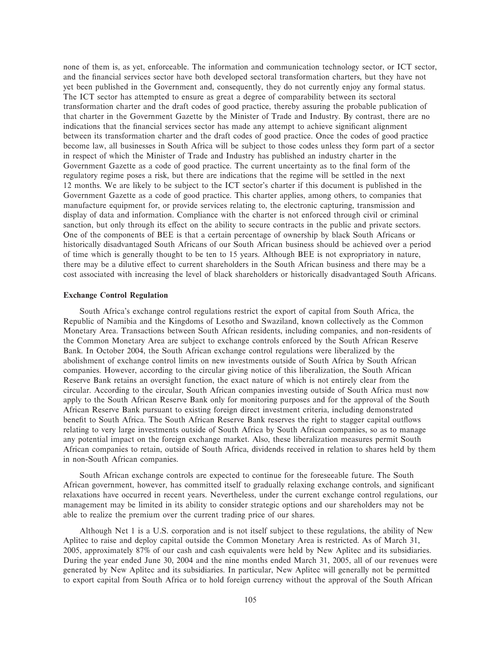none of them is, as yet, enforceable. The information and communication technology sector, or ICT sector, and the financial services sector have both developed sectoral transformation charters, but they have not yet been published in the Government and, consequently, they do not currently enjoy any formal status. The ICT sector has attempted to ensure as great a degree of comparability between its sectoral transformation charter and the draft codes of good practice, thereby assuring the probable publication of that charter in the Government Gazette by the Minister of Trade and Industry. By contrast, there are no indications that the financial services sector has made any attempt to achieve significant alignment between its transformation charter and the draft codes of good practice. Once the codes of good practice become law, all businesses in South Africa will be subject to those codes unless they form part of a sector in respect of which the Minister of Trade and Industry has published an industry charter in the Government Gazette as a code of good practice. The current uncertainty as to the final form of the regulatory regime poses a risk, but there are indications that the regime will be settled in the next 12 months. We are likely to be subject to the ICT sector's charter if this document is published in the Government Gazette as a code of good practice. This charter applies, among others, to companies that manufacture equipment for, or provide services relating to, the electronic capturing, transmission and display of data and information. Compliance with the charter is not enforced through civil or criminal sanction, but only through its effect on the ability to secure contracts in the public and private sectors. One of the components of BEE is that a certain percentage of ownership by black South Africans or historically disadvantaged South Africans of our South African business should be achieved over a period of time which is generally thought to be ten to 15 years. Although BEE is not expropriatory in nature, there may be a dilutive effect to current shareholders in the South African business and there may be a cost associated with increasing the level of black shareholders or historically disadvantaged South Africans.

### **Exchange Control Regulation**

South Africa's exchange control regulations restrict the export of capital from South Africa, the Republic of Namibia and the Kingdoms of Lesotho and Swaziland, known collectively as the Common Monetary Area. Transactions between South African residents, including companies, and non-residents of the Common Monetary Area are subject to exchange controls enforced by the South African Reserve Bank. In October 2004, the South African exchange control regulations were liberalized by the abolishment of exchange control limits on new investments outside of South Africa by South African companies. However, according to the circular giving notice of this liberalization, the South African Reserve Bank retains an oversight function, the exact nature of which is not entirely clear from the circular. According to the circular, South African companies investing outside of South Africa must now apply to the South African Reserve Bank only for monitoring purposes and for the approval of the South African Reserve Bank pursuant to existing foreign direct investment criteria, including demonstrated benefit to South Africa. The South African Reserve Bank reserves the right to stagger capital outflows relating to very large investments outside of South Africa by South African companies, so as to manage any potential impact on the foreign exchange market. Also, these liberalization measures permit South African companies to retain, outside of South Africa, dividends received in relation to shares held by them in non-South African companies.

South African exchange controls are expected to continue for the foreseeable future. The South African government, however, has committed itself to gradually relaxing exchange controls, and significant relaxations have occurred in recent years. Nevertheless, under the current exchange control regulations, our management may be limited in its ability to consider strategic options and our shareholders may not be able to realize the premium over the current trading price of our shares.

Although Net 1 is a U.S. corporation and is not itself subject to these regulations, the ability of New Aplitec to raise and deploy capital outside the Common Monetary Area is restricted. As of March 31, 2005, approximately 87% of our cash and cash equivalents were held by New Aplitec and its subsidiaries. During the year ended June 30, 2004 and the nine months ended March 31, 2005, all of our revenues were generated by New Aplitec and its subsidiaries. In particular, New Aplitec will generally not be permitted to export capital from South Africa or to hold foreign currency without the approval of the South African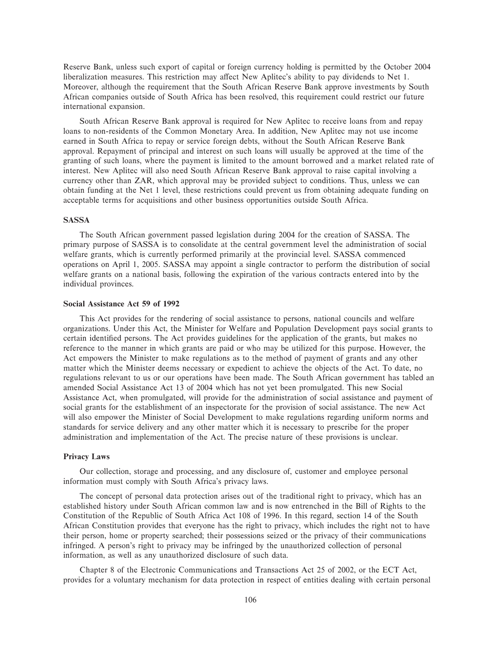Reserve Bank, unless such export of capital or foreign currency holding is permitted by the October 2004 liberalization measures. This restriction may affect New Aplitec's ability to pay dividends to Net 1. Moreover, although the requirement that the South African Reserve Bank approve investments by South African companies outside of South Africa has been resolved, this requirement could restrict our future international expansion.

South African Reserve Bank approval is required for New Aplitec to receive loans from and repay loans to non-residents of the Common Monetary Area. In addition, New Aplitec may not use income earned in South Africa to repay or service foreign debts, without the South African Reserve Bank approval. Repayment of principal and interest on such loans will usually be approved at the time of the granting of such loans, where the payment is limited to the amount borrowed and a market related rate of interest. New Aplitec will also need South African Reserve Bank approval to raise capital involving a currency other than ZAR, which approval may be provided subject to conditions. Thus, unless we can obtain funding at the Net 1 level, these restrictions could prevent us from obtaining adequate funding on acceptable terms for acquisitions and other business opportunities outside South Africa.

### **SASSA**

The South African government passed legislation during 2004 for the creation of SASSA. The primary purpose of SASSA is to consolidate at the central government level the administration of social welfare grants, which is currently performed primarily at the provincial level. SASSA commenced operations on April 1, 2005. SASSA may appoint a single contractor to perform the distribution of social welfare grants on a national basis, following the expiration of the various contracts entered into by the individual provinces.

#### **Social Assistance Act 59 of 1992**

This Act provides for the rendering of social assistance to persons, national councils and welfare organizations. Under this Act, the Minister for Welfare and Population Development pays social grants to certain identified persons. The Act provides guidelines for the application of the grants, but makes no reference to the manner in which grants are paid or who may be utilized for this purpose. However, the Act empowers the Minister to make regulations as to the method of payment of grants and any other matter which the Minister deems necessary or expedient to achieve the objects of the Act. To date, no regulations relevant to us or our operations have been made. The South African government has tabled an amended Social Assistance Act 13 of 2004 which has not yet been promulgated. This new Social Assistance Act, when promulgated, will provide for the administration of social assistance and payment of social grants for the establishment of an inspectorate for the provision of social assistance. The new Act will also empower the Minister of Social Development to make regulations regarding uniform norms and standards for service delivery and any other matter which it is necessary to prescribe for the proper administration and implementation of the Act. The precise nature of these provisions is unclear.

# **Privacy Laws**

Our collection, storage and processing, and any disclosure of, customer and employee personal information must comply with South Africa's privacy laws.

The concept of personal data protection arises out of the traditional right to privacy, which has an established history under South African common law and is now entrenched in the Bill of Rights to the Constitution of the Republic of South Africa Act 108 of 1996. In this regard, section 14 of the South African Constitution provides that everyone has the right to privacy, which includes the right not to have their person, home or property searched; their possessions seized or the privacy of their communications infringed. A person's right to privacy may be infringed by the unauthorized collection of personal information, as well as any unauthorized disclosure of such data.

Chapter 8 of the Electronic Communications and Transactions Act 25 of 2002, or the ECT Act, provides for a voluntary mechanism for data protection in respect of entities dealing with certain personal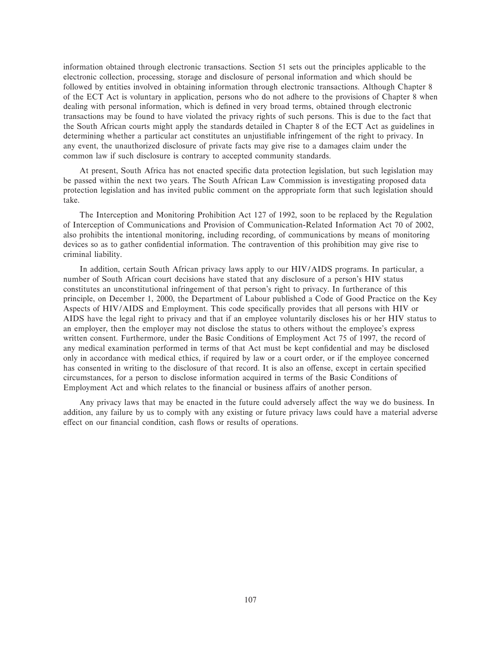information obtained through electronic transactions. Section 51 sets out the principles applicable to the electronic collection, processing, storage and disclosure of personal information and which should be followed by entities involved in obtaining information through electronic transactions. Although Chapter 8 of the ECT Act is voluntary in application, persons who do not adhere to the provisions of Chapter 8 when dealing with personal information, which is defined in very broad terms, obtained through electronic transactions may be found to have violated the privacy rights of such persons. This is due to the fact that the South African courts might apply the standards detailed in Chapter 8 of the ECT Act as guidelines in determining whether a particular act constitutes an unjustifiable infringement of the right to privacy. In any event, the unauthorized disclosure of private facts may give rise to a damages claim under the common law if such disclosure is contrary to accepted community standards.

At present, South Africa has not enacted specific data protection legislation, but such legislation may be passed within the next two years. The South African Law Commission is investigating proposed data protection legislation and has invited public comment on the appropriate form that such legislation should take.

The Interception and Monitoring Prohibition Act 127 of 1992, soon to be replaced by the Regulation of Interception of Communications and Provision of Communication-Related Information Act 70 of 2002, also prohibits the intentional monitoring, including recording, of communications by means of monitoring devices so as to gather confidential information. The contravention of this prohibition may give rise to criminal liability.

In addition, certain South African privacy laws apply to our HIV/AIDS programs. In particular, a number of South African court decisions have stated that any disclosure of a person's HIV status constitutes an unconstitutional infringement of that person's right to privacy. In furtherance of this principle, on December 1, 2000, the Department of Labour published a Code of Good Practice on the Key Aspects of HIV/AIDS and Employment. This code specifically provides that all persons with HIV or AIDS have the legal right to privacy and that if an employee voluntarily discloses his or her HIV status to an employer, then the employer may not disclose the status to others without the employee's express written consent. Furthermore, under the Basic Conditions of Employment Act 75 of 1997, the record of any medical examination performed in terms of that Act must be kept confidential and may be disclosed only in accordance with medical ethics, if required by law or a court order, or if the employee concerned has consented in writing to the disclosure of that record. It is also an offense, except in certain specified circumstances, for a person to disclose information acquired in terms of the Basic Conditions of Employment Act and which relates to the financial or business affairs of another person.

Any privacy laws that may be enacted in the future could adversely affect the way we do business. In addition, any failure by us to comply with any existing or future privacy laws could have a material adverse effect on our financial condition, cash flows or results of operations.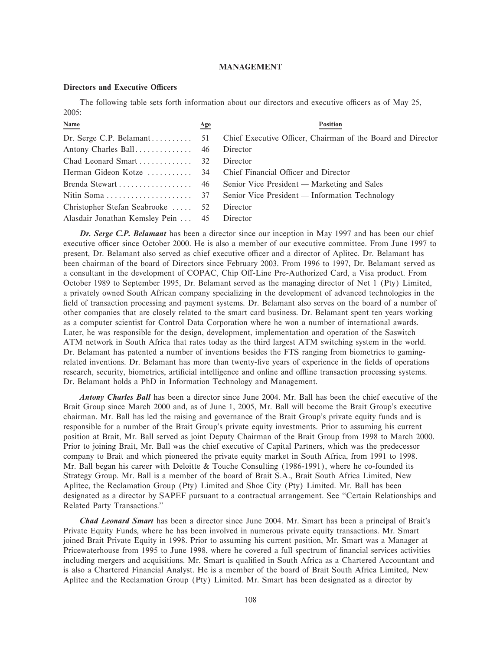#### **MANAGEMENT**

#### **Directors and Executive Officers**

The following table sets forth information about our directors and executive officers as of May 25, 2005:

| Name                                        | <u>Age</u> | <b>Position</b>                                             |
|---------------------------------------------|------------|-------------------------------------------------------------|
|                                             |            | Chief Executive Officer, Chairman of the Board and Director |
|                                             |            | Director                                                    |
|                                             |            | Director                                                    |
|                                             |            |                                                             |
|                                             |            |                                                             |
|                                             |            | Senior Vice President — Information Technology              |
| Christopher Stefan Seabrooke  52            |            | Director                                                    |
| Alasdair Jonathan Kemsley Pein  45 Director |            |                                                             |

*Dr. Serge C.P. Belamant* has been a director since our inception in May 1997 and has been our chief executive officer since October 2000. He is also a member of our executive committee. From June 1997 to present, Dr. Belamant also served as chief executive officer and a director of Aplitec. Dr. Belamant has been chairman of the board of Directors since February 2003. From 1996 to 1997, Dr. Belamant served as a consultant in the development of COPAC, Chip Off-Line Pre-Authorized Card, a Visa product. From October 1989 to September 1995, Dr. Belamant served as the managing director of Net 1 (Pty) Limited, a privately owned South African company specializing in the development of advanced technologies in the field of transaction processing and payment systems. Dr. Belamant also serves on the board of a number of other companies that are closely related to the smart card business. Dr. Belamant spent ten years working as a computer scientist for Control Data Corporation where he won a number of international awards. Later, he was responsible for the design, development, implementation and operation of the Saswitch ATM network in South Africa that rates today as the third largest ATM switching system in the world. Dr. Belamant has patented a number of inventions besides the FTS ranging from biometrics to gamingrelated inventions. Dr. Belamant has more than twenty-five years of experience in the fields of operations research, security, biometrics, artificial intelligence and online and offline transaction processing systems. Dr. Belamant holds a PhD in Information Technology and Management.

*Antony Charles Ball* has been a director since June 2004. Mr. Ball has been the chief executive of the Brait Group since March 2000 and, as of June 1, 2005, Mr. Ball will become the Brait Group's executive chairman. Mr. Ball has led the raising and governance of the Brait Group's private equity funds and is responsible for a number of the Brait Group's private equity investments. Prior to assuming his current position at Brait, Mr. Ball served as joint Deputy Chairman of the Brait Group from 1998 to March 2000. Prior to joining Brait, Mr. Ball was the chief executive of Capital Partners, which was the predecessor company to Brait and which pioneered the private equity market in South Africa, from 1991 to 1998. Mr. Ball began his career with Deloitte & Touche Consulting (1986-1991), where he co-founded its Strategy Group. Mr. Ball is a member of the board of Brait S.A., Brait South Africa Limited, New Aplitec, the Reclamation Group (Pty) Limited and Shoe City (Pty) Limited. Mr. Ball has been designated as a director by SAPEF pursuant to a contractual arrangement. See "Certain Relationships and Related Party Transactions.''

*Chad Leonard Smart* has been a director since June 2004. Mr. Smart has been a principal of Brait's Private Equity Funds, where he has been involved in numerous private equity transactions. Mr. Smart joined Brait Private Equity in 1998. Prior to assuming his current position, Mr. Smart was a Manager at Pricewaterhouse from 1995 to June 1998, where he covered a full spectrum of financial services activities including mergers and acquisitions. Mr. Smart is qualified in South Africa as a Chartered Accountant and is also a Chartered Financial Analyst. He is a member of the board of Brait South Africa Limited, New Aplitec and the Reclamation Group (Pty) Limited. Mr. Smart has been designated as a director by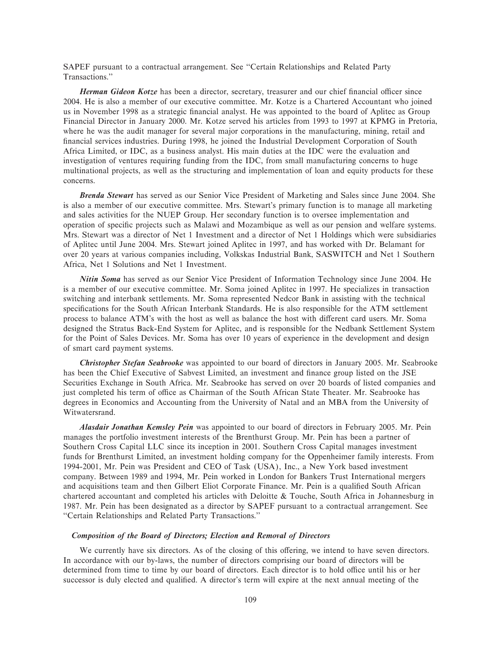SAPEF pursuant to a contractual arrangement. See "Certain Relationships and Related Party Transactions.''

*Herman Gideon Kotze* has been a director, secretary, treasurer and our chief financial officer since 2004. He is also a member of our executive committee. Mr. Kotze is a Chartered Accountant who joined us in November 1998 as a strategic financial analyst. He was appointed to the board of Aplitec as Group Financial Director in January 2000. Mr. Kotze served his articles from 1993 to 1997 at KPMG in Pretoria, where he was the audit manager for several major corporations in the manufacturing, mining, retail and financial services industries. During 1998, he joined the Industrial Development Corporation of South Africa Limited, or IDC, as a business analyst. His main duties at the IDC were the evaluation and investigation of ventures requiring funding from the IDC, from small manufacturing concerns to huge multinational projects, as well as the structuring and implementation of loan and equity products for these concerns.

*Brenda Stewart* has served as our Senior Vice President of Marketing and Sales since June 2004. She is also a member of our executive committee. Mrs. Stewart's primary function is to manage all marketing and sales activities for the NUEP Group. Her secondary function is to oversee implementation and operation of specific projects such as Malawi and Mozambique as well as our pension and welfare systems. Mrs. Stewart was a director of Net 1 Investment and a director of Net 1 Holdings which were subsidiaries of Aplitec until June 2004. Mrs. Stewart joined Aplitec in 1997, and has worked with Dr. Belamant for over 20 years at various companies including, Volkskas Industrial Bank, SASWITCH and Net 1 Southern Africa, Net 1 Solutions and Net 1 Investment.

*Nitin Soma* has served as our Senior Vice President of Information Technology since June 2004. He is a member of our executive committee. Mr. Soma joined Aplitec in 1997. He specializes in transaction switching and interbank settlements. Mr. Soma represented Nedcor Bank in assisting with the technical specifications for the South African Interbank Standards. He is also responsible for the ATM settlement process to balance ATM's with the host as well as balance the host with different card users. Mr. Soma designed the Stratus Back-End System for Aplitec, and is responsible for the Nedbank Settlement System for the Point of Sales Devices. Mr. Soma has over 10 years of experience in the development and design of smart card payment systems.

*Christopher Stefan Seabrooke* was appointed to our board of directors in January 2005. Mr. Seabrooke has been the Chief Executive of Sabvest Limited, an investment and finance group listed on the JSE Securities Exchange in South Africa. Mr. Seabrooke has served on over 20 boards of listed companies and just completed his term of office as Chairman of the South African State Theater. Mr. Seabrooke has degrees in Economics and Accounting from the University of Natal and an MBA from the University of Witwatersrand.

*Alasdair Jonathan Kemsley Pein* was appointed to our board of directors in February 2005. Mr. Pein manages the portfolio investment interests of the Brenthurst Group. Mr. Pein has been a partner of Southern Cross Capital LLC since its inception in 2001. Southern Cross Capital manages investment funds for Brenthurst Limited, an investment holding company for the Oppenheimer family interests. From 1994-2001, Mr. Pein was President and CEO of Task (USA), Inc., a New York based investment company. Between 1989 and 1994, Mr. Pein worked in London for Bankers Trust International mergers and acquisitions team and then Gilbert Eliot Corporate Finance. Mr. Pein is a qualified South African chartered accountant and completed his articles with Deloitte & Touche, South Africa in Johannesburg in 1987. Mr. Pein has been designated as a director by SAPEF pursuant to a contractual arrangement. See "Certain Relationships and Related Party Transactions."

#### *Composition of the Board of Directors; Election and Removal of Directors*

We currently have six directors. As of the closing of this offering, we intend to have seven directors. In accordance with our by-laws, the number of directors comprising our board of directors will be determined from time to time by our board of directors. Each director is to hold office until his or her successor is duly elected and qualified. A director's term will expire at the next annual meeting of the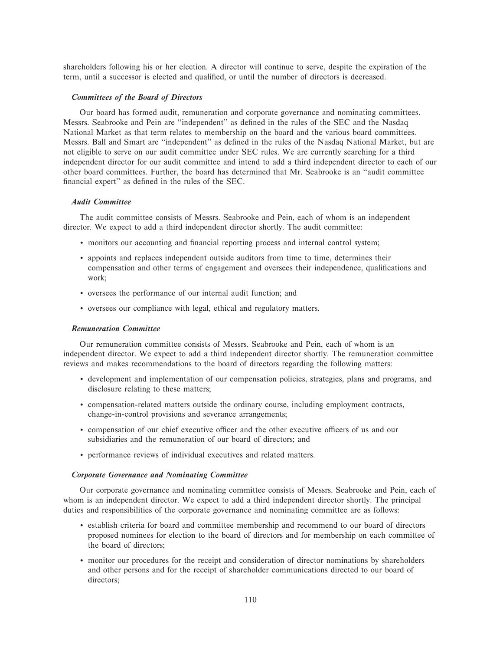shareholders following his or her election. A director will continue to serve, despite the expiration of the term, until a successor is elected and qualified, or until the number of directors is decreased.

#### *Committees of the Board of Directors*

Our board has formed audit, remuneration and corporate governance and nominating committees. Messrs. Seabrooke and Pein are "independent" as defined in the rules of the SEC and the Nasdaq National Market as that term relates to membership on the board and the various board committees. Messrs. Ball and Smart are "independent" as defined in the rules of the Nasdaq National Market, but are not eligible to serve on our audit committee under SEC rules. We are currently searching for a third independent director for our audit committee and intend to add a third independent director to each of our other board committees. Further, the board has determined that Mr. Seabrooke is an ""audit committee financial expert" as defined in the rules of the SEC.

#### *Audit Committee*

The audit committee consists of Messrs. Seabrooke and Pein, each of whom is an independent director. We expect to add a third independent director shortly. The audit committee:

- ' monitors our accounting and Ñnancial reporting process and internal control system;
- ' appoints and replaces independent outside auditors from time to time, determines their compensation and other terms of engagement and oversees their independence, qualifications and work;
- ' oversees the performance of our internal audit function; and
- ' oversees our compliance with legal, ethical and regulatory matters.

#### *Remuneration Committee*

Our remuneration committee consists of Messrs. Seabrooke and Pein, each of whom is an independent director. We expect to add a third independent director shortly. The remuneration committee reviews and makes recommendations to the board of directors regarding the following matters:

- ' development and implementation of our compensation policies, strategies, plans and programs, and disclosure relating to these matters;
- ' compensation-related matters outside the ordinary course, including employment contracts, change-in-control provisions and severance arrangements;
- compensation of our chief executive officer and the other executive officers of us and our subsidiaries and the remuneration of our board of directors; and
- ' performance reviews of individual executives and related matters.

#### *Corporate Governance and Nominating Committee*

Our corporate governance and nominating committee consists of Messrs. Seabrooke and Pein, each of whom is an independent director. We expect to add a third independent director shortly. The principal duties and responsibilities of the corporate governance and nominating committee are as follows:

- ' establish criteria for board and committee membership and recommend to our board of directors proposed nominees for election to the board of directors and for membership on each committee of the board of directors;
- ' monitor our procedures for the receipt and consideration of director nominations by shareholders and other persons and for the receipt of shareholder communications directed to our board of directors;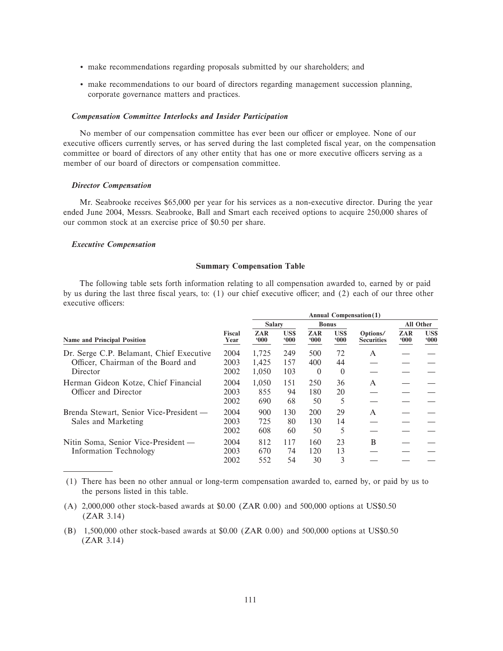- ' make recommendations regarding proposals submitted by our shareholders; and
- ' make recommendations to our board of directors regarding management succession planning, corporate governance matters and practices.

#### *Compensation Committee Interlocks and Insider Participation*

No member of our compensation committee has ever been our officer or employee. None of our executive officers currently serves, or has served during the last completed fiscal year, on the compensation committee or board of directors of any other entity that has one or more executive officers serving as a member of our board of directors or compensation committee.

# *Director Compensation*

Mr. Seabrooke receives \$65,000 per year for his services as a non-executive director. During the year ended June 2004, Messrs. Seabrooke, Ball and Smart each received options to acquire 250,000 shares of our common stock at an exercise price of \$0.50 per share.

### *Executive Compensation*

#### **Summary Compensation Table**

The following table sets forth information relating to all compensation awarded to, earned by or paid by us during the last three fiscal years, to: (1) our chief executive officer; and (2) each of our three other executive officers:

|                |                              |                            |                                        |                          |                                      |                               | <b>All Other</b> |
|----------------|------------------------------|----------------------------|----------------------------------------|--------------------------|--------------------------------------|-------------------------------|------------------|
| Fiscal<br>Year | ZAR<br>000                   | US\$<br>000                | ZAR<br>000                             | US\$<br>000              | Options/<br><b>Securities</b>        | ZAR<br>000                    | US\$<br>000      |
| 2004           | 1,725                        | 249                        | 500                                    | 72                       | A                                    |                               |                  |
| 2002           | 1,050                        | 103                        | $\Omega$                               | $\Omega$                 |                                      |                               |                  |
| 2004           | 1.050                        | 151                        | 250                                    | 36                       | $\mathsf{A}$                         |                               |                  |
| 2002           | 690                          | 68                         | 50                                     | 5                        |                                      |                               |                  |
| 2004           | 900                          | 130                        | 200                                    | 29                       | $\mathsf{A}$                         |                               |                  |
| 2002           | 608                          | 60                         | 50                                     | 5                        |                                      |                               |                  |
| 2004           | 812                          | 117                        | 160                                    | 23                       | B                                    |                               |                  |
| 2002           | 552                          | 54                         | 30                                     | 3                        |                                      |                               |                  |
|                | 2003<br>2003<br>2003<br>2003 | 1.425<br>855<br>725<br>670 | <b>Salary</b><br>157<br>94<br>80<br>74 | 400<br>180<br>130<br>120 | <b>Bonus</b><br>44<br>20<br>14<br>13 | <b>Annual Compensation(1)</b> |                  |

(1) There has been no other annual or long-term compensation awarded to, earned by, or paid by us to the persons listed in this table.

- (A) 2,000,000 other stock-based awards at \$0.00 (ZAR 0.00) and 500,000 options at US\$0.50 (ZAR 3.14)
- (B) 1,500,000 other stock-based awards at \$0.00 (ZAR 0.00) and 500,000 options at US\$0.50 (ZAR 3.14)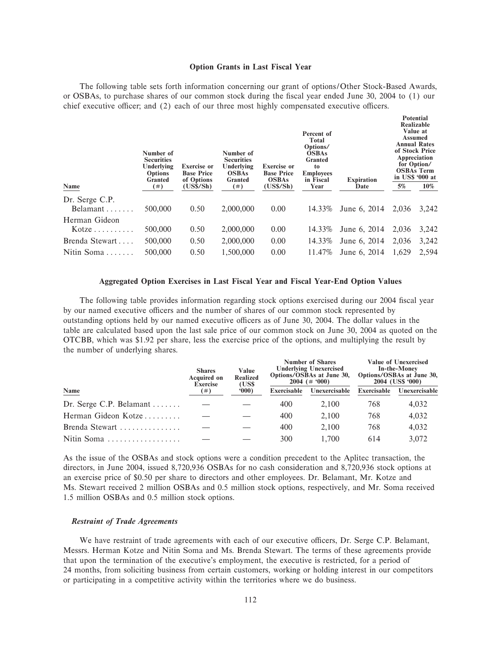#### **Option Grants in Last Fiscal Year**

The following table sets forth information concerning our grant of options/Other Stock-Based Awards, or OSBAs, to purchase shares of our common stock during the fiscal year ended June 30, 2004 to (1) our chief executive officer; and  $(2)$  each of our three most highly compensated executive officers.

**Potential**

|                                     | Number of<br><b>Securities</b><br>Underlying<br><b>Options</b><br>Granted | <b>Exercise or</b><br><b>Base Price</b><br>of Options | Number of<br><b>Securities</b><br>Underlying<br><b>OSBAs</b><br>Granted | <b>Exercise or</b><br><b>Base Price</b><br><b>OSBAs</b> | Percent of<br><b>Total</b><br>Options/<br><b>OSBAs</b><br>Granted<br>to<br><b>Employees</b><br>in Fiscal | <b>Expiration</b> |       | Realizable<br>Value at<br>Assumed<br><b>Annual Rates</b><br>of Stock Price<br>Appreciation<br>for Option/<br><b>OSBAs Term</b><br>in US\$ '000 at |
|-------------------------------------|---------------------------------------------------------------------------|-------------------------------------------------------|-------------------------------------------------------------------------|---------------------------------------------------------|----------------------------------------------------------------------------------------------------------|-------------------|-------|---------------------------------------------------------------------------------------------------------------------------------------------------|
| Name                                | $^{(*)}$                                                                  | (US\$/Sh)                                             | (  # )                                                                  | (US\$/Sh)                                               | Year                                                                                                     | Date              | 5%    | 10%                                                                                                                                               |
| Dr. Serge C.P.<br>Belamant $\ldots$ | 500,000                                                                   | 0.50                                                  | 2,000,000                                                               | 0.00                                                    | 14.33%                                                                                                   | June 6, 2014      | 2.036 | 3.242                                                                                                                                             |
| Herman Gideon                       |                                                                           |                                                       |                                                                         |                                                         |                                                                                                          |                   |       |                                                                                                                                                   |
| Kotze                               | 500,000                                                                   | 0.50                                                  | 2,000,000                                                               | 0.00                                                    | 14.33%                                                                                                   | June 6, 2014      | 2,036 | 3,242                                                                                                                                             |
| Brenda Stewart                      | 500,000                                                                   | 0.50                                                  | 2,000,000                                                               | 0.00                                                    | 14.33%                                                                                                   | June 6, 2014      | 2,036 | 3,242                                                                                                                                             |
| Nitin Soma                          | 500,000                                                                   | 0.50                                                  | 1,500,000                                                               | 0.00                                                    | 11.47\%                                                                                                  | June 6, 2014      | 1,629 | 2.594                                                                                                                                             |

#### **Aggregated Option Exercises in Last Fiscal Year and Fiscal Year-End Option Values**

The following table provides information regarding stock options exercised during our 2004 fiscal year by our named executive officers and the number of shares of our common stock represented by outstanding options held by our named executive officers as of June 30, 2004. The dollar values in the table are calculated based upon the last sale price of our common stock on June 30, 2004 as quoted on the OTCBB, which was \$1.92 per share, less the exercise price of the options, and multiplying the result by the number of underlying shares.

|                         | <b>Shares</b><br><b>Acquired on</b><br><b>Exercise</b> | Value<br>Realized<br>(US\$) |             | <b>Number of Shares</b><br><b>Underlying Unexercised</b><br>Options/OSBAs at June 30,<br>$2004 (+ 900)$ |             | <b>Value of Unexercised</b><br>In-the-Money<br>Options/OSBAs at June 30,<br>2004 (US\$ '000) |
|-------------------------|--------------------------------------------------------|-----------------------------|-------------|---------------------------------------------------------------------------------------------------------|-------------|----------------------------------------------------------------------------------------------|
| <b>Name</b>             | $^{(+)}$                                               | 000                         | Exercisable | Unexercisable                                                                                           | Exercisable | Unexercisable                                                                                |
| Dr. Serge C.P. Belamant |                                                        |                             | 400         | 2.100                                                                                                   | 768         | 4,032                                                                                        |
| Herman Gideon Kotze     |                                                        |                             | 400         | 2.100                                                                                                   | 768         | 4,032                                                                                        |
| Brenda Stewart          |                                                        |                             | 400         | 2.100                                                                                                   | 768         | 4,032                                                                                        |
| Nitin Soma              |                                                        |                             | 300         | 1.700                                                                                                   | 614         | 3.072                                                                                        |

As the issue of the OSBAs and stock options were a condition precedent to the Aplitec transaction, the directors, in June 2004, issued 8,720,936 OSBAs for no cash consideration and 8,720,936 stock options at an exercise price of \$0.50 per share to directors and other employees. Dr. Belamant, Mr. Kotze and Ms. Stewart received 2 million OSBAs and 0.5 million stock options, respectively, and Mr. Soma received 1.5 million OSBAs and 0.5 million stock options.

#### *Restraint of Trade Agreements*

We have restraint of trade agreements with each of our executive officers, Dr. Serge C.P. Belamant, Messrs. Herman Kotze and Nitin Soma and Ms. Brenda Stewart. The terms of these agreements provide that upon the termination of the executive's employment, the executive is restricted, for a period of 24 months, from soliciting business from certain customers, working or holding interest in our competitors or participating in a competitive activity within the territories where we do business.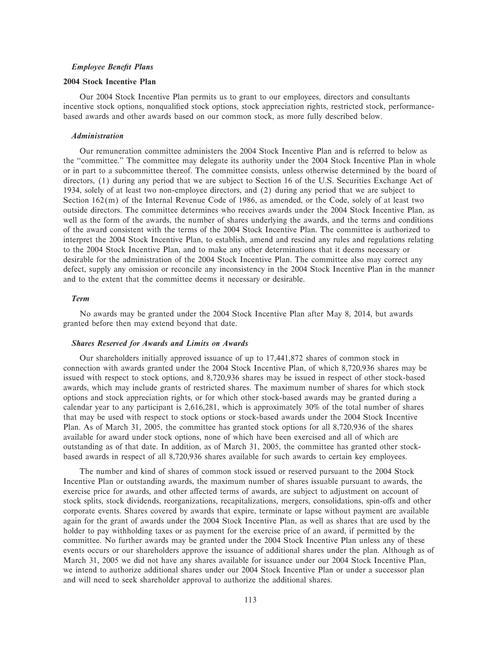#### *Employee BeneÑt Plans*

#### **2004 Stock Incentive Plan**

Our 2004 Stock Incentive Plan permits us to grant to our employees, directors and consultants incentive stock options, nonqualified stock options, stock appreciation rights, restricted stock, performancebased awards and other awards based on our common stock, as more fully described below.

#### *Administration*

Our remuneration committee administers the 2004 Stock Incentive Plan and is referred to below as the ""committee.'' The committee may delegate its authority under the 2004 Stock Incentive Plan in whole or in part to a subcommittee thereof. The committee consists, unless otherwise determined by the board of directors, (1) during any period that we are subject to Section 16 of the U.S. Securities Exchange Act of 1934, solely of at least two non-employee directors, and (2) during any period that we are subject to Section 162(m) of the Internal Revenue Code of 1986, as amended, or the Code, solely of at least two outside directors. The committee determines who receives awards under the 2004 Stock Incentive Plan, as well as the form of the awards, the number of shares underlying the awards, and the terms and conditions of the award consistent with the terms of the 2004 Stock Incentive Plan. The committee is authorized to interpret the 2004 Stock Incentive Plan, to establish, amend and rescind any rules and regulations relating to the 2004 Stock Incentive Plan, and to make any other determinations that it deems necessary or desirable for the administration of the 2004 Stock Incentive Plan. The committee also may correct any defect, supply any omission or reconcile any inconsistency in the 2004 Stock Incentive Plan in the manner and to the extent that the committee deems it necessary or desirable.

# *Term*

No awards may be granted under the 2004 Stock Incentive Plan after May 8, 2014, but awards granted before then may extend beyond that date.

# *Shares Reserved for Awards and Limits on Awards*

Our shareholders initially approved issuance of up to 17,441,872 shares of common stock in connection with awards granted under the 2004 Stock Incentive Plan, of which 8,720,936 shares may be issued with respect to stock options, and 8,720,936 shares may be issued in respect of other stock-based awards, which may include grants of restricted shares. The maximum number of shares for which stock options and stock appreciation rights, or for which other stock-based awards may be granted during a calendar year to any participant is 2,616,281, which is approximately 30% of the total number of shares that may be used with respect to stock options or stock-based awards under the 2004 Stock Incentive Plan. As of March 31, 2005, the committee has granted stock options for all 8,720,936 of the shares available for award under stock options, none of which have been exercised and all of which are outstanding as of that date. In addition, as of March 31, 2005, the committee has granted other stockbased awards in respect of all 8,720,936 shares available for such awards to certain key employees.

The number and kind of shares of common stock issued or reserved pursuant to the 2004 Stock Incentive Plan or outstanding awards, the maximum number of shares issuable pursuant to awards, the exercise price for awards, and other affected terms of awards, are subject to adjustment on account of stock splits, stock dividends, reorganizations, recapitalizations, mergers, consolidations, spin-offs and other corporate events. Shares covered by awards that expire, terminate or lapse without payment are available again for the grant of awards under the 2004 Stock Incentive Plan, as well as shares that are used by the holder to pay withholding taxes or as payment for the exercise price of an award, if permitted by the committee. No further awards may be granted under the 2004 Stock Incentive Plan unless any of these events occurs or our shareholders approve the issuance of additional shares under the plan. Although as of March 31, 2005 we did not have any shares available for issuance under our 2004 Stock Incentive Plan, we intend to authorize additional shares under our 2004 Stock Incentive Plan or under a successor plan and will need to seek shareholder approval to authorize the additional shares.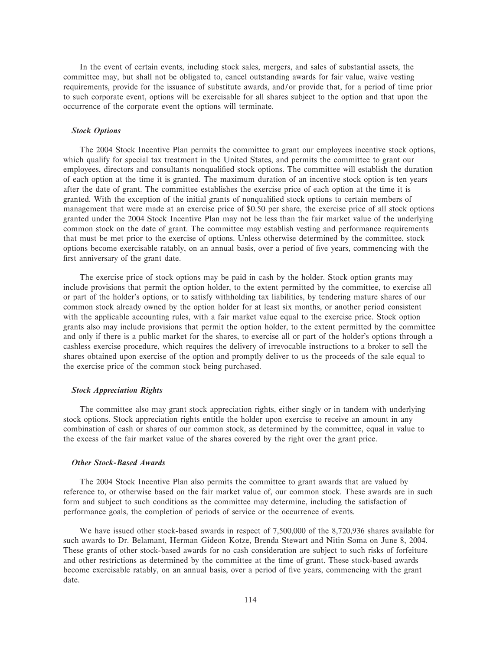In the event of certain events, including stock sales, mergers, and sales of substantial assets, the committee may, but shall not be obligated to, cancel outstanding awards for fair value, waive vesting requirements, provide for the issuance of substitute awards, and/or provide that, for a period of time prior to such corporate event, options will be exercisable for all shares subject to the option and that upon the occurrence of the corporate event the options will terminate.

# *Stock Options*

The 2004 Stock Incentive Plan permits the committee to grant our employees incentive stock options, which qualify for special tax treatment in the United States, and permits the committee to grant our employees, directors and consultants nonqualified stock options. The committee will establish the duration of each option at the time it is granted. The maximum duration of an incentive stock option is ten years after the date of grant. The committee establishes the exercise price of each option at the time it is granted. With the exception of the initial grants of nonqualified stock options to certain members of management that were made at an exercise price of \$0.50 per share, the exercise price of all stock options granted under the 2004 Stock Incentive Plan may not be less than the fair market value of the underlying common stock on the date of grant. The committee may establish vesting and performance requirements that must be met prior to the exercise of options. Unless otherwise determined by the committee, stock options become exercisable ratably, on an annual basis, over a period of Ñve years, commencing with the first anniversary of the grant date.

The exercise price of stock options may be paid in cash by the holder. Stock option grants may include provisions that permit the option holder, to the extent permitted by the committee, to exercise all or part of the holder's options, or to satisfy withholding tax liabilities, by tendering mature shares of our common stock already owned by the option holder for at least six months, or another period consistent with the applicable accounting rules, with a fair market value equal to the exercise price. Stock option grants also may include provisions that permit the option holder, to the extent permitted by the committee and only if there is a public market for the shares, to exercise all or part of the holder's options through a cashless exercise procedure, which requires the delivery of irrevocable instructions to a broker to sell the shares obtained upon exercise of the option and promptly deliver to us the proceeds of the sale equal to the exercise price of the common stock being purchased.

#### *Stock Appreciation Rights*

The committee also may grant stock appreciation rights, either singly or in tandem with underlying stock options. Stock appreciation rights entitle the holder upon exercise to receive an amount in any combination of cash or shares of our common stock, as determined by the committee, equal in value to the excess of the fair market value of the shares covered by the right over the grant price.

# *Other Stock-Based Awards*

The 2004 Stock Incentive Plan also permits the committee to grant awards that are valued by reference to, or otherwise based on the fair market value of, our common stock. These awards are in such form and subject to such conditions as the committee may determine, including the satisfaction of performance goals, the completion of periods of service or the occurrence of events.

We have issued other stock-based awards in respect of 7,500,000 of the 8,720,936 shares available for such awards to Dr. Belamant, Herman Gideon Kotze, Brenda Stewart and Nitin Soma on June 8, 2004. These grants of other stock-based awards for no cash consideration are subject to such risks of forfeiture and other restrictions as determined by the committee at the time of grant. These stock-based awards become exercisable ratably, on an annual basis, over a period of five years, commencing with the grant date.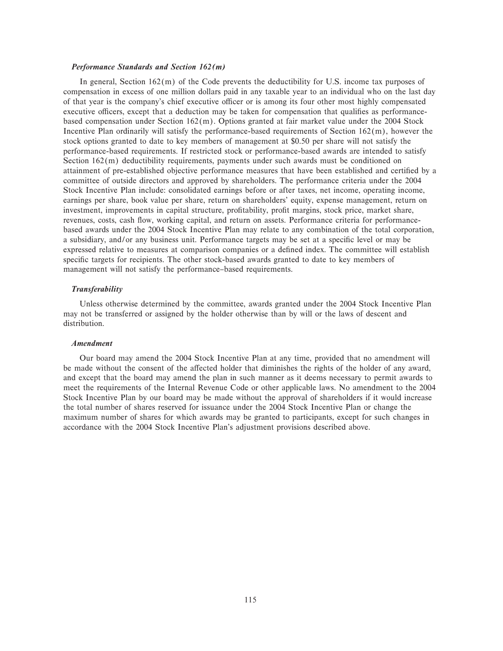#### *Performance Standards and Section 162(m)*

In general, Section 162(m) of the Code prevents the deductibility for U.S. income tax purposes of compensation in excess of one million dollars paid in any taxable year to an individual who on the last day of that year is the company's chief executive officer or is among its four other most highly compensated executive officers, except that a deduction may be taken for compensation that qualifies as performancebased compensation under Section 162(m). Options granted at fair market value under the 2004 Stock Incentive Plan ordinarily will satisfy the performance-based requirements of Section 162(m), however the stock options granted to date to key members of management at \$0.50 per share will not satisfy the performance-based requirements. If restricted stock or performance-based awards are intended to satisfy Section 162(m) deductibility requirements, payments under such awards must be conditioned on attainment of pre-established objective performance measures that have been established and certified by a committee of outside directors and approved by shareholders. The performance criteria under the 2004 Stock Incentive Plan include: consolidated earnings before or after taxes, net income, operating income, earnings per share, book value per share, return on shareholders' equity, expense management, return on investment, improvements in capital structure, profitability, profit margins, stock price, market share, revenues, costs, cash flow, working capital, and return on assets. Performance criteria for performancebased awards under the 2004 Stock Incentive Plan may relate to any combination of the total corporation, a subsidiary, and/or any business unit. Performance targets may be set at a specific level or may be expressed relative to measures at comparison companies or a defined index. The committee will establish specific targets for recipients. The other stock-based awards granted to date to key members of management will not satisfy the performance–based requirements.

# *Transferability*

Unless otherwise determined by the committee, awards granted under the 2004 Stock Incentive Plan may not be transferred or assigned by the holder otherwise than by will or the laws of descent and distribution.

# *Amendment*

Our board may amend the 2004 Stock Incentive Plan at any time, provided that no amendment will be made without the consent of the affected holder that diminishes the rights of the holder of any award, and except that the board may amend the plan in such manner as it deems necessary to permit awards to meet the requirements of the Internal Revenue Code or other applicable laws. No amendment to the 2004 Stock Incentive Plan by our board may be made without the approval of shareholders if it would increase the total number of shares reserved for issuance under the 2004 Stock Incentive Plan or change the maximum number of shares for which awards may be granted to participants, except for such changes in accordance with the 2004 Stock Incentive Plan's adjustment provisions described above.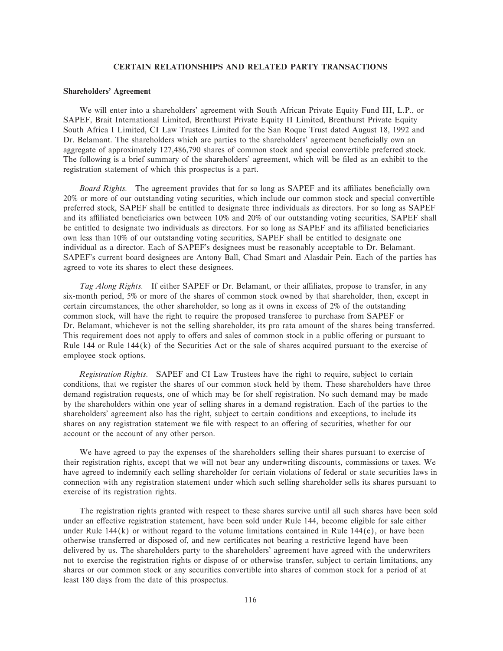#### **CERTAIN RELATIONSHIPS AND RELATED PARTY TRANSACTIONS**

#### **Shareholders' Agreement**

We will enter into a shareholders' agreement with South African Private Equity Fund III, L.P., or SAPEF, Brait International Limited, Brenthurst Private Equity II Limited, Brenthurst Private Equity South Africa I Limited, CI Law Trustees Limited for the San Roque Trust dated August 18, 1992 and Dr. Belamant. The shareholders which are parties to the shareholders' agreement beneficially own an aggregate of approximately 127,486,790 shares of common stock and special convertible preferred stock. The following is a brief summary of the shareholders' agreement, which will be filed as an exhibit to the registration statement of which this prospectus is a part.

*Board Rights.* The agreement provides that for so long as SAPEF and its affiliates beneficially own 20% or more of our outstanding voting securities, which include our common stock and special convertible preferred stock, SAPEF shall be entitled to designate three individuals as directors. For so long as SAPEF and its affiliated beneficiaries own between 10% and 20% of our outstanding voting securities, SAPEF shall be entitled to designate two individuals as directors. For so long as SAPEF and its affiliated beneficiaries own less than 10% of our outstanding voting securities, SAPEF shall be entitled to designate one individual as a director. Each of SAPEF's designees must be reasonably acceptable to Dr. Belamant. SAPEF's current board designees are Antony Ball, Chad Smart and Alasdair Pein. Each of the parties has agreed to vote its shares to elect these designees.

*Tag Along Rights.* If either SAPEF or Dr. Belamant, or their affiliates, propose to transfer, in any six-month period, 5% or more of the shares of common stock owned by that shareholder, then, except in certain circumstances, the other shareholder, so long as it owns in excess of 2% of the outstanding common stock, will have the right to require the proposed transferee to purchase from SAPEF or Dr. Belamant, whichever is not the selling shareholder, its pro rata amount of the shares being transferred. This requirement does not apply to offers and sales of common stock in a public offering or pursuant to Rule 144 or Rule 144(k) of the Securities Act or the sale of shares acquired pursuant to the exercise of employee stock options.

*Registration Rights.* SAPEF and CI Law Trustees have the right to require, subject to certain conditions, that we register the shares of our common stock held by them. These shareholders have three demand registration requests, one of which may be for shelf registration. No such demand may be made by the shareholders within one year of selling shares in a demand registration. Each of the parties to the shareholders' agreement also has the right, subject to certain conditions and exceptions, to include its shares on any registration statement we file with respect to an offering of securities, whether for our account or the account of any other person.

We have agreed to pay the expenses of the shareholders selling their shares pursuant to exercise of their registration rights, except that we will not bear any underwriting discounts, commissions or taxes. We have agreed to indemnify each selling shareholder for certain violations of federal or state securities laws in connection with any registration statement under which such selling shareholder sells its shares pursuant to exercise of its registration rights.

The registration rights granted with respect to these shares survive until all such shares have been sold under an effective registration statement, have been sold under Rule 144, become eligible for sale either under Rule 144(k) or without regard to the volume limitations contained in Rule 144(e), or have been otherwise transferred or disposed of, and new certificates not bearing a restrictive legend have been delivered by us. The shareholders party to the shareholders' agreement have agreed with the underwriters not to exercise the registration rights or dispose of or otherwise transfer, subject to certain limitations, any shares or our common stock or any securities convertible into shares of common stock for a period of at least 180 days from the date of this prospectus.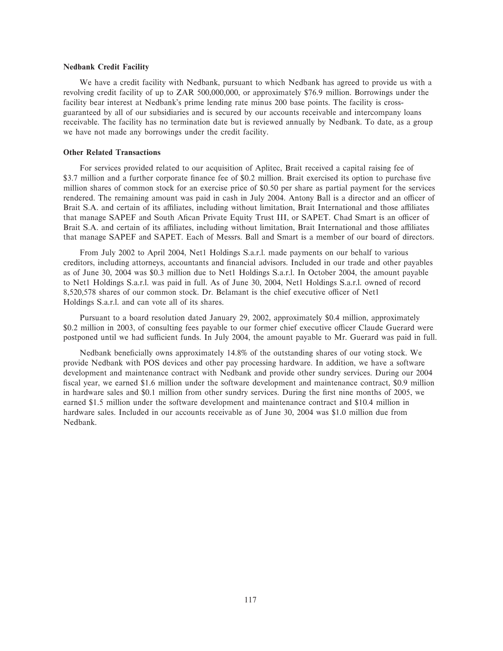#### **Nedbank Credit Facility**

We have a credit facility with Nedbank, pursuant to which Nedbank has agreed to provide us with a revolving credit facility of up to ZAR 500,000,000, or approximately \$76.9 million. Borrowings under the facility bear interest at Nedbank's prime lending rate minus 200 base points. The facility is crossguaranteed by all of our subsidiaries and is secured by our accounts receivable and intercompany loans receivable. The facility has no termination date but is reviewed annually by Nedbank. To date, as a group we have not made any borrowings under the credit facility.

#### **Other Related Transactions**

For services provided related to our acquisition of Aplitec, Brait received a capital raising fee of \$3.7 million and a further corporate finance fee of \$0.2 million. Brait exercised its option to purchase five million shares of common stock for an exercise price of \$0.50 per share as partial payment for the services rendered. The remaining amount was paid in cash in July 2004. Antony Ball is a director and an officer of Brait S.A. and certain of its affiliates, including without limitation, Brait International and those affiliates that manage SAPEF and South Afican Private Equity Trust III, or SAPET. Chad Smart is an officer of Brait S.A. and certain of its affiliates, including without limitation, Brait International and those affiliates that manage SAPEF and SAPET. Each of Messrs. Ball and Smart is a member of our board of directors.

From July 2002 to April 2004, Net1 Holdings S.a.r.l. made payments on our behalf to various creditors, including attorneys, accountants and Ñnancial advisors. Included in our trade and other payables as of June 30, 2004 was \$0.3 million due to Net1 Holdings S.a.r.l. In October 2004, the amount payable to Net1 Holdings S.a.r.l. was paid in full. As of June 30, 2004, Net1 Holdings S.a.r.l. owned of record 8,520,578 shares of our common stock. Dr. Belamant is the chief executive officer of Net1 Holdings S.a.r.l. and can vote all of its shares.

Pursuant to a board resolution dated January 29, 2002, approximately \$0.4 million, approximately \$0.2 million in 2003, of consulting fees payable to our former chief executive officer Claude Guerard were postponed until we had sufficient funds. In July 2004, the amount payable to Mr. Guerard was paid in full.

Nedbank beneficially owns approximately 14.8% of the outstanding shares of our voting stock. We provide Nedbank with POS devices and other pay processing hardware. In addition, we have a software development and maintenance contract with Nedbank and provide other sundry services. During our 2004 fiscal year, we earned \$1.6 million under the software development and maintenance contract, \$0.9 million in hardware sales and \$0.1 million from other sundry services. During the first nine months of 2005, we earned \$1.5 million under the software development and maintenance contract and \$10.4 million in hardware sales. Included in our accounts receivable as of June 30, 2004 was \$1.0 million due from Nedbank.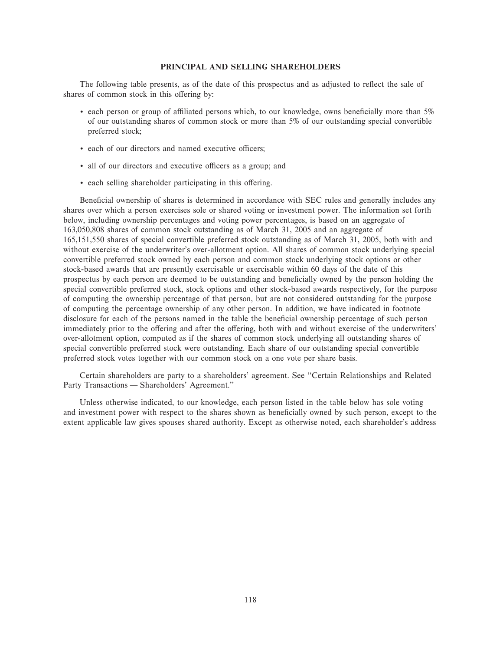#### **PRINCIPAL AND SELLING SHAREHOLDERS**

The following table presents, as of the date of this prospectus and as adjusted to reflect the sale of shares of common stock in this offering by:

- each person or group of affiliated persons which, to our knowledge, owns beneficially more than 5% of our outstanding shares of common stock or more than 5% of our outstanding special convertible preferred stock;
- each of our directors and named executive officers;
- all of our directors and executive officers as a group; and
- each selling shareholder participating in this offering.

Beneficial ownership of shares is determined in accordance with SEC rules and generally includes any shares over which a person exercises sole or shared voting or investment power. The information set forth below, including ownership percentages and voting power percentages, is based on an aggregate of 163,050,808 shares of common stock outstanding as of March 31, 2005 and an aggregate of 165,151,550 shares of special convertible preferred stock outstanding as of March 31, 2005, both with and without exercise of the underwriter's over-allotment option. All shares of common stock underlying special convertible preferred stock owned by each person and common stock underlying stock options or other stock-based awards that are presently exercisable or exercisable within 60 days of the date of this prospectus by each person are deemed to be outstanding and beneficially owned by the person holding the special convertible preferred stock, stock options and other stock-based awards respectively, for the purpose of computing the ownership percentage of that person, but are not considered outstanding for the purpose of computing the percentage ownership of any other person. In addition, we have indicated in footnote disclosure for each of the persons named in the table the beneficial ownership percentage of such person immediately prior to the offering and after the offering, both with and without exercise of the underwriters' over-allotment option, computed as if the shares of common stock underlying all outstanding shares of special convertible preferred stock were outstanding. Each share of our outstanding special convertible preferred stock votes together with our common stock on a one vote per share basis.

Certain shareholders are party to a shareholders' agreement. See ""Certain Relationships and Related Party Transactions — Shareholders' Agreement."

Unless otherwise indicated, to our knowledge, each person listed in the table below has sole voting and investment power with respect to the shares shown as beneficially owned by such person, except to the extent applicable law gives spouses shared authority. Except as otherwise noted, each shareholder's address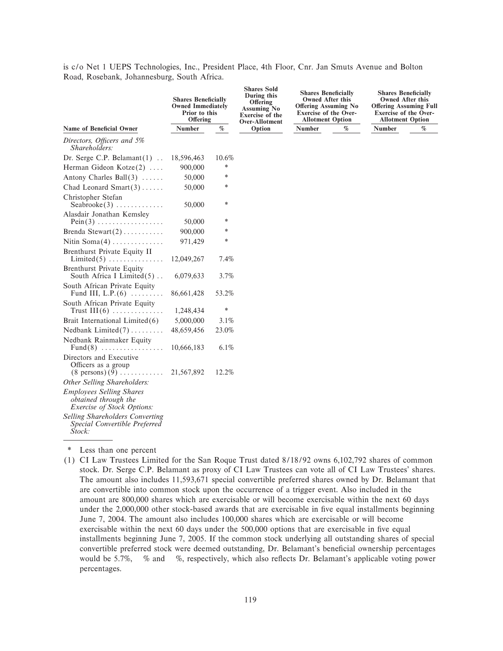is c/o Net 1 UEPS Technologies, Inc., President Place, 4th Floor, Cnr. Jan Smuts Avenue and Bolton Road, Rosebank, Johannesburg, South Africa.

|                                                                                               | <b>Shares Beneficially</b><br><b>Owned Immediately</b><br>Prior to this<br>Offering |        | <b>Shares Sold</b><br>During this<br>Offering<br><b>Assuming No</b><br><b>Exercise</b> of the<br>Over-Allotment |        | <b>Shares Beneficially</b><br><b>Owned After this</b><br>Offering Assuming No<br><b>Exercise of the Over-</b><br><b>Allotment Option</b> | <b>Shares Beneficially</b><br><b>Owned After this</b><br><b>Offering Assuming Full</b><br><b>Exercise of the Over-</b><br><b>Allotment Option</b> |      |  |  |  |
|-----------------------------------------------------------------------------------------------|-------------------------------------------------------------------------------------|--------|-----------------------------------------------------------------------------------------------------------------|--------|------------------------------------------------------------------------------------------------------------------------------------------|---------------------------------------------------------------------------------------------------------------------------------------------------|------|--|--|--|
| <b>Name of Beneficial Owner</b>                                                               | Number                                                                              | $\%$   | Option                                                                                                          | Number | $\%$                                                                                                                                     | <b>Number</b>                                                                                                                                     | $\%$ |  |  |  |
| Directors, Officers and 5%<br>Shareholders:                                                   |                                                                                     |        |                                                                                                                 |        |                                                                                                                                          |                                                                                                                                                   |      |  |  |  |
| Dr. Serge C.P. Belamant $(1)$                                                                 | 18,596,463                                                                          | 10.6%  |                                                                                                                 |        |                                                                                                                                          |                                                                                                                                                   |      |  |  |  |
| Herman Gideon Kotze(2)                                                                        | 900,000                                                                             | *      |                                                                                                                 |        |                                                                                                                                          |                                                                                                                                                   |      |  |  |  |
| Antony Charles Ball $(3)$                                                                     | 50,000                                                                              | *      |                                                                                                                 |        |                                                                                                                                          |                                                                                                                                                   |      |  |  |  |
| Chad Leonard Smart $(3)$                                                                      | 50,000                                                                              | *      |                                                                                                                 |        |                                                                                                                                          |                                                                                                                                                   |      |  |  |  |
| Christopher Stefan<br>$Seabrooke(3) \ldots \ldots \ldots$                                     | 50,000                                                                              | *      |                                                                                                                 |        |                                                                                                                                          |                                                                                                                                                   |      |  |  |  |
| Alasdair Jonathan Kemsley<br>$Pein(3)$                                                        | 50,000                                                                              | *      |                                                                                                                 |        |                                                                                                                                          |                                                                                                                                                   |      |  |  |  |
| Brenda Stewart $(2)$                                                                          | 900,000                                                                             | *      |                                                                                                                 |        |                                                                                                                                          |                                                                                                                                                   |      |  |  |  |
| Nitin $Soma(4)$                                                                               | 971,429                                                                             | *      |                                                                                                                 |        |                                                                                                                                          |                                                                                                                                                   |      |  |  |  |
| Brenthurst Private Equity II<br>$Limited(5) \ldots \ldots \ldots \ldots$                      | 12,049,267                                                                          | 7.4%   |                                                                                                                 |        |                                                                                                                                          |                                                                                                                                                   |      |  |  |  |
| <b>Brenthurst Private Equity</b><br>South Africa I Limited $(5)$                              | 6,079,633                                                                           | 3.7%   |                                                                                                                 |        |                                                                                                                                          |                                                                                                                                                   |      |  |  |  |
| South African Private Equity<br>Fund III, L.P. $(6)$                                          | 86,661,428                                                                          | 53.2%  |                                                                                                                 |        |                                                                                                                                          |                                                                                                                                                   |      |  |  |  |
| South African Private Equity<br>Trust $III(6)$                                                | 1,248,434                                                                           | $\ast$ |                                                                                                                 |        |                                                                                                                                          |                                                                                                                                                   |      |  |  |  |
| Brait International Limited(6)                                                                | 5,000,000                                                                           | 3.1%   |                                                                                                                 |        |                                                                                                                                          |                                                                                                                                                   |      |  |  |  |
| Nedbank $Limited(7) \ldots \ldots$                                                            | 48,659,456                                                                          | 23.0%  |                                                                                                                 |        |                                                                                                                                          |                                                                                                                                                   |      |  |  |  |
| Nedbank Rainmaker Equity<br>Fund(8) $\dots\dots\dots\dots\dots\dots$                          | 10,666,183                                                                          | 6.1%   |                                                                                                                 |        |                                                                                                                                          |                                                                                                                                                   |      |  |  |  |
| Directors and Executive<br>Officers as a group<br>$(8 \text{ persons}) (9) \dots \dots \dots$ | 21,567,892                                                                          | 12.2%  |                                                                                                                 |        |                                                                                                                                          |                                                                                                                                                   |      |  |  |  |
| Other Selling Shareholders:                                                                   |                                                                                     |        |                                                                                                                 |        |                                                                                                                                          |                                                                                                                                                   |      |  |  |  |
| <b>Employees Selling Shares</b><br>obtained through the<br><i>Exercise of Stock Options:</i>  |                                                                                     |        |                                                                                                                 |        |                                                                                                                                          |                                                                                                                                                   |      |  |  |  |
| <b>Selling Shareholders Converting</b><br>Special Convertible Preferred<br>Stock:             |                                                                                     |        |                                                                                                                 |        |                                                                                                                                          |                                                                                                                                                   |      |  |  |  |

\* Less than one percent

(1) CI Law Trustees Limited for the San Roque Trust dated 8/18/92 owns 6,102,792 shares of common stock. Dr. Serge C.P. Belamant as proxy of CI Law Trustees can vote all of CI Law Trustees' shares. The amount also includes 11,593,671 special convertible preferred shares owned by Dr. Belamant that are convertible into common stock upon the occurrence of a trigger event. Also included in the amount are 800,000 shares which are exercisable or will become exercisable within the next 60 days under the 2,000,000 other stock-based awards that are exercisable in five equal installments beginning June 7, 2004. The amount also includes 100,000 shares which are exercisable or will become exercisable within the next 60 days under the 500,000 options that are exercisable in five equal installments beginning June 7, 2005. If the common stock underlying all outstanding shares of special convertible preferred stock were deemed outstanding, Dr. Belamant's beneficial ownership percentages would be 5.7%, % and %, respectively, which also reflects Dr. Belamant's applicable voting power percentages.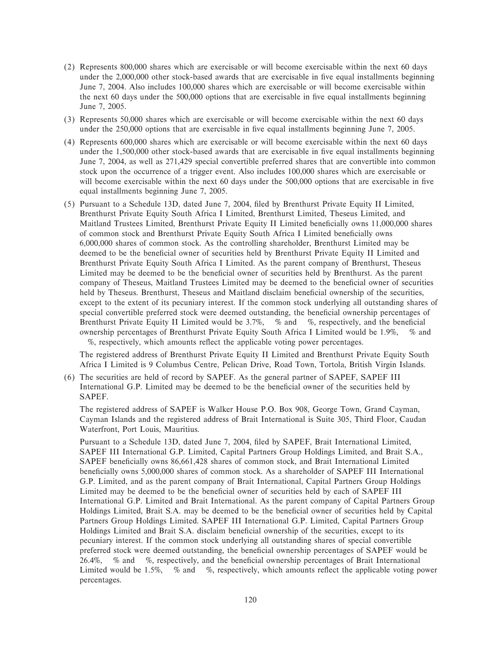- (2) Represents 800,000 shares which are exercisable or will become exercisable within the next 60 days under the 2,000,000 other stock-based awards that are exercisable in five equal installments beginning June 7, 2004. Also includes 100,000 shares which are exercisable or will become exercisable within the next 60 days under the 500,000 options that are exercisable in five equal installments beginning June 7, 2005.
- (3) Represents 50,000 shares which are exercisable or will become exercisable within the next 60 days under the 250,000 options that are exercisable in five equal installments beginning June 7, 2005.
- (4) Represents 600,000 shares which are exercisable or will become exercisable within the next 60 days under the 1,500,000 other stock-based awards that are exercisable in five equal installments beginning June 7, 2004, as well as 271,429 special convertible preferred shares that are convertible into common stock upon the occurrence of a trigger event. Also includes 100,000 shares which are exercisable or will become exercisable within the next 60 days under the 500,000 options that are exercisable in five equal installments beginning June 7, 2005.
- (5) Pursuant to a Schedule 13D, dated June 7, 2004, Ñled by Brenthurst Private Equity II Limited, Brenthurst Private Equity South Africa I Limited, Brenthurst Limited, Theseus Limited, and Maitland Trustees Limited, Brenthurst Private Equity II Limited beneficially owns 11,000,000 shares of common stock and Brenthurst Private Equity South Africa I Limited beneficially owns 6,000,000 shares of common stock. As the controlling shareholder, Brenthurst Limited may be deemed to be the beneficial owner of securities held by Brenthurst Private Equity II Limited and Brenthurst Private Equity South Africa I Limited. As the parent company of Brenthurst, Theseus Limited may be deemed to be the beneficial owner of securities held by Brenthurst. As the parent company of Theseus, Maitland Trustees Limited may be deemed to the beneficial owner of securities held by Theseus. Brenthurst, Theseus and Maitland disclaim beneficial ownership of the securities, except to the extent of its pecuniary interest. If the common stock underlying all outstanding shares of special convertible preferred stock were deemed outstanding, the beneficial ownership percentages of Brenthurst Private Equity II Limited would be  $3.7\%$ , % and %, respectively, and the beneficial ownership percentages of Brenthurst Private Equity South Africa I Limited would be 1.9%, % and %, respectively, which amounts reflect the applicable voting power percentages.

The registered address of Brenthurst Private Equity II Limited and Brenthurst Private Equity South Africa I Limited is 9 Columbus Centre, Pelican Drive, Road Town, Tortola, British Virgin Islands.

(6) The securities are held of record by SAPEF. As the general partner of SAPEF, SAPEF III International G.P. Limited may be deemed to be the beneficial owner of the securities held by SAPEF.

The registered address of SAPEF is Walker House P.O. Box 908, George Town, Grand Cayman, Cayman Islands and the registered address of Brait International is Suite 305, Third Floor, Caudan Waterfront, Port Louis, Mauritius.

Pursuant to a Schedule 13D, dated June 7, 2004, filed by SAPEF, Brait International Limited, SAPEF III International G.P. Limited, Capital Partners Group Holdings Limited, and Brait S.A., SAPEF beneficially owns 86,661,428 shares of common stock, and Brait International Limited beneficially owns 5,000,000 shares of common stock. As a shareholder of SAPEF III International G.P. Limited, and as the parent company of Brait International, Capital Partners Group Holdings Limited may be deemed to be the beneficial owner of securities held by each of SAPEF III International G.P. Limited and Brait International. As the parent company of Capital Partners Group Holdings Limited, Brait S.A. may be deemed to be the beneficial owner of securities held by Capital Partners Group Holdings Limited. SAPEF III International G.P. Limited, Capital Partners Group Holdings Limited and Brait S.A. disclaim beneficial ownership of the securities, except to its pecuniary interest. If the common stock underlying all outstanding shares of special convertible preferred stock were deemed outstanding, the beneficial ownership percentages of SAPEF would be 26.4%, % and %, respectively, and the beneficial ownership percentages of Brait International Limited would be  $1.5\%$ , % and %, respectively, which amounts reflect the applicable voting power percentages.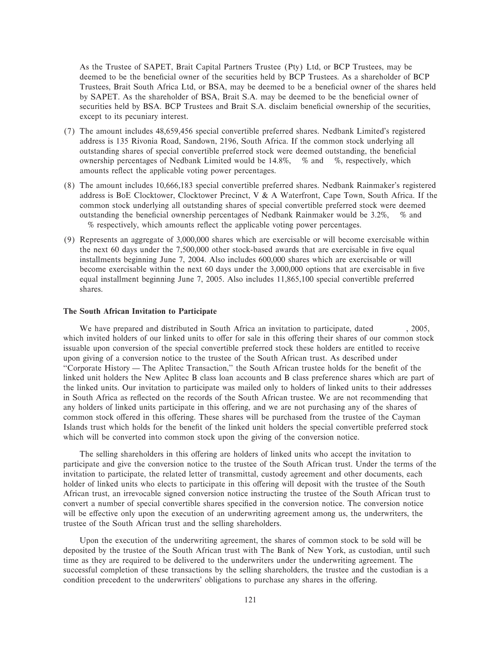As the Trustee of SAPET, Brait Capital Partners Trustee (Pty) Ltd, or BCP Trustees, may be deemed to be the beneficial owner of the securities held by BCP Trustees. As a shareholder of BCP Trustees, Brait South Africa Ltd, or BSA, may be deemed to be a beneficial owner of the shares held by SAPET. As the shareholder of BSA, Brait S.A. may be deemed to be the beneficial owner of securities held by BSA. BCP Trustees and Brait S.A. disclaim beneficial ownership of the securities, except to its pecuniary interest.

- (7) The amount includes 48,659,456 special convertible preferred shares. Nedbank Limited's registered address is 135 Rivonia Road, Sandown, 2196, South Africa. If the common stock underlying all outstanding shares of special convertible preferred stock were deemed outstanding, the beneficial ownership percentages of Nedbank Limited would be 14.8%, % and %, respectively, which amounts reflect the applicable voting power percentages.
- (8) The amount includes 10,666,183 special convertible preferred shares. Nedbank Rainmaker's registered address is BoE Clocktower, Clocktower Precinct, V & A Waterfront, Cape Town, South Africa. If the common stock underlying all outstanding shares of special convertible preferred stock were deemed outstanding the beneficial ownership percentages of Nedbank Rainmaker would be  $3.2\%$ , % and % respectively, which amounts reflect the applicable voting power percentages.
- (9) Represents an aggregate of 3,000,000 shares which are exercisable or will become exercisable within the next 60 days under the 7,500,000 other stock-based awards that are exercisable in five equal installments beginning June 7, 2004. Also includes 600,000 shares which are exercisable or will become exercisable within the next 60 days under the 3,000,000 options that are exercisable in five equal installment beginning June 7, 2005. Also includes 11,865,100 special convertible preferred shares.

## **The South African Invitation to Participate**

We have prepared and distributed in South Africa an invitation to participate, dated  $, 2005,$ which invited holders of our linked units to offer for sale in this offering their shares of our common stock issuable upon conversion of the special convertible preferred stock these holders are entitled to receive upon giving of a conversion notice to the trustee of the South African trust. As described under "Corporate History — The Aplitec Transaction," the South African trustee holds for the benefit of the linked unit holders the New Aplitec B class loan accounts and B class preference shares which are part of the linked units. Our invitation to participate was mailed only to holders of linked units to their addresses in South Africa as reflected on the records of the South African trustee. We are not recommending that any holders of linked units participate in this offering, and we are not purchasing any of the shares of common stock offered in this offering. These shares will be purchased from the trustee of the Cayman Islands trust which holds for the benefit of the linked unit holders the special convertible preferred stock which will be converted into common stock upon the giving of the conversion notice.

The selling shareholders in this offering are holders of linked units who accept the invitation to participate and give the conversion notice to the trustee of the South African trust. Under the terms of the invitation to participate, the related letter of transmittal, custody agreement and other documents, each holder of linked units who elects to participate in this offering will deposit with the trustee of the South African trust, an irrevocable signed conversion notice instructing the trustee of the South African trust to convert a number of special convertible shares specified in the conversion notice. The conversion notice will be effective only upon the execution of an underwriting agreement among us, the underwriters, the trustee of the South African trust and the selling shareholders.

Upon the execution of the underwriting agreement, the shares of common stock to be sold will be deposited by the trustee of the South African trust with The Bank of New York, as custodian, until such time as they are required to be delivered to the underwriters under the underwriting agreement. The successful completion of these transactions by the selling shareholders, the trustee and the custodian is a condition precedent to the underwriters' obligations to purchase any shares in the offering.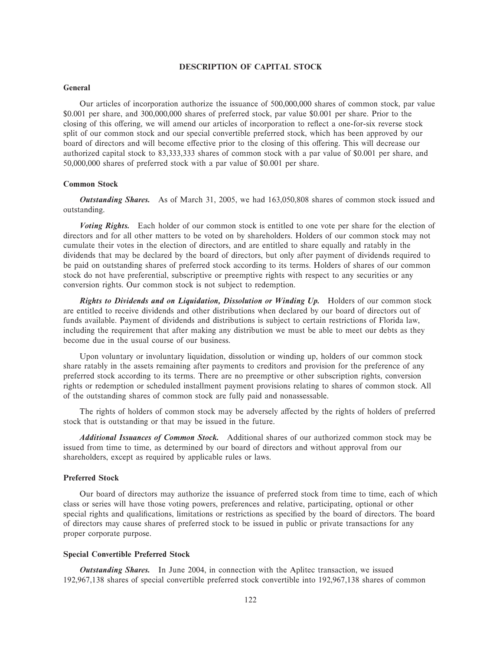#### **DESCRIPTION OF CAPITAL STOCK**

#### **General**

Our articles of incorporation authorize the issuance of 500,000,000 shares of common stock, par value \$0.001 per share, and 300,000,000 shares of preferred stock, par value \$0.001 per share. Prior to the closing of this offering, we will amend our articles of incorporation to reflect a one-for-six reverse stock split of our common stock and our special convertible preferred stock, which has been approved by our board of directors and will become effective prior to the closing of this offering. This will decrease our authorized capital stock to 83,333,333 shares of common stock with a par value of \$0.001 per share, and 50,000,000 shares of preferred stock with a par value of \$0.001 per share.

#### **Common Stock**

*Outstanding Shares.* As of March 31, 2005, we had 163,050,808 shares of common stock issued and outstanding.

*Voting Rights.* Each holder of our common stock is entitled to one vote per share for the election of directors and for all other matters to be voted on by shareholders. Holders of our common stock may not cumulate their votes in the election of directors, and are entitled to share equally and ratably in the dividends that may be declared by the board of directors, but only after payment of dividends required to be paid on outstanding shares of preferred stock according to its terms. Holders of shares of our common stock do not have preferential, subscriptive or preemptive rights with respect to any securities or any conversion rights. Our common stock is not subject to redemption.

*Rights to Dividends and on Liquidation, Dissolution or Winding Up.* Holders of our common stock are entitled to receive dividends and other distributions when declared by our board of directors out of funds available. Payment of dividends and distributions is subject to certain restrictions of Florida law, including the requirement that after making any distribution we must be able to meet our debts as they become due in the usual course of our business.

Upon voluntary or involuntary liquidation, dissolution or winding up, holders of our common stock share ratably in the assets remaining after payments to creditors and provision for the preference of any preferred stock according to its terms. There are no preemptive or other subscription rights, conversion rights or redemption or scheduled installment payment provisions relating to shares of common stock. All of the outstanding shares of common stock are fully paid and nonassessable.

The rights of holders of common stock may be adversely affected by the rights of holders of preferred stock that is outstanding or that may be issued in the future.

*Additional Issuances of Common Stock.* Additional shares of our authorized common stock may be issued from time to time, as determined by our board of directors and without approval from our shareholders, except as required by applicable rules or laws.

#### **Preferred Stock**

Our board of directors may authorize the issuance of preferred stock from time to time, each of which class or series will have those voting powers, preferences and relative, participating, optional or other special rights and qualifications, limitations or restrictions as specified by the board of directors. The board of directors may cause shares of preferred stock to be issued in public or private transactions for any proper corporate purpose.

### **Special Convertible Preferred Stock**

*Outstanding Shares.* In June 2004, in connection with the Aplitec transaction, we issued 192,967,138 shares of special convertible preferred stock convertible into 192,967,138 shares of common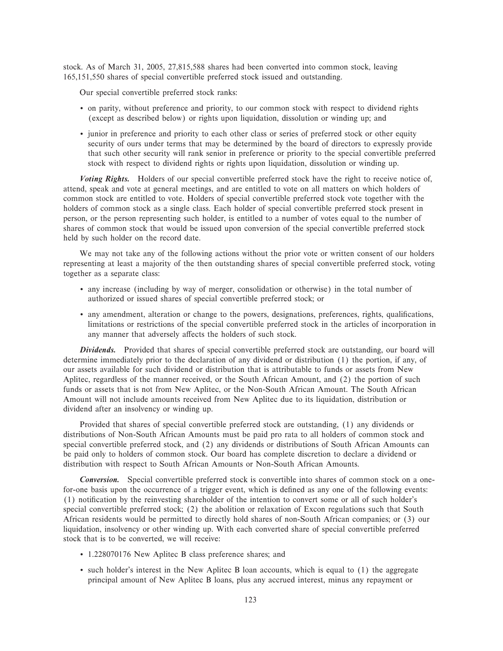stock. As of March 31, 2005, 27,815,588 shares had been converted into common stock, leaving 165,151,550 shares of special convertible preferred stock issued and outstanding.

Our special convertible preferred stock ranks:

- ' on parity, without preference and priority, to our common stock with respect to dividend rights (except as described below) or rights upon liquidation, dissolution or winding up; and
- ' junior in preference and priority to each other class or series of preferred stock or other equity security of ours under terms that may be determined by the board of directors to expressly provide that such other security will rank senior in preference or priority to the special convertible preferred stock with respect to dividend rights or rights upon liquidation, dissolution or winding up.

*Voting Rights.* Holders of our special convertible preferred stock have the right to receive notice of, attend, speak and vote at general meetings, and are entitled to vote on all matters on which holders of common stock are entitled to vote. Holders of special convertible preferred stock vote together with the holders of common stock as a single class. Each holder of special convertible preferred stock present in person, or the person representing such holder, is entitled to a number of votes equal to the number of shares of common stock that would be issued upon conversion of the special convertible preferred stock held by such holder on the record date.

We may not take any of the following actions without the prior vote or written consent of our holders representing at least a majority of the then outstanding shares of special convertible preferred stock, voting together as a separate class:

- ' any increase (including by way of merger, consolidation or otherwise) in the total number of authorized or issued shares of special convertible preferred stock; or
- any amendment, alteration or change to the powers, designations, preferences, rights, qualifications, limitations or restrictions of the special convertible preferred stock in the articles of incorporation in any manner that adversely affects the holders of such stock.

*Dividends.* Provided that shares of special convertible preferred stock are outstanding, our board will determine immediately prior to the declaration of any dividend or distribution (1) the portion, if any, of our assets available for such dividend or distribution that is attributable to funds or assets from New Aplitec, regardless of the manner received, or the South African Amount, and (2) the portion of such funds or assets that is not from New Aplitec, or the Non-South African Amount. The South African Amount will not include amounts received from New Aplitec due to its liquidation, distribution or dividend after an insolvency or winding up.

Provided that shares of special convertible preferred stock are outstanding, (1) any dividends or distributions of Non-South African Amounts must be paid pro rata to all holders of common stock and special convertible preferred stock, and (2) any dividends or distributions of South African Amounts can be paid only to holders of common stock. Our board has complete discretion to declare a dividend or distribution with respect to South African Amounts or Non-South African Amounts.

*Conversion.* Special convertible preferred stock is convertible into shares of common stock on a onefor-one basis upon the occurrence of a trigger event, which is defined as any one of the following events: (1) notification by the reinvesting shareholder of the intention to convert some or all of such holder's special convertible preferred stock; (2) the abolition or relaxation of Excon regulations such that South African residents would be permitted to directly hold shares of non-South African companies; or (3) our liquidation, insolvency or other winding up. With each converted share of special convertible preferred stock that is to be converted, we will receive:

- ' 1.228070176 New Aplitec B class preference shares; and
- ' such holder's interest in the New Aplitec B loan accounts, which is equal to (1) the aggregate principal amount of New Aplitec B loans, plus any accrued interest, minus any repayment or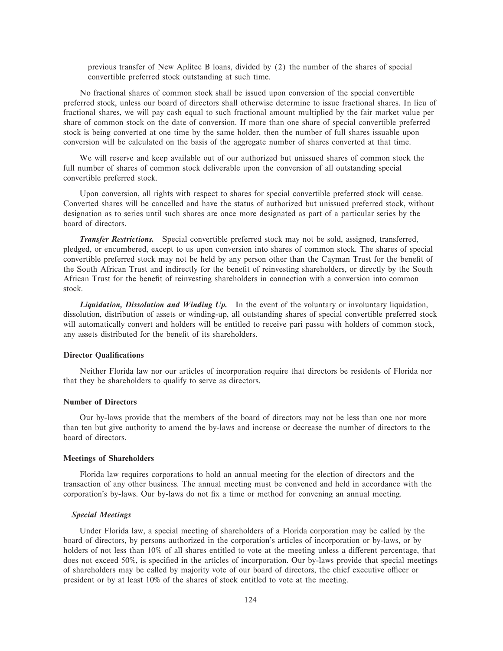previous transfer of New Aplitec B loans, divided by (2) the number of the shares of special convertible preferred stock outstanding at such time.

No fractional shares of common stock shall be issued upon conversion of the special convertible preferred stock, unless our board of directors shall otherwise determine to issue fractional shares. In lieu of fractional shares, we will pay cash equal to such fractional amount multiplied by the fair market value per share of common stock on the date of conversion. If more than one share of special convertible preferred stock is being converted at one time by the same holder, then the number of full shares issuable upon conversion will be calculated on the basis of the aggregate number of shares converted at that time.

We will reserve and keep available out of our authorized but unissued shares of common stock the full number of shares of common stock deliverable upon the conversion of all outstanding special convertible preferred stock.

Upon conversion, all rights with respect to shares for special convertible preferred stock will cease. Converted shares will be cancelled and have the status of authorized but unissued preferred stock, without designation as to series until such shares are once more designated as part of a particular series by the board of directors.

*Transfer Restrictions.* Special convertible preferred stock may not be sold, assigned, transferred, pledged, or encumbered, except to us upon conversion into shares of common stock. The shares of special convertible preferred stock may not be held by any person other than the Cayman Trust for the benefit of the South African Trust and indirectly for the benefit of reinvesting shareholders, or directly by the South African Trust for the benefit of reinvesting shareholders in connection with a conversion into common stock.

Liquidation, Dissolution and Winding Up. In the event of the voluntary or involuntary liquidation, dissolution, distribution of assets or winding-up, all outstanding shares of special convertible preferred stock will automatically convert and holders will be entitled to receive pari passu with holders of common stock, any assets distributed for the benefit of its shareholders.

#### **Director Qualifications**

Neither Florida law nor our articles of incorporation require that directors be residents of Florida nor that they be shareholders to qualify to serve as directors.

# **Number of Directors**

Our by-laws provide that the members of the board of directors may not be less than one nor more than ten but give authority to amend the by-laws and increase or decrease the number of directors to the board of directors.

#### **Meetings of Shareholders**

Florida law requires corporations to hold an annual meeting for the election of directors and the transaction of any other business. The annual meeting must be convened and held in accordance with the corporation's by-laws. Our by-laws do not Ñx a time or method for convening an annual meeting.

#### *Special Meetings*

Under Florida law, a special meeting of shareholders of a Florida corporation may be called by the board of directors, by persons authorized in the corporation's articles of incorporation or by-laws, or by holders of not less than 10% of all shares entitled to vote at the meeting unless a different percentage, that does not exceed 50%, is specified in the articles of incorporation. Our by-laws provide that special meetings of shareholders may be called by majority vote of our board of directors, the chief executive officer or president or by at least 10% of the shares of stock entitled to vote at the meeting.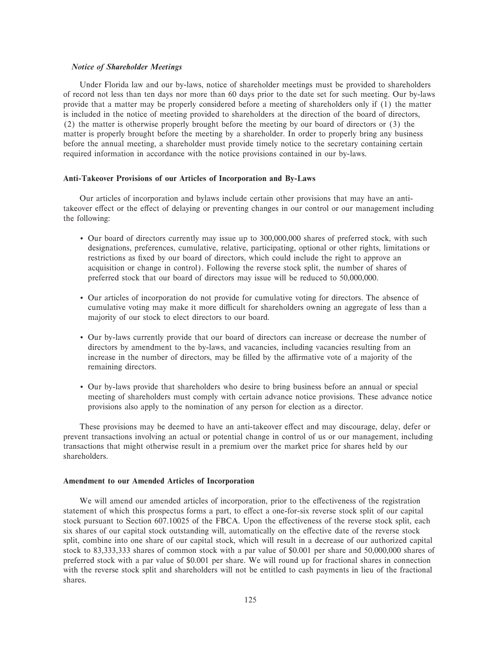#### *Notice of Shareholder Meetings*

Under Florida law and our by-laws, notice of shareholder meetings must be provided to shareholders of record not less than ten days nor more than 60 days prior to the date set for such meeting. Our by-laws provide that a matter may be properly considered before a meeting of shareholders only if (1) the matter is included in the notice of meeting provided to shareholders at the direction of the board of directors, (2) the matter is otherwise properly brought before the meeting by our board of directors or (3) the matter is properly brought before the meeting by a shareholder. In order to properly bring any business before the annual meeting, a shareholder must provide timely notice to the secretary containing certain required information in accordance with the notice provisions contained in our by-laws.

#### **Anti-Takeover Provisions of our Articles of Incorporation and By-Laws**

Our articles of incorporation and bylaws include certain other provisions that may have an antitakeover effect or the effect of delaying or preventing changes in our control or our management including the following:

- ' Our board of directors currently may issue up to 300,000,000 shares of preferred stock, with such designations, preferences, cumulative, relative, participating, optional or other rights, limitations or restrictions as fixed by our board of directors, which could include the right to approve an acquisition or change in control). Following the reverse stock split, the number of shares of preferred stock that our board of directors may issue will be reduced to 50,000,000.
- ' Our articles of incorporation do not provide for cumulative voting for directors. The absence of cumulative voting may make it more difficult for shareholders owning an aggregate of less than a majority of our stock to elect directors to our board.
- ' Our by-laws currently provide that our board of directors can increase or decrease the number of directors by amendment to the by-laws, and vacancies, including vacancies resulting from an increase in the number of directors, may be filled by the affirmative vote of a majority of the remaining directors.
- ' Our by-laws provide that shareholders who desire to bring business before an annual or special meeting of shareholders must comply with certain advance notice provisions. These advance notice provisions also apply to the nomination of any person for election as a director.

These provisions may be deemed to have an anti-takeover effect and may discourage, delay, defer or prevent transactions involving an actual or potential change in control of us or our management, including transactions that might otherwise result in a premium over the market price for shares held by our shareholders.

#### **Amendment to our Amended Articles of Incorporation**

We will amend our amended articles of incorporation, prior to the effectiveness of the registration statement of which this prospectus forms a part, to effect a one-for-six reverse stock split of our capital stock pursuant to Section 607.10025 of the FBCA. Upon the effectiveness of the reverse stock split, each six shares of our capital stock outstanding will, automatically on the effective date of the reverse stock split, combine into one share of our capital stock, which will result in a decrease of our authorized capital stock to 83,333,333 shares of common stock with a par value of \$0.001 per share and 50,000,000 shares of preferred stock with a par value of \$0.001 per share. We will round up for fractional shares in connection with the reverse stock split and shareholders will not be entitled to cash payments in lieu of the fractional shares.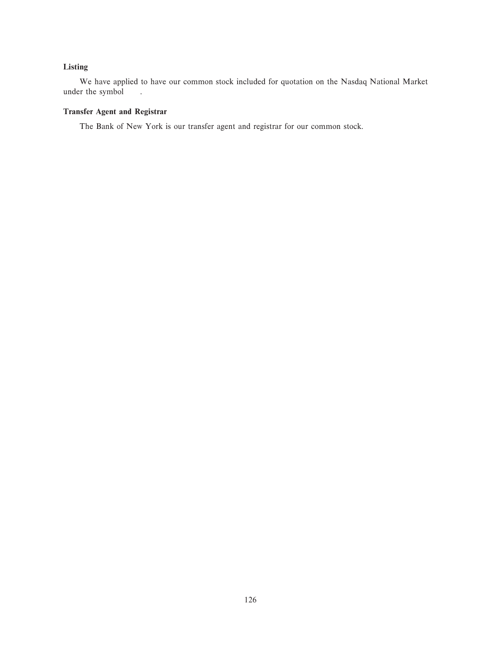# **Listing**

We have applied to have our common stock included for quotation on the Nasdaq National Market under the symbol .

# **Transfer Agent and Registrar**

The Bank of New York is our transfer agent and registrar for our common stock.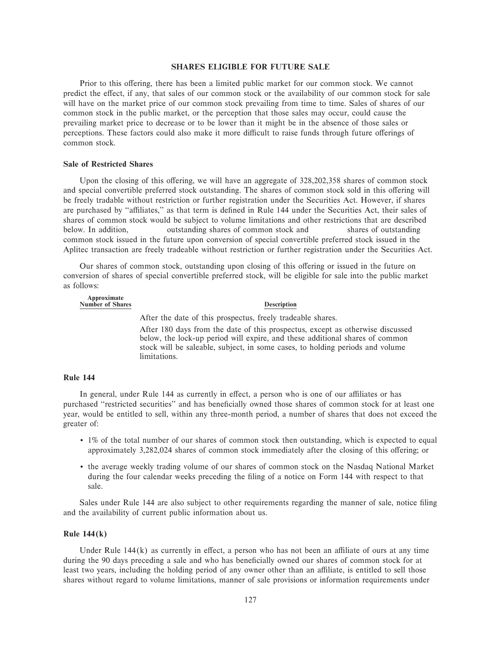#### **SHARES ELIGIBLE FOR FUTURE SALE**

Prior to this offering, there has been a limited public market for our common stock. We cannot predict the effect, if any, that sales of our common stock or the availability of our common stock for sale will have on the market price of our common stock prevailing from time to time. Sales of shares of our common stock in the public market, or the perception that those sales may occur, could cause the prevailing market price to decrease or to be lower than it might be in the absence of those sales or perceptions. These factors could also make it more difficult to raise funds through future offerings of common stock.

#### **Sale of Restricted Shares**

Upon the closing of this offering, we will have an aggregate of  $328,202,358$  shares of common stock and special convertible preferred stock outstanding. The shares of common stock sold in this offering will be freely tradable without restriction or further registration under the Securities Act. However, if shares are purchased by "affiliates," as that term is defined in Rule 144 under the Securities Act, their sales of shares of common stock would be subject to volume limitations and other restrictions that are described below. In addition, outstanding shares of common stock and shares of outstanding common stock issued in the future upon conversion of special convertible preferred stock issued in the Aplitec transaction are freely tradeable without restriction or further registration under the Securities Act.

Our shares of common stock, outstanding upon closing of this offering or issued in the future on conversion of shares of special convertible preferred stock, will be eligible for sale into the public market as follows:

| Approximate<br><b>Number of Shares</b> | <b>Description</b>                                                             |
|----------------------------------------|--------------------------------------------------------------------------------|
|                                        | After the date of this prospectus, freely tradeable shares.                    |
|                                        | After 180 days from the date of this prospectus, except as otherwise discussed |

below, the lock-up period will expire, and these additional shares of common stock will be saleable, subject, in some cases, to holding periods and volume limitations.

#### **Rule 144**

In general, under Rule 144 as currently in effect, a person who is one of our affiliates or has purchased "restricted securities" and has beneficially owned those shares of common stock for at least one year, would be entitled to sell, within any three-month period, a number of shares that does not exceed the greater of:

- ' 1% of the total number of our shares of common stock then outstanding, which is expected to equal approximately 3,282,024 shares of common stock immediately after the closing of this offering; or
- ' the average weekly trading volume of our shares of common stock on the Nasdaq National Market during the four calendar weeks preceding the filing of a notice on Form 144 with respect to that sale.

Sales under Rule 144 are also subject to other requirements regarding the manner of sale, notice filing and the availability of current public information about us.

#### **Rule 144(k)**

Under Rule  $144(k)$  as currently in effect, a person who has not been an affiliate of ours at any time during the 90 days preceding a sale and who has beneficially owned our shares of common stock for at least two years, including the holding period of any owner other than an affiliate, is entitled to sell those shares without regard to volume limitations, manner of sale provisions or information requirements under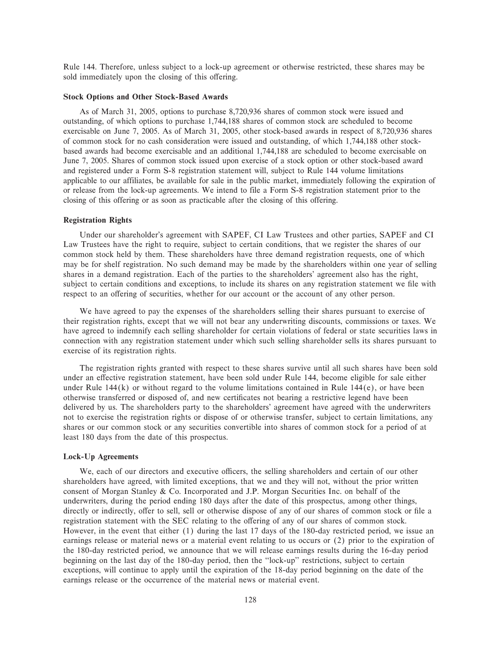Rule 144. Therefore, unless subject to a lock-up agreement or otherwise restricted, these shares may be sold immediately upon the closing of this offering.

#### **Stock Options and Other Stock-Based Awards**

As of March 31, 2005, options to purchase 8,720,936 shares of common stock were issued and outstanding, of which options to purchase 1,744,188 shares of common stock are scheduled to become exercisable on June 7, 2005. As of March 31, 2005, other stock-based awards in respect of 8,720,936 shares of common stock for no cash consideration were issued and outstanding, of which 1,744,188 other stockbased awards had become exercisable and an additional 1,744,188 are scheduled to become exercisable on June 7, 2005. Shares of common stock issued upon exercise of a stock option or other stock-based award and registered under a Form S-8 registration statement will, subject to Rule 144 volume limitations applicable to our affiliates, be available for sale in the public market, immediately following the expiration of or release from the lock-up agreements. We intend to file a Form S-8 registration statement prior to the closing of this offering or as soon as practicable after the closing of this offering.

#### **Registration Rights**

Under our shareholder's agreement with SAPEF, CI Law Trustees and other parties, SAPEF and CI Law Trustees have the right to require, subject to certain conditions, that we register the shares of our common stock held by them. These shareholders have three demand registration requests, one of which may be for shelf registration. No such demand may be made by the shareholders within one year of selling shares in a demand registration. Each of the parties to the shareholders' agreement also has the right, subject to certain conditions and exceptions, to include its shares on any registration statement we file with respect to an offering of securities, whether for our account or the account of any other person.

We have agreed to pay the expenses of the shareholders selling their shares pursuant to exercise of their registration rights, except that we will not bear any underwriting discounts, commissions or taxes. We have agreed to indemnify each selling shareholder for certain violations of federal or state securities laws in connection with any registration statement under which such selling shareholder sells its shares pursuant to exercise of its registration rights.

The registration rights granted with respect to these shares survive until all such shares have been sold under an effective registration statement, have been sold under Rule 144, become eligible for sale either under Rule  $144(k)$  or without regard to the volume limitations contained in Rule  $144(e)$ , or have been otherwise transferred or disposed of, and new certificates not bearing a restrictive legend have been delivered by us. The shareholders party to the shareholders' agreement have agreed with the underwriters not to exercise the registration rights or dispose of or otherwise transfer, subject to certain limitations, any shares or our common stock or any securities convertible into shares of common stock for a period of at least 180 days from the date of this prospectus.

#### **Lock-Up Agreements**

We, each of our directors and executive officers, the selling shareholders and certain of our other shareholders have agreed, with limited exceptions, that we and they will not, without the prior written consent of Morgan Stanley  $&$  Co. Incorporated and J.P. Morgan Securities Inc. on behalf of the underwriters, during the period ending 180 days after the date of this prospectus, among other things, directly or indirectly, offer to sell, sell or otherwise dispose of any of our shares of common stock or file a registration statement with the SEC relating to the offering of any of our shares of common stock. However, in the event that either (1) during the last 17 days of the 180-day restricted period, we issue an earnings release or material news or a material event relating to us occurs or (2) prior to the expiration of the 180-day restricted period, we announce that we will release earnings results during the 16-day period beginning on the last day of the 180-day period, then the ""lock-up'' restrictions, subject to certain exceptions, will continue to apply until the expiration of the 18-day period beginning on the date of the earnings release or the occurrence of the material news or material event.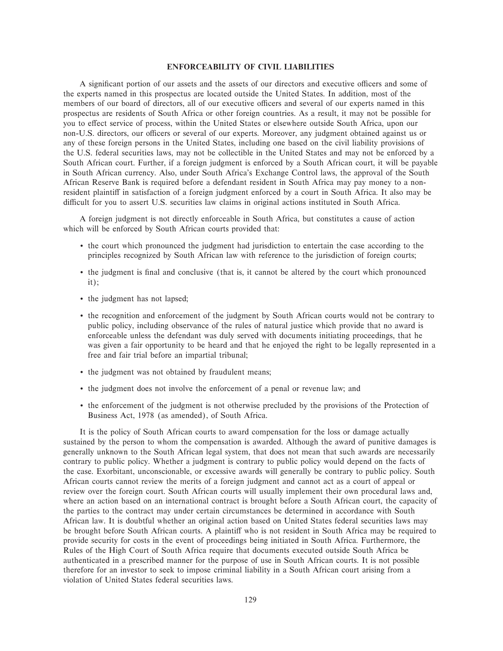#### **ENFORCEABILITY OF CIVIL LIABILITIES**

A significant portion of our assets and the assets of our directors and executive officers and some of the experts named in this prospectus are located outside the United States. In addition, most of the members of our board of directors, all of our executive officers and several of our experts named in this prospectus are residents of South Africa or other foreign countries. As a result, it may not be possible for you to effect service of process, within the United States or elsewhere outside South Africa, upon our non-U.S. directors, our officers or several of our experts. Moreover, any judgment obtained against us or any of these foreign persons in the United States, including one based on the civil liability provisions of the U.S. federal securities laws, may not be collectible in the United States and may not be enforced by a South African court. Further, if a foreign judgment is enforced by a South African court, it will be payable in South African currency. Also, under South Africa's Exchange Control laws, the approval of the South African Reserve Bank is required before a defendant resident in South Africa may pay money to a nonresident plaintiff in satisfaction of a foreign judgment enforced by a court in South Africa. It also may be difficult for you to assert U.S. securities law claims in original actions instituted in South Africa.

A foreign judgment is not directly enforceable in South Africa, but constitutes a cause of action which will be enforced by South African courts provided that:

- ' the court which pronounced the judgment had jurisdiction to entertain the case according to the principles recognized by South African law with reference to the jurisdiction of foreign courts;
- ' the judgment is Ñnal and conclusive (that is, it cannot be altered by the court which pronounced it);
- ' the judgment has not lapsed;
- ' the recognition and enforcement of the judgment by South African courts would not be contrary to public policy, including observance of the rules of natural justice which provide that no award is enforceable unless the defendant was duly served with documents initiating proceedings, that he was given a fair opportunity to be heard and that he enjoyed the right to be legally represented in a free and fair trial before an impartial tribunal;
- ' the judgment was not obtained by fraudulent means;
- ' the judgment does not involve the enforcement of a penal or revenue law; and
- ' the enforcement of the judgment is not otherwise precluded by the provisions of the Protection of Business Act, 1978 (as amended), of South Africa.

It is the policy of South African courts to award compensation for the loss or damage actually sustained by the person to whom the compensation is awarded. Although the award of punitive damages is generally unknown to the South African legal system, that does not mean that such awards are necessarily contrary to public policy. Whether a judgment is contrary to public policy would depend on the facts of the case. Exorbitant, unconscionable, or excessive awards will generally be contrary to public policy. South African courts cannot review the merits of a foreign judgment and cannot act as a court of appeal or review over the foreign court. South African courts will usually implement their own procedural laws and, where an action based on an international contract is brought before a South African court, the capacity of the parties to the contract may under certain circumstances be determined in accordance with South African law. It is doubtful whether an original action based on United States federal securities laws may be brought before South African courts. A plaintiff who is not resident in South Africa may be required to provide security for costs in the event of proceedings being initiated in South Africa. Furthermore, the Rules of the High Court of South Africa require that documents executed outside South Africa be authenticated in a prescribed manner for the purpose of use in South African courts. It is not possible therefore for an investor to seek to impose criminal liability in a South African court arising from a violation of United States federal securities laws.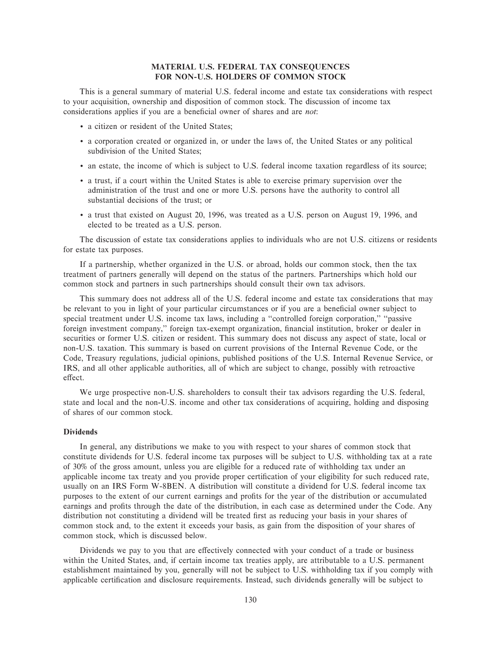# **MATERIAL U.S. FEDERAL TAX CONSEQUENCES FOR NON-U.S. HOLDERS OF COMMON STOCK**

This is a general summary of material U.S. federal income and estate tax considerations with respect to your acquisition, ownership and disposition of common stock. The discussion of income tax considerations applies if you are a beneficial owner of shares and are *not*:

- ' a citizen or resident of the United States;
- ' a corporation created or organized in, or under the laws of, the United States or any political subdivision of the United States;
- ' an estate, the income of which is subject to U.S. federal income taxation regardless of its source;
- ' a trust, if a court within the United States is able to exercise primary supervision over the administration of the trust and one or more U.S. persons have the authority to control all substantial decisions of the trust; or
- ' a trust that existed on August 20, 1996, was treated as a U.S. person on August 19, 1996, and elected to be treated as a U.S. person.

The discussion of estate tax considerations applies to individuals who are not U.S. citizens or residents for estate tax purposes.

If a partnership, whether organized in the U.S. or abroad, holds our common stock, then the tax treatment of partners generally will depend on the status of the partners. Partnerships which hold our common stock and partners in such partnerships should consult their own tax advisors.

This summary does not address all of the U.S. federal income and estate tax considerations that may be relevant to you in light of your particular circumstances or if you are a beneficial owner subject to special treatment under U.S. income tax laws, including a "controlled foreign corporation," "passive foreign investment company," foreign tax-exempt organization, financial institution, broker or dealer in securities or former U.S. citizen or resident. This summary does not discuss any aspect of state, local or non-U.S. taxation. This summary is based on current provisions of the Internal Revenue Code, or the Code, Treasury regulations, judicial opinions, published positions of the U.S. Internal Revenue Service, or IRS, and all other applicable authorities, all of which are subject to change, possibly with retroactive effect.

We urge prospective non-U.S. shareholders to consult their tax advisors regarding the U.S. federal, state and local and the non-U.S. income and other tax considerations of acquiring, holding and disposing of shares of our common stock.

#### **Dividends**

In general, any distributions we make to you with respect to your shares of common stock that constitute dividends for U.S. federal income tax purposes will be subject to U.S. withholding tax at a rate of 30% of the gross amount, unless you are eligible for a reduced rate of withholding tax under an applicable income tax treaty and you provide proper certification of your eligibility for such reduced rate, usually on an IRS Form W-8BEN. A distribution will constitute a dividend for U.S. federal income tax purposes to the extent of our current earnings and profits for the year of the distribution or accumulated earnings and profits through the date of the distribution, in each case as determined under the Code. Any distribution not constituting a dividend will be treated first as reducing your basis in your shares of common stock and, to the extent it exceeds your basis, as gain from the disposition of your shares of common stock, which is discussed below.

Dividends we pay to you that are effectively connected with your conduct of a trade or business within the United States, and, if certain income tax treaties apply, are attributable to a U.S. permanent establishment maintained by you, generally will not be subject to U.S. withholding tax if you comply with applicable certification and disclosure requirements. Instead, such dividends generally will be subject to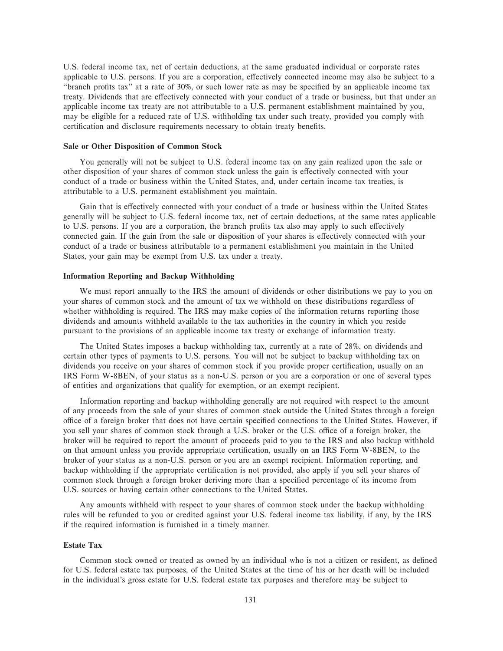U.S. federal income tax, net of certain deductions, at the same graduated individual or corporate rates applicable to U.S. persons. If you are a corporation, effectively connected income may also be subject to a "branch profits tax" at a rate of 30%, or such lower rate as may be specified by an applicable income tax treaty. Dividends that are effectively connected with your conduct of a trade or business, but that under an applicable income tax treaty are not attributable to a U.S. permanent establishment maintained by you, may be eligible for a reduced rate of U.S. withholding tax under such treaty, provided you comply with certification and disclosure requirements necessary to obtain treaty benefits.

#### **Sale or Other Disposition of Common Stock**

You generally will not be subject to U.S. federal income tax on any gain realized upon the sale or other disposition of your shares of common stock unless the gain is effectively connected with your conduct of a trade or business within the United States, and, under certain income tax treaties, is attributable to a U.S. permanent establishment you maintain.

Gain that is effectively connected with your conduct of a trade or business within the United States generally will be subject to U.S. federal income tax, net of certain deductions, at the same rates applicable to U.S. persons. If you are a corporation, the branch profits tax also may apply to such effectively connected gain. If the gain from the sale or disposition of your shares is effectively connected with your conduct of a trade or business attributable to a permanent establishment you maintain in the United States, your gain may be exempt from U.S. tax under a treaty.

# **Information Reporting and Backup Withholding**

We must report annually to the IRS the amount of dividends or other distributions we pay to you on your shares of common stock and the amount of tax we withhold on these distributions regardless of whether withholding is required. The IRS may make copies of the information returns reporting those dividends and amounts withheld available to the tax authorities in the country in which you reside pursuant to the provisions of an applicable income tax treaty or exchange of information treaty.

The United States imposes a backup withholding tax, currently at a rate of 28%, on dividends and certain other types of payments to U.S. persons. You will not be subject to backup withholding tax on dividends you receive on your shares of common stock if you provide proper certification, usually on an IRS Form W-8BEN, of your status as a non-U.S. person or you are a corporation or one of several types of entities and organizations that qualify for exemption, or an exempt recipient.

Information reporting and backup withholding generally are not required with respect to the amount of any proceeds from the sale of your shares of common stock outside the United States through a foreign office of a foreign broker that does not have certain specified connections to the United States. However, if you sell your shares of common stock through a U.S. broker or the U.S. office of a foreign broker, the broker will be required to report the amount of proceeds paid to you to the IRS and also backup withhold on that amount unless you provide appropriate certification, usually on an IRS Form W-8BEN, to the broker of your status as a non-U.S. person or you are an exempt recipient. Information reporting, and backup withholding if the appropriate certification is not provided, also apply if you sell your shares of common stock through a foreign broker deriving more than a specified percentage of its income from U.S. sources or having certain other connections to the United States.

Any amounts withheld with respect to your shares of common stock under the backup withholding rules will be refunded to you or credited against your U.S. federal income tax liability, if any, by the IRS if the required information is furnished in a timely manner.

#### **Estate Tax**

Common stock owned or treated as owned by an individual who is not a citizen or resident, as defined for U.S. federal estate tax purposes, of the United States at the time of his or her death will be included in the individual's gross estate for U.S. federal estate tax purposes and therefore may be subject to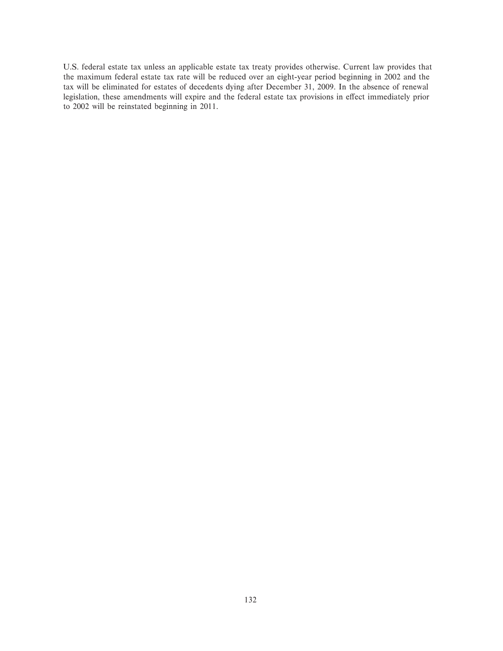U.S. federal estate tax unless an applicable estate tax treaty provides otherwise. Current law provides that the maximum federal estate tax rate will be reduced over an eight-year period beginning in 2002 and the tax will be eliminated for estates of decedents dying after December 31, 2009. In the absence of renewal legislation, these amendments will expire and the federal estate tax provisions in effect immediately prior to 2002 will be reinstated beginning in 2011.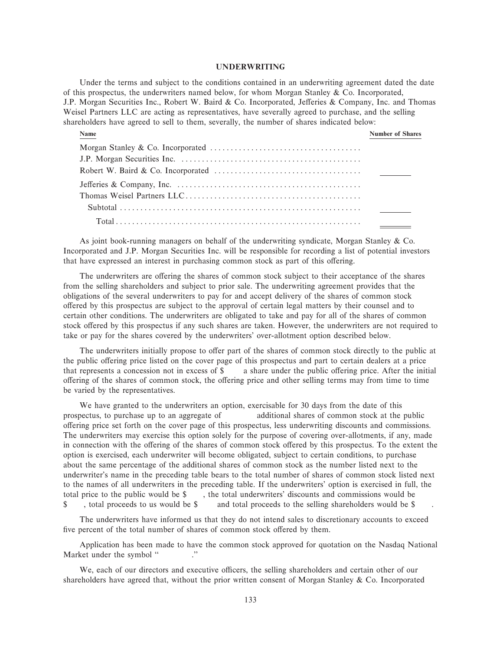#### **UNDERWRITING**

Under the terms and subject to the conditions contained in an underwriting agreement dated the date of this prospectus, the underwriters named below, for whom Morgan Stanley  $\&$  Co. Incorporated, J.P. Morgan Securities Inc., Robert W. Baird & Co. Incorporated, Jefferies & Company, Inc. and Thomas Weisel Partners LLC are acting as representatives, have severally agreed to purchase, and the selling shareholders have agreed to sell to them, severally, the number of shares indicated below:

| Name | <b>Number of Shares</b> |
|------|-------------------------|
|      |                         |
|      |                         |
|      |                         |
|      |                         |
|      |                         |
|      |                         |
|      |                         |

As joint book-running managers on behalf of the underwriting syndicate, Morgan Stanley & Co. Incorporated and J.P. Morgan Securities Inc. will be responsible for recording a list of potential investors that have expressed an interest in purchasing common stock as part of this offering.

The underwriters are offering the shares of common stock subject to their acceptance of the shares from the selling shareholders and subject to prior sale. The underwriting agreement provides that the obligations of the several underwriters to pay for and accept delivery of the shares of common stock oÅered by this prospectus are subject to the approval of certain legal matters by their counsel and to certain other conditions. The underwriters are obligated to take and pay for all of the shares of common stock offered by this prospectus if any such shares are taken. However, the underwriters are not required to take or pay for the shares covered by the underwriters' over-allotment option described below.

The underwriters initially propose to offer part of the shares of common stock directly to the public at the public offering price listed on the cover page of this prospectus and part to certain dealers at a price that represents a concession not in excess of  $\$\$  a share under the public offering price. After the initial offering of the shares of common stock, the offering price and other selling terms may from time to time be varied by the representatives.

We have granted to the underwriters an option, exercisable for 30 days from the date of this prospectus, to purchase up to an aggregate of additional shares of common stock at the public oÅering price set forth on the cover page of this prospectus, less underwriting discounts and commissions. The underwriters may exercise this option solely for the purpose of covering over-allotments, if any, made in connection with the offering of the shares of common stock offered by this prospectus. To the extent the option is exercised, each underwriter will become obligated, subject to certain conditions, to purchase about the same percentage of the additional shares of common stock as the number listed next to the underwriter's name in the preceding table bears to the total number of shares of common stock listed next to the names of all underwriters in the preceding table. If the underwriters' option is exercised in full, the total price to the public would be \$ , the total underwriters' discounts and commissions would be \$, total proceeds to us would be \$ and total proceeds to the selling shareholders would be \$

The underwriters have informed us that they do not intend sales to discretionary accounts to exceed five percent of the total number of shares of common stock offered by them.

Application has been made to have the common stock approved for quotation on the Nasdaq National Market under the symbol " ..."

We, each of our directors and executive officers, the selling shareholders and certain other of our shareholders have agreed that, without the prior written consent of Morgan Stanley  $& Co.$  Incorporated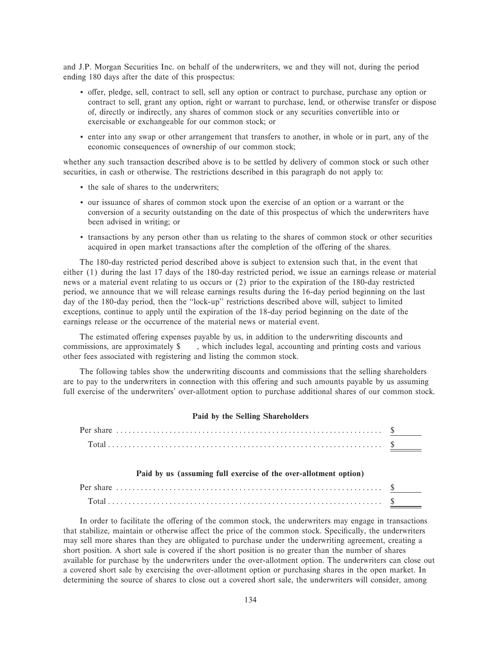and J.P. Morgan Securities Inc. on behalf of the underwriters, we and they will not, during the period ending 180 days after the date of this prospectus:

- ' oÅer, pledge, sell, contract to sell, sell any option or contract to purchase, purchase any option or contract to sell, grant any option, right or warrant to purchase, lend, or otherwise transfer or dispose of, directly or indirectly, any shares of common stock or any securities convertible into or exercisable or exchangeable for our common stock; or
- ' enter into any swap or other arrangement that transfers to another, in whole or in part, any of the economic consequences of ownership of our common stock;

whether any such transaction described above is to be settled by delivery of common stock or such other securities, in cash or otherwise. The restrictions described in this paragraph do not apply to:

- ' the sale of shares to the underwriters;
- ' our issuance of shares of common stock upon the exercise of an option or a warrant or the conversion of a security outstanding on the date of this prospectus of which the underwriters have been advised in writing; or
- ' transactions by any person other than us relating to the shares of common stock or other securities acquired in open market transactions after the completion of the offering of the shares.

The 180-day restricted period described above is subject to extension such that, in the event that either (1) during the last 17 days of the 180-day restricted period, we issue an earnings release or material news or a material event relating to us occurs or (2) prior to the expiration of the 180-day restricted period, we announce that we will release earnings results during the 16-day period beginning on the last day of the 180-day period, then the "lock-up" restrictions described above will, subject to limited exceptions, continue to apply until the expiration of the 18-day period beginning on the date of the earnings release or the occurrence of the material news or material event.

The estimated offering expenses payable by us, in addition to the underwriting discounts and commissions, are approximately \$ , which includes legal, accounting and printing costs and various other fees associated with registering and listing the common stock.

The following tables show the underwriting discounts and commissions that the selling shareholders are to pay to the underwriters in connection with this offering and such amounts payable by us assuming full exercise of the underwriters' over-allotment option to purchase additional shares of our common stock.

## **Paid by the Selling Shareholders**

### **Paid by us (assuming full exercise of the over-allotment option)**

In order to facilitate the offering of the common stock, the underwriters may engage in transactions that stabilize, maintain or otherwise affect the price of the common stock. Specifically, the underwriters may sell more shares than they are obligated to purchase under the underwriting agreement, creating a short position. A short sale is covered if the short position is no greater than the number of shares available for purchase by the underwriters under the over-allotment option. The underwriters can close out a covered short sale by exercising the over-allotment option or purchasing shares in the open market. In determining the source of shares to close out a covered short sale, the underwriters will consider, among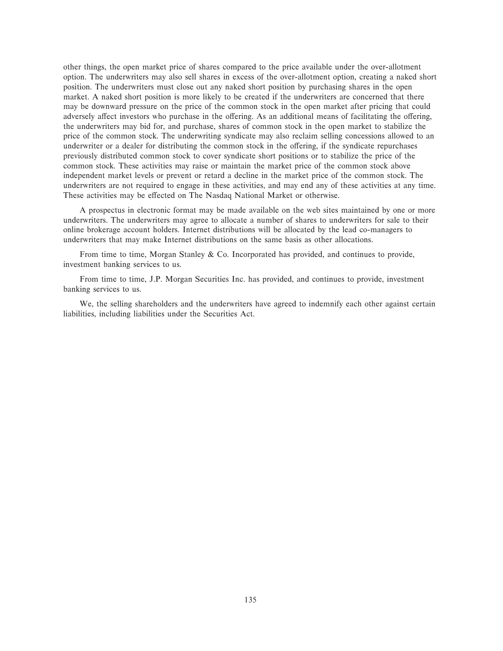other things, the open market price of shares compared to the price available under the over-allotment option. The underwriters may also sell shares in excess of the over-allotment option, creating a naked short position. The underwriters must close out any naked short position by purchasing shares in the open market. A naked short position is more likely to be created if the underwriters are concerned that there may be downward pressure on the price of the common stock in the open market after pricing that could adversely affect investors who purchase in the offering. As an additional means of facilitating the offering, the underwriters may bid for, and purchase, shares of common stock in the open market to stabilize the price of the common stock. The underwriting syndicate may also reclaim selling concessions allowed to an underwriter or a dealer for distributing the common stock in the offering, if the syndicate repurchases previously distributed common stock to cover syndicate short positions or to stabilize the price of the common stock. These activities may raise or maintain the market price of the common stock above independent market levels or prevent or retard a decline in the market price of the common stock. The underwriters are not required to engage in these activities, and may end any of these activities at any time. These activities may be effected on The Nasdaq National Market or otherwise.

A prospectus in electronic format may be made available on the web sites maintained by one or more underwriters. The underwriters may agree to allocate a number of shares to underwriters for sale to their online brokerage account holders. Internet distributions will be allocated by the lead co-managers to underwriters that may make Internet distributions on the same basis as other allocations.

From time to time, Morgan Stanley & Co. Incorporated has provided, and continues to provide, investment banking services to us.

From time to time, J.P. Morgan Securities Inc. has provided, and continues to provide, investment banking services to us.

We, the selling shareholders and the underwriters have agreed to indemnify each other against certain liabilities, including liabilities under the Securities Act.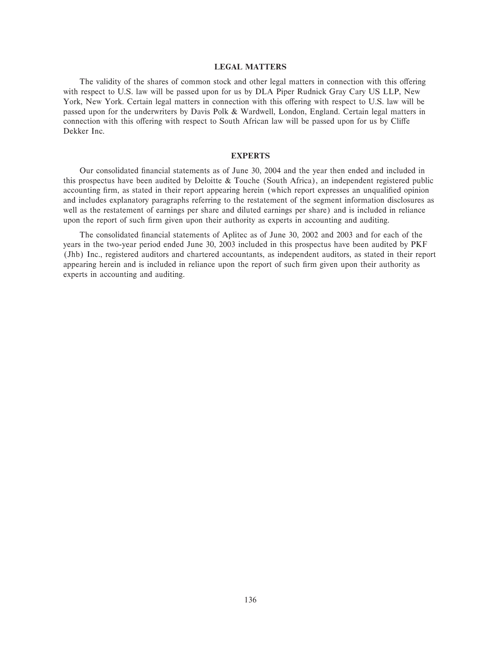#### **LEGAL MATTERS**

The validity of the shares of common stock and other legal matters in connection with this offering with respect to U.S. law will be passed upon for us by DLA Piper Rudnick Gray Cary US LLP, New York, New York. Certain legal matters in connection with this offering with respect to U.S. law will be passed upon for the underwriters by Davis Polk & Wardwell, London, England. Certain legal matters in connection with this offering with respect to South African law will be passed upon for us by Cliffe Dekker Inc.

### **EXPERTS**

Our consolidated Ñnancial statements as of June 30, 2004 and the year then ended and included in this prospectus have been audited by Deloitte & Touche (South Africa), an independent registered public accounting firm, as stated in their report appearing herein (which report expresses an unqualified opinion and includes explanatory paragraphs referring to the restatement of the segment information disclosures as well as the restatement of earnings per share and diluted earnings per share) and is included in reliance upon the report of such firm given upon their authority as experts in accounting and auditing.

The consolidated financial statements of Aplitec as of June 30, 2002 and 2003 and for each of the years in the two-year period ended June 30, 2003 included in this prospectus have been audited by PKF (Jhb) Inc., registered auditors and chartered accountants, as independent auditors, as stated in their report appearing herein and is included in reliance upon the report of such firm given upon their authority as experts in accounting and auditing.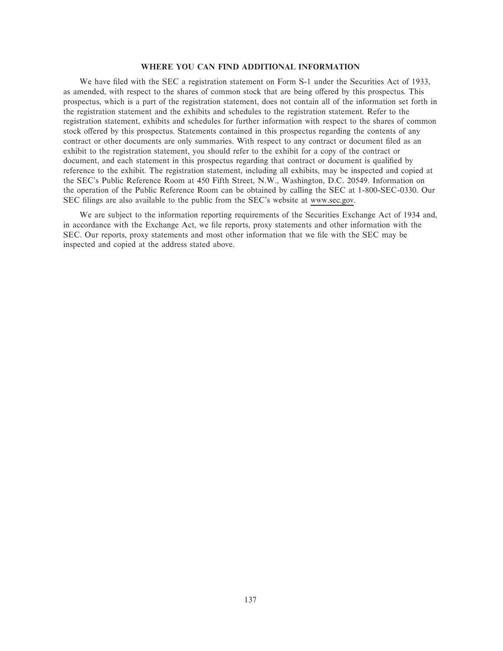# **WHERE YOU CAN FIND ADDITIONAL INFORMATION**

We have filed with the SEC a registration statement on Form S-1 under the Securities Act of 1933, as amended, with respect to the shares of common stock that are being offered by this prospectus. This prospectus, which is a part of the registration statement, does not contain all of the information set forth in the registration statement and the exhibits and schedules to the registration statement. Refer to the registration statement, exhibits and schedules for further information with respect to the shares of common stock offered by this prospectus. Statements contained in this prospectus regarding the contents of any contract or other documents are only summaries. With respect to any contract or document filed as an exhibit to the registration statement, you should refer to the exhibit for a copy of the contract or document, and each statement in this prospectus regarding that contract or document is qualified by reference to the exhibit. The registration statement, including all exhibits, may be inspected and copied at the SEC's Public Reference Room at 450 Fifth Street, N.W., Washington, D.C. 20549. Information on the operation of the Public Reference Room can be obtained by calling the SEC at 1-800-SEC-0330. Our SEC Ñlings are also available to the public from the SEC's website at www.sec.gov.

We are subject to the information reporting requirements of the Securities Exchange Act of 1934 and, in accordance with the Exchange Act, we file reports, proxy statements and other information with the SEC. Our reports, proxy statements and most other information that we file with the SEC may be inspected and copied at the address stated above.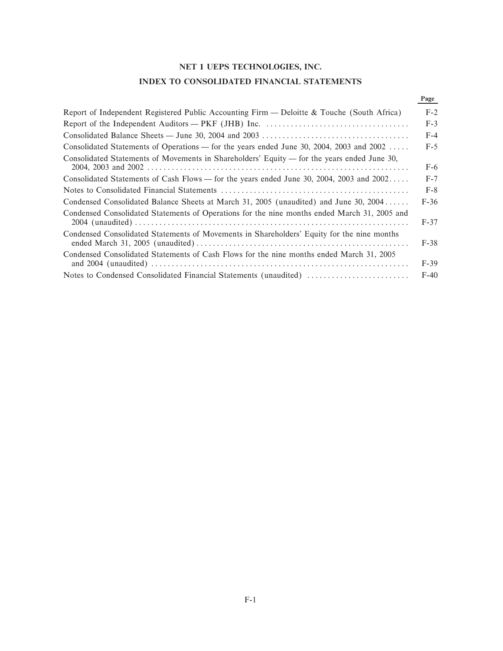# **NET 1 UEPS TECHNOLOGIES, INC.**

# **INDEX TO CONSOLIDATED FINANCIAL STATEMENTS**

# **Page**

| Report of Independent Registered Public Accounting Firm — Deloitte & Touche (South Africa)   | $F-2$  |
|----------------------------------------------------------------------------------------------|--------|
|                                                                                              | $F-3$  |
|                                                                                              | $F-4$  |
| Consolidated Statements of Operations — for the years ended June 30, 2004, 2003 and 2002     | $F-5$  |
| Consolidated Statements of Movements in Shareholders' Equity — for the years ended June 30,  | $F-6$  |
| Consolidated Statements of Cash Flows — for the years ended June 30, 2004, 2003 and 2002     | $F-7$  |
|                                                                                              | $F-8$  |
| Condensed Consolidated Balance Sheets at March 31, 2005 (unaudited) and June 30, 2004        | $F-36$ |
| Condensed Consolidated Statements of Operations for the nine months ended March 31, 2005 and | $F-37$ |
| Condensed Consolidated Statements of Movements in Shareholders' Equity for the nine months   | $F-38$ |
| Condensed Consolidated Statements of Cash Flows for the nine months ended March 31, 2005     | $F-39$ |
|                                                                                              | $F-40$ |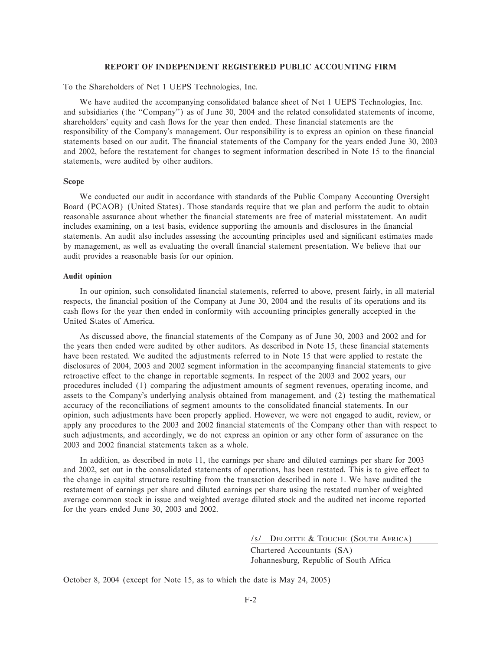# **REPORT OF INDEPENDENT REGISTERED PUBLIC ACCOUNTING FIRM**

To the Shareholders of Net 1 UEPS Technologies, Inc.

We have audited the accompanying consolidated balance sheet of Net 1 UEPS Technologies, Inc. and subsidiaries (the "Company") as of June 30, 2004 and the related consolidated statements of income, shareholders' equity and cash flows for the year then ended. These financial statements are the responsibility of the Company's management. Our responsibility is to express an opinion on these financial statements based on our audit. The financial statements of the Company for the years ended June 30, 2003 and 2002, before the restatement for changes to segment information described in Note 15 to the financial statements, were audited by other auditors.

### **Scope**

We conducted our audit in accordance with standards of the Public Company Accounting Oversight Board (PCAOB) (United States). Those standards require that we plan and perform the audit to obtain reasonable assurance about whether the financial statements are free of material misstatement. An audit includes examining, on a test basis, evidence supporting the amounts and disclosures in the financial statements. An audit also includes assessing the accounting principles used and significant estimates made by management, as well as evaluating the overall financial statement presentation. We believe that our audit provides a reasonable basis for our opinion.

#### **Audit opinion**

In our opinion, such consolidated Ñnancial statements, referred to above, present fairly, in all material respects, the financial position of the Company at June 30, 2004 and the results of its operations and its cash Öows for the year then ended in conformity with accounting principles generally accepted in the United States of America.

As discussed above, the financial statements of the Company as of June 30, 2003 and 2002 and for the years then ended were audited by other auditors. As described in Note 15, these financial statements have been restated. We audited the adjustments referred to in Note 15 that were applied to restate the disclosures of 2004, 2003 and 2002 segment information in the accompanying financial statements to give retroactive effect to the change in reportable segments. In respect of the 2003 and 2002 years, our procedures included (1) comparing the adjustment amounts of segment revenues, operating income, and assets to the Company's underlying analysis obtained from management, and (2) testing the mathematical accuracy of the reconciliations of segment amounts to the consolidated financial statements. In our opinion, such adjustments have been properly applied. However, we were not engaged to audit, review, or apply any procedures to the 2003 and 2002 financial statements of the Company other than with respect to such adjustments, and accordingly, we do not express an opinion or any other form of assurance on the 2003 and 2002 Ñnancial statements taken as a whole.

In addition, as described in note 11, the earnings per share and diluted earnings per share for 2003 and 2002, set out in the consolidated statements of operations, has been restated. This is to give effect to the change in capital structure resulting from the transaction described in note 1. We have audited the restatement of earnings per share and diluted earnings per share using the restated number of weighted average common stock in issue and weighted average diluted stock and the audited net income reported for the years ended June 30, 2003 and 2002.

/s/ DELOITTE & TOUCHE (SOUTH AFRICA)

Chartered Accountants (SA) Johannesburg, Republic of South Africa

October 8, 2004 (except for Note 15, as to which the date is May 24, 2005)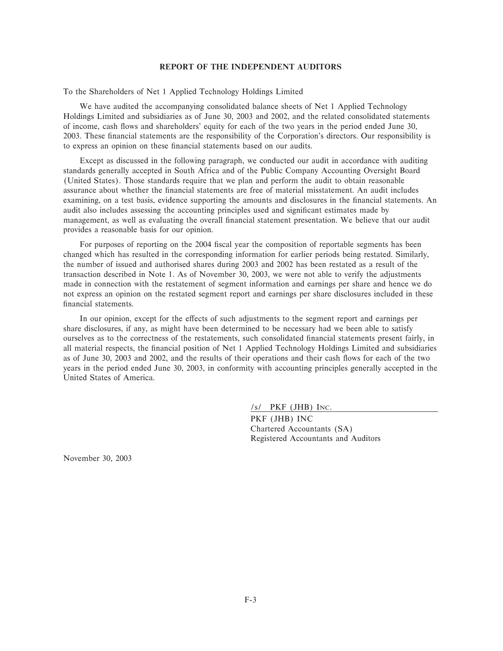#### **REPORT OF THE INDEPENDENT AUDITORS**

To the Shareholders of Net 1 Applied Technology Holdings Limited

We have audited the accompanying consolidated balance sheets of Net 1 Applied Technology Holdings Limited and subsidiaries as of June 30, 2003 and 2002, and the related consolidated statements of income, cash Öows and shareholders' equity for each of the two years in the period ended June 30, 2003. These financial statements are the responsibility of the Corporation's directors. Our responsibility is to express an opinion on these financial statements based on our audits.

Except as discussed in the following paragraph, we conducted our audit in accordance with auditing standards generally accepted in South Africa and of the Public Company Accounting Oversight Board (United States). Those standards require that we plan and perform the audit to obtain reasonable assurance about whether the financial statements are free of material misstatement. An audit includes examining, on a test basis, evidence supporting the amounts and disclosures in the financial statements. An audit also includes assessing the accounting principles used and significant estimates made by management, as well as evaluating the overall financial statement presentation. We believe that our audit provides a reasonable basis for our opinion.

For purposes of reporting on the 2004 fiscal year the composition of reportable segments has been changed which has resulted in the corresponding information for earlier periods being restated. Similarly, the number of issued and authorised shares during 2003 and 2002 has been restated as a result of the transaction described in Note 1. As of November 30, 2003, we were not able to verify the adjustments made in connection with the restatement of segment information and earnings per share and hence we do not express an opinion on the restated segment report and earnings per share disclosures included in these financial statements.

In our opinion, except for the effects of such adjustments to the segment report and earnings per share disclosures, if any, as might have been determined to be necessary had we been able to satisfy ourselves as to the correctness of the restatements, such consolidated Ñnancial statements present fairly, in all material respects, the financial position of Net 1 Applied Technology Holdings Limited and subsidiaries as of June 30, 2003 and 2002, and the results of their operations and their cash flows for each of the two years in the period ended June 30, 2003, in conformity with accounting principles generally accepted in the United States of America.

/s/ PKF (JHB) INC.

PKF (JHB) INC Chartered Accountants (SA) Registered Accountants and Auditors

November 30, 2003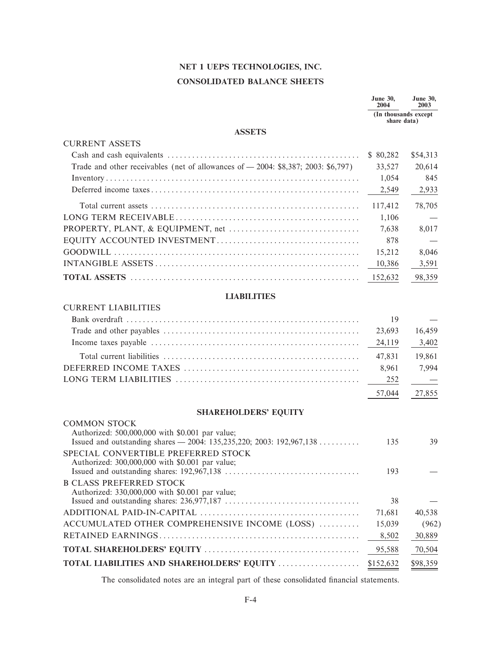# **NET 1 UEPS TECHNOLOGIES, INC. CONSOLIDATED BALANCE SHEETS**

|                                                                                                                         | <b>June 30,</b><br>2004              | <b>June 30,</b><br>2003 |
|-------------------------------------------------------------------------------------------------------------------------|--------------------------------------|-------------------------|
|                                                                                                                         | (In thousands except)<br>share data) |                         |
| <b>ASSETS</b>                                                                                                           |                                      |                         |
| <b>CURRENT ASSETS</b>                                                                                                   |                                      |                         |
|                                                                                                                         | \$80,282                             | \$54,313                |
| Trade and other receivables (net of allowances of - 2004: \$8,387; 2003: \$6,797)                                       | 33,527                               | 20,614                  |
|                                                                                                                         | 1,054                                | 845                     |
|                                                                                                                         | 2,549                                | 2,933                   |
| Total current assets $\ldots$ $\ldots$ $\ldots$ $\ldots$ $\ldots$ $\ldots$ $\ldots$ $\ldots$ $\ldots$ $\ldots$ $\ldots$ | 117,412                              | 78,705                  |
|                                                                                                                         | 1,106                                |                         |
|                                                                                                                         | 7,638                                | 8,017                   |
|                                                                                                                         | 878                                  |                         |
|                                                                                                                         | 15,212                               | 8,046                   |
|                                                                                                                         | 10,386                               | 3,591                   |
|                                                                                                                         | 152,632                              | 98,359                  |
| <b>LIABILITIES</b>                                                                                                      |                                      |                         |
| <b>CURRENT LIABILITIES</b>                                                                                              |                                      |                         |
|                                                                                                                         | 19                                   |                         |
|                                                                                                                         | 23,693                               | 16,459                  |
|                                                                                                                         | 24,119                               | 3,402                   |
|                                                                                                                         | 47,831                               | 19,861                  |
|                                                                                                                         | 8,961                                | 7,994                   |
|                                                                                                                         | 252                                  |                         |
|                                                                                                                         | 57,044                               | 27,855                  |
| <b>SHAREHOLDERS' EQUITY</b>                                                                                             |                                      |                         |
| <b>COMMON STOCK</b>                                                                                                     |                                      |                         |
| Authorized: 500,000,000 with \$0.001 par value;                                                                         |                                      |                         |
|                                                                                                                         | 135                                  | 39                      |
| SPECIAL CONVERTIBLE PREFERRED STOCK                                                                                     |                                      |                         |
| Authorized: 300,000,000 with \$0.001 par value;                                                                         | 193                                  |                         |
| <b>B CLASS PREFERRED STOCK</b>                                                                                          |                                      |                         |
| Authorized: 330,000,000 with \$0.001 par value;                                                                         |                                      |                         |

|                                                               | 38 | <b>Contract Contract State</b> |
|---------------------------------------------------------------|----|--------------------------------|
|                                                               |    | 40.538                         |
| ACCUMULATED OTHER COMPREHENSIVE INCOME (LOSS)  15,039         |    | (962)                          |
|                                                               |    |                                |
|                                                               |    |                                |
| TOTAL LIABILITIES AND SHAREHOLDERS' EQUITY \$152,632 \$98,359 |    |                                |

The consolidated notes are an integral part of these consolidated financial statements.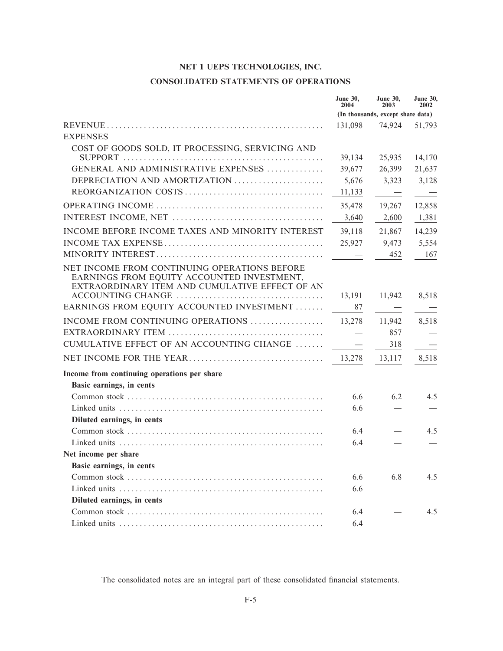# **CONSOLIDATED STATEMENTS OF OPERATIONS**

|                                                                                                                                              | <b>June 30,</b><br>2004           | <b>June 30,</b><br>2003           | <b>June 30,</b><br>2002 |
|----------------------------------------------------------------------------------------------------------------------------------------------|-----------------------------------|-----------------------------------|-------------------------|
|                                                                                                                                              |                                   | (In thousands, except share data) |                         |
|                                                                                                                                              | 131,098                           | 74,924                            | 51,793                  |
| <b>EXPENSES</b>                                                                                                                              |                                   |                                   |                         |
| COST OF GOODS SOLD, IT PROCESSING, SERVICING AND                                                                                             |                                   |                                   |                         |
|                                                                                                                                              | 39,134                            | 25,935                            | 14,170                  |
| GENERAL AND ADMINISTRATIVE EXPENSES                                                                                                          | 39,677                            | 26,399                            | 21,637                  |
| DEPRECIATION AND AMORTIZATION                                                                                                                | 5,676                             | 3,323                             | 3,128                   |
|                                                                                                                                              | 11,133                            | $\overline{\phantom{a}}$          | $\equiv$                |
|                                                                                                                                              | 35,478                            | 19,267                            | 12,858                  |
|                                                                                                                                              | 3,640                             | 2,600                             | 1,381                   |
| INCOME BEFORE INCOME TAXES AND MINORITY INTEREST                                                                                             | 39,118                            | 21,867                            | 14,239                  |
|                                                                                                                                              | 25,927                            | 9,473                             | 5,554                   |
|                                                                                                                                              |                                   | 452                               | 167                     |
| NET INCOME FROM CONTINUING OPERATIONS BEFORE<br>EARNINGS FROM EQUITY ACCOUNTED INVESTMENT,<br>EXTRAORDINARY ITEM AND CUMULATIVE EFFECT OF AN |                                   |                                   |                         |
|                                                                                                                                              | 13,191                            | 11,942                            | 8,518                   |
| EARNINGS FROM EQUITY ACCOUNTED INVESTMENT                                                                                                    | 87                                | $\equiv$                          |                         |
| INCOME FROM CONTINUING OPERATIONS                                                                                                            | 13,278                            | 11,942                            | 8,518                   |
|                                                                                                                                              | $\overbrace{\phantom{123221111}}$ | 857                               |                         |
| CUMULATIVE EFFECT OF AN ACCOUNTING CHANGE                                                                                                    | $\overline{\phantom{m}}$          | 318                               |                         |
|                                                                                                                                              | 13,278                            | 13,117                            | 8,518                   |
| Income from continuing operations per share                                                                                                  |                                   |                                   |                         |
| Basic earnings, in cents                                                                                                                     |                                   |                                   |                         |
|                                                                                                                                              | 6.6                               | 6.2                               | 4.5                     |
|                                                                                                                                              | 6.6                               |                                   |                         |
| Diluted earnings, in cents                                                                                                                   |                                   |                                   |                         |
|                                                                                                                                              | 6.4                               |                                   | 4.5                     |
|                                                                                                                                              | 6.4                               |                                   |                         |
| Net income per share                                                                                                                         |                                   |                                   |                         |
| Basic earnings, in cents                                                                                                                     |                                   |                                   |                         |
|                                                                                                                                              | 6.6                               | 6.8                               | 4.5                     |
|                                                                                                                                              | 6.6                               |                                   |                         |
| Diluted earnings, in cents                                                                                                                   |                                   |                                   |                         |
|                                                                                                                                              | 6.4                               |                                   | 4.5                     |
|                                                                                                                                              | 6.4                               |                                   |                         |

The consolidated notes are an integral part of these consolidated financial statements.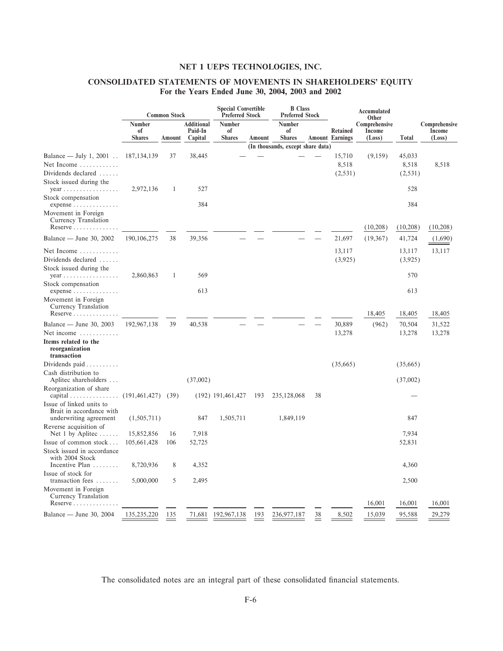# CONSOLIDATED STATEMENTS OF MOVEMENTS IN SHAREHOLDERS' EQUITY For the Years Ended June 30, 2004, 2003 and 2002

|                                                                                       | <b>Common Stock</b>           |        | <b>Special Convertible</b><br><b>Preferred Stock</b> |                               |        | <b>B</b> Class<br><b>Preferred Stock</b> |    | <b>Accumulated</b><br>Other               |                                   |                            |                                   |
|---------------------------------------------------------------------------------------|-------------------------------|--------|------------------------------------------------------|-------------------------------|--------|------------------------------------------|----|-------------------------------------------|-----------------------------------|----------------------------|-----------------------------------|
|                                                                                       | Number<br>of<br><b>Shares</b> | Amount | <b>Additional</b><br>Paid-In<br>Capital              | Number<br>of<br><b>Shares</b> | Amount | Number<br><sub>of</sub><br><b>Shares</b> |    | <b>Retained</b><br><b>Amount Earnings</b> | Comprehensive<br>Income<br>(Loss) | <b>Total</b>               | Comprehensive<br>Income<br>(Loss) |
|                                                                                       |                               |        |                                                      |                               |        | (In thousands, except share data)        |    |                                           |                                   |                            |                                   |
| Balance — July 1, 2001<br>Net Income<br>Dividends declared<br>Stock issued during the | 187, 134, 139                 | 37     | 38,445                                               |                               |        |                                          |    | 15,710<br>8,518<br>(2, 531)               | (9,159)                           | 45,033<br>8,518<br>(2,531) | 8,518                             |
| $year \dots \dots \dots \dots \dots \dots$                                            | 2,972,136                     | 1      | 527                                                  |                               |        |                                          |    |                                           |                                   | 528                        |                                   |
| Stock compensation<br>$expense \ldots \ldots \ldots \ldots$                           |                               |        | 384                                                  |                               |        |                                          |    |                                           |                                   | 384                        |                                   |
| Movement in Foreign<br>Currency Translation<br>Reserve                                |                               |        |                                                      |                               |        |                                          |    |                                           | (10,208)                          | (10,208)                   | (10,208)                          |
| Balance — June 30, 2002                                                               | 190, 106, 275                 | 38     | 39,356                                               |                               |        |                                          |    | 21,697                                    | (19,367)                          | 41,724                     | (1,690)                           |
| Net Income $\dots\dots\dots\dots$<br>Dividends declared<br>Stock issued during the    |                               |        |                                                      |                               |        |                                          |    | 13,117<br>(3,925)                         |                                   | 13,117<br>(3,925)          | 13,117                            |
| $year \dots \dots \dots \dots \dots \dots$                                            | 2,860,863                     | 1      | 569                                                  |                               |        |                                          |    |                                           |                                   | 570                        |                                   |
| Stock compensation<br>$expense$                                                       |                               |        | 613                                                  |                               |        |                                          |    |                                           |                                   | 613                        |                                   |
| Movement in Foreign<br>Currency Translation<br>$Reserve \dots \dots \dots \dots$      |                               |        |                                                      |                               |        |                                          |    |                                           | 18,405                            | 18,405                     | 18,405                            |
| Balance — June 30, 2003                                                               | 192,967,138                   | 39     | 40,538                                               |                               |        |                                          |    | 30,889                                    | (962)                             | 70,504                     | 31,522                            |
| Net income $\dots\dots\dots\dots$                                                     |                               |        |                                                      |                               |        |                                          |    | 13,278                                    |                                   | 13,278                     | 13,278                            |
| Items related to the<br>reorganization<br>transaction                                 |                               |        |                                                      |                               |        |                                          |    |                                           |                                   |                            |                                   |
| Dividends paid $\ldots \ldots \ldots$                                                 |                               |        |                                                      |                               |        |                                          |    | (35,665)                                  |                                   | (35,665)                   |                                   |
| Cash distribution to<br>Aplitec shareholders                                          |                               |        | (37,002)                                             |                               |        |                                          |    |                                           |                                   | (37,002)                   |                                   |
| Reorganization of share<br>$\alpha$ capital $\ldots \ldots \ldots \ldots$             | (191, 461, 427)               | (39)   |                                                      | $(192)$ 191,461,427           | 193    | 235,128,068                              | 38 |                                           |                                   |                            |                                   |
| Issue of linked units to<br>Brait in accordance with<br>underwriting agreement        | (1,505,711)                   |        | 847                                                  | 1,505,711                     |        | 1,849,119                                |    |                                           |                                   | 847                        |                                   |
| Reverse acquisition of<br>Net 1 by Aplitec $\dots$ .                                  | 15,852,856                    | 16     | 7,918                                                |                               |        |                                          |    |                                           |                                   | 7,934                      |                                   |
| Issue of common stock                                                                 | 105,661,428                   | 106    | 52,725                                               |                               |        |                                          |    |                                           |                                   | 52,831                     |                                   |
| Stock issued in accordance<br>with 2004 Stock                                         |                               |        |                                                      |                               |        |                                          |    |                                           |                                   |                            |                                   |
| Incentive Plan                                                                        | 8,720,936                     | 8      | 4,352                                                |                               |        |                                          |    |                                           |                                   | 4,360                      |                                   |
| Issue of stock for<br>transaction fees<br>.                                           | 5,000,000                     | 5      | 2,495                                                |                               |        |                                          |    |                                           |                                   | 2,500                      |                                   |
| Movement in Foreign<br>Currency Translation<br>$Reserve \ldots \ldots \ldots$         |                               |        |                                                      |                               |        |                                          |    |                                           | 16,001                            | 16,001                     | 16,001                            |
| Balance — June 30, 2004                                                               | 135,235,220                   | 135    | 71,681                                               | 192,967,138                   | 193    | 236,977,187                              | 38 | 8,502                                     | 15,039                            | 95,588                     | 29,279                            |

The consolidated notes are an integral part of these consolidated financial statements.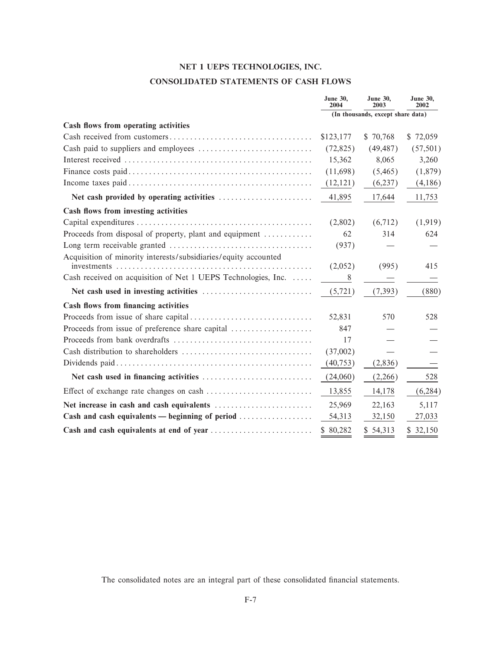# CONSOLIDATED STATEMENTS OF CASH FLOWS

|                                                                 | <b>June 30,</b><br>2004 | <b>June 30,</b><br>2003           | <b>June 30,</b><br>2002 |
|-----------------------------------------------------------------|-------------------------|-----------------------------------|-------------------------|
|                                                                 |                         | (In thousands, except share data) |                         |
| Cash flows from operating activities                            |                         |                                   |                         |
|                                                                 | \$123,177               | \$70,768                          | \$72,059                |
|                                                                 | (72, 825)               | (49, 487)                         | (57, 501)               |
|                                                                 | 15,362                  | 8,065                             | 3,260                   |
|                                                                 | (11,698)                | (5,465)                           | (1,879)                 |
|                                                                 | (12, 121)               | (6,237)                           | (4,186)                 |
| Net cash provided by operating activities                       | 41,895                  | 17,644                            | 11,753                  |
| Cash flows from investing activities                            |                         |                                   |                         |
|                                                                 | (2,802)                 | (6,712)                           | (1, 919)                |
| Proceeds from disposal of property, plant and equipment         | 62                      | 314                               | 624                     |
|                                                                 | (937)                   |                                   |                         |
| Acquisition of minority interests/subsidiaries/equity accounted | (2,052)                 | (995)                             | 415                     |
| Cash received on acquisition of Net 1 UEPS Technologies, Inc.   | 8                       |                                   |                         |
|                                                                 | (5, 721)                | (7, 393)                          | (880)                   |
| Cash flows from financing activities                            |                         |                                   |                         |
|                                                                 | 52,831                  | 570                               | 528                     |
| Proceeds from issue of preference share capital                 | 847                     |                                   |                         |
|                                                                 | 17                      |                                   |                         |
|                                                                 | (37,002)                |                                   |                         |
|                                                                 | (40, 753)               | (2,836)                           |                         |
|                                                                 | (24,060)                | (2,266)                           | 528                     |
|                                                                 | 13,855                  | 14,178                            | (6, 284)                |
|                                                                 | 25,969                  | 22,163                            | 5,117                   |
| Cash and cash equivalents — beginning of period $\ldots$        | 54,313                  | 32,150                            | 27,033                  |
|                                                                 | \$80,282                | \$54,313                          | \$32,150                |

The consolidated notes are an integral part of these consolidated financial statements.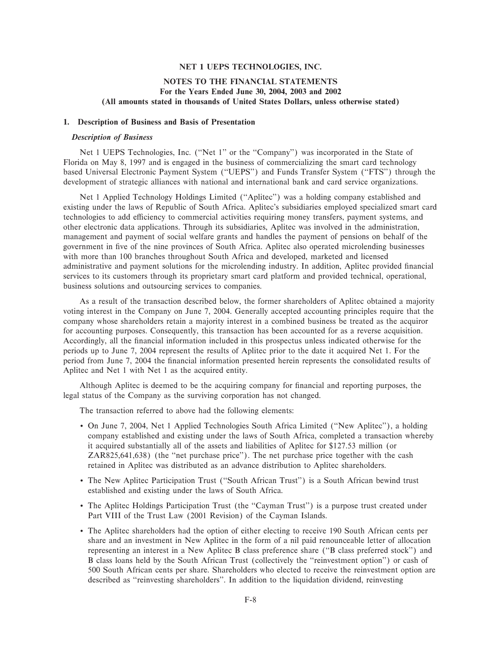## **NOTES TO THE FINANCIAL STATEMENTS For the Years Ended June 30, 2004, 2003 and 2002 (All amounts stated in thousands of United States Dollars, unless otherwise stated)**

## **1. Description of Business and Basis of Presentation**

#### *Description of Business*

Net 1 UEPS Technologies, Inc. ("Net 1" or the "Company") was incorporated in the State of Florida on May 8, 1997 and is engaged in the business of commercializing the smart card technology based Universal Electronic Payment System (""UEPS'') and Funds Transfer System (""FTS'') through the development of strategic alliances with national and international bank and card service organizations.

Net 1 Applied Technology Holdings Limited (""Aplitec'') was a holding company established and existing under the laws of Republic of South Africa. Aplitec's subsidiaries employed specialized smart card technologies to add efficiency to commercial activities requiring money transfers, payment systems, and other electronic data applications. Through its subsidiaries, Aplitec was involved in the administration, management and payment of social welfare grants and handles the payment of pensions on behalf of the government in Ñve of the nine provinces of South Africa. Aplitec also operated microlending businesses with more than 100 branches throughout South Africa and developed, marketed and licensed administrative and payment solutions for the microlending industry. In addition, Aplitec provided financial services to its customers through its proprietary smart card platform and provided technical, operational, business solutions and outsourcing services to companies.

As a result of the transaction described below, the former shareholders of Aplitec obtained a majority voting interest in the Company on June 7, 2004. Generally accepted accounting principles require that the company whose shareholders retain a majority interest in a combined business be treated as the acquiror for accounting purposes. Consequently, this transaction has been accounted for as a reverse acquisition. Accordingly, all the financial information included in this prospectus unless indicated otherwise for the periods up to June 7, 2004 represent the results of Aplitec prior to the date it acquired Net 1. For the period from June 7, 2004 the Ñnancial information presented herein represents the consolidated results of Aplitec and Net 1 with Net 1 as the acquired entity.

Although Aplitec is deemed to be the acquiring company for financial and reporting purposes, the legal status of the Company as the surviving corporation has not changed.

The transaction referred to above had the following elements:

- ' On June 7, 2004, Net 1 Applied Technologies South Africa Limited (""New Aplitec''), a holding company established and existing under the laws of South Africa, completed a transaction whereby it acquired substantially all of the assets and liabilities of Aplitec for \$127.53 million (or ZAR825,641,638) (the "net purchase price"). The net purchase price together with the cash retained in Aplitec was distributed as an advance distribution to Aplitec shareholders.
- ' The New Aplitec Participation Trust (""South African Trust'') is a South African bewind trust established and existing under the laws of South Africa.
- ' The Aplitec Holdings Participation Trust (the ""Cayman Trust'') is a purpose trust created under Part VIII of the Trust Law (2001 Revision) of the Cayman Islands.
- ' The Aplitec shareholders had the option of either electing to receive 190 South African cents per share and an investment in New Aplitec in the form of a nil paid renounceable letter of allocation representing an interest in a New Aplitec B class preference share (""B class preferred stock'') and B class loans held by the South African Trust (collectively the ""reinvestment option'') or cash of 500 South African cents per share. Shareholders who elected to receive the reinvestment option are described as ""reinvesting shareholders''. In addition to the liquidation dividend, reinvesting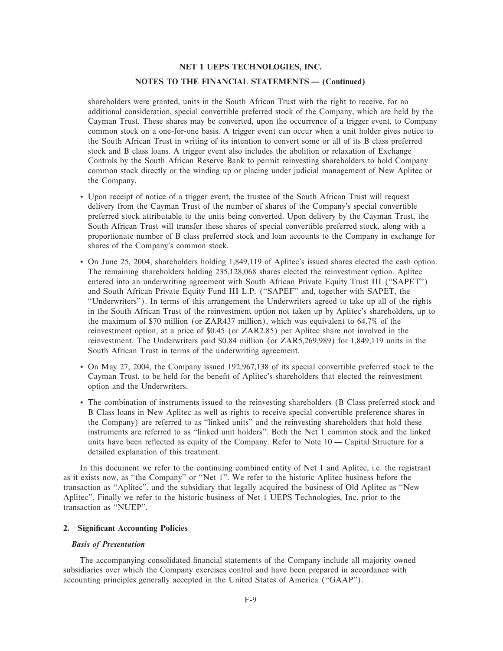#### **NOTES TO THE FINANCIAL STATEMENTS - (Continued)**

shareholders were granted, units in the South African Trust with the right to receive, for no additional consideration, special convertible preferred stock of the Company, which are held by the Cayman Trust. These shares may be converted, upon the occurrence of a trigger event, to Company common stock on a one-for-one basis. A trigger event can occur when a unit holder gives notice to the South African Trust in writing of its intention to convert some or all of its B class preferred stock and B class loans. A trigger event also includes the abolition or relaxation of Exchange Controls by the South African Reserve Bank to permit reinvesting shareholders to hold Company common stock directly or the winding up or placing under judicial management of New Aplitec or the Company.

- ' Upon receipt of notice of a trigger event, the trustee of the South African Trust will request delivery from the Cayman Trust of the number of shares of the Company's special convertible preferred stock attributable to the units being converted. Upon delivery by the Cayman Trust, the South African Trust will transfer these shares of special convertible preferred stock, along with a proportionate number of B class preferred stock and loan accounts to the Company in exchange for shares of the Company's common stock.
- ' On June 25, 2004, shareholders holding 1,849,119 of Aplitec's issued shares elected the cash option. The remaining shareholders holding 235,128,068 shares elected the reinvestment option. Aplitec entered into an underwriting agreement with South African Private Equity Trust III (""SAPET'') and South African Private Equity Fund III L.P. (""SAPEF'' and, together with SAPET, the ""Underwriters''). In terms of this arrangement the Underwriters agreed to take up all of the rights in the South African Trust of the reinvestment option not taken up by Aplitec's shareholders, up to the maximum of \$70 million (or ZAR437 million), which was equivalent to 64.7% of the reinvestment option, at a price of \$0.45 (or ZAR2.85) per Aplitec share not involved in the reinvestment. The Underwriters paid \$0.84 million (or ZAR5,269,989) for 1,849,119 units in the South African Trust in terms of the underwriting agreement.
- ' On May 27, 2004, the Company issued 192,967,138 of its special convertible preferred stock to the Cayman Trust, to be held for the benefit of Aplitec's shareholders that elected the reinvestment option and the Underwriters.
- ' The combination of instruments issued to the reinvesting shareholders (B Class preferred stock and B Class loans in New Aplitec as well as rights to receive special convertible preference shares in the Company) are referred to as ""linked units'' and the reinvesting shareholders that hold these instruments are referred to as ""linked unit holders''. Both the Net 1 common stock and the linked units have been reflected as equity of the Company. Refer to Note  $10 -$ Capital Structure for a detailed explanation of this treatment.

In this document we refer to the continuing combined entity of Net 1 and Aplitec, i.e. the registrant as it exists now, as "the Company" or "Net 1". We refer to the historic Aplitec business before the transaction as "Aplitec", and the subsidiary that legally acquired the business of Old Aplitec as "New Aplitec''. Finally we refer to the historic business of Net 1 UEPS Technologies, Inc. prior to the transaction as "NUEP".

## **2. Significant Accounting Policies**

#### *Basis of Presentation*

The accompanying consolidated financial statements of the Company include all majority owned subsidiaries over which the Company exercises control and have been prepared in accordance with accounting principles generally accepted in the United States of America (""GAAP'').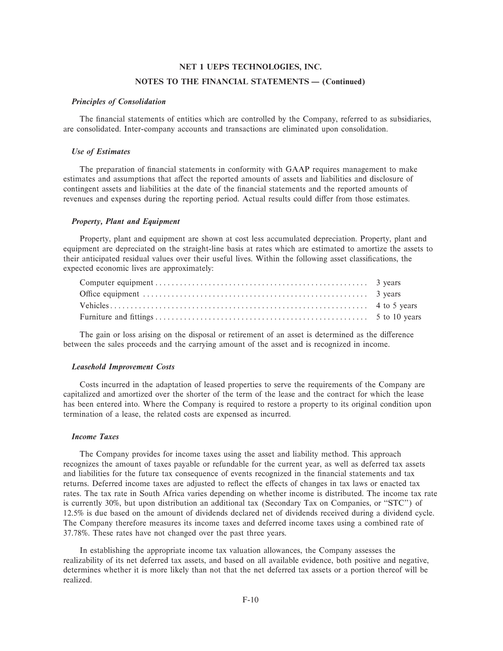#### **NOTES TO THE FINANCIAL STATEMENTS - (Continued)**

#### *Principles of Consolidation*

The financial statements of entities which are controlled by the Company, referred to as subsidiaries, are consolidated. Inter-company accounts and transactions are eliminated upon consolidation.

#### *Use of Estimates*

The preparation of financial statements in conformity with GAAP requires management to make estimates and assumptions that affect the reported amounts of assets and liabilities and disclosure of contingent assets and liabilities at the date of the financial statements and the reported amounts of revenues and expenses during the reporting period. Actual results could differ from those estimates.

#### *Property, Plant and Equipment*

Property, plant and equipment are shown at cost less accumulated depreciation. Property, plant and equipment are depreciated on the straight-line basis at rates which are estimated to amortize the assets to their anticipated residual values over their useful lives. Within the following asset classifications, the expected economic lives are approximately:

The gain or loss arising on the disposal or retirement of an asset is determined as the difference between the sales proceeds and the carrying amount of the asset and is recognized in income.

#### *Leasehold Improvement Costs*

Costs incurred in the adaptation of leased properties to serve the requirements of the Company are capitalized and amortized over the shorter of the term of the lease and the contract for which the lease has been entered into. Where the Company is required to restore a property to its original condition upon termination of a lease, the related costs are expensed as incurred.

#### *Income Taxes*

The Company provides for income taxes using the asset and liability method. This approach recognizes the amount of taxes payable or refundable for the current year, as well as deferred tax assets and liabilities for the future tax consequence of events recognized in the financial statements and tax returns. Deferred income taxes are adjusted to reflect the effects of changes in tax laws or enacted tax rates. The tax rate in South Africa varies depending on whether income is distributed. The income tax rate is currently 30%, but upon distribution an additional tax (Secondary Tax on Companies, or "STC") of 12.5% is due based on the amount of dividends declared net of dividends received during a dividend cycle. The Company therefore measures its income taxes and deferred income taxes using a combined rate of 37.78%. These rates have not changed over the past three years.

In establishing the appropriate income tax valuation allowances, the Company assesses the realizability of its net deferred tax assets, and based on all available evidence, both positive and negative, determines whether it is more likely than not that the net deferred tax assets or a portion thereof will be realized.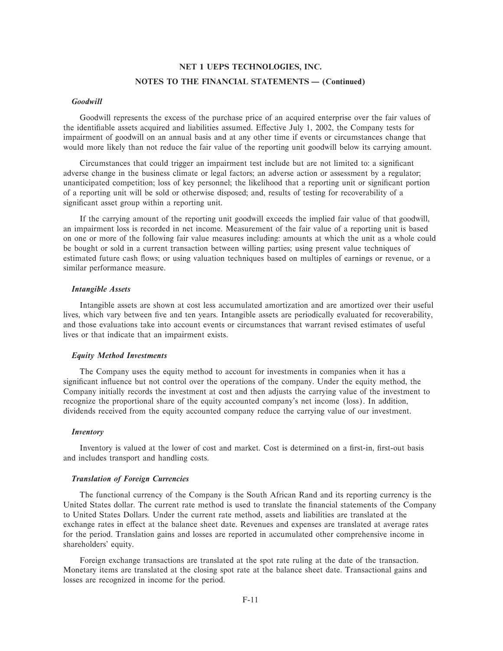# **NET 1 UEPS TECHNOLOGIES, INC. NOTES TO THE FINANCIAL STATEMENTS - (Continued)**

#### *Goodwill*

Goodwill represents the excess of the purchase price of an acquired enterprise over the fair values of the identifiable assets acquired and liabilities assumed. Effective July 1, 2002, the Company tests for impairment of goodwill on an annual basis and at any other time if events or circumstances change that would more likely than not reduce the fair value of the reporting unit goodwill below its carrying amount.

Circumstances that could trigger an impairment test include but are not limited to: a significant adverse change in the business climate or legal factors; an adverse action or assessment by a regulator; unanticipated competition; loss of key personnel; the likelihood that a reporting unit or significant portion of a reporting unit will be sold or otherwise disposed; and, results of testing for recoverability of a significant asset group within a reporting unit.

If the carrying amount of the reporting unit goodwill exceeds the implied fair value of that goodwill, an impairment loss is recorded in net income. Measurement of the fair value of a reporting unit is based on one or more of the following fair value measures including: amounts at which the unit as a whole could be bought or sold in a current transaction between willing parties; using present value techniques of estimated future cash flows; or using valuation techniques based on multiples of earnings or revenue, or a similar performance measure.

#### *Intangible Assets*

Intangible assets are shown at cost less accumulated amortization and are amortized over their useful lives, which vary between five and ten years. Intangible assets are periodically evaluated for recoverability, and those evaluations take into account events or circumstances that warrant revised estimates of useful lives or that indicate that an impairment exists.

#### *Equity Method Investments*

The Company uses the equity method to account for investments in companies when it has a significant influence but not control over the operations of the company. Under the equity method, the Company initially records the investment at cost and then adjusts the carrying value of the investment to recognize the proportional share of the equity accounted company's net income (loss). In addition, dividends received from the equity accounted company reduce the carrying value of our investment.

#### *Inventory*

Inventory is valued at the lower of cost and market. Cost is determined on a first-in, first-out basis and includes transport and handling costs.

#### *Translation of Foreign Currencies*

The functional currency of the Company is the South African Rand and its reporting currency is the United States dollar. The current rate method is used to translate the financial statements of the Company to United States Dollars. Under the current rate method, assets and liabilities are translated at the exchange rates in effect at the balance sheet date. Revenues and expenses are translated at average rates for the period. Translation gains and losses are reported in accumulated other comprehensive income in shareholders' equity.

Foreign exchange transactions are translated at the spot rate ruling at the date of the transaction. Monetary items are translated at the closing spot rate at the balance sheet date. Transactional gains and losses are recognized in income for the period.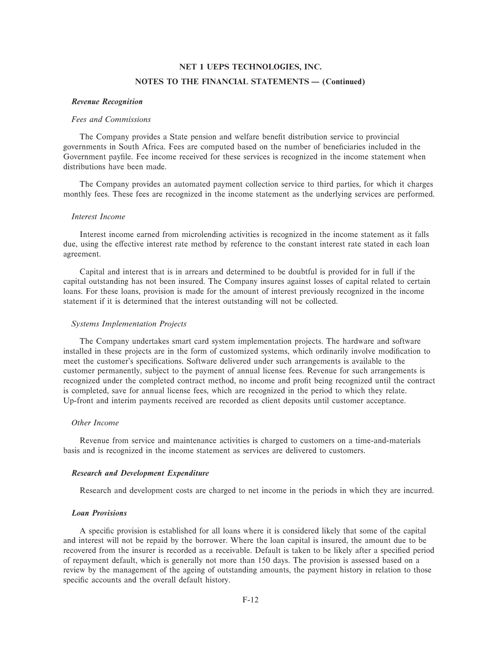#### **NOTES TO THE FINANCIAL STATEMENTS - (Continued)**

#### *Revenue Recognition*

#### *Fees and Commissions*

The Company provides a State pension and welfare benefit distribution service to provincial governments in South Africa. Fees are computed based on the number of beneficiaries included in the Government payfile. Fee income received for these services is recognized in the income statement when distributions have been made.

The Company provides an automated payment collection service to third parties, for which it charges monthly fees. These fees are recognized in the income statement as the underlying services are performed.

### *Interest Income*

Interest income earned from microlending activities is recognized in the income statement as it falls due, using the effective interest rate method by reference to the constant interest rate stated in each loan agreement.

Capital and interest that is in arrears and determined to be doubtful is provided for in full if the capital outstanding has not been insured. The Company insures against losses of capital related to certain loans. For these loans, provision is made for the amount of interest previously recognized in the income statement if it is determined that the interest outstanding will not be collected.

#### *Systems Implementation Projects*

The Company undertakes smart card system implementation projects. The hardware and software installed in these projects are in the form of customized systems, which ordinarily involve modification to meet the customer's specifications. Software delivered under such arrangements is available to the customer permanently, subject to the payment of annual license fees. Revenue for such arrangements is recognized under the completed contract method, no income and profit being recognized until the contract is completed, save for annual license fees, which are recognized in the period to which they relate. Up-front and interim payments received are recorded as client deposits until customer acceptance.

#### *Other Income*

Revenue from service and maintenance activities is charged to customers on a time-and-materials basis and is recognized in the income statement as services are delivered to customers.

#### *Research and Development Expenditure*

Research and development costs are charged to net income in the periods in which they are incurred.

# *Loan Provisions*

A specific provision is established for all loans where it is considered likely that some of the capital and interest will not be repaid by the borrower. Where the loan capital is insured, the amount due to be recovered from the insurer is recorded as a receivable. Default is taken to be likely after a specified period of repayment default, which is generally not more than 150 days. The provision is assessed based on a review by the management of the ageing of outstanding amounts, the payment history in relation to those specific accounts and the overall default history.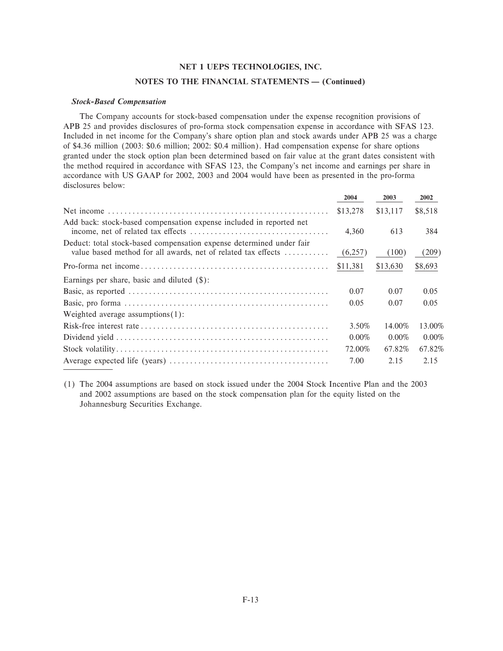#### **NOTES TO THE FINANCIAL STATEMENTS - (Continued)**

#### *Stock-Based Compensation*

The Company accounts for stock-based compensation under the expense recognition provisions of APB 25 and provides disclosures of pro-forma stock compensation expense in accordance with SFAS 123. Included in net income for the Company's share option plan and stock awards under APB 25 was a charge of \$4.36 million (2003: \$0.6 million; 2002: \$0.4 million). Had compensation expense for share options granted under the stock option plan been determined based on fair value at the grant dates consistent with the method required in accordance with SFAS 123, the Company's net income and earnings per share in accordance with US GAAP for 2002, 2003 and 2004 would have been as presented in the pro-forma disclosures below:

|                                                                                                                                       | 2004     | 2003     | 2002     |
|---------------------------------------------------------------------------------------------------------------------------------------|----------|----------|----------|
|                                                                                                                                       | \$13,278 | \$13,117 | \$8,518  |
| Add back: stock-based compensation expense included in reported net                                                                   | 4,360    | 613      | 384      |
| Deduct: total stock-based compensation expense determined under fair<br>value based method for all awards, net of related tax effects | (6,257)  | (100)    | (209)    |
|                                                                                                                                       | \$11,381 | \$13,630 | \$8,693  |
| Earnings per share, basic and diluted $(\$)$ :                                                                                        |          |          |          |
|                                                                                                                                       | 0.07     | 0.07     | 0.05     |
|                                                                                                                                       | 0.05     | 0.07     | 0.05     |
| Weighted average assumptions $(1)$ :                                                                                                  |          |          |          |
|                                                                                                                                       | 3.50%    | 14.00%   | 13.00%   |
|                                                                                                                                       | $0.00\%$ | $0.00\%$ | $0.00\%$ |
|                                                                                                                                       | 72.00%   | 67.82%   | 67.82%   |
|                                                                                                                                       | 7.00     | 2.15     | 2.15     |

(1) The 2004 assumptions are based on stock issued under the 2004 Stock Incentive Plan and the 2003 and 2002 assumptions are based on the stock compensation plan for the equity listed on the Johannesburg Securities Exchange.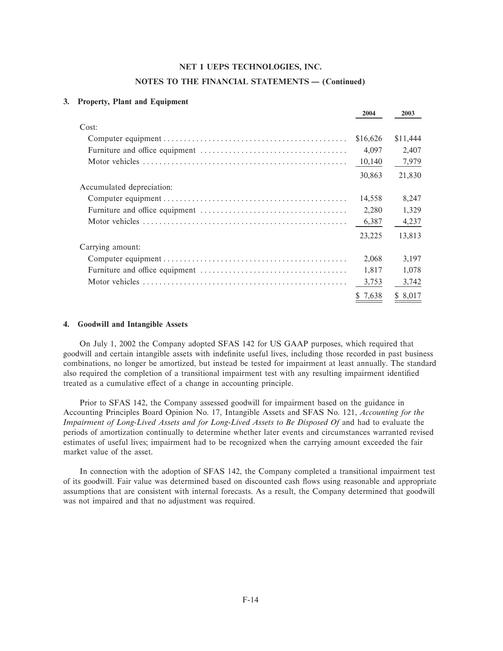#### **NOTES TO THE FINANCIAL STATEMENTS - (Continued)**

#### **3. Property, Plant and Equipment**

|                           | 2004     | 2003     |
|---------------------------|----------|----------|
| Cost:                     |          |          |
|                           | \$16,626 | \$11,444 |
|                           | 4,097    | 2,407    |
|                           | 10,140   | 7,979    |
|                           | 30,863   | 21,830   |
| Accumulated depreciation: |          |          |
|                           | 14,558   | 8,247    |
|                           | 2,280    | 1,329    |
|                           | 6,387    | 4,237    |
|                           | 23,225   | 13,813   |
| Carrying amount:          |          |          |
|                           | 2,068    | 3,197    |
|                           | 1,817    | 1,078    |
|                           | 3,753    | 3,742    |
|                           | \$ 7,638 | \$ 8,017 |

#### **4. Goodwill and Intangible Assets**

On July 1, 2002 the Company adopted SFAS 142 for US GAAP purposes, which required that goodwill and certain intangible assets with indefinite useful lives, including those recorded in past business combinations, no longer be amortized, but instead be tested for impairment at least annually. The standard also required the completion of a transitional impairment test with any resulting impairment identified treated as a cumulative effect of a change in accounting principle.

Prior to SFAS 142, the Company assessed goodwill for impairment based on the guidance in Accounting Principles Board Opinion No. 17, Intangible Assets and SFAS No. 121, *Accounting for the Impairment of Long-Lived Assets and for Long-Lived Assets to Be Disposed Of* and had to evaluate the periods of amortization continually to determine whether later events and circumstances warranted revised estimates of useful lives; impairment had to be recognized when the carrying amount exceeded the fair market value of the asset.

In connection with the adoption of SFAS 142, the Company completed a transitional impairment test of its goodwill. Fair value was determined based on discounted cash Öows using reasonable and appropriate assumptions that are consistent with internal forecasts. As a result, the Company determined that goodwill was not impaired and that no adjustment was required.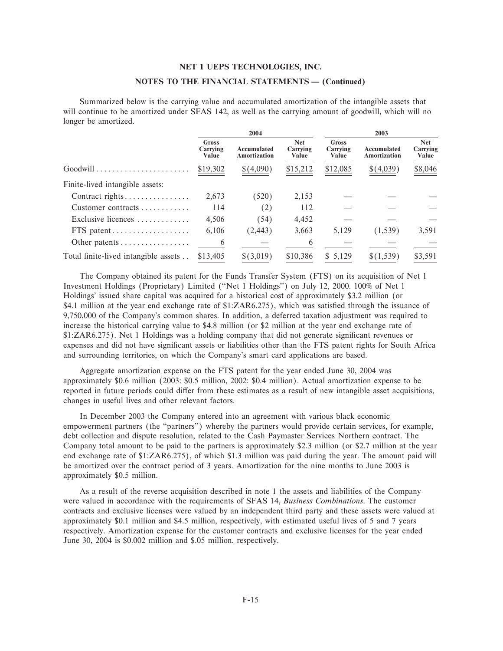#### NOTES TO THE FINANCIAL STATEMENTS - (Continued)

Summarized below is the carrying value and accumulated amortization of the intangible assets that will continue to be amortized under SFAS 142, as well as the carrying amount of goodwill, which will no longer be amortized.

|                                                             |                            | 2004                               |                                 | 2003                              |                                    |                                 |  |
|-------------------------------------------------------------|----------------------------|------------------------------------|---------------------------------|-----------------------------------|------------------------------------|---------------------------------|--|
|                                                             | Gross<br>Carrying<br>Value | Accumulated<br><b>Amortization</b> | <b>Net</b><br>Carrying<br>Value | <b>Gross</b><br>Carrying<br>Value | Accumulated<br><b>Amortization</b> | <b>Net</b><br>Carrying<br>Value |  |
| $Good will \dots \dots \dots \dots \dots \dots \dots \dots$ | \$19,302                   | \$(4,090)                          | \$15,212                        | \$12,085                          | \$(4,039)                          | \$8,046                         |  |
| Finite-lived intangible assets:                             |                            |                                    |                                 |                                   |                                    |                                 |  |
| Contract rights                                             | 2.673                      | (520)                              | 2,153                           |                                   |                                    |                                 |  |
| Customer contracts                                          | 114                        | (2)                                | 112                             |                                   |                                    |                                 |  |
| Exclusive licences                                          | 4,506                      | (54)                               | 4,452                           |                                   |                                    |                                 |  |
| FTS patent                                                  | 6,106                      | (2, 443)                           | 3,663                           | 5,129                             | (1,539)                            | 3,591                           |  |
| Other patents                                               | 6                          |                                    | 6                               |                                   |                                    |                                 |  |
| Total finite-lived intangible assets                        | \$13,405                   | \$(3,019)                          | \$10,386                        | \$5.129                           | \$(1,539)                          | \$3,591                         |  |

The Company obtained its patent for the Funds Transfer System (FTS) on its acquisition of Net 1 Investment Holdings (Proprietary) Limited ("Net 1 Holdings") on July 12, 2000, 100% of Net 1 Holdings' issued share capital was acquired for a historical cost of approximately \$3.2 million (or \$4.1 million at the year end exchange rate of \$1:ZAR6.275), which was satisfied through the issuance of 9,750,000 of the Company's common shares. In addition, a deferred taxation adjustment was required to increase the historical carrying value to \$4.8 million (or \$2 million at the year end exchange rate of \$1:ZAR6.275). Net 1 Holdings was a holding company that did not generate significant revenues or expenses and did not have significant assets or liabilities other than the FTS patent rights for South Africa and surrounding territories, on which the Company's smart card applications are based.

Aggregate amortization expense on the FTS patent for the year ended June 30, 2004 was approximately \$0.6 million (2003: \$0.5 million, 2002: \$0.4 million). Actual amortization expense to be reported in future periods could differ from these estimates as a result of new intangible asset acquisitions, changes in useful lives and other relevant factors.

In December 2003 the Company entered into an agreement with various black economic empowerment partners (the "partners") whereby the partners would provide certain services, for example, debt collection and dispute resolution, related to the Cash Paymaster Services Northern contract. The Company total amount to be paid to the partners is approximately \$2.3 million (or \$2.7 million at the year end exchange rate of \$1:ZAR6.275), of which \$1.3 million was paid during the year. The amount paid will be amortized over the contract period of 3 years. Amortization for the nine months to June 2003 is approximately \$0.5 million.

As a result of the reverse acquisition described in note 1 the assets and liabilities of the Company were valued in accordance with the requirements of SFAS 14, Business Combinations. The customer contracts and exclusive licenses were valued by an independent third party and these assets were valued at approximately \$0.1 million and \$4.5 million, respectively, with estimated useful lives of 5 and 7 years respectively. Amortization expense for the customer contracts and exclusive licenses for the year ended June 30, 2004 is \$0.002 million and \$.05 million, respectively.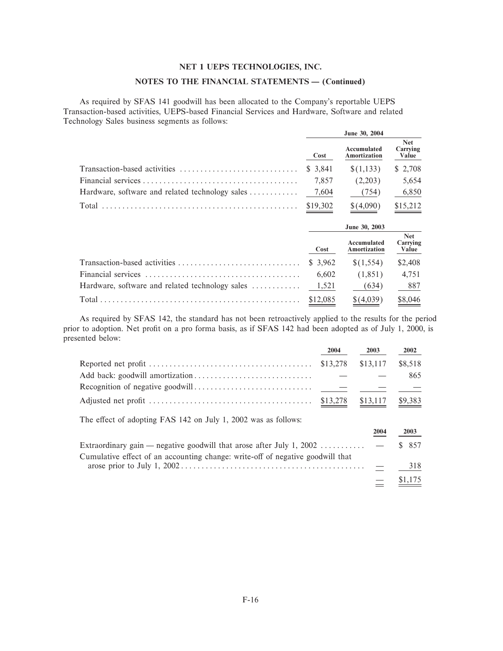# NOTES TO THE FINANCIAL STATEMENTS - (Continued)

As required by SFAS 141 goodwill has been allocated to the Company's reportable UEPS Transaction-based activities, UEPS-based Financial Services and Hardware, Software and related Technology Sales business segments as follows:

|                                                 |          | June 30, 2004               |                                 |
|-------------------------------------------------|----------|-----------------------------|---------------------------------|
|                                                 | Cost     | Accumulated<br>Amortization | <b>Net</b><br>Carrying<br>Value |
|                                                 | \$ 3,841 | \$(1,133)                   | \$2,708                         |
|                                                 | 7,857    | (2,203)                     | 5,654                           |
| Hardware, software and related technology sales | 7,604    | (754)                       | 6,850                           |
|                                                 | \$19,302 | \$(4,090)                   | \$15,212                        |
|                                                 |          | June 30, 2003               |                                 |
|                                                 | Cost     | Accumulated<br>Amortization | <b>Net</b><br>Carrying<br>Value |
| Transaction-based activities                    | \$ 3.962 | \$(1,554)                   | \$2,408                         |
|                                                 | 6,602    | (1,851)                     | 4,751                           |
| Hardware, software and related technology sales | 1,521    | (634)                       | 887                             |
|                                                 | \$12,085 | \$(4,039)                   | \$8,046                         |

As required by SFAS 142, the standard has not been retroactively applied to the results for the period prior to adoption. Net profit on a pro forma basis, as if SFAS 142 had been adopted as of July 1, 2000, is presented below:

|                                                                                          | 2004     | 2003     | 2002    |
|------------------------------------------------------------------------------------------|----------|----------|---------|
|                                                                                          | \$13,278 | \$13,117 | \$8,518 |
|                                                                                          |          |          | 865     |
|                                                                                          |          |          |         |
|                                                                                          |          | \$13,117 | \$9,383 |
| The effect of adopting FAS 142 on July 1, 2002 was as follows:                           |          |          |         |
|                                                                                          |          | 2004     | 2003    |
| Extraordinary gain — negative goodwill that arose after July 1, 2002 $\dots \dots \dots$ |          |          | \$ 857  |
| Cumulative effect of an accounting change: write-off of negative goodwill that           |          |          |         |
|                                                                                          |          |          | 318     |
|                                                                                          |          |          | \$1,175 |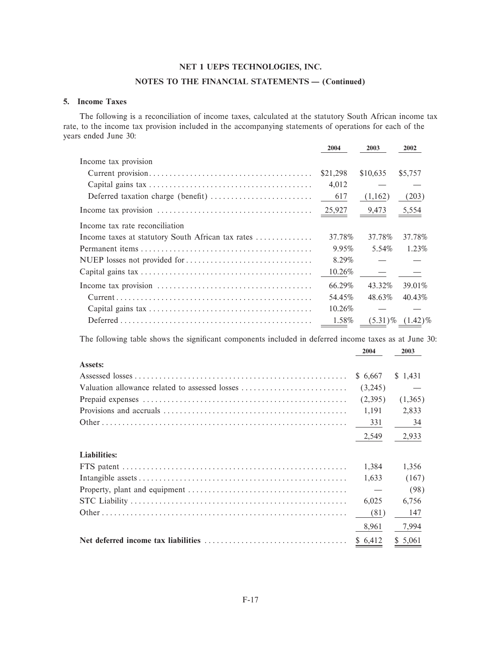# NOTES TO THE FINANCIAL STATEMENTS - (Continued)

## 5. Income Taxes

The following is a reconciliation of income taxes, calculated at the statutory South African income tax rate, to the income tax provision included in the accompanying statements of operations for each of the years ended June 30:

|                                                                                                                  | 2004     | 2003     | 2002                  |
|------------------------------------------------------------------------------------------------------------------|----------|----------|-----------------------|
| Income tax provision                                                                                             |          |          |                       |
|                                                                                                                  | \$21,298 | \$10,635 | \$5,757               |
|                                                                                                                  | 4,012    |          |                       |
|                                                                                                                  | 617      | (1,162)  | (203)                 |
|                                                                                                                  |          | 9,473    | 5,554                 |
| Income tax rate reconciliation                                                                                   |          |          |                       |
| Income taxes at statutory South African tax rates                                                                | 37.78%   | 37.78%   | 37.78%                |
|                                                                                                                  | 9.95%    | 5.54%    | 1.23%                 |
|                                                                                                                  | 8.29%    |          |                       |
|                                                                                                                  | 10.26%   |          |                       |
|                                                                                                                  | 66.29%   | 43.32%   | 39.01%                |
|                                                                                                                  | 54.45%   | 48.63%   | 40.43%                |
|                                                                                                                  | 10.26%   |          |                       |
| $Deferred \dots \dots \dots \dots \dots \dots \dots \dots \dots \dots \dots \dots \dots \dots \dots \dots \dots$ | 1.58%    |          | $(5.31)\%$ $(1.42)\%$ |

The following table shows the significant components included in deferred income taxes as at June 30:

|                                                | 2004     | 2003    |
|------------------------------------------------|----------|---------|
| <b>Assets:</b>                                 |          |         |
|                                                | \$ 6.667 | \$1,431 |
| Valuation allowance related to assessed losses | (3,245)  |         |
|                                                | (2,395)  | (1,365) |
|                                                | 1,191    | 2,833   |
|                                                | 331      | 34      |
|                                                | 2,549    | 2,933   |
| <b>Liabilities:</b>                            |          |         |
|                                                | 1.384    | 1,356   |
|                                                | 1,633    | (167)   |
|                                                |          | (98)    |
|                                                | 6,025    | 6,756   |
|                                                | (81)     | 147     |
|                                                | 8,961    | 7,994   |
|                                                | \$6,412  | \$5,061 |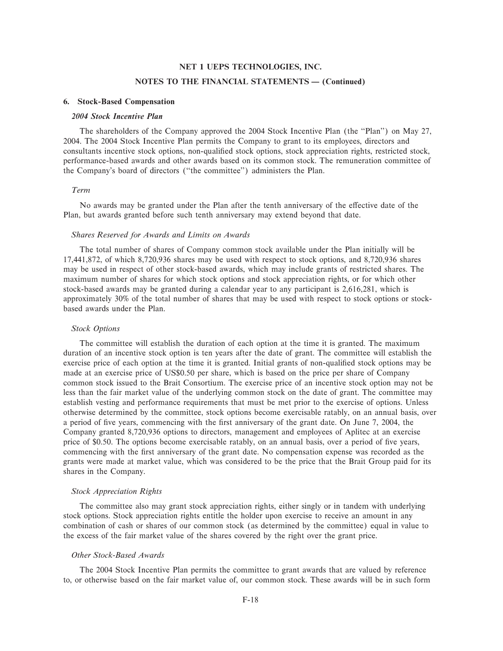#### **NOTES TO THE FINANCIAL STATEMENTS - (Continued)**

#### **6. Stock-Based Compensation**

#### *2004 Stock Incentive Plan*

The shareholders of the Company approved the 2004 Stock Incentive Plan (the "Plan") on May 27, 2004. The 2004 Stock Incentive Plan permits the Company to grant to its employees, directors and consultants incentive stock options, non-qualified stock options, stock appreciation rights, restricted stock, performance-based awards and other awards based on its common stock. The remuneration committee of the Company's board of directors (""the committee'') administers the Plan.

#### *Term*

No awards may be granted under the Plan after the tenth anniversary of the effective date of the Plan, but awards granted before such tenth anniversary may extend beyond that date.

#### *Shares Reserved for Awards and Limits on Awards*

The total number of shares of Company common stock available under the Plan initially will be 17,441,872, of which 8,720,936 shares may be used with respect to stock options, and 8,720,936 shares may be used in respect of other stock-based awards, which may include grants of restricted shares. The maximum number of shares for which stock options and stock appreciation rights, or for which other stock-based awards may be granted during a calendar year to any participant is 2,616,281, which is approximately 30% of the total number of shares that may be used with respect to stock options or stockbased awards under the Plan.

#### *Stock Options*

The committee will establish the duration of each option at the time it is granted. The maximum duration of an incentive stock option is ten years after the date of grant. The committee will establish the exercise price of each option at the time it is granted. Initial grants of non-qualified stock options may be made at an exercise price of US\$0.50 per share, which is based on the price per share of Company common stock issued to the Brait Consortium. The exercise price of an incentive stock option may not be less than the fair market value of the underlying common stock on the date of grant. The committee may establish vesting and performance requirements that must be met prior to the exercise of options. Unless otherwise determined by the committee, stock options become exercisable ratably, on an annual basis, over a period of five years, commencing with the first anniversary of the grant date. On June 7, 2004, the Company granted 8,720,936 options to directors, management and employees of Aplitec at an exercise price of \$0.50. The options become exercisable ratably, on an annual basis, over a period of five years, commencing with the first anniversary of the grant date. No compensation expense was recorded as the grants were made at market value, which was considered to be the price that the Brait Group paid for its shares in the Company.

#### *Stock Appreciation Rights*

The committee also may grant stock appreciation rights, either singly or in tandem with underlying stock options. Stock appreciation rights entitle the holder upon exercise to receive an amount in any combination of cash or shares of our common stock (as determined by the committee) equal in value to the excess of the fair market value of the shares covered by the right over the grant price.

## *Other Stock-Based Awards*

The 2004 Stock Incentive Plan permits the committee to grant awards that are valued by reference to, or otherwise based on the fair market value of, our common stock. These awards will be in such form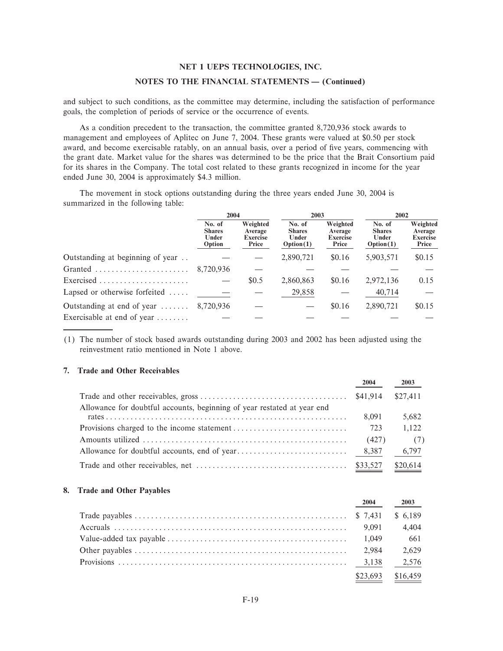#### NOTES TO THE FINANCIAL STATEMENTS - (Continued)

and subject to such conditions, as the committee may determine, including the satisfaction of performance goals, the completion of periods of service or the occurrence of events.

As a condition precedent to the transaction, the committee granted 8,720,936 stock awards to management and employees of Aplitec on June 7, 2004. These grants were valued at \$0.50 per stock award, and become exercisable ratably, on an annual basis, over a period of five years, commencing with the grant date. Market value for the shares was determined to be the price that the Brait Consortium paid for its shares in the Company. The total cost related to these grants recognized in income for the year ended June 30, 2004 is approximately \$4.3 million.

The movement in stock options outstanding during the three years ended June 30, 2004 is summarized in the following table:

|                                         | 2004                                       |                                                 | 2003                                          |                                                 | 2002                                          |                                                 |
|-----------------------------------------|--------------------------------------------|-------------------------------------------------|-----------------------------------------------|-------------------------------------------------|-----------------------------------------------|-------------------------------------------------|
|                                         | No. of<br><b>Shares</b><br>Under<br>Option | Weighted<br>Average<br><b>Exercise</b><br>Price | No. of<br><b>Shares</b><br>Under<br>Option(1) | Weighted<br>Average<br><b>Exercise</b><br>Price | No. of<br><b>Shares</b><br>Under<br>Option(1) | Weighted<br>Average<br><b>Exercise</b><br>Price |
| Outstanding at beginning of year        |                                            |                                                 | 2,890,721                                     | \$0.16                                          | 5,903,571                                     | \$0.15                                          |
| Granted                                 | 8.720.936                                  |                                                 |                                               |                                                 |                                               |                                                 |
| Exercised                               |                                            | \$0.5                                           | 2,860,863                                     | \$0.16                                          | 2,972,136                                     | 0.15                                            |
| Lapsed or otherwise forfeited $\dots$   |                                            |                                                 | 29,858                                        |                                                 | 40,714                                        |                                                 |
| Outstanding at end of year              | 8,720,936                                  |                                                 |                                               | \$0.16                                          | 2,890,721                                     | \$0.15                                          |
| Exercisable at end of year $\dots\dots$ |                                            |                                                 |                                               |                                                 |                                               |                                                 |

(1) The number of stock based awards outstanding during 2003 and 2002 has been adjusted using the reinvestment ratio mentioned in Note 1 above.

## 7. Trade and Other Receivables

|                                                                         | 2004     | 2003     |
|-------------------------------------------------------------------------|----------|----------|
|                                                                         | \$41.914 | \$27,411 |
| Allowance for doubtful accounts, beginning of year restated at year end |          |          |
|                                                                         | 8.091    | 5,682    |
|                                                                         | 723      | 1,122    |
|                                                                         | (427)    | (7)      |
|                                                                         |          | 6,797    |
|                                                                         |          | \$20.614 |

#### 8. Trade and Other Payables

| 2004     | 2003     |
|----------|----------|
|          |          |
|          | 4.404    |
|          | 661      |
| 2.984    | 2.629    |
|          |          |
| \$23.693 | \$16,459 |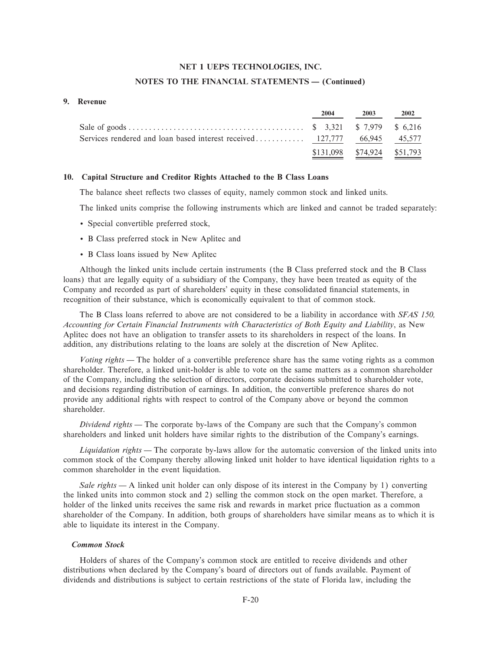#### **NOTES TO THE FINANCIAL STATEMENTS - (Continued)**

#### **9. Revenue**

| 2004                        | 2003 | 2002 |
|-----------------------------|------|------|
|                             |      |      |
|                             |      |      |
| \$131,098 \$74,924 \$51,793 |      |      |

#### **10. Capital Structure and Creditor Rights Attached to the B Class Loans**

The balance sheet reflects two classes of equity, namely common stock and linked units.

The linked units comprise the following instruments which are linked and cannot be traded separately:

- ' Special convertible preferred stock,
- ' B Class preferred stock in New Aplitec and
- ' B Class loans issued by New Aplitec

Although the linked units include certain instruments (the B Class preferred stock and the B Class loans) that are legally equity of a subsidiary of the Company, they have been treated as equity of the Company and recorded as part of shareholders' equity in these consolidated financial statements, in recognition of their substance, which is economically equivalent to that of common stock.

The B Class loans referred to above are not considered to be a liability in accordance with *SFAS 150, Accounting for Certain Financial Instruments with Characteristics of Both Equity and Liability*, as New Aplitec does not have an obligation to transfer assets to its shareholders in respect of the loans. In addition, any distributions relating to the loans are solely at the discretion of New Aplitec.

*Voting rights* — The holder of a convertible preference share has the same voting rights as a common shareholder. Therefore, a linked unit-holder is able to vote on the same matters as a common shareholder of the Company, including the selection of directors, corporate decisions submitted to shareholder vote, and decisions regarding distribution of earnings. In addition, the convertible preference shares do not provide any additional rights with respect to control of the Company above or beyond the common shareholder.

*Dividend rights* — The corporate by-laws of the Company are such that the Company's common shareholders and linked unit holders have similar rights to the distribution of the Company's earnings.

*Liquidation rights* — The corporate by-laws allow for the automatic conversion of the linked units into common stock of the Company thereby allowing linked unit holder to have identical liquidation rights to a common shareholder in the event liquidation.

*Sale rights* — A linked unit holder can only dispose of its interest in the Company by 1) converting the linked units into common stock and 2) selling the common stock on the open market. Therefore, a holder of the linked units receives the same risk and rewards in market price fluctuation as a common shareholder of the Company. In addition, both groups of shareholders have similar means as to which it is able to liquidate its interest in the Company.

#### *Common Stock*

Holders of shares of the Company's common stock are entitled to receive dividends and other distributions when declared by the Company's board of directors out of funds available. Payment of dividends and distributions is subject to certain restrictions of the state of Florida law, including the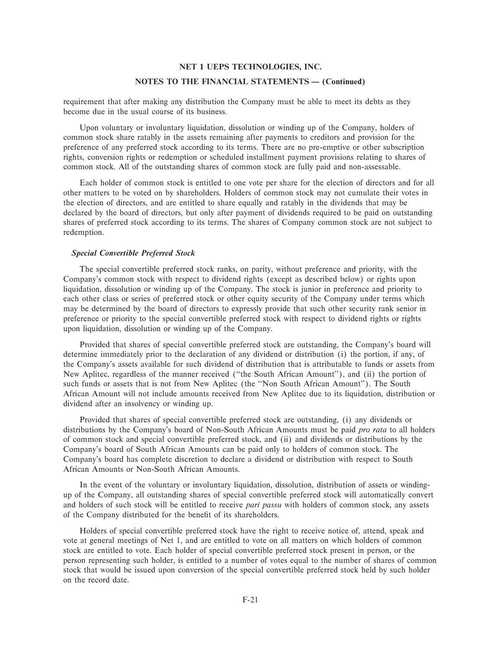# **NET 1 UEPS TECHNOLOGIES, INC. NOTES TO THE FINANCIAL STATEMENTS - (Continued)**

requirement that after making any distribution the Company must be able to meet its debts as they become due in the usual course of its business.

Upon voluntary or involuntary liquidation, dissolution or winding up of the Company, holders of common stock share ratably in the assets remaining after payments to creditors and provision for the preference of any preferred stock according to its terms. There are no pre-emptive or other subscription rights, conversion rights or redemption or scheduled installment payment provisions relating to shares of common stock. All of the outstanding shares of common stock are fully paid and non-assessable.

Each holder of common stock is entitled to one vote per share for the election of directors and for all other matters to be voted on by shareholders. Holders of common stock may not cumulate their votes in the election of directors, and are entitled to share equally and ratably in the dividends that may be declared by the board of directors, but only after payment of dividends required to be paid on outstanding shares of preferred stock according to its terms. The shares of Company common stock are not subject to redemption.

#### *Special Convertible Preferred Stock*

The special convertible preferred stock ranks, on parity, without preference and priority, with the Company's common stock with respect to dividend rights (except as described below) or rights upon liquidation, dissolution or winding up of the Company. The stock is junior in preference and priority to each other class or series of preferred stock or other equity security of the Company under terms which may be determined by the board of directors to expressly provide that such other security rank senior in preference or priority to the special convertible preferred stock with respect to dividend rights or rights upon liquidation, dissolution or winding up of the Company.

Provided that shares of special convertible preferred stock are outstanding, the Company's board will determine immediately prior to the declaration of any dividend or distribution (i) the portion, if any, of the Company's assets available for such dividend of distribution that is attributable to funds or assets from New Aplitec, regardless of the manner received (""the South African Amount''), and (ii) the portion of such funds or assets that is not from New Aplitec (the ""Non South African Amount''). The South African Amount will not include amounts received from New Aplitec due to its liquidation, distribution or dividend after an insolvency or winding up.

Provided that shares of special convertible preferred stock are outstanding, (i) any dividends or distributions by the Company's board of Non-South African Amounts must be paid *pro rata* to all holders of common stock and special convertible preferred stock, and (ii) and dividends or distributions by the Company's board of South African Amounts can be paid only to holders of common stock. The Company's board has complete discretion to declare a dividend or distribution with respect to South African Amounts or Non-South African Amounts.

In the event of the voluntary or involuntary liquidation, dissolution, distribution of assets or windingup of the Company, all outstanding shares of special convertible preferred stock will automatically convert and holders of such stock will be entitled to receive *pari passu* with holders of common stock, any assets of the Company distributed for the benefit of its shareholders.

Holders of special convertible preferred stock have the right to receive notice of, attend, speak and vote at general meetings of Net 1, and are entitled to vote on all matters on which holders of common stock are entitled to vote. Each holder of special convertible preferred stock present in person, or the person representing such holder, is entitled to a number of votes equal to the number of shares of common stock that would be issued upon conversion of the special convertible preferred stock held by such holder on the record date.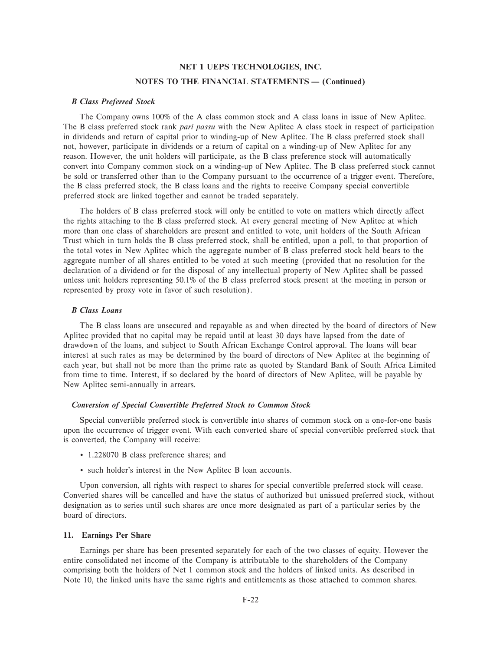# **NET 1 UEPS TECHNOLOGIES, INC. NOTES TO THE FINANCIAL STATEMENTS - (Continued)**

#### *B Class Preferred Stock*

The Company owns 100% of the A class common stock and A class loans in issue of New Aplitec. The B class preferred stock rank *pari passu* with the New Aplitec A class stock in respect of participation in dividends and return of capital prior to winding-up of New Aplitec. The B class preferred stock shall not, however, participate in dividends or a return of capital on a winding-up of New Aplitec for any reason. However, the unit holders will participate, as the B class preference stock will automatically convert into Company common stock on a winding-up of New Aplitec. The B class preferred stock cannot be sold or transferred other than to the Company pursuant to the occurrence of a trigger event. Therefore, the B class preferred stock, the B class loans and the rights to receive Company special convertible preferred stock are linked together and cannot be traded separately.

The holders of B class preferred stock will only be entitled to vote on matters which directly affect the rights attaching to the B class preferred stock. At every general meeting of New Aplitec at which more than one class of shareholders are present and entitled to vote, unit holders of the South African Trust which in turn holds the B class preferred stock, shall be entitled, upon a poll, to that proportion of the total votes in New Aplitec which the aggregate number of B class preferred stock held bears to the aggregate number of all shares entitled to be voted at such meeting (provided that no resolution for the declaration of a dividend or for the disposal of any intellectual property of New Aplitec shall be passed unless unit holders representing 50.1% of the B class preferred stock present at the meeting in person or represented by proxy vote in favor of such resolution).

#### *B Class Loans*

The B class loans are unsecured and repayable as and when directed by the board of directors of New Aplitec provided that no capital may be repaid until at least 30 days have lapsed from the date of drawdown of the loans, and subject to South African Exchange Control approval. The loans will bear interest at such rates as may be determined by the board of directors of New Aplitec at the beginning of each year, but shall not be more than the prime rate as quoted by Standard Bank of South Africa Limited from time to time. Interest, if so declared by the board of directors of New Aplitec, will be payable by New Aplitec semi-annually in arrears.

#### *Conversion of Special Convertible Preferred Stock to Common Stock*

Special convertible preferred stock is convertible into shares of common stock on a one-for-one basis upon the occurrence of trigger event. With each converted share of special convertible preferred stock that is converted, the Company will receive:

- ' 1.228070 B class preference shares; and
- ' such holder's interest in the New Aplitec B loan accounts.

Upon conversion, all rights with respect to shares for special convertible preferred stock will cease. Converted shares will be cancelled and have the status of authorized but unissued preferred stock, without designation as to series until such shares are once more designated as part of a particular series by the board of directors.

#### **11. Earnings Per Share**

Earnings per share has been presented separately for each of the two classes of equity. However the entire consolidated net income of the Company is attributable to the shareholders of the Company comprising both the holders of Net 1 common stock and the holders of linked units. As described in Note 10, the linked units have the same rights and entitlements as those attached to common shares.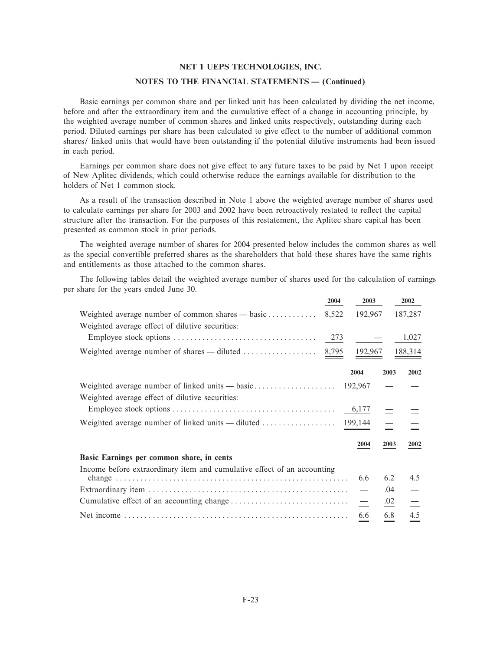#### NOTES TO THE FINANCIAL STATEMENTS - (Continued)

Basic earnings per common share and per linked unit has been calculated by dividing the net income, before and after the extraordinary item and the cumulative effect of a change in accounting principle, by the weighted average number of common shares and linked units respectively, outstanding during each period. Diluted earnings per share has been calculated to give effect to the number of additional common shares/ linked units that would have been outstanding if the potential dilutive instruments had been issued in each period.

Earnings per common share does not give effect to any future taxes to be paid by Net 1 upon receipt of New Aplitec dividends, which could otherwise reduce the earnings available for distribution to the holders of Net 1 common stock.

As a result of the transaction described in Note 1 above the weighted average number of shares used to calculate earnings per share for 2003 and 2002 have been retroactively restated to reflect the capital structure after the transaction. For the purposes of this restatement, the Aplitec share capital has been presented as common stock in prior periods.

The weighted average number of shares for 2004 presented below includes the common shares as well as the special convertible preferred shares as the shareholders that hold these shares have the same rights and entitlements as those attached to the common shares.

The following tables detail the weighted average number of shares used for the calculation of earnings per share for the years ended June 30.

|                                                                                        | 2004  | 2003                     |          | 2002    |
|----------------------------------------------------------------------------------------|-------|--------------------------|----------|---------|
| Weighted average number of common shares $-$ basic                                     | 8,522 | 192,967                  |          | 187,287 |
| Weighted average effect of dilutive securities:                                        |       |                          |          |         |
|                                                                                        |       |                          |          | 1,027   |
| Weighted average number of shares — diluted $\ldots \ldots \ldots \ldots \ldots$ 8,795 |       | 192,967                  |          | 188,314 |
|                                                                                        |       | 2004                     | 2003     | 2002    |
|                                                                                        |       | 192,967                  |          |         |
| Weighted average effect of dilutive securities:                                        |       |                          |          |         |
|                                                                                        |       |                          |          |         |
|                                                                                        |       |                          | $\equiv$ |         |
|                                                                                        |       | 2004                     | 2003     | 2002    |
| Basic Earnings per common share, in cents                                              |       |                          |          |         |
| Income before extraordinary item and cumulative effect of an accounting                |       |                          |          |         |
|                                                                                        |       | 6.6                      | 6.2      | 4.5     |
|                                                                                        |       |                          | .04      |         |
|                                                                                        |       | $\overline{\phantom{m}}$ | .02      |         |
|                                                                                        |       | 6.6                      | 6.8      | 4.5     |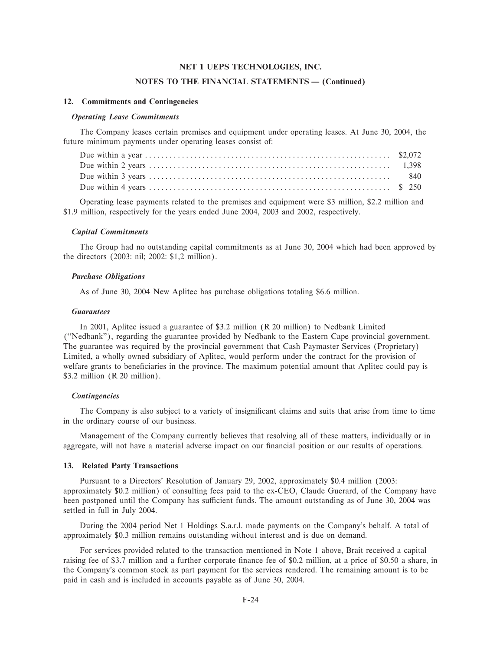#### **NOTES TO THE FINANCIAL STATEMENTS - (Continued)**

#### **12. Commitments and Contingencies**

#### *Operating Lease Commitments*

The Company leases certain premises and equipment under operating leases. At June 30, 2004, the future minimum payments under operating leases consist of:

Operating lease payments related to the premises and equipment were \$3 million, \$2.2 million and \$1.9 million, respectively for the years ended June 2004, 2003 and 2002, respectively.

#### *Capital Commitments*

The Group had no outstanding capital commitments as at June 30, 2004 which had been approved by the directors (2003: nil; 2002: \$1,2 million).

#### *Purchase Obligations*

As of June 30, 2004 New Aplitec has purchase obligations totaling \$6.6 million.

#### *Guarantees*

In 2001, Aplitec issued a guarantee of \$3.2 million (R 20 million) to Nedbank Limited (""Nedbank''), regarding the guarantee provided by Nedbank to the Eastern Cape provincial government. The guarantee was required by the provincial government that Cash Paymaster Services (Proprietary) Limited, a wholly owned subsidiary of Aplitec, would perform under the contract for the provision of welfare grants to beneficiaries in the province. The maximum potential amount that Aplitec could pay is \$3.2 million (R 20 million).

#### *Contingencies*

The Company is also subject to a variety of insignificant claims and suits that arise from time to time in the ordinary course of our business.

Management of the Company currently believes that resolving all of these matters, individually or in aggregate, will not have a material adverse impact on our financial position or our results of operations.

#### **13. Related Party Transactions**

Pursuant to a Directors' Resolution of January 29, 2002, approximately \$0.4 million (2003: approximately \$0.2 million) of consulting fees paid to the ex-CEO, Claude Guerard, of the Company have been postponed until the Company has sufficient funds. The amount outstanding as of June 30, 2004 was settled in full in July 2004.

During the 2004 period Net 1 Holdings S.a.r.l. made payments on the Company's behalf. A total of approximately \$0.3 million remains outstanding without interest and is due on demand.

For services provided related to the transaction mentioned in Note 1 above, Brait received a capital raising fee of \$3.7 million and a further corporate finance fee of \$0.2 million, at a price of \$0.50 a share, in the Company's common stock as part payment for the services rendered. The remaining amount is to be paid in cash and is included in accounts payable as of June 30, 2004.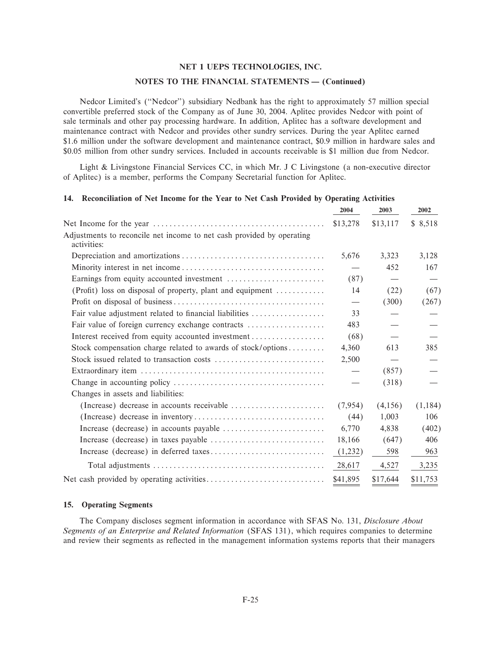#### NOTES TO THE FINANCIAL STATEMENTS - (Continued)

Nedcor Limited's ("Nedcor") subsidiary Nedbank has the right to approximately 57 million special convertible preferred stock of the Company as of June 30, 2004. Aplitec provides Nedcor with point of sale terminals and other pay processing hardware. In addition, Aplitec has a software development and maintenance contract with Nedcor and provides other sundry services. During the year Aplitec earned \$1.6 million under the software development and maintenance contract, \$0.9 million in hardware sales and \$0.05 million from other sundry services. Included in accounts receivable is \$1 million due from Nedcor.

Light & Livingstone Financial Services CC, in which Mr. J C Livingstone (a non-executive director of Aplitec) is a member, performs the Company Secretarial function for Aplitec.

#### 14. Reconciliation of Net Income for the Year to Net Cash Provided by Operating Activities

|                                                                                      | 2004                              | 2003     | 2002     |
|--------------------------------------------------------------------------------------|-----------------------------------|----------|----------|
|                                                                                      | \$13,278                          | \$13,117 | \$8,518  |
| Adjustments to reconcile net income to net cash provided by operating<br>activities: |                                   |          |          |
|                                                                                      | 5,676                             | 3,323    | 3,128    |
|                                                                                      |                                   | 452      | 167      |
|                                                                                      | (87)                              |          |          |
| (Profit) loss on disposal of property, plant and equipment                           | 14                                | (22)     | (67)     |
|                                                                                      | $\overbrace{\phantom{123221111}}$ | (300)    | (267)    |
| Fair value adjustment related to financial liabilities                               | 33                                |          |          |
| Fair value of foreign currency exchange contracts                                    | 483                               |          |          |
| Interest received from equity accounted investment                                   | (68)                              |          |          |
| Stock compensation charge related to awards of stock/options                         | 4,360                             | 613      | 385      |
|                                                                                      | 2,500                             |          |          |
|                                                                                      |                                   | (857)    |          |
|                                                                                      |                                   | (318)    |          |
| Changes in assets and liabilities:                                                   |                                   |          |          |
|                                                                                      | (7,954)                           | (4,156)  | (1,184)  |
|                                                                                      | (44)                              | 1,003    | 106      |
|                                                                                      | 6,770                             | 4,838    | (402)    |
|                                                                                      | 18,166                            | (647)    | 406      |
|                                                                                      | (1,232)                           | 598      | 963      |
|                                                                                      | 28,617                            | 4,527    | 3,235    |
|                                                                                      | \$41,895                          | \$17,644 | \$11,753 |

#### 15. Operating Segments

The Company discloses segment information in accordance with SFAS No. 131, Disclosure About Segments of an Enterprise and Related Information (SFAS 131), which requires companies to determine and review their segments as reflected in the management information systems reports that their managers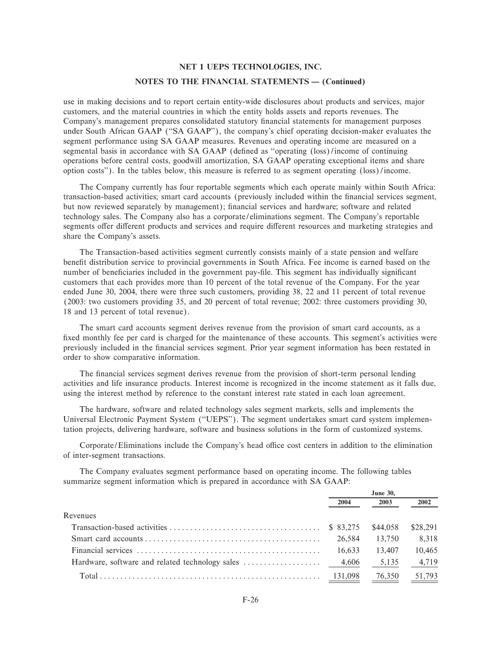# **NET 1 UEPS TECHNOLOGIES, INC. NOTES TO THE FINANCIAL STATEMENTS - (Continued)**

use in making decisions and to report certain entity-wide disclosures about products and services, major customers, and the material countries in which the entity holds assets and reports revenues. The Company's management prepares consolidated statutory financial statements for management purposes under South African GAAP (""SA GAAP''), the company's chief operating decision-maker evaluates the segment performance using SA GAAP measures. Revenues and operating income are measured on a segmental basis in accordance with SA GAAP (defined as "operating (loss)/income of continuing operations before central costs, goodwill amortization, SA GAAP operating exceptional items and share option costs''). In the tables below, this measure is referred to as segment operating (loss)/income.

The Company currently has four reportable segments which each operate mainly within South Africa: transaction-based activities; smart card accounts (previously included within the financial services segment, but now reviewed separately by management); financial services and hardware; software and related technology sales. The Company also has a corporate/eliminations segment. The Company's reportable segments offer different products and services and require different resources and marketing strategies and share the Company's assets.

The Transaction-based activities segment currently consists mainly of a state pension and welfare benefit distribution service to provincial governments in South Africa. Fee income is earned based on the number of beneficiaries included in the government pay-file. This segment has individually significant customers that each provides more than 10 percent of the total revenue of the Company. For the year ended June 30, 2004, there were three such customers, providing 38, 22 and 11 percent of total revenue (2003: two customers providing 35, and 20 percent of total revenue; 2002: three customers providing 30, 18 and 13 percent of total revenue).

The smart card accounts segment derives revenue from the provision of smart card accounts, as a fixed monthly fee per card is charged for the maintenance of these accounts. This segment's activities were previously included in the Ñnancial services segment. Prior year segment information has been restated in order to show comparative information.

The financial services segment derives revenue from the provision of short-term personal lending activities and life insurance products. Interest income is recognized in the income statement as it falls due, using the interest method by reference to the constant interest rate stated in each loan agreement.

The hardware, software and related technology sales segment markets, sells and implements the Universal Electronic Payment System (""UEPS''). The segment undertakes smart card system implementation projects, delivering hardware, software and business solutions in the form of customized systems.

Corporate/Eliminations include the Company's head office cost centers in addition to the elimination of inter-segment transactions.

The Company evaluates segment performance based on operating income. The following tables summarize segment information which is prepared in accordance with SA GAAP:

|          | <b>June 30,</b> |          |          |
|----------|-----------------|----------|----------|
|          | 2004            | 2003     | 2002     |
| Revenues |                 |          |          |
|          |                 | \$44.058 | \$28,291 |
|          | 26.584          | 13.750   | 8,318    |
|          | 16.633          | 13.407   | 10,465   |
|          |                 | 5,135    | 4,719    |
|          |                 | 76,350   | 51,793   |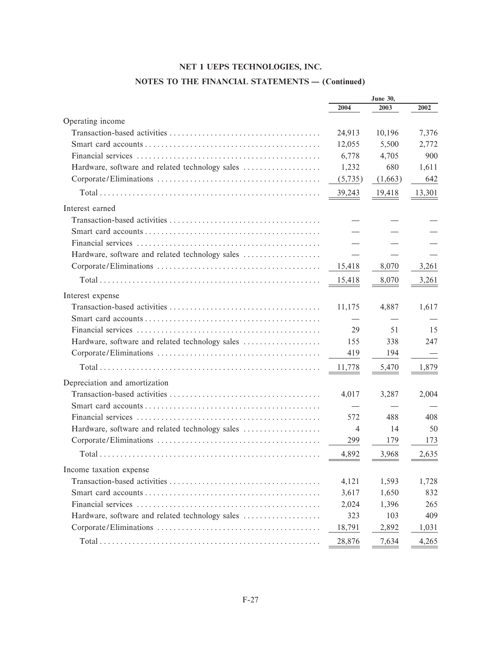# **NOTES TO THE FINANCIAL STATEMENTS - (Continued)**

|                                                 | <b>June 30,</b> |         |        |  |
|-------------------------------------------------|-----------------|---------|--------|--|
|                                                 | 2004            | 2003    | 2002   |  |
| Operating income                                |                 |         |        |  |
|                                                 | 24,913          | 10,196  | 7,376  |  |
|                                                 | 12,055          | 5,500   | 2,772  |  |
|                                                 | 6,778           | 4,705   | 900    |  |
| Hardware, software and related technology sales | 1,232           | 680     | 1,611  |  |
|                                                 | (5,735)         | (1,663) | 642    |  |
|                                                 | 39,243          | 19,418  | 13,301 |  |
| Interest earned                                 |                 |         |        |  |
|                                                 |                 |         |        |  |
|                                                 |                 |         |        |  |
|                                                 |                 |         |        |  |
| Hardware, software and related technology sales |                 |         |        |  |
|                                                 | 15,418          | 8,070   | 3,261  |  |
|                                                 | 15,418          | 8,070   | 3,261  |  |
| Interest expense                                |                 |         |        |  |
|                                                 | 11,175          | 4,887   | 1,617  |  |
|                                                 |                 |         |        |  |
|                                                 | 29              | 51      | 15     |  |
| Hardware, software and related technology sales | 155             | 338     | 247    |  |
|                                                 | 419             | 194     |        |  |
|                                                 | 11,778          | 5,470   | 1,879  |  |
| Depreciation and amortization                   |                 |         |        |  |
|                                                 | 4,017           | 3,287   | 2,004  |  |
|                                                 |                 |         |        |  |
|                                                 | 572             | 488     | 408    |  |
| Hardware, software and related technology sales | 4               | 14      | 50     |  |
|                                                 | 299             | 179     | 173    |  |
|                                                 | 4,892           | 3,968   | 2,635  |  |
| Income taxation expense                         |                 |         |        |  |
|                                                 | 4,121           | 1,593   | 1,728  |  |
|                                                 | 3,617           | 1,650   | 832    |  |
|                                                 | 2,024           | 1,396   | 265    |  |
| Hardware, software and related technology sales | 323             | 103     | 409    |  |
|                                                 | 18,791          | 2,892   | 1,031  |  |
|                                                 | 28,876          | 7,634   | 4,265  |  |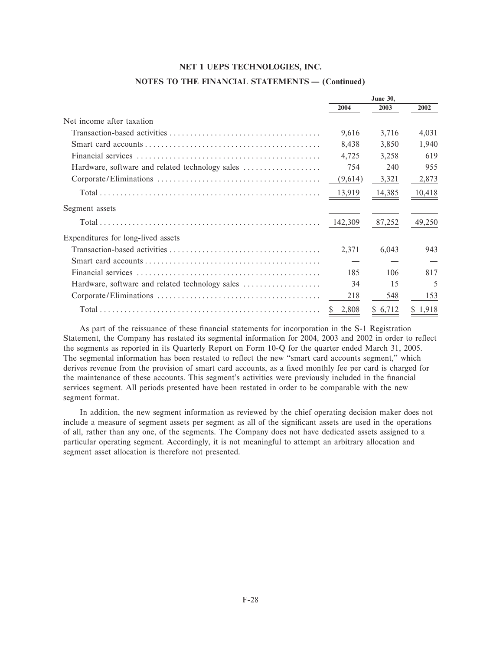|                                                 | <b>June 30,</b> |         |        |
|-------------------------------------------------|-----------------|---------|--------|
|                                                 | 2004            | 2003    | 2002   |
| Net income after taxation                       |                 |         |        |
|                                                 | 9,616           | 3,716   | 4,031  |
|                                                 | 8,438           | 3,850   | 1,940  |
|                                                 | 4,725           | 3,258   | 619    |
| Hardware, software and related technology sales | 754             | 240     | 955    |
|                                                 | (9,614)         | 3,321   | 2,873  |
|                                                 | 13,919          | 14,385  | 10,418 |
| Segment assets                                  |                 |         |        |
|                                                 | 142,309         | 87,252  | 49,250 |
| Expenditures for long-lived assets              |                 |         |        |
|                                                 | 2,371           | 6,043   | 943    |
|                                                 |                 |         |        |
|                                                 | 185             | 106     | 817    |
| Hardware, software and related technology sales | 34              | 15      | 5      |
|                                                 | 218             | 548     | 153    |
|                                                 | 2,808<br>S      | \$6,712 | 1,918  |

#### **NOTES TO THE FINANCIAL STATEMENTS - (Continued)**

As part of the reissuance of these financial statements for incorporation in the S-1 Registration Statement, the Company has restated its segmental information for 2004, 2003 and 2002 in order to reflect the segments as reported in its Quarterly Report on Form 10-Q for the quarter ended March 31, 2005. The segmental information has been restated to reflect the new "smart card accounts segment," which derives revenue from the provision of smart card accounts, as a fixed monthly fee per card is charged for the maintenance of these accounts. This segment's activities were previously included in the financial services segment. All periods presented have been restated in order to be comparable with the new segment format.

In addition, the new segment information as reviewed by the chief operating decision maker does not include a measure of segment assets per segment as all of the significant assets are used in the operations of all, rather than any one, of the segments. The Company does not have dedicated assets assigned to a particular operating segment. Accordingly, it is not meaningful to attempt an arbitrary allocation and segment asset allocation is therefore not presented.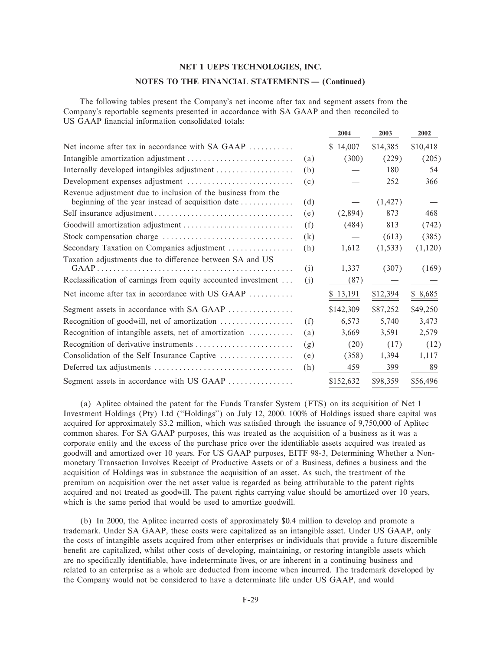#### NOTES TO THE FINANCIAL STATEMENTS - (Continued)

 $\sim$ 

 $\sum_{n=1}^{\infty}$ 

 $\mathbf{a}\mathbf{a}\mathbf{a}$ 

The following tables present the Company's net income after tax and segment assets from the Company's reportable segments presented in accordance with SA GAAP and then reconciled to US GAAP financial information consolidated totals:

|                                                                                                                   |     | 2004         | <b>2005</b> | ZUUZ     |
|-------------------------------------------------------------------------------------------------------------------|-----|--------------|-------------|----------|
| Net income after tax in accordance with SA GAAP                                                                   |     | 14,007<br>S. | \$14,385    | \$10,418 |
|                                                                                                                   | (a) | (300)        | (229)       | (205)    |
| Internally developed intangibles adjustment                                                                       | (b) |              | 180         | 54       |
|                                                                                                                   | (c) |              | 252         | 366      |
| Revenue adjustment due to inclusion of the business from the<br>beginning of the year instead of acquisition date | (d) |              | (1, 427)    |          |
|                                                                                                                   | (e) | (2,894)      | 873         | 468      |
|                                                                                                                   | (f) | (484)        | 813         | (742)    |
|                                                                                                                   | (k) |              | (613)       | (385)    |
| Secondary Taxation on Companies adjustment                                                                        | (h) | 1,612        | (1, 533)    | (1,120)  |
| Taxation adjustments due to difference between SA and US                                                          | (i) | 1,337        | (307)       | (169)    |
| Reclassification of earnings from equity accounted investment                                                     | (j) | (87)         |             |          |
| Net income after tax in accordance with US GAAP                                                                   |     | \$13,191     | \$12,394    | \$8,685  |
| Segment assets in accordance with SA GAAP                                                                         |     | \$142,309    | \$87,252    | \$49,250 |
| Recognition of goodwill, net of amortization                                                                      | (f) | 6,573        | 5,740       | 3,473    |
| Recognition of intangible assets, net of amortization                                                             | (a) | 3,669        | 3,591       | 2,579    |
|                                                                                                                   | (g) | (20)         | (17)        | (12)     |
| Consolidation of the Self Insurance Captive                                                                       | (e) | (358)        | 1,394       | 1,117    |
|                                                                                                                   | (h) | 459          | 399         | 89       |
| Segment assets in accordance with US GAAP                                                                         |     | \$152,632    | \$98,359    | \$56,496 |

(a) Aplitec obtained the patent for the Funds Transfer System (FTS) on its acquisition of Net 1 Investment Holdings (Pty) Ltd ("Holdings") on July 12, 2000. 100% of Holdings issued share capital was acquired for approximately \$3.2 million, which was satisfied through the issuance of 9,750,000 of Aplitec common shares. For SA GAAP purposes, this was treated as the acquisition of a business as it was a corporate entity and the excess of the purchase price over the identifiable assets acquired was treated as goodwill and amortized over 10 years. For US GAAP purposes, EITF 98-3, Determining Whether a Nonmonetary Transaction Involves Receipt of Productive Assets or of a Business, defines a business and the acquisition of Holdings was in substance the acquisition of an asset. As such, the treatment of the premium on acquisition over the net asset value is regarded as being attributable to the patent rights acquired and not treated as goodwill. The patent rights carrying value should be amortized over 10 years, which is the same period that would be used to amortize goodwill.

(b) In 2000, the Aplitec incurred costs of approximately \$0.4 million to develop and promote a trademark. Under SA GAAP, these costs were capitalized as an intangible asset. Under US GAAP, only the costs of intangible assets acquired from other enterprises or individuals that provide a future discernible benefit are capitalized, whilst other costs of developing, maintaining, or restoring intangible assets which are no specifically identifiable, have indeterminate lives, or are inherent in a continuing business and related to an enterprise as a whole are deducted from income when incurred. The trademark developed by the Company would not be considered to have a determinate life under US GAAP, and would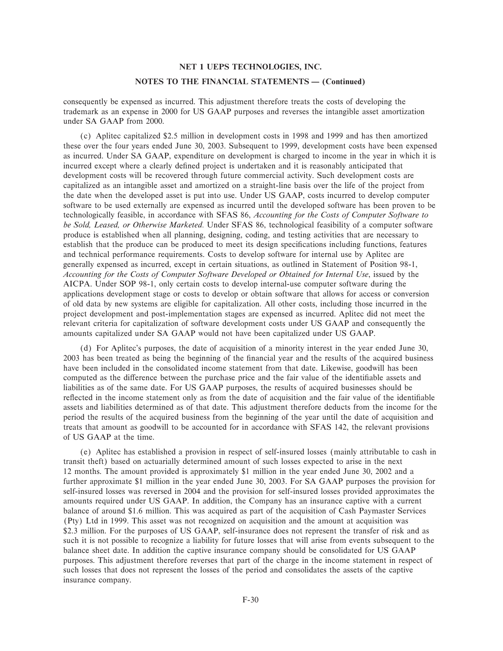#### **NOTES TO THE FINANCIAL STATEMENTS - (Continued)**

consequently be expensed as incurred. This adjustment therefore treats the costs of developing the trademark as an expense in 2000 for US GAAP purposes and reverses the intangible asset amortization under SA GAAP from 2000.

(c) Aplitec capitalized \$2.5 million in development costs in 1998 and 1999 and has then amortized these over the four years ended June 30, 2003. Subsequent to 1999, development costs have been expensed as incurred. Under SA GAAP, expenditure on development is charged to income in the year in which it is incurred except where a clearly deÑned project is undertaken and it is reasonably anticipated that development costs will be recovered through future commercial activity. Such development costs are capitalized as an intangible asset and amortized on a straight-line basis over the life of the project from the date when the developed asset is put into use. Under US GAAP, costs incurred to develop computer software to be used externally are expensed as incurred until the developed software has been proven to be technologically feasible, in accordance with SFAS 86, *Accounting for the Costs of Computer Software to be Sold, Leased, or Otherwise Marketed.* Under SFAS 86, technological feasibility of a computer software produce is established when all planning, designing, coding, and testing activities that are necessary to establish that the produce can be produced to meet its design specifications including functions, features and technical performance requirements. Costs to develop software for internal use by Aplitec are generally expensed as incurred, except in certain situations, as outlined in Statement of Position 98-1, *Accounting for the Costs of Computer Software Developed or Obtained for Internal Use*, issued by the AICPA. Under SOP 98-1, only certain costs to develop internal-use computer software during the applications development stage or costs to develop or obtain software that allows for access or conversion of old data by new systems are eligible for capitalization. All other costs, including those incurred in the project development and post-implementation stages are expensed as incurred. Aplitec did not meet the relevant criteria for capitalization of software development costs under US GAAP and consequently the amounts capitalized under SA GAAP would not have been capitalized under US GAAP.

(d) For Aplitec's purposes, the date of acquisition of a minority interest in the year ended June 30, 2003 has been treated as being the beginning of the Ñnancial year and the results of the acquired business have been included in the consolidated income statement from that date. Likewise, goodwill has been computed as the difference between the purchase price and the fair value of the identifiable assets and liabilities as of the same date. For US GAAP purposes, the results of acquired businesses should be reflected in the income statement only as from the date of acquisition and the fair value of the identifiable assets and liabilities determined as of that date. This adjustment therefore deducts from the income for the period the results of the acquired business from the beginning of the year until the date of acquisition and treats that amount as goodwill to be accounted for in accordance with SFAS 142, the relevant provisions of US GAAP at the time.

(e) Aplitec has established a provision in respect of self-insured losses (mainly attributable to cash in transit theft) based on actuarially determined amount of such losses expected to arise in the next 12 months. The amount provided is approximately \$1 million in the year ended June 30, 2002 and a further approximate \$1 million in the year ended June 30, 2003. For SA GAAP purposes the provision for self-insured losses was reversed in 2004 and the provision for self-insured losses provided approximates the amounts required under US GAAP. In addition, the Company has an insurance captive with a current balance of around \$1.6 million. This was acquired as part of the acquisition of Cash Paymaster Services (Pty) Ltd in 1999. This asset was not recognized on acquisition and the amount at acquisition was \$2.3 million. For the purposes of US GAAP, self-insurance does not represent the transfer of risk and as such it is not possible to recognize a liability for future losses that will arise from events subsequent to the balance sheet date. In addition the captive insurance company should be consolidated for US GAAP purposes. This adjustment therefore reverses that part of the charge in the income statement in respect of such losses that does not represent the losses of the period and consolidates the assets of the captive insurance company.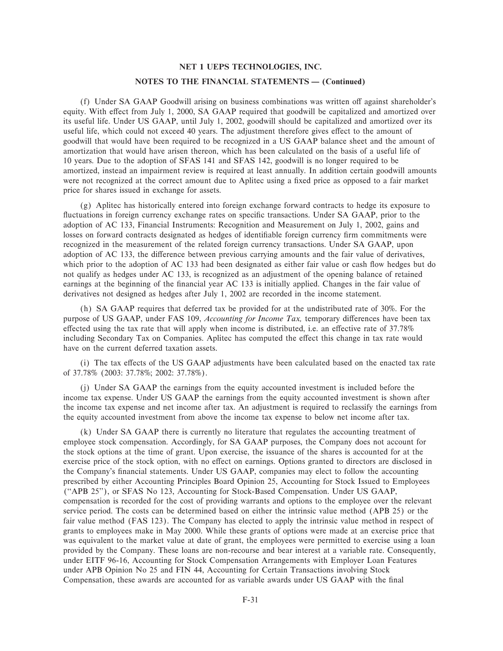#### **NOTES TO THE FINANCIAL STATEMENTS - (Continued)**

(f) Under SA GAAP Goodwill arising on business combinations was written off against shareholder's equity. With effect from July 1, 2000, SA GAAP required that goodwill be capitalized and amortized over its useful life. Under US GAAP, until July 1, 2002, goodwill should be capitalized and amortized over its useful life, which could not exceed 40 years. The adjustment therefore gives effect to the amount of goodwill that would have been required to be recognized in a US GAAP balance sheet and the amount of amortization that would have arisen thereon, which has been calculated on the basis of a useful life of 10 years. Due to the adoption of SFAS 141 and SFAS 142, goodwill is no longer required to be amortized, instead an impairment review is required at least annually. In addition certain goodwill amounts were not recognized at the correct amount due to Aplitec using a fixed price as opposed to a fair market price for shares issued in exchange for assets.

(g) Aplitec has historically entered into foreign exchange forward contracts to hedge its exposure to fluctuations in foreign currency exchange rates on specific transactions. Under SA GAAP, prior to the adoption of AC 133, Financial Instruments: Recognition and Measurement on July 1, 2002, gains and losses on forward contracts designated as hedges of identifiable foreign currency firm commitments were recognized in the measurement of the related foreign currency transactions. Under SA GAAP, upon adoption of AC 133, the difference between previous carrying amounts and the fair value of derivatives, which prior to the adoption of AC 133 had been designated as either fair value or cash flow hedges but do not qualify as hedges under AC 133, is recognized as an adjustment of the opening balance of retained earnings at the beginning of the financial year AC 133 is initially applied. Changes in the fair value of derivatives not designed as hedges after July 1, 2002 are recorded in the income statement.

(h) SA GAAP requires that deferred tax be provided for at the undistributed rate of 30%. For the purpose of US GAAP, under FAS 109, *Accounting for Income Tax*, temporary differences have been tax effected using the tax rate that will apply when income is distributed, i.e. an effective rate of 37.78% including Secondary Tax on Companies. Aplitec has computed the effect this change in tax rate would have on the current deferred taxation assets.

(i) The tax effects of the US GAAP adjustments have been calculated based on the enacted tax rate of 37.78% (2003: 37.78%; 2002: 37.78%).

(j) Under SA GAAP the earnings from the equity accounted investment is included before the income tax expense. Under US GAAP the earnings from the equity accounted investment is shown after the income tax expense and net income after tax. An adjustment is required to reclassify the earnings from the equity accounted investment from above the income tax expense to below net income after tax.

(k) Under SA GAAP there is currently no literature that regulates the accounting treatment of employee stock compensation. Accordingly, for SA GAAP purposes, the Company does not account for the stock options at the time of grant. Upon exercise, the issuance of the shares is accounted for at the exercise price of the stock option, with no effect on earnings. Options granted to directors are disclosed in the Company's financial statements. Under US GAAP, companies may elect to follow the accounting prescribed by either Accounting Principles Board Opinion 25, Accounting for Stock Issued to Employees (""APB 25''), or SFAS No 123, Accounting for Stock-Based Compensation. Under US GAAP, compensation is recorded for the cost of providing warrants and options to the employee over the relevant service period. The costs can be determined based on either the intrinsic value method (APB 25) or the fair value method (FAS 123). The Company has elected to apply the intrinsic value method in respect of grants to employees make in May 2000. While these grants of options were made at an exercise price that was equivalent to the market value at date of grant, the employees were permitted to exercise using a loan provided by the Company. These loans are non-recourse and bear interest at a variable rate. Consequently, under EITF 96-16, Accounting for Stock Compensation Arrangements with Employer Loan Features under APB Opinion No 25 and FIN 44, Accounting for Certain Transactions involving Stock Compensation, these awards are accounted for as variable awards under US GAAP with the final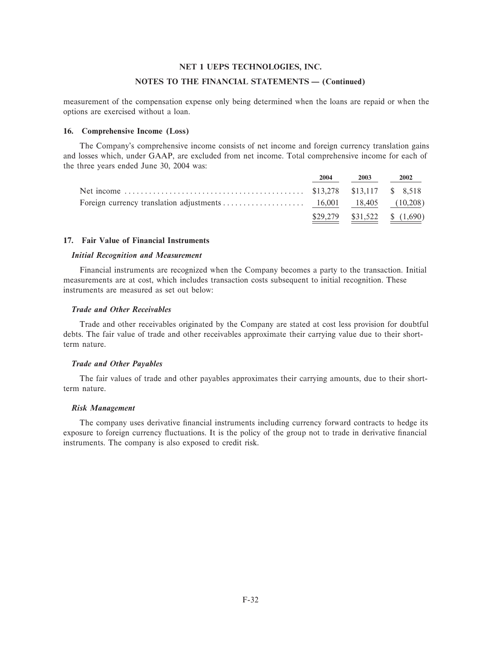#### **NOTES TO THE FINANCIAL STATEMENTS - (Continued)**

measurement of the compensation expense only being determined when the loans are repaid or when the options are exercised without a loan.

## **16. Comprehensive Income (Loss)**

The Company's comprehensive income consists of net income and foreign currency translation gains and losses which, under GAAP, are excluded from net income. Total comprehensive income for each of the three years ended June 30, 2004 was:

| 2004 | 2003 | 2002                            |
|------|------|---------------------------------|
|      |      |                                 |
|      |      |                                 |
|      |      | $$29,279$ $$31,522$ $$ (1,690)$ |

#### **17. Fair Value of Financial Instruments**

### *Initial Recognition and Measurement*

Financial instruments are recognized when the Company becomes a party to the transaction. Initial measurements are at cost, which includes transaction costs subsequent to initial recognition. These instruments are measured as set out below:

#### *Trade and Other Receivables*

Trade and other receivables originated by the Company are stated at cost less provision for doubtful debts. The fair value of trade and other receivables approximate their carrying value due to their shortterm nature.

#### *Trade and Other Payables*

The fair values of trade and other payables approximates their carrying amounts, due to their shortterm nature.

#### *Risk Management*

The company uses derivative financial instruments including currency forward contracts to hedge its exposure to foreign currency fluctuations. It is the policy of the group not to trade in derivative financial instruments. The company is also exposed to credit risk.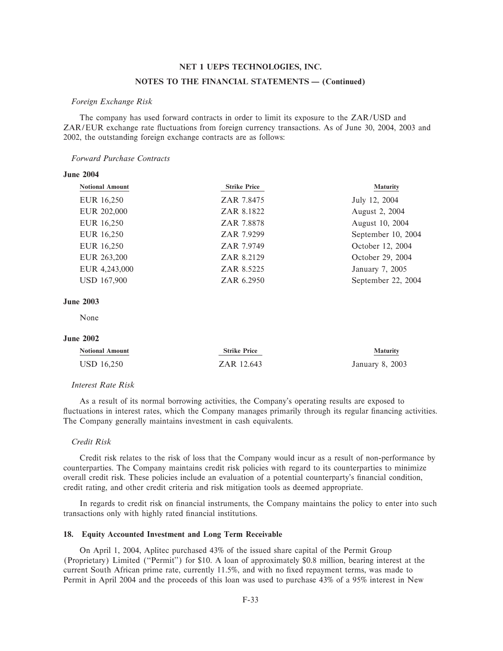#### **NOTES TO THE FINANCIAL STATEMENTS - (Continued)**

#### *Foreign Exchange Risk*

The company has used forward contracts in order to limit its exposure to the ZAR/USD and ZAR/EUR exchange rate fluctuations from foreign currency transactions. As of June 30, 2004, 2003 and 2002, the outstanding foreign exchange contracts are as follows:

## *Forward Purchase Contracts*

| <b>Notional Amount</b> | <b>Strike Price</b> | <b>Maturity</b>    |
|------------------------|---------------------|--------------------|
| EUR 16,250             | ZAR 7.8475          | July 12, 2004      |
| EUR 202,000            | ZAR 8.1822          | August 2, 2004     |
| EUR 16,250             | ZAR 7.8878          | August 10, 2004    |
| EUR 16,250             | ZAR 7.9299          | September 10, 2004 |
| EUR 16,250             | ZAR 7.9749          | October 12, 2004   |
| EUR 263,200            | ZAR 8.2129          | October 29, 2004   |
| EUR 4,243,000          | ZAR 8.5225          | January 7, 2005    |
| <b>USD 167,900</b>     | ZAR 6.2950          | September 22, 2004 |
|                        |                     |                    |

#### **June 2003**

**June 2004**

None

### **June 2002**

| <b>Notional Amount</b> | <b>Strike Price</b> | <b>Maturity</b> |
|------------------------|---------------------|-----------------|
| USD 16,250             | ZAR 12.643          | January 8, 2003 |

#### *Interest Rate Risk*

As a result of its normal borrowing activities, the Company's operating results are exposed to fluctuations in interest rates, which the Company manages primarily through its regular financing activities. The Company generally maintains investment in cash equivalents.

### *Credit Risk*

Credit risk relates to the risk of loss that the Company would incur as a result of non-performance by counterparties. The Company maintains credit risk policies with regard to its counterparties to minimize overall credit risk. These policies include an evaluation of a potential counterparty's financial condition, credit rating, and other credit criteria and risk mitigation tools as deemed appropriate.

In regards to credit risk on financial instruments, the Company maintains the policy to enter into such transactions only with highly rated financial institutions.

## **18. Equity Accounted Investment and Long Term Receivable**

On April 1, 2004, Aplitec purchased 43% of the issued share capital of the Permit Group (Proprietary) Limited (""Permit'') for \$10. A loan of approximately \$0.8 million, bearing interest at the current South African prime rate, currently 11.5%, and with no fixed repayment terms, was made to Permit in April 2004 and the proceeds of this loan was used to purchase 43% of a 95% interest in New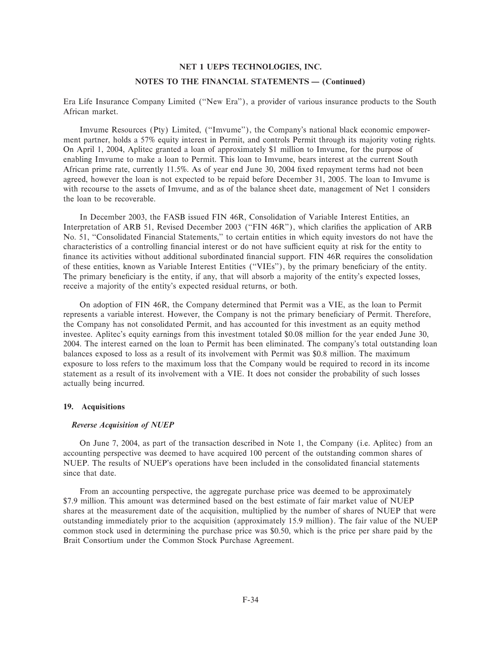#### **NOTES TO THE FINANCIAL STATEMENTS - (Continued)**

Era Life Insurance Company Limited (""New Era''), a provider of various insurance products to the South African market.

Imvume Resources (Pty) Limited, (""Imvume''), the Company's national black economic empowerment partner, holds a 57% equity interest in Permit, and controls Permit through its majority voting rights. On April 1, 2004, Aplitec granted a loan of approximately \$1 million to Imvume, for the purpose of enabling Imvume to make a loan to Permit. This loan to Imvume, bears interest at the current South African prime rate, currently 11.5%. As of year end June 30, 2004 fixed repayment terms had not been agreed, however the loan is not expected to be repaid before December 31, 2005. The loan to Imvume is with recourse to the assets of Imvume, and as of the balance sheet date, management of Net 1 considers the loan to be recoverable.

In December 2003, the FASB issued FIN 46R, Consolidation of Variable Interest Entities, an Interpretation of ARB 51, Revised December 2003 ("FIN 46R"), which clarifies the application of ARB No. 51, "Consolidated Financial Statements," to certain entities in which equity investors do not have the characteristics of a controlling financial interest or do not have sufficient equity at risk for the entity to finance its activities without additional subordinated financial support. FIN 46R requires the consolidation of these entities, known as Variable Interest Entities ("VIEs"), by the primary beneficiary of the entity. The primary beneficiary is the entity, if any, that will absorb a majority of the entity's expected losses, receive a majority of the entity's expected residual returns, or both.

On adoption of FIN 46R, the Company determined that Permit was a VIE, as the loan to Permit represents a variable interest. However, the Company is not the primary beneficiary of Permit. Therefore, the Company has not consolidated Permit, and has accounted for this investment as an equity method investee. Aplitec's equity earnings from this investment totaled \$0.08 million for the year ended June 30, 2004. The interest earned on the loan to Permit has been eliminated. The company's total outstanding loan balances exposed to loss as a result of its involvement with Permit was \$0.8 million. The maximum exposure to loss refers to the maximum loss that the Company would be required to record in its income statement as a result of its involvement with a VIE. It does not consider the probability of such losses actually being incurred.

## **19. Acquisitions**

#### *Reverse Acquisition of NUEP*

On June 7, 2004, as part of the transaction described in Note 1, the Company (i.e. Aplitec) from an accounting perspective was deemed to have acquired 100 percent of the outstanding common shares of NUEP. The results of NUEP's operations have been included in the consolidated financial statements since that date.

From an accounting perspective, the aggregate purchase price was deemed to be approximately \$7.9 million. This amount was determined based on the best estimate of fair market value of NUEP shares at the measurement date of the acquisition, multiplied by the number of shares of NUEP that were outstanding immediately prior to the acquisition (approximately 15.9 million). The fair value of the NUEP common stock used in determining the purchase price was \$0.50, which is the price per share paid by the Brait Consortium under the Common Stock Purchase Agreement.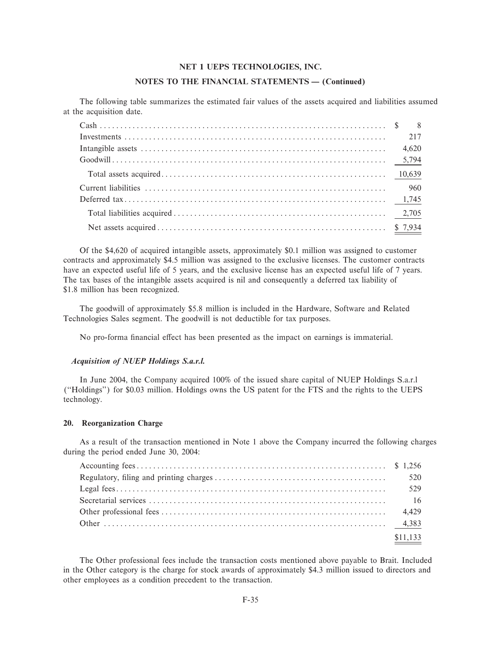## **NOTES TO THE FINANCIAL STATEMENTS - (Continued)**

The following table summarizes the estimated fair values of the assets acquired and liabilities assumed at the acquisition date.

Of the \$4,620 of acquired intangible assets, approximately \$0.1 million was assigned to customer contracts and approximately \$4.5 million was assigned to the exclusive licenses. The customer contracts have an expected useful life of 5 years, and the exclusive license has an expected useful life of 7 years. The tax bases of the intangible assets acquired is nil and consequently a deferred tax liability of \$1.8 million has been recognized.

The goodwill of approximately \$5.8 million is included in the Hardware, Software and Related Technologies Sales segment. The goodwill is not deductible for tax purposes.

No pro-forma financial effect has been presented as the impact on earnings is immaterial.

#### *Acquisition of NUEP Holdings S.a.r.l.*

In June 2004, the Company acquired 100% of the issued share capital of NUEP Holdings S.a.r.l (""Holdings'') for \$0.03 million. Holdings owns the US patent for the FTS and the rights to the UEPS technology.

#### **20. Reorganization Charge**

As a result of the transaction mentioned in Note 1 above the Company incurred the following charges during the period ended June 30, 2004:

| \$11,133 |
|----------|

The Other professional fees include the transaction costs mentioned above payable to Brait. Included in the Other category is the charge for stock awards of approximately \$4.3 million issued to directors and other employees as a condition precedent to the transaction.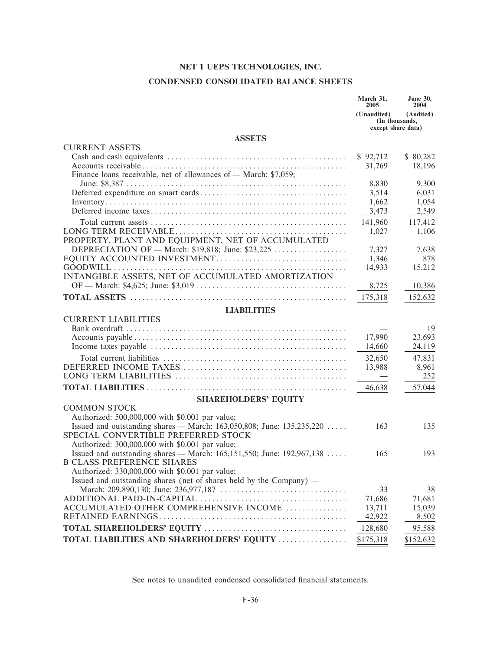# CONDENSED CONSOLIDATED BALANCE SHEETS

|                                                                                                                        | March 31,<br>2005 | <b>June 30,</b><br>2004                           |
|------------------------------------------------------------------------------------------------------------------------|-------------------|---------------------------------------------------|
|                                                                                                                        | (Unaudited)       | (Audited)<br>(In thousands,<br>except share data) |
| <b>ASSETS</b>                                                                                                          |                   |                                                   |
| <b>CURRENT ASSETS</b>                                                                                                  |                   |                                                   |
|                                                                                                                        | \$92,712          | \$80,282                                          |
|                                                                                                                        | 31,769            | 18,196                                            |
| Finance loans receivable, net of allowances of — March: \$7,059;                                                       | 8,830             | 9,300                                             |
|                                                                                                                        | 3,514             | 6,031                                             |
|                                                                                                                        | 1,662             | 1,054                                             |
|                                                                                                                        | 3,473             | 2,549                                             |
|                                                                                                                        | 141,960           | 117,412                                           |
|                                                                                                                        | 1,027             | 1,106                                             |
| PROPERTY, PLANT AND EQUIPMENT, NET OF ACCUMULATED                                                                      |                   |                                                   |
| DEPRECIATION OF — March: \$19,818; June: \$23,225                                                                      | 7,327             | 7,638                                             |
|                                                                                                                        | 1,346             | 878                                               |
|                                                                                                                        | 14,933            | 15,212                                            |
| INTANGIBLE ASSETS, NET OF ACCUMULATED AMORTIZATION                                                                     |                   |                                                   |
|                                                                                                                        | 8,725             | 10,386                                            |
|                                                                                                                        | 175,318           | 152,632                                           |
| <b>LIABILITIES</b>                                                                                                     |                   |                                                   |
| <b>CURRENT LIABILITIES</b>                                                                                             |                   |                                                   |
|                                                                                                                        |                   | 19                                                |
|                                                                                                                        | 17,990            | 23,693                                            |
|                                                                                                                        | 14,660            | 24,119                                            |
|                                                                                                                        | 32,650            | 47,831                                            |
|                                                                                                                        | 13,988            | 8,961                                             |
|                                                                                                                        |                   | 252                                               |
|                                                                                                                        | 46,638            | 57,044                                            |
| <b>SHAREHOLDERS' EQUITY</b>                                                                                            |                   |                                                   |
| <b>COMMON STOCK</b>                                                                                                    |                   |                                                   |
| Authorized: 500,000,000 with \$0.001 par value;                                                                        |                   |                                                   |
| Issued and outstanding shares — March: 163,050,808; June: $135,235,220$                                                | 163               | 135                                               |
| SPECIAL CONVERTIBLE PREFERRED STOCK                                                                                    |                   |                                                   |
| Authorized: 300,000,000 with \$0.001 par value;                                                                        |                   |                                                   |
| Issued and outstanding shares — March: 165,151,550; June: 192,967,138                                                  | 165               | 193                                               |
| <b>B CLASS PREFERENCE SHARES</b>                                                                                       |                   |                                                   |
| Authorized: 330,000,000 with \$0.001 par value;<br>Issued and outstanding shares (net of shares held by the Company) — |                   |                                                   |
|                                                                                                                        | 33                | 38                                                |
|                                                                                                                        | 71,686            | 71,681                                            |
| ACCUMULATED OTHER COMPREHENSIVE INCOME                                                                                 | 13,711            | 15,039                                            |
|                                                                                                                        | 42,922            | 8,502                                             |
|                                                                                                                        | 128,680           | 95,588                                            |
| TOTAL LIABILITIES AND SHAREHOLDERS' EQUITY                                                                             | \$175,318         | \$152,632                                         |
|                                                                                                                        |                   |                                                   |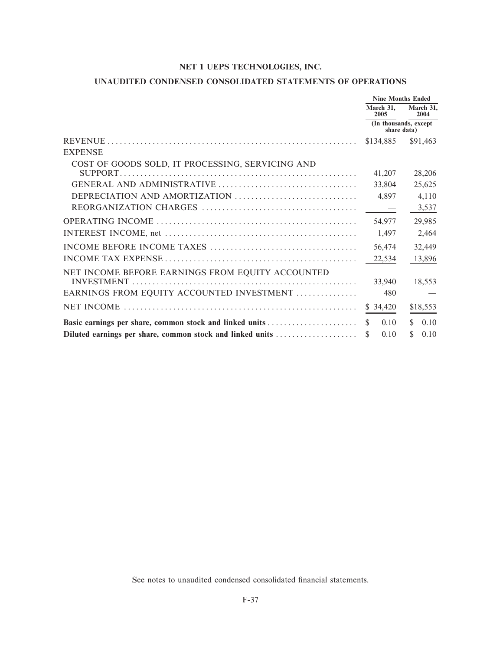# UNAUDITED CONDENSED CONSOLIDATED STATEMENTS OF OPERATIONS

|                                                           | <b>Nine Months Ended</b>              |                   |  |
|-----------------------------------------------------------|---------------------------------------|-------------------|--|
|                                                           | March 31,<br>2005                     | March 31,<br>2004 |  |
|                                                           | (In thousands, except)<br>share data) |                   |  |
|                                                           | \$134,885                             | \$91,463          |  |
| <b>EXPENSE</b>                                            |                                       |                   |  |
| COST OF GOODS SOLD, IT PROCESSING, SERVICING AND          |                                       |                   |  |
|                                                           | 41,207                                | 28,206            |  |
|                                                           | 33,804                                | 25,625            |  |
| DEPRECIATION AND AMORTIZATION                             | 4,897                                 | 4,110             |  |
|                                                           |                                       | 3,537             |  |
|                                                           | 54,977                                | 29,985            |  |
|                                                           | 1,497                                 | 2,464             |  |
|                                                           | 56,474                                | 32,449            |  |
|                                                           | 22,534                                | 13,896            |  |
| NET INCOME BEFORE EARNINGS FROM EQUITY ACCOUNTED          |                                       |                   |  |
|                                                           | 33,940                                | 18,553            |  |
| EARNINGS FROM EQUITY ACCOUNTED INVESTMENT                 | 480                                   |                   |  |
|                                                           | \$34,420                              | \$18,553          |  |
| Basic earnings per share, common stock and linked units   | \$.<br>0.10                           | 0.10<br>S.        |  |
| Diluted earnings per share, common stock and linked units | 0.10<br>\$.                           | 0.10<br>\$        |  |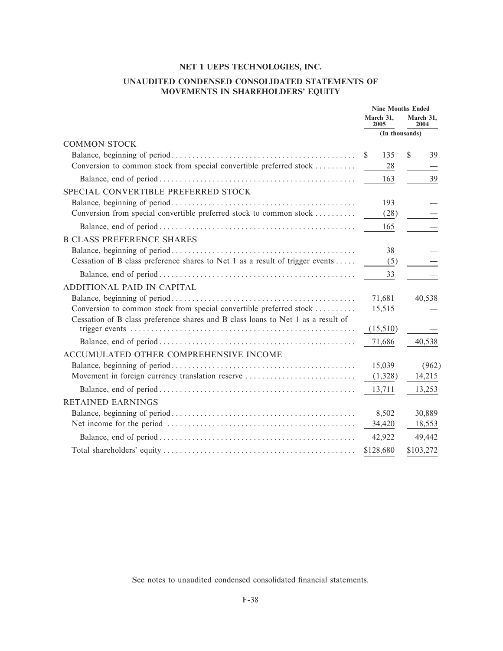# UNAUDITED CONDENSED CONSOLIDATED STATEMENTS OF MOVEMENTS IN SHAREHOLDERS' EQUITY

|                                                                                  |                | <b>Nine Months Ended</b> |              |                   |
|----------------------------------------------------------------------------------|----------------|--------------------------|--------------|-------------------|
|                                                                                  |                | March 31.<br>2005        |              | March 31,<br>2004 |
|                                                                                  | (In thousands) |                          |              |                   |
| <b>COMMON STOCK</b>                                                              |                |                          |              |                   |
|                                                                                  | <sup>\$</sup>  | 135                      | $\mathbb{S}$ | 39                |
| Conversion to common stock from special convertible preferred stock              |                | 28                       |              |                   |
|                                                                                  |                | 163                      |              | 39                |
| SPECIAL CONVERTIBLE PREFERRED STOCK                                              |                |                          |              |                   |
|                                                                                  |                | 193                      |              |                   |
| Conversion from special convertible preferred stock to common stock              |                | (28)                     |              |                   |
|                                                                                  |                | 165                      |              |                   |
| <b>B CLASS PREFERENCE SHARES</b>                                                 |                |                          |              |                   |
|                                                                                  |                | 38                       |              |                   |
| Cessation of B class preference shares to Net 1 as a result of trigger events    |                | (5)                      |              |                   |
|                                                                                  |                | 33                       |              |                   |
| ADDITIONAL PAID IN CAPITAL                                                       |                |                          |              |                   |
|                                                                                  |                | 71,681                   |              | 40,538            |
| Conversion to common stock from special convertible preferred stock              |                | 15,515                   |              |                   |
| Cessation of B class preference shares and B class loans to Net 1 as a result of |                |                          |              |                   |
|                                                                                  |                | (15,510)                 |              |                   |
|                                                                                  |                | 71,686                   |              | 40,538            |
| ACCUMULATED OTHER COMPREHENSIVE INCOME                                           |                |                          |              |                   |
|                                                                                  |                | 15,039                   |              | (962)             |
| Movement in foreign currency translation reserve                                 |                | (1,328)                  |              | 14,215            |
|                                                                                  |                | 13,711                   |              | 13,253            |
| <b>RETAINED EARNINGS</b>                                                         |                |                          |              |                   |
|                                                                                  |                | 8,502                    |              | 30,889            |
|                                                                                  |                | 34,420                   |              | 18,553            |
|                                                                                  |                | 42,922                   |              | 49,442            |
|                                                                                  |                | \$128,680                |              | \$103,272         |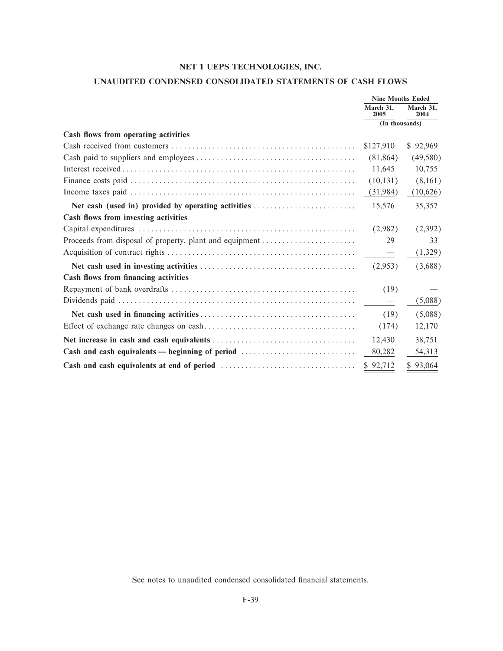# **UNAUDITED CONDENSED CONSOLIDATED STATEMENTS OF CASH FLOWS**

|                                                         | <b>Nine Months Ended</b> |                   |
|---------------------------------------------------------|--------------------------|-------------------|
|                                                         | March 31.<br>2005        | March 31.<br>2004 |
|                                                         | (In thousands)           |                   |
| Cash flows from operating activities                    |                          |                   |
|                                                         | \$127,910                | \$92,969          |
|                                                         | (81, 864)                | (49, 580)         |
|                                                         | 11,645                   | 10,755            |
|                                                         | (10, 131)                | (8,161)           |
|                                                         | (31, 984)                | (10,626)          |
|                                                         | 15,576                   | 35,357            |
| Cash flows from investing activities                    |                          |                   |
|                                                         | (2,982)                  | (2,392)           |
| Proceeds from disposal of property, plant and equipment | 29                       | 33                |
|                                                         |                          | (1,329)           |
|                                                         | (2,953)                  | (3,688)           |
| Cash flows from financing activities                    |                          |                   |
|                                                         | (19)                     |                   |
|                                                         |                          | (5,088)           |
|                                                         | (19)                     | (5,088)           |
|                                                         | (174)                    | 12,170            |
|                                                         | 12,430                   | 38,751            |
| Cash and cash equivalents — beginning of period         | 80,282                   | 54,313            |
|                                                         | \$92,712                 | \$93,064          |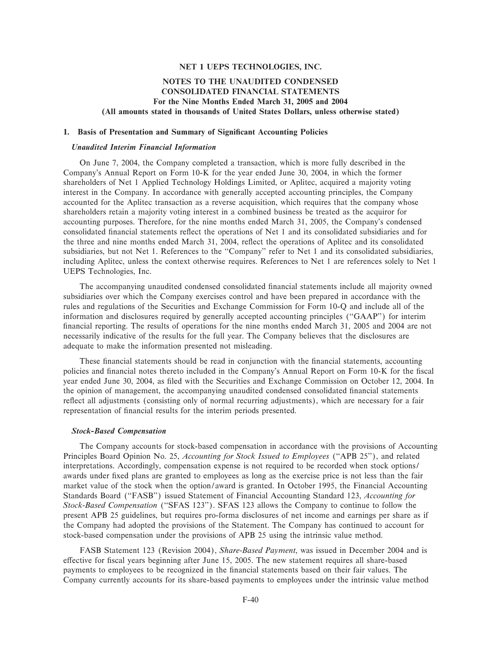## **NOTES TO THE UNAUDITED CONDENSED CONSOLIDATED FINANCIAL STATEMENTS For the Nine Months Ended March 31, 2005 and 2004 (All amounts stated in thousands of United States Dollars, unless otherwise stated)**

#### **1. Basis of Presentation and Summary of Significant Accounting Policies**

#### *Unaudited Interim Financial Information*

On June 7, 2004, the Company completed a transaction, which is more fully described in the Company's Annual Report on Form 10-K for the year ended June 30, 2004, in which the former shareholders of Net 1 Applied Technology Holdings Limited, or Aplitec, acquired a majority voting interest in the Company. In accordance with generally accepted accounting principles, the Company accounted for the Aplitec transaction as a reverse acquisition, which requires that the company whose shareholders retain a majority voting interest in a combined business be treated as the acquiror for accounting purposes. Therefore, for the nine months ended March 31, 2005, the Company's condensed consolidated financial statements reflect the operations of Net 1 and its consolidated subsidiaries and for the three and nine months ended March 31, 2004, reflect the operations of Aplitec and its consolidated subsidiaries, but not Net 1. References to the "Company" refer to Net 1 and its consolidated subsidiaries, including Aplitec, unless the context otherwise requires. References to Net 1 are references solely to Net 1 UEPS Technologies, Inc.

The accompanying unaudited condensed consolidated financial statements include all majority owned subsidiaries over which the Company exercises control and have been prepared in accordance with the rules and regulations of the Securities and Exchange Commission for Form 10-Q and include all of the information and disclosures required by generally accepted accounting principles (""GAAP'') for interim financial reporting. The results of operations for the nine months ended March 31, 2005 and 2004 are not necessarily indicative of the results for the full year. The Company believes that the disclosures are adequate to make the information presented not misleading.

These financial statements should be read in conjunction with the financial statements, accounting policies and financial notes thereto included in the Company's Annual Report on Form 10-K for the fiscal year ended June 30, 2004, as filed with the Securities and Exchange Commission on October 12, 2004. In the opinion of management, the accompanying unaudited condensed consolidated financial statements reflect all adjustments (consisting only of normal recurring adjustments), which are necessary for a fair representation of financial results for the interim periods presented.

#### *Stock-Based Compensation*

The Company accounts for stock-based compensation in accordance with the provisions of Accounting Principles Board Opinion No. 25, *Accounting for Stock Issued to Employees* (""APB 25''), and related interpretations. Accordingly, compensation expense is not required to be recorded when stock options/ awards under Ñxed plans are granted to employees as long as the exercise price is not less than the fair market value of the stock when the option/award is granted. In October 1995, the Financial Accounting Standards Board (""FASB'') issued Statement of Financial Accounting Standard 123, *Accounting for Stock-Based Compensation* (""SFAS 123''). SFAS 123 allows the Company to continue to follow the present APB 25 guidelines, but requires pro-forma disclosures of net income and earnings per share as if the Company had adopted the provisions of the Statement. The Company has continued to account for stock-based compensation under the provisions of APB 25 using the intrinsic value method.

FASB Statement 123 (Revision 2004), *Share-Based Payment*, was issued in December 2004 and is effective for fiscal years beginning after June 15, 2005. The new statement requires all share-based payments to employees to be recognized in the financial statements based on their fair values. The Company currently accounts for its share-based payments to employees under the intrinsic value method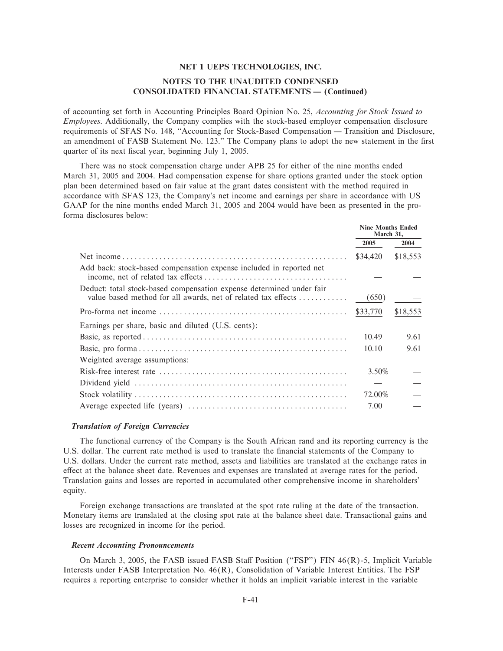## **NOTES TO THE UNAUDITED CONDENSED CONSOLIDATED FINANCIAL STATEMENTS - (Continued)**

of accounting set forth in Accounting Principles Board Opinion No. 25, Accounting for Stock Issued to *Employees.* Additionally, the Company complies with the stock-based employer compensation disclosure requirements of SFAS No. 148, "Accounting for Stock-Based Compensation - Transition and Disclosure, an amendment of FASB Statement No. 123," The Company plans to adopt the new statement in the first quarter of its next fiscal year, beginning July 1, 2005.

There was no stock compensation charge under APB 25 for either of the nine months ended March 31, 2005 and 2004. Had compensation expense for share options granted under the stock option plan been determined based on fair value at the grant dates consistent with the method required in accordance with SFAS 123, the Company's net income and earnings per share in accordance with US GAAP for the nine months ended March 31, 2005 and 2004 would have been as presented in the proforma disclosures below:

|                                                                                                                                       | <b>Nine Months Ended</b><br>March 31, |          |
|---------------------------------------------------------------------------------------------------------------------------------------|---------------------------------------|----------|
|                                                                                                                                       | 2005                                  | 2004     |
|                                                                                                                                       | \$34,420                              | \$18,553 |
| Add back: stock-based compensation expense included in reported net                                                                   |                                       |          |
| Deduct: total stock-based compensation expense determined under fair<br>value based method for all awards, net of related tax effects | (650)                                 |          |
|                                                                                                                                       | \$33,770                              | \$18,553 |
| Earnings per share, basic and diluted (U.S. cents):                                                                                   |                                       |          |
|                                                                                                                                       | 10.49                                 | 9.61     |
|                                                                                                                                       | 10.10                                 | 9.61     |
| Weighted average assumptions:                                                                                                         |                                       |          |
|                                                                                                                                       | 3.50%                                 |          |
|                                                                                                                                       |                                       |          |
|                                                                                                                                       | 72.00%                                |          |
|                                                                                                                                       | 7.00                                  |          |

## **Translation of Foreign Currencies**

The functional currency of the Company is the South African rand and its reporting currency is the U.S. dollar. The current rate method is used to translate the financial statements of the Company to U.S. dollars. Under the current rate method, assets and liabilities are translated at the exchange rates in effect at the balance sheet date. Revenues and expenses are translated at average rates for the period. Translation gains and losses are reported in accumulated other comprehensive income in shareholders' equity.

Foreign exchange transactions are translated at the spot rate ruling at the date of the transaction. Monetary items are translated at the closing spot rate at the balance sheet date. Transactional gains and losses are recognized in income for the period.

#### **Recent Accounting Pronouncements**

On March 3, 2005, the FASB issued FASB Staff Position ("FSP") FIN 46(R)-5, Implicit Variable Interests under FASB Interpretation No. 46(R), Consolidation of Variable Interest Entities. The FSP requires a reporting enterprise to consider whether it holds an implicit variable interest in the variable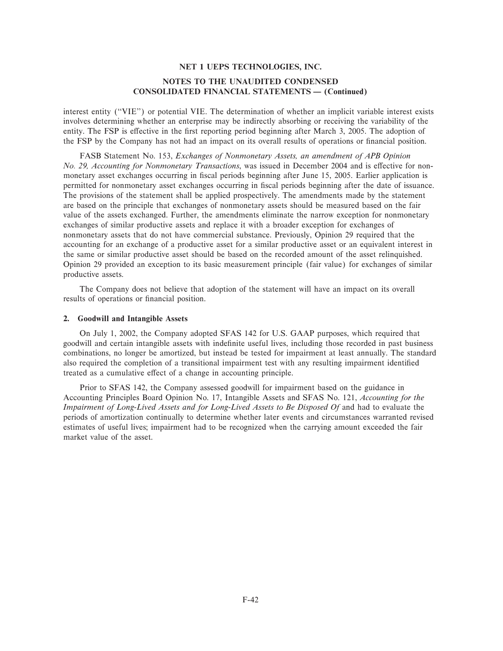interest entity (""VIE'') or potential VIE. The determination of whether an implicit variable interest exists involves determining whether an enterprise may be indirectly absorbing or receiving the variability of the entity. The FSP is effective in the first reporting period beginning after March 3, 2005. The adoption of the FSP by the Company has not had an impact on its overall results of operations or financial position.

FASB Statement No. 153, *Exchanges of Nonmonetary Assets, an amendment of APB Opinion No. 29, Accounting for Nonmonetary Transactions*, was issued in December 2004 and is effective for nonmonetary asset exchanges occurring in Ñscal periods beginning after June 15, 2005. Earlier application is permitted for nonmonetary asset exchanges occurring in Ñscal periods beginning after the date of issuance. The provisions of the statement shall be applied prospectively. The amendments made by the statement are based on the principle that exchanges of nonmonetary assets should be measured based on the fair value of the assets exchanged. Further, the amendments eliminate the narrow exception for nonmonetary exchanges of similar productive assets and replace it with a broader exception for exchanges of nonmonetary assets that do not have commercial substance. Previously, Opinion 29 required that the accounting for an exchange of a productive asset for a similar productive asset or an equivalent interest in the same or similar productive asset should be based on the recorded amount of the asset relinquished. Opinion 29 provided an exception to its basic measurement principle (fair value) for exchanges of similar productive assets.

The Company does not believe that adoption of the statement will have an impact on its overall results of operations or financial position.

#### **2. Goodwill and Intangible Assets**

On July 1, 2002, the Company adopted SFAS 142 for U.S. GAAP purposes, which required that goodwill and certain intangible assets with indefinite useful lives, including those recorded in past business combinations, no longer be amortized, but instead be tested for impairment at least annually. The standard also required the completion of a transitional impairment test with any resulting impairment identified treated as a cumulative effect of a change in accounting principle.

Prior to SFAS 142, the Company assessed goodwill for impairment based on the guidance in Accounting Principles Board Opinion No. 17, Intangible Assets and SFAS No. 121, *Accounting for the* Impairment of Long-Lived Assets and for Long-Lived Assets to Be Disposed Of and had to evaluate the periods of amortization continually to determine whether later events and circumstances warranted revised estimates of useful lives; impairment had to be recognized when the carrying amount exceeded the fair market value of the asset.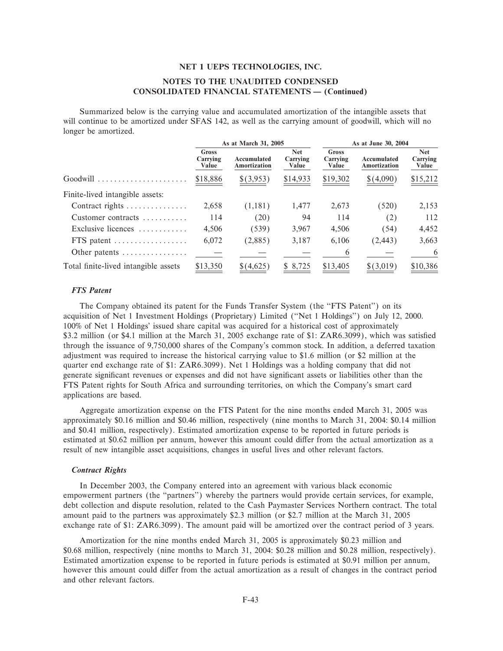# **NOTES TO THE UNAUDITED CONDENSED CONSOLIDATED FINANCIAL STATEMENTS - (Continued)**

Summarized below is the carrying value and accumulated amortization of the intangible assets that will continue to be amortized under SFAS 142, as well as the carrying amount of goodwill, which will no longer be amortized.

|                                           |                            | As at March 31, 2005               |                                 |                            | As at June 30, 2004                |                                 |
|-------------------------------------------|----------------------------|------------------------------------|---------------------------------|----------------------------|------------------------------------|---------------------------------|
|                                           | Gross<br>Carrying<br>Value | Accumulated<br><b>Amortization</b> | <b>Net</b><br>Carrying<br>Value | Gross<br>Carrying<br>Value | Accumulated<br><b>Amortization</b> | <b>Net</b><br>Carrying<br>Value |
| Goodwill                                  | \$18,886                   | \$(3,953)                          | \$14,933                        | \$19,302                   | \$(4,090)                          | \$15,212                        |
| Finite-lived intangible assets:           |                            |                                    |                                 |                            |                                    |                                 |
| Contract rights                           | 2,658                      | (1,181)                            | 1,477                           | 2,673                      | (520)                              | 2,153                           |
| Customer contracts $\dots\dots\dots$      | 114                        | (20)                               | 94                              | 114                        | (2)                                | 112                             |
| Exclusive licences                        | 4,506                      | (539)                              | 3,967                           | 4,506                      | (54)                               | 4,452                           |
| FTS patent                                | 6,072                      | (2,885)                            | 3,187                           | 6,106                      | (2, 443)                           | 3,663                           |
| Other patents $\dots\dots\dots\dots\dots$ |                            |                                    |                                 | 6                          |                                    | 6                               |
| Total finite-lived intangible assets      | \$13,350                   | \$(4,625)                          | \$8,725                         | \$13,405                   | \$(3,019)                          | \$10,386                        |

#### **FTS** Patent

The Company obtained its patent for the Funds Transfer System (the "FTS Patent") on its acquisition of Net 1 Investment Holdings (Proprietary) Limited ("Net 1 Holdings") on July 12, 2000. 100% of Net 1 Holdings' issued share capital was acquired for a historical cost of approximately \$3.2 million (or \$4.1 million at the March 31, 2005 exchange rate of \$1: ZAR6.3099), which was satisfied through the issuance of 9,750,000 shares of the Company's common stock. In addition, a deferred taxation adjustment was required to increase the historical carrying value to \$1.6 million (or \$2 million at the quarter end exchange rate of \$1: ZAR6.3099). Net 1 Holdings was a holding company that did not generate significant revenues or expenses and did not have significant assets or liabilities other than the FTS Patent rights for South Africa and surrounding territories, on which the Company's smart card applications are based.

Aggregate amortization expense on the FTS Patent for the nine months ended March 31, 2005 was approximately \$0.16 million and \$0.46 million, respectively (nine months to March 31, 2004: \$0.14 million and \$0.41 million, respectively). Estimated amortization expense to be reported in future periods is estimated at \$0.62 million per annum, however this amount could differ from the actual amortization as a result of new intangible asset acquisitions, changes in useful lives and other relevant factors.

#### **Contract Rights**

In December 2003, the Company entered into an agreement with various black economic empowerment partners (the "partners") whereby the partners would provide certain services, for example, debt collection and dispute resolution, related to the Cash Paymaster Services Northern contract. The total amount paid to the partners was approximately \$2.3 million (or \$2.7 million at the March 31, 2005) exchange rate of \$1: ZAR6.3099). The amount paid will be amortized over the contract period of 3 years.

Amortization for the nine months ended March 31, 2005 is approximately \$0.23 million and \$0.68 million, respectively (nine months to March 31, 2004; \$0.28 million and \$0.28 million, respectively). Estimated amortization expense to be reported in future periods is estimated at \$0.91 million per annum, however this amount could differ from the actual amortization as a result of changes in the contract period and other relevant factors.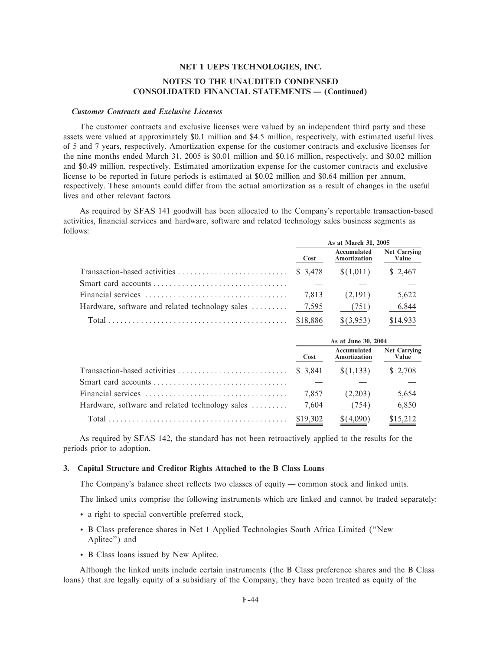### **Customer Contracts and Exclusive Licenses**

The customer contracts and exclusive licenses were valued by an independent third party and these assets were valued at approximately \$0.1 million and \$4.5 million, respectively, with estimated useful lives of 5 and 7 years, respectively. Amortization expense for the customer contracts and exclusive licenses for the nine months ended March 31, 2005 is \$0.01 million and \$0.16 million, respectively, and \$0.02 million and \$0.49 million, respectively. Estimated amortization expense for the customer contracts and exclusive license to be reported in future periods is estimated at \$0.02 million and \$0.64 million per annum, respectively. These amounts could differ from the actual amortization as a result of changes in the useful lives and other relevant factors.

As required by SFAS 141 goodwill has been allocated to the Company's reportable transaction-based activities, financial services and hardware, software and related technology sales business segments as follows:

|                                                        | As at March 31, 2005 |                             |                              |  |
|--------------------------------------------------------|----------------------|-----------------------------|------------------------------|--|
|                                                        | Cost                 | Accumulated<br>Amortization | <b>Net Carrying</b><br>Value |  |
|                                                        |                      | $\{(1,011)$ \ \ \ \ \ 2,467 |                              |  |
| Smart card accounts                                    |                      |                             |                              |  |
|                                                        |                      |                             | 5,622                        |  |
| Hardware, software and related technology sales  7,595 |                      | (751)                       | 6,844                        |  |
| $Total$ [3.953] $$14.933$                              |                      |                             |                              |  |

| As at June 30, 2004 |                             |                              |
|---------------------|-----------------------------|------------------------------|
| Cost                | Accumulated<br>Amortization | <b>Net Carrying</b><br>Value |
|                     | \$(1,133)                   | \$ 2.708                     |
|                     |                             |                              |
| 7.857               | (2,203)                     | 5,654                        |
|                     | (754)                       | 6,850                        |
|                     | \$(4,090)                   | \$15,212                     |

As required by SFAS 142, the standard has not been retroactively applied to the results for the periods prior to adoption.

#### 3. Capital Structure and Creditor Rights Attached to the B Class Loans

The Company's balance sheet reflects two classes of equity — common stock and linked units.

The linked units comprise the following instruments which are linked and cannot be traded separately:

- a right to special convertible preferred stock,
- B Class preference shares in Net 1 Applied Technologies South Africa Limited ("New Aplitec") and
- B Class loans issued by New Aplitec.

Although the linked units include certain instruments (the B Class preference shares and the B Class loans) that are legally equity of a subsidiary of the Company, they have been treated as equity of the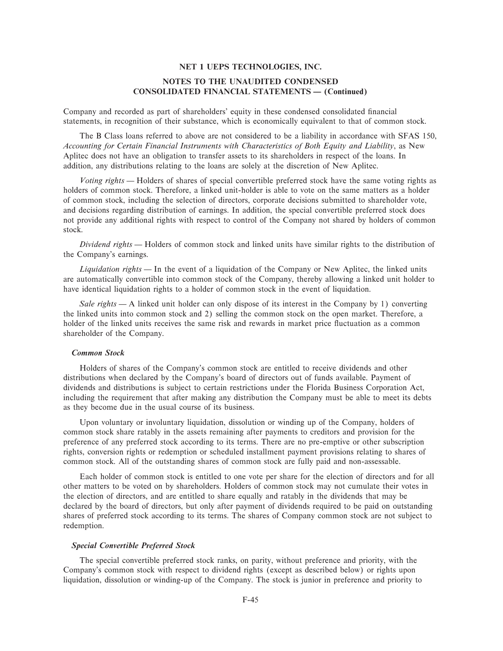Company and recorded as part of shareholders' equity in these condensed consolidated financial statements, in recognition of their substance, which is economically equivalent to that of common stock.

The B Class loans referred to above are not considered to be a liability in accordance with SFAS 150, *Accounting for Certain Financial Instruments with Characteristics of Both Equity and Liability*, as New Aplitec does not have an obligation to transfer assets to its shareholders in respect of the loans. In addition, any distributions relating to the loans are solely at the discretion of New Aplitec.

*Voting rights* — Holders of shares of special convertible preferred stock have the same voting rights as holders of common stock. Therefore, a linked unit-holder is able to vote on the same matters as a holder of common stock, including the selection of directors, corporate decisions submitted to shareholder vote, and decisions regarding distribution of earnings. In addition, the special convertible preferred stock does not provide any additional rights with respect to control of the Company not shared by holders of common stock.

*Dividend rights* — Holders of common stock and linked units have similar rights to the distribution of the Company's earnings.

*Liquidation rights* — In the event of a liquidation of the Company or New Aplitec, the linked units are automatically convertible into common stock of the Company, thereby allowing a linked unit holder to have identical liquidation rights to a holder of common stock in the event of liquidation.

*Sale rights* — A linked unit holder can only dispose of its interest in the Company by 1) converting the linked units into common stock and 2) selling the common stock on the open market. Therefore, a holder of the linked units receives the same risk and rewards in market price fluctuation as a common shareholder of the Company.

## *Common Stock*

Holders of shares of the Company's common stock are entitled to receive dividends and other distributions when declared by the Company's board of directors out of funds available. Payment of dividends and distributions is subject to certain restrictions under the Florida Business Corporation Act, including the requirement that after making any distribution the Company must be able to meet its debts as they become due in the usual course of its business.

Upon voluntary or involuntary liquidation, dissolution or winding up of the Company, holders of common stock share ratably in the assets remaining after payments to creditors and provision for the preference of any preferred stock according to its terms. There are no pre-emptive or other subscription rights, conversion rights or redemption or scheduled installment payment provisions relating to shares of common stock. All of the outstanding shares of common stock are fully paid and non-assessable.

Each holder of common stock is entitled to one vote per share for the election of directors and for all other matters to be voted on by shareholders. Holders of common stock may not cumulate their votes in the election of directors, and are entitled to share equally and ratably in the dividends that may be declared by the board of directors, but only after payment of dividends required to be paid on outstanding shares of preferred stock according to its terms. The shares of Company common stock are not subject to redemption.

#### *Special Convertible Preferred Stock*

The special convertible preferred stock ranks, on parity, without preference and priority, with the Company's common stock with respect to dividend rights (except as described below) or rights upon liquidation, dissolution or winding-up of the Company. The stock is junior in preference and priority to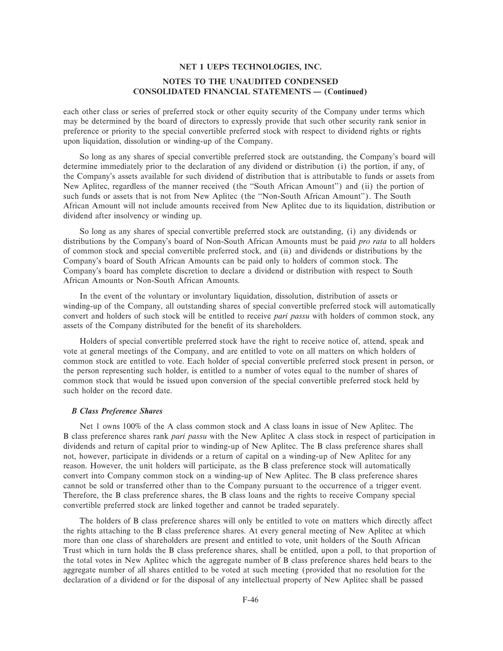each other class or series of preferred stock or other equity security of the Company under terms which may be determined by the board of directors to expressly provide that such other security rank senior in preference or priority to the special convertible preferred stock with respect to dividend rights or rights upon liquidation, dissolution or winding-up of the Company.

So long as any shares of special convertible preferred stock are outstanding, the Company's board will determine immediately prior to the declaration of any dividend or distribution (i) the portion, if any, of the Company's assets available for such dividend of distribution that is attributable to funds or assets from New Aplitec, regardless of the manner received (the ""South African Amount'') and (ii) the portion of such funds or assets that is not from New Aplitec (the ""Non-South African Amount''). The South African Amount will not include amounts received from New Aplitec due to its liquidation, distribution or dividend after insolvency or winding up.

So long as any shares of special convertible preferred stock are outstanding, (i) any dividends or distributions by the Company's board of Non-South African Amounts must be paid *pro rata* to all holders of common stock and special convertible preferred stock, and (ii) and dividends or distributions by the Company's board of South African Amounts can be paid only to holders of common stock. The Company's board has complete discretion to declare a dividend or distribution with respect to South African Amounts or Non-South African Amounts.

In the event of the voluntary or involuntary liquidation, dissolution, distribution of assets or winding-up of the Company, all outstanding shares of special convertible preferred stock will automatically convert and holders of such stock will be entitled to receive *pari passu* with holders of common stock, any assets of the Company distributed for the benefit of its shareholders.

Holders of special convertible preferred stock have the right to receive notice of, attend, speak and vote at general meetings of the Company, and are entitled to vote on all matters on which holders of common stock are entitled to vote. Each holder of special convertible preferred stock present in person, or the person representing such holder, is entitled to a number of votes equal to the number of shares of common stock that would be issued upon conversion of the special convertible preferred stock held by such holder on the record date.

### *B Class Preference Shares*

Net 1 owns 100% of the A class common stock and A class loans in issue of New Aplitec. The B class preference shares rank *pari passu* with the New Aplitec A class stock in respect of participation in dividends and return of capital prior to winding-up of New Aplitec. The B class preference shares shall not, however, participate in dividends or a return of capital on a winding-up of New Aplitec for any reason. However, the unit holders will participate, as the B class preference stock will automatically convert into Company common stock on a winding-up of New Aplitec. The B class preference shares cannot be sold or transferred other than to the Company pursuant to the occurrence of a trigger event. Therefore, the B class preference shares, the B class loans and the rights to receive Company special convertible preferred stock are linked together and cannot be traded separately.

The holders of B class preference shares will only be entitled to vote on matters which directly affect the rights attaching to the B class preference shares. At every general meeting of New Aplitec at which more than one class of shareholders are present and entitled to vote, unit holders of the South African Trust which in turn holds the B class preference shares, shall be entitled, upon a poll, to that proportion of the total votes in New Aplitec which the aggregate number of B class preference shares held bears to the aggregate number of all shares entitled to be voted at such meeting (provided that no resolution for the declaration of a dividend or for the disposal of any intellectual property of New Aplitec shall be passed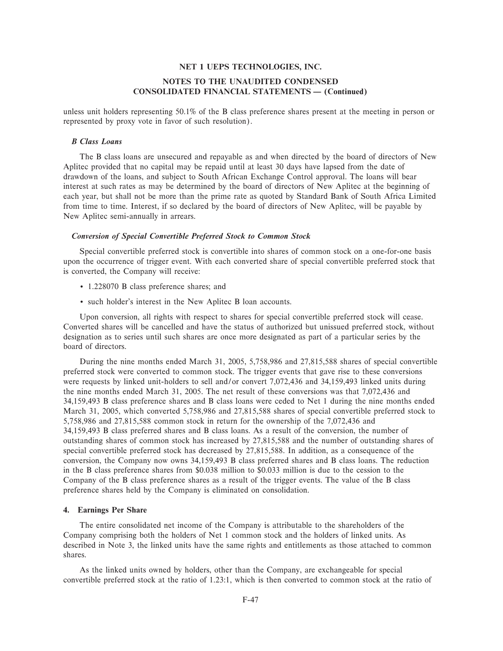# **NOTES TO THE UNAUDITED CONDENSED CONSOLIDATED FINANCIAL STATEMENTS — (Continued)**

unless unit holders representing 50.1% of the B class preference shares present at the meeting in person or represented by proxy vote in favor of such resolution).

### *B Class Loans*

The B class loans are unsecured and repayable as and when directed by the board of directors of New Aplitec provided that no capital may be repaid until at least 30 days have lapsed from the date of drawdown of the loans, and subject to South African Exchange Control approval. The loans will bear interest at such rates as may be determined by the board of directors of New Aplitec at the beginning of each year, but shall not be more than the prime rate as quoted by Standard Bank of South Africa Limited from time to time. Interest, if so declared by the board of directors of New Aplitec, will be payable by New Aplitec semi-annually in arrears.

#### *Conversion of Special Convertible Preferred Stock to Common Stock*

Special convertible preferred stock is convertible into shares of common stock on a one-for-one basis upon the occurrence of trigger event. With each converted share of special convertible preferred stock that is converted, the Company will receive:

- ' 1.228070 B class preference shares; and
- ' such holder's interest in the New Aplitec B loan accounts.

Upon conversion, all rights with respect to shares for special convertible preferred stock will cease. Converted shares will be cancelled and have the status of authorized but unissued preferred stock, without designation as to series until such shares are once more designated as part of a particular series by the board of directors.

During the nine months ended March 31, 2005, 5,758,986 and 27,815,588 shares of special convertible preferred stock were converted to common stock. The trigger events that gave rise to these conversions were requests by linked unit-holders to sell and/or convert 7,072,436 and 34,159,493 linked units during the nine months ended March 31, 2005. The net result of these conversions was that 7,072,436 and 34,159,493 B class preference shares and B class loans were ceded to Net 1 during the nine months ended March 31, 2005, which converted 5,758,986 and 27,815,588 shares of special convertible preferred stock to 5,758,986 and 27,815,588 common stock in return for the ownership of the 7,072,436 and 34,159,493 B class preferred shares and B class loans. As a result of the conversion, the number of outstanding shares of common stock has increased by 27,815,588 and the number of outstanding shares of special convertible preferred stock has decreased by 27,815,588. In addition, as a consequence of the conversion, the Company now owns 34,159,493 B class preferred shares and B class loans. The reduction in the B class preference shares from \$0.038 million to \$0.033 million is due to the cession to the Company of the B class preference shares as a result of the trigger events. The value of the B class preference shares held by the Company is eliminated on consolidation.

## **4. Earnings Per Share**

The entire consolidated net income of the Company is attributable to the shareholders of the Company comprising both the holders of Net 1 common stock and the holders of linked units. As described in Note 3, the linked units have the same rights and entitlements as those attached to common shares.

As the linked units owned by holders, other than the Company, are exchangeable for special convertible preferred stock at the ratio of 1.23:1, which is then converted to common stock at the ratio of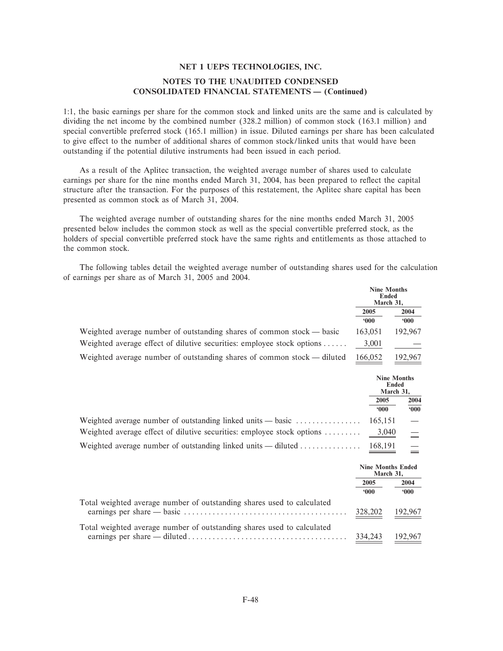1:1, the basic earnings per share for the common stock and linked units are the same and is calculated by dividing the net income by the combined number (328.2 million) of common stock (163.1 million) and special convertible preferred stock (165.1 million) in issue. Diluted earnings per share has been calculated to give effect to the number of additional shares of common stock/linked units that would have been outstanding if the potential dilutive instruments had been issued in each period.

As a result of the Aplitec transaction, the weighted average number of shares used to calculate earnings per share for the nine months ended March 31, 2004, has been prepared to reflect the capital structure after the transaction. For the purposes of this restatement, the Aplitec share capital has been presented as common stock as of March 31, 2004.

The weighted average number of outstanding shares for the nine months ended March 31, 2005 presented below includes the common stock as well as the special convertible preferred stock, as the holders of special convertible preferred stock have the same rights and entitlements as those attached to the common stock.

The following tables detail the weighted average number of outstanding shares used for the calculation of earnings per share as of March 31, 2005 and 2004.

|                                                                         | <b>Nine Months</b><br>Ended<br>March 31, |               |
|-------------------------------------------------------------------------|------------------------------------------|---------------|
|                                                                         | 2005                                     | 2004          |
|                                                                         | 000                                      | $000^{\circ}$ |
| Weighted average number of outstanding shares of common stock — basic   | 163.051                                  | 192,967       |
| Weighted average effect of dilutive securities: employee stock options  | 3,001                                    |               |
| Weighted average number of outstanding shares of common stock — diluted | 166,052                                  | 192,967       |

|                                                                                                   | <b>Nine Months</b><br>Ended<br>March 31, |               |  |
|---------------------------------------------------------------------------------------------------|------------------------------------------|---------------|--|
|                                                                                                   | 2005                                     | 2004          |  |
|                                                                                                   | $000*$                                   | $000^{\circ}$ |  |
|                                                                                                   |                                          |               |  |
| Weighted average effect of dilutive securities: employee stock options                            | 3,040                                    |               |  |
| Weighted average number of outstanding linked units — diluted $\dots\dots\dots\dots\dots$ 168,191 |                                          |               |  |

|                                                                        |             | <b>Nine Months Ended</b><br>March 31. |
|------------------------------------------------------------------------|-------------|---------------------------------------|
|                                                                        | 2005<br>000 | 2004<br>000                           |
|                                                                        |             |                                       |
| Total weighted average number of outstanding shares used to calculated | 328,202     | 192,967                               |
| Total weighted average number of outstanding shares used to calculated | 334.243     | 192,967                               |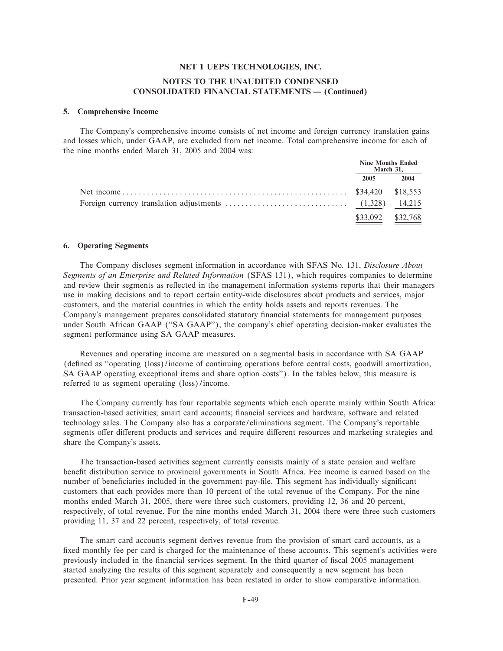# **NOTES TO THE UNAUDITED CONDENSED CONSOLIDATED FINANCIAL STATEMENTS — (Continued)**

#### **5. Comprehensive Income**

The Company's comprehensive income consists of net income and foreign currency translation gains and losses which, under GAAP, are excluded from net income. Total comprehensive income for each of the nine months ended March 31, 2005 and 2004 was:

|                   | <b>Nine Months Ended</b><br>March 31, |
|-------------------|---------------------------------------|
| 2005              | 2004                                  |
|                   |                                       |
|                   |                                       |
| \$33,092 \$32,768 |                                       |

#### **6. Operating Segments**

The Company discloses segment information in accordance with SFAS No. 131, *Disclosure About Segments of an Enterprise and Related Information* (SFAS 131), which requires companies to determine and review their segments as reflected in the management information systems reports that their managers use in making decisions and to report certain entity-wide disclosures about products and services, major customers, and the material countries in which the entity holds assets and reports revenues. The Company's management prepares consolidated statutory financial statements for management purposes under South African GAAP (""SA GAAP''), the company's chief operating decision-maker evaluates the segment performance using SA GAAP measures.

Revenues and operating income are measured on a segmental basis in accordance with SA GAAP (defined as "operating (loss)/income of continuing operations before central costs, goodwill amortization, SA GAAP operating exceptional items and share option costs''). In the tables below, this measure is referred to as segment operating (loss)/income.

The Company currently has four reportable segments which each operate mainly within South Africa: transaction-based activities; smart card accounts; financial services and hardware, software and related technology sales. The Company also has a corporate/eliminations segment. The Company's reportable segments offer different products and services and require different resources and marketing strategies and share the Company's assets.

The transaction-based activities segment currently consists mainly of a state pension and welfare benefit distribution service to provincial governments in South Africa. Fee income is earned based on the number of beneficiaries included in the government pay-file. This segment has individually significant customers that each provides more than 10 percent of the total revenue of the Company. For the nine months ended March 31, 2005, there were three such customers, providing 12, 36 and 20 percent, respectively, of total revenue. For the nine months ended March 31, 2004 there were three such customers providing 11, 37 and 22 percent, respectively, of total revenue.

The smart card accounts segment derives revenue from the provision of smart card accounts, as a fixed monthly fee per card is charged for the maintenance of these accounts. This segment's activities were previously included in the financial services segment. In the third quarter of fiscal 2005 management started analyzing the results of this segment separately and consequently a new segment has been presented. Prior year segment information has been restated in order to show comparative information.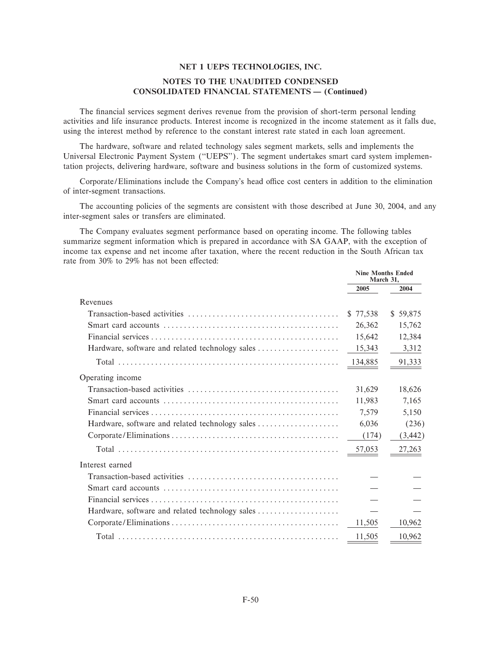## NOTES TO THE UNAUDITED CONDENSED **CONSOLIDATED FINANCIAL STATEMENTS - (Continued)**

The financial services segment derives revenue from the provision of short-term personal lending activities and life insurance products. Interest income is recognized in the income statement as it falls due, using the interest method by reference to the constant interest rate stated in each loan agreement.

The hardware, software and related technology sales segment markets, sells and implements the Universal Electronic Payment System ("UEPS"). The segment undertakes smart card system implementation projects, delivering hardware, software and business solutions in the form of customized systems.

Corporate/Eliminations include the Company's head office cost centers in addition to the elimination of inter-segment transactions.

The accounting policies of the segments are consistent with those described at June 30, 2004, and any inter-segment sales or transfers are eliminated.

The Company evaluates segment performance based on operating income. The following tables summarize segment information which is prepared in accordance with SA GAAP, with the exception of income tax expense and net income after taxation, where the recent reduction in the South African tax rate from 30% to 29% has not been effected:

|                                                 | <b>Nine Months Ended</b><br>March 31, |          |
|-------------------------------------------------|---------------------------------------|----------|
|                                                 | 2005                                  | 2004     |
| Revenues                                        |                                       |          |
|                                                 | \$77,538                              | \$59,875 |
|                                                 | 26,362                                | 15,762   |
|                                                 | 15,642                                | 12,384   |
| Hardware, software and related technology sales | 15,343                                | 3,312    |
|                                                 | 134,885                               | 91,333   |
| Operating income                                |                                       |          |
|                                                 | 31,629                                | 18,626   |
|                                                 | 11,983                                | 7,165    |
|                                                 | 7.579                                 | 5,150    |
|                                                 | 6,036                                 | (236)    |
|                                                 | (174)                                 | (3, 442) |
|                                                 | 57,053                                | 27,263   |
| Interest earned                                 |                                       |          |
|                                                 |                                       |          |
|                                                 |                                       |          |
|                                                 |                                       |          |
| Hardware, software and related technology sales |                                       |          |
|                                                 | 11,505                                | 10,962   |
|                                                 | 11,505                                | 10,962   |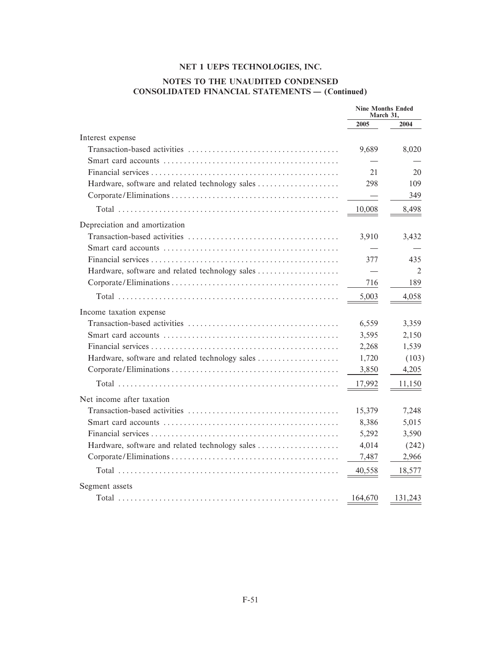# NOTES TO THE UNAUDITED CONDENSED **CONSOLIDATED FINANCIAL STATEMENTS - (Continued)**

|                                                 | <b>Nine Months Ended</b><br>March 31, |                |
|-------------------------------------------------|---------------------------------------|----------------|
|                                                 | 2005                                  | 2004           |
| Interest expense                                |                                       |                |
|                                                 | 9,689                                 | 8,020          |
|                                                 |                                       |                |
|                                                 | 21                                    | 20             |
| Hardware, software and related technology sales | 298                                   | 109            |
|                                                 | $\overline{\phantom{m}}$              | 349            |
|                                                 | 10,008                                | 8,498          |
| Depreciation and amortization                   |                                       |                |
|                                                 | 3,910                                 | 3,432          |
|                                                 |                                       |                |
|                                                 | 377                                   | 435            |
| Hardware, software and related technology sales |                                       | $\mathfrak{D}$ |
|                                                 | 716                                   | 189            |
|                                                 | 5,003                                 | 4,058          |
| Income taxation expense                         |                                       |                |
|                                                 | 6,559                                 | 3,359          |
|                                                 | 3,595                                 | 2,150          |
|                                                 | 2,268                                 | 1,539          |
| Hardware, software and related technology sales | 1,720                                 | (103)          |
|                                                 | 3,850                                 | 4,205          |
|                                                 | <u>17,992</u>                         | 11,150         |
| Net income after taxation                       |                                       |                |
|                                                 | 15,379                                | 7,248          |
|                                                 | 8,386                                 | 5,015          |
|                                                 | 5,292                                 | 3,590          |
| Hardware, software and related technology sales | 4,014                                 | (242)          |
|                                                 | 7,487                                 | 2,966          |
|                                                 | 40,558                                | 18,577         |
| Segment assets                                  |                                       |                |
|                                                 | 164,670                               | 131,243        |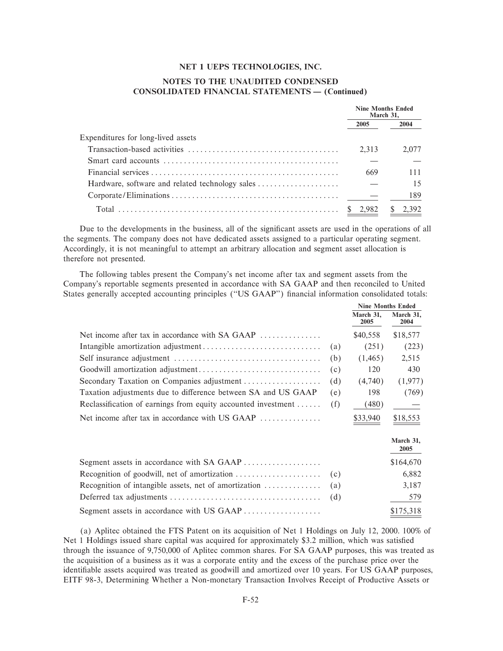## NOTES TO THE UNAUDITED CONDENSED **CONSOLIDATED FINANCIAL STATEMENTS - (Continued)**

|                                                 | <b>Nine Months Ended</b><br>March 31, |       |
|-------------------------------------------------|---------------------------------------|-------|
|                                                 | 2005                                  | 2004  |
| Expenditures for long-lived assets              |                                       |       |
|                                                 | 2.313                                 | 2.077 |
|                                                 |                                       |       |
|                                                 | 669                                   | 111   |
| Hardware, software and related technology sales |                                       | 15    |
|                                                 |                                       | 189   |
|                                                 | \$ 2.982                              | 2,392 |

Due to the developments in the business, all of the significant assets are used in the operations of all the segments. The company does not have dedicated assets assigned to a particular operating segment. Accordingly, it is not meaningful to attempt an arbitrary allocation and segment asset allocation is therefore not presented.

The following tables present the Company's net income after tax and segment assets from the Company's reportable segments presented in accordance with SA GAAP and then reconciled to United States generally accepted accounting principles ("US GAAP") financial information consolidated totals:

|                                                                              |     | <b>Nine Months Ended</b> |                   |
|------------------------------------------------------------------------------|-----|--------------------------|-------------------|
|                                                                              |     | March 31,<br>2005        | March 31,<br>2004 |
| Net income after tax in accordance with SA GAAP                              |     | \$40,558                 | \$18,577          |
|                                                                              | (a) | (251)                    | (223)             |
|                                                                              | (b) | (1,465)                  | 2,515             |
|                                                                              | (c) | 120                      | 430               |
| Secondary Taxation on Companies adjustment                                   | (d) | (4,740)                  | (1,977)           |
| Taxation adjustments due to difference between SA and US GAAP                | (e) | 198                      | (769)             |
| Reclassification of earnings from equity accounted investment                | (f) | (480)                    |                   |
| Net income after tax in accordance with US GAAP $\dots \dots \dots \dots$    |     | \$33,940                 | \$18,553          |
|                                                                              |     |                          | March 31,<br>2005 |
| Segment assets in accordance with SA GAAP                                    |     |                          | \$164,670         |
|                                                                              | (c) |                          | 6,882             |
| Recognition of intangible assets, net of amortization $\dots\dots\dots\dots$ | (a) |                          | 3,187             |

579 \$175,318

(a) Aplitec obtained the FTS Patent on its acquisition of Net 1 Holdings on July 12, 2000. 100% of Net 1 Holdings issued share capital was acquired for approximately \$3.2 million, which was satisfied through the issuance of 9,750,000 of Aplitec common shares. For SA GAAP purposes, this was treated as the acquisition of a business as it was a corporate entity and the excess of the purchase price over the identifiable assets acquired was treated as goodwill and amortized over 10 years. For US GAAP purposes, EITF 98-3, Determining Whether a Non-monetary Transaction Involves Receipt of Productive Assets or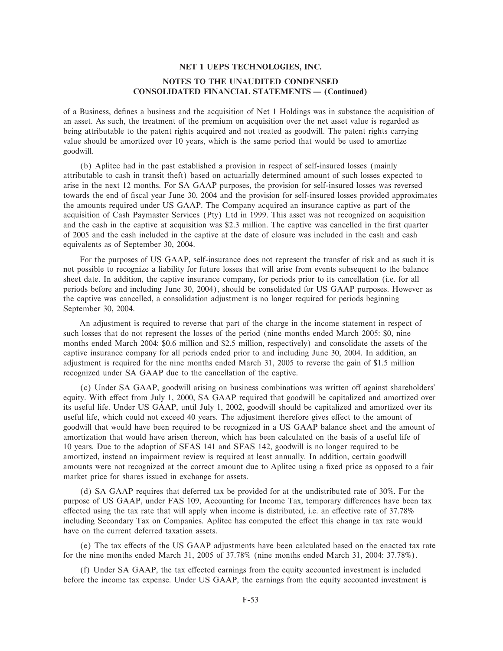of a Business, defines a business and the acquisition of Net 1 Holdings was in substance the acquisition of an asset. As such, the treatment of the premium on acquisition over the net asset value is regarded as being attributable to the patent rights acquired and not treated as goodwill. The patent rights carrying value should be amortized over 10 years, which is the same period that would be used to amortize goodwill.

(b) Aplitec had in the past established a provision in respect of self-insured losses (mainly attributable to cash in transit theft) based on actuarially determined amount of such losses expected to arise in the next 12 months. For SA GAAP purposes, the provision for self-insured losses was reversed towards the end of fiscal year June 30, 2004 and the provision for self-insured losses provided approximates the amounts required under US GAAP. The Company acquired an insurance captive as part of the acquisition of Cash Paymaster Services (Pty) Ltd in 1999. This asset was not recognized on acquisition and the cash in the captive at acquisition was \$2.3 million. The captive was cancelled in the first quarter of 2005 and the cash included in the captive at the date of closure was included in the cash and cash equivalents as of September 30, 2004.

For the purposes of US GAAP, self-insurance does not represent the transfer of risk and as such it is not possible to recognize a liability for future losses that will arise from events subsequent to the balance sheet date. In addition, the captive insurance company, for periods prior to its cancellation (i.e. for all periods before and including June 30, 2004), should be consolidated for US GAAP purposes. However as the captive was cancelled, a consolidation adjustment is no longer required for periods beginning September 30, 2004.

An adjustment is required to reverse that part of the charge in the income statement in respect of such losses that do not represent the losses of the period (nine months ended March 2005: \$0, nine months ended March 2004: \$0.6 million and \$2.5 million, respectively) and consolidate the assets of the captive insurance company for all periods ended prior to and including June 30, 2004. In addition, an adjustment is required for the nine months ended March 31, 2005 to reverse the gain of \$1.5 million recognized under SA GAAP due to the cancellation of the captive.

(c) Under SA GAAP, goodwill arising on business combinations was written off against shareholders' equity. With effect from July 1, 2000, SA GAAP required that goodwill be capitalized and amortized over its useful life. Under US GAAP, until July 1, 2002, goodwill should be capitalized and amortized over its useful life, which could not exceed 40 years. The adjustment therefore gives effect to the amount of goodwill that would have been required to be recognized in a US GAAP balance sheet and the amount of amortization that would have arisen thereon, which has been calculated on the basis of a useful life of 10 years. Due to the adoption of SFAS 141 and SFAS 142, goodwill is no longer required to be amortized, instead an impairment review is required at least annually. In addition, certain goodwill amounts were not recognized at the correct amount due to Aplitec using a Ñxed price as opposed to a fair market price for shares issued in exchange for assets.

(d) SA GAAP requires that deferred tax be provided for at the undistributed rate of 30%. For the purpose of US GAAP, under FAS 109, Accounting for Income Tax, temporary differences have been tax effected using the tax rate that will apply when income is distributed, i.e. an effective rate of 37.78% including Secondary Tax on Companies. Aplitec has computed the effect this change in tax rate would have on the current deferred taxation assets.

(e) The tax effects of the US GAAP adjustments have been calculated based on the enacted tax rate for the nine months ended March 31, 2005 of 37.78% (nine months ended March 31, 2004: 37.78%).

(f) Under SA GAAP, the tax effected earnings from the equity accounted investment is included before the income tax expense. Under US GAAP, the earnings from the equity accounted investment is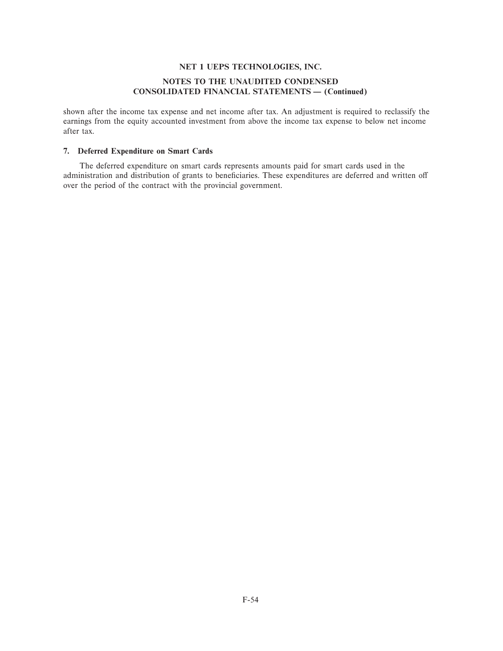# **NOTES TO THE UNAUDITED CONDENSED CONSOLIDATED FINANCIAL STATEMENTS — (Continued)**

shown after the income tax expense and net income after tax. An adjustment is required to reclassify the earnings from the equity accounted investment from above the income tax expense to below net income after tax.

# **7. Deferred Expenditure on Smart Cards**

The deferred expenditure on smart cards represents amounts paid for smart cards used in the administration and distribution of grants to beneficiaries. These expenditures are deferred and written off over the period of the contract with the provincial government.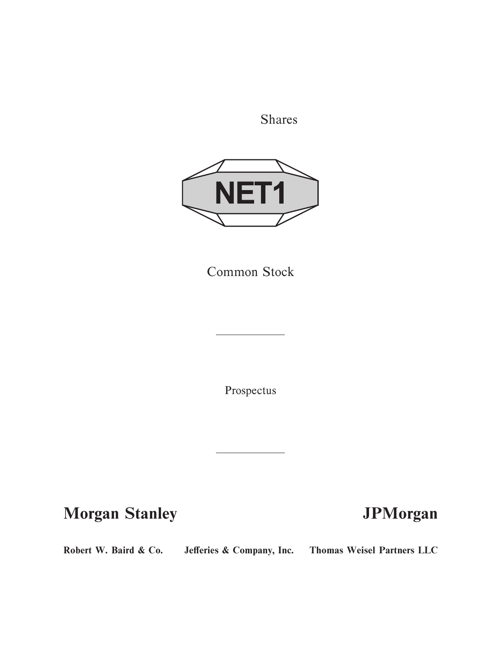Shares



Common Stock

Prospectus

**Morgan Stanley JPMorgan** 

Robert W. Baird & Co. Jefferies & Company, Inc. Thomas Weisel Partners LLC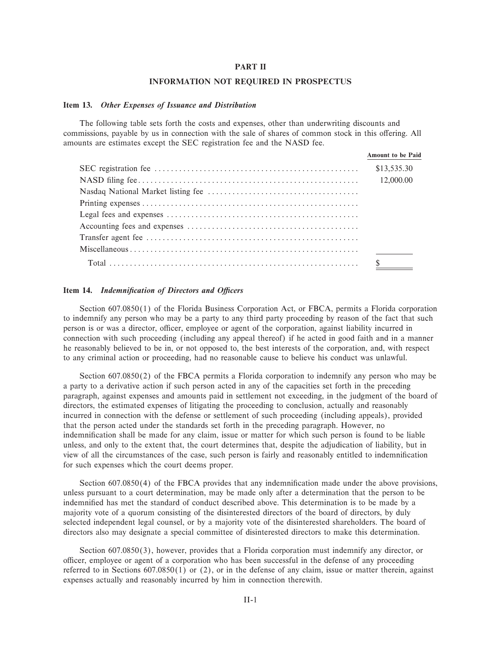#### **PART II**

#### **INFORMATION NOT REQUIRED IN PROSPECTUS**

#### **Item 13.** *Other Expenses of Issuance and Distribution*

The following table sets forth the costs and expenses, other than underwriting discounts and commissions, payable by us in connection with the sale of shares of common stock in this offering. All amounts are estimates except the SEC registration fee and the NASD fee.

| <b>Amount to be Paid</b> |
|--------------------------|
| \$13,535.30              |
| 12,000.00                |
|                          |
|                          |
|                          |
|                          |
|                          |
|                          |
| $\mathcal{S}$            |

#### **Item 14.** *Indemnification of Directors and Officers*

Section 607.0850(1) of the Florida Business Corporation Act, or FBCA, permits a Florida corporation to indemnify any person who may be a party to any third party proceeding by reason of the fact that such person is or was a director, officer, employee or agent of the corporation, against liability incurred in connection with such proceeding (including any appeal thereof) if he acted in good faith and in a manner he reasonably believed to be in, or not opposed to, the best interests of the corporation, and, with respect to any criminal action or proceeding, had no reasonable cause to believe his conduct was unlawful.

Section 607.0850(2) of the FBCA permits a Florida corporation to indemnify any person who may be a party to a derivative action if such person acted in any of the capacities set forth in the preceding paragraph, against expenses and amounts paid in settlement not exceeding, in the judgment of the board of directors, the estimated expenses of litigating the proceeding to conclusion, actually and reasonably incurred in connection with the defense or settlement of such proceeding (including appeals), provided that the person acted under the standards set forth in the preceding paragraph. However, no indemnification shall be made for any claim, issue or matter for which such person is found to be liable unless, and only to the extent that, the court determines that, despite the adjudication of liability, but in view of all the circumstances of the case, such person is fairly and reasonably entitled to indemnification for such expenses which the court deems proper.

Section  $607.0850(4)$  of the FBCA provides that any indemnification made under the above provisions, unless pursuant to a court determination, may be made only after a determination that the person to be indemnified has met the standard of conduct described above. This determination is to be made by a majority vote of a quorum consisting of the disinterested directors of the board of directors, by duly selected independent legal counsel, or by a majority vote of the disinterested shareholders. The board of directors also may designate a special committee of disinterested directors to make this determination.

Section 607.0850(3), however, provides that a Florida corporation must indemnify any director, or officer, employee or agent of a corporation who has been successful in the defense of any proceeding referred to in Sections  $607.0850(1)$  or (2), or in the defense of any claim, issue or matter therein, against expenses actually and reasonably incurred by him in connection therewith.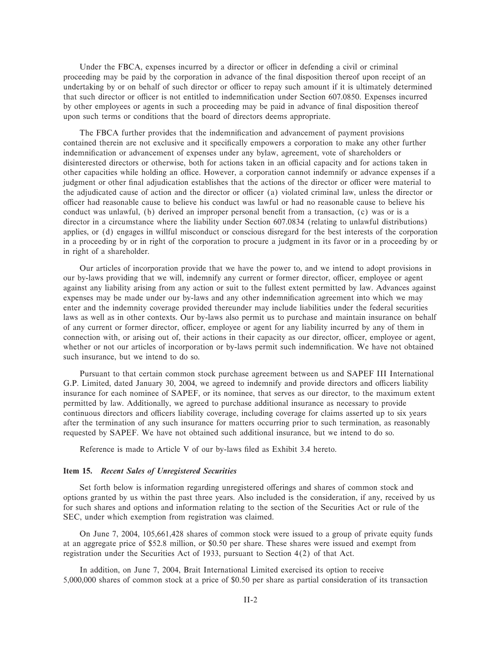Under the FBCA, expenses incurred by a director or officer in defending a civil or criminal proceeding may be paid by the corporation in advance of the final disposition thereof upon receipt of an undertaking by or on behalf of such director or officer to repay such amount if it is ultimately determined that such director or officer is not entitled to indemnification under Section 607.0850. Expenses incurred by other employees or agents in such a proceeding may be paid in advance of final disposition thereof upon such terms or conditions that the board of directors deems appropriate.

The FBCA further provides that the indemnification and advancement of payment provisions contained therein are not exclusive and it specifically empowers a corporation to make any other further indemnification or advancement of expenses under any bylaw, agreement, vote of shareholders or disinterested directors or otherwise, both for actions taken in an official capacity and for actions taken in other capacities while holding an office. However, a corporation cannot indemnify or advance expenses if a judgment or other final adjudication establishes that the actions of the director or officer were material to the adjudicated cause of action and the director or officer (a) violated criminal law, unless the director or officer had reasonable cause to believe his conduct was lawful or had no reasonable cause to believe his conduct was unlawful, (b) derived an improper personal benefit from a transaction, (c) was or is a director in a circumstance where the liability under Section 607.0834 (relating to unlawful distributions) applies, or (d) engages in willful misconduct or conscious disregard for the best interests of the corporation in a proceeding by or in right of the corporation to procure a judgment in its favor or in a proceeding by or in right of a shareholder.

Our articles of incorporation provide that we have the power to, and we intend to adopt provisions in our by-laws providing that we will, indemnify any current or former director, officer, employee or agent against any liability arising from any action or suit to the fullest extent permitted by law. Advances against expenses may be made under our by-laws and any other indemnification agreement into which we may enter and the indemnity coverage provided thereunder may include liabilities under the federal securities laws as well as in other contexts. Our by-laws also permit us to purchase and maintain insurance on behalf of any current or former director, officer, employee or agent for any liability incurred by any of them in connection with, or arising out of, their actions in their capacity as our director, officer, employee or agent, whether or not our articles of incorporation or by-laws permit such indemnification. We have not obtained such insurance, but we intend to do so.

Pursuant to that certain common stock purchase agreement between us and SAPEF III International G.P. Limited, dated January 30, 2004, we agreed to indemnify and provide directors and officers liability insurance for each nominee of SAPEF, or its nominee, that serves as our director, to the maximum extent permitted by law. Additionally, we agreed to purchase additional insurance as necessary to provide continuous directors and officers liability coverage, including coverage for claims asserted up to six years after the termination of any such insurance for matters occurring prior to such termination, as reasonably requested by SAPEF. We have not obtained such additional insurance, but we intend to do so.

Reference is made to Article V of our by-laws filed as Exhibit 3.4 hereto.

#### **Item 15.** *Recent Sales of Unregistered Securities*

Set forth below is information regarding unregistered offerings and shares of common stock and options granted by us within the past three years. Also included is the consideration, if any, received by us for such shares and options and information relating to the section of the Securities Act or rule of the SEC, under which exemption from registration was claimed.

On June 7, 2004, 105,661,428 shares of common stock were issued to a group of private equity funds at an aggregate price of \$52.8 million, or \$0.50 per share. These shares were issued and exempt from registration under the Securities Act of 1933, pursuant to Section 4(2) of that Act.

In addition, on June 7, 2004, Brait International Limited exercised its option to receive 5,000,000 shares of common stock at a price of \$0.50 per share as partial consideration of its transaction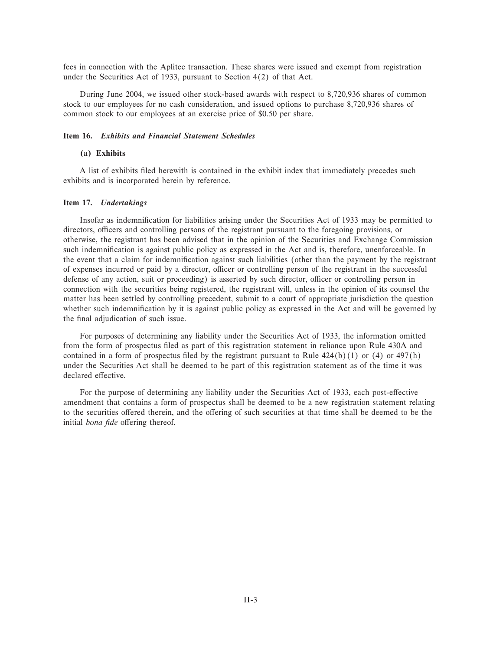fees in connection with the Aplitec transaction. These shares were issued and exempt from registration under the Securities Act of 1933, pursuant to Section 4(2) of that Act.

During June 2004, we issued other stock-based awards with respect to 8,720,936 shares of common stock to our employees for no cash consideration, and issued options to purchase 8,720,936 shares of common stock to our employees at an exercise price of \$0.50 per share.

## **Item 16.** *Exhibits and Financial Statement Schedules*

### **(a) Exhibits**

A list of exhibits filed herewith is contained in the exhibit index that immediately precedes such exhibits and is incorporated herein by reference.

### **Item 17.** *Undertakings*

Insofar as indemnification for liabilities arising under the Securities Act of 1933 may be permitted to directors, officers and controlling persons of the registrant pursuant to the foregoing provisions, or otherwise, the registrant has been advised that in the opinion of the Securities and Exchange Commission such indemnification is against public policy as expressed in the Act and is, therefore, unenforceable. In the event that a claim for indemnification against such liabilities (other than the payment by the registrant of expenses incurred or paid by a director, officer or controlling person of the registrant in the successful defense of any action, suit or proceeding) is asserted by such director, officer or controlling person in connection with the securities being registered, the registrant will, unless in the opinion of its counsel the matter has been settled by controlling precedent, submit to a court of appropriate jurisdiction the question whether such indemnification by it is against public policy as expressed in the Act and will be governed by the final adjudication of such issue.

For purposes of determining any liability under the Securities Act of 1933, the information omitted from the form of prospectus Ñled as part of this registration statement in reliance upon Rule 430A and contained in a form of prospectus filed by the registrant pursuant to Rule  $424(b)(1)$  or  $(4)$  or  $497(h)$ under the Securities Act shall be deemed to be part of this registration statement as of the time it was declared effective.

For the purpose of determining any liability under the Securities Act of 1933, each post-effective amendment that contains a form of prospectus shall be deemed to be a new registration statement relating to the securities offered therein, and the offering of such securities at that time shall be deemed to be the initial *bona fide* offering thereof.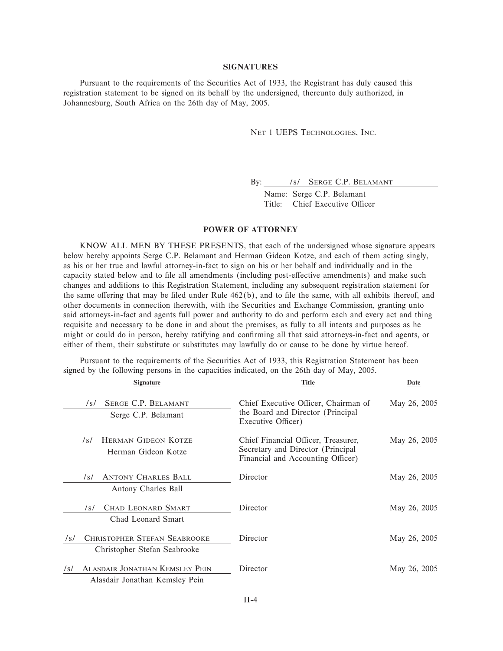#### **SIGNATURES**

Pursuant to the requirements of the Securities Act of 1933, the Registrant has duly caused this registration statement to be signed on its behalf by the undersigned, thereunto duly authorized, in Johannesburg, South Africa on the 26th day of May, 2005.

NET 1 UEPS TECHNOLOGIES, INC.

By: /s/ SERGE C.P. BELAMANT

Name: Serge C.P. Belamant Title: Chief Executive Officer

## **POWER OF ATTORNEY**

KNOW ALL MEN BY THESE PRESENTS, that each of the undersigned whose signature appears below hereby appoints Serge C.P. Belamant and Herman Gideon Kotze, and each of them acting singly, as his or her true and lawful attorney-in-fact to sign on his or her behalf and individually and in the capacity stated below and to file all amendments (including post-effective amendments) and make such changes and additions to this Registration Statement, including any subsequent registration statement for the same offering that may be filed under Rule  $462(b)$ , and to file the same, with all exhibits thereof, and other documents in connection therewith, with the Securities and Exchange Commission, granting unto said attorneys-in-fact and agents full power and authority to do and perform each and every act and thing requisite and necessary to be done in and about the premises, as fully to all intents and purposes as he might or could do in person, hereby ratifying and confirming all that said attorneys-in-fact and agents, or either of them, their substitute or substitutes may lawfully do or cause to be done by virtue hereof.

| <b>Signature</b>                                                               | <b>Title</b>                                                                                                  | Date         |
|--------------------------------------------------------------------------------|---------------------------------------------------------------------------------------------------------------|--------------|
| SERGE C.P. BELAMANT<br>/s/<br>Serge C.P. Belamant                              | Chief Executive Officer, Chairman of<br>the Board and Director (Principal<br>Executive Officer)               | May 26, 2005 |
| <b>HERMAN GIDEON KOTZE</b><br>/s/<br>Herman Gideon Kotze                       | Chief Financial Officer, Treasurer,<br>Secretary and Director (Principal<br>Financial and Accounting Officer) | May 26, 2005 |
| <b>ANTONY CHARLES BALL</b><br>/s/<br>Antony Charles Ball                       | Director                                                                                                      | May 26, 2005 |
| <b>CHAD LEONARD SMART</b><br>/s/<br>Chad Leonard Smart                         | Director                                                                                                      | May 26, 2005 |
| <b>CHRISTOPHER STEFAN SEABROOKE</b><br>/s/<br>Christopher Stefan Seabrooke     | Director                                                                                                      | May 26, 2005 |
| <b>ALASDAIR JONATHAN KEMSLEY PEIN</b><br>/s/<br>Alasdair Jonathan Kemsley Pein | Director                                                                                                      | May 26, 2005 |

Pursuant to the requirements of the Securities Act of 1933, this Registration Statement has been signed by the following persons in the capacities indicated, on the 26th day of May, 2005.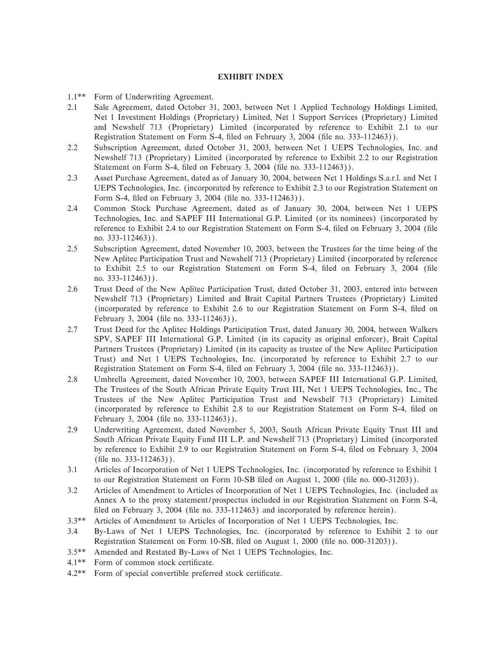# **EXHIBIT INDEX**

- 1.1\*\* Form of Underwriting Agreement.
- 2.1 Sale Agreement, dated October 31, 2003, between Net 1 Applied Technology Holdings Limited, Net 1 Investment Holdings (Proprietary) Limited, Net 1 Support Services (Proprietary) Limited and Newshelf 713 (Proprietary) Limited (incorporated by reference to Exhibit 2.1 to our Registration Statement on Form S-4, filed on February 3, 2004 (file no. 333-112463)).
- 2.2 Subscription Agreement, dated October 31, 2003, between Net 1 UEPS Technologies, Inc. and Newshelf 713 (Proprietary) Limited (incorporated by reference to Exhibit 2.2 to our Registration Statement on Form S-4, filed on February 3, 2004 (file no. 333-112463)).
- 2.3 Asset Purchase Agreement, dated as of January 30, 2004, between Net 1 Holdings S.a.r.l. and Net 1 UEPS Technologies, Inc. (incorporated by reference to Exhibit 2.3 to our Registration Statement on Form S-4, filed on February 3, 2004 (file no. 333-112463)).
- 2.4 Common Stock Purchase Agreement, dated as of January 30, 2004, between Net 1 UEPS Technologies, Inc. and SAPEF III International G.P. Limited (or its nominees) (incorporated by reference to Exhibit 2.4 to our Registration Statement on Form S-4, filed on February 3, 2004 (file no. 333-112463)).
- 2.5 Subscription Agreement, dated November 10, 2003, between the Trustees for the time being of the New Aplitec Participation Trust and Newshelf 713 (Proprietary) Limited (incorporated by reference to Exhibit 2.5 to our Registration Statement on Form S-4, filed on February 3, 2004 (file no. 333-112463)).
- 2.6 Trust Deed of the New Aplitec Participation Trust, dated October 31, 2003, entered into between Newshelf 713 (Proprietary) Limited and Brait Capital Partners Trustees (Proprietary) Limited (incorporated by reference to Exhibit 2.6 to our Registration Statement on Form S-4, Ñled on February 3, 2004 (file no. 333-112463)).
- 2.7 Trust Deed for the Aplitec Holdings Participation Trust, dated January 30, 2004, between Walkers SPV, SAPEF III International G.P. Limited (in its capacity as original enforcer), Brait Capital Partners Trustees (Proprietary) Limited (in its capacity as trustee of the New Aplitec Participation Trust) and Net 1 UEPS Technologies, Inc. (incorporated by reference to Exhibit 2.7 to our Registration Statement on Form S-4, filed on February 3, 2004 (file no. 333-112463)).
- 2.8 Umbrella Agreement, dated November 10, 2003, between SAPEF III International G.P. Limited, The Trustees of the South African Private Equity Trust III, Net 1 UEPS Technologies, Inc., The Trustees of the New Aplitec Participation Trust and Newshelf 713 (Proprietary) Limited (incorporated by reference to Exhibit 2.8 to our Registration Statement on Form S-4, Ñled on February 3, 2004 (file no. 333-112463)).
- 2.9 Underwriting Agreement, dated November 5, 2003, South African Private Equity Trust III and South African Private Equity Fund III L.P. and Newshelf 713 (Proprietary) Limited (incorporated by reference to Exhibit 2.9 to our Registration Statement on Form S-4, Ñled on February 3, 2004  $(hle no. 333-112463)$ .
- 3.1 Articles of Incorporation of Net 1 UEPS Technologies, Inc. (incorporated by reference to Exhibit 1 to our Registration Statement on Form 10-SB filed on August 1, 2000 (file no. 000-31203)).
- 3.2 Articles of Amendment to Articles of Incorporation of Net 1 UEPS Technologies, Inc. (included as Annex A to the proxy statement/prospectus included in our Registration Statement on Form S-4, filed on February 3, 2004 (file no. 333-112463) and incorporated by reference herein).
- 3.3\*\* Articles of Amendment to Articles of Incorporation of Net 1 UEPS Technologies, Inc.
- 3.4 By-Laws of Net 1 UEPS Technologies, Inc. (incorporated by reference to Exhibit 2 to our Registration Statement on Form 10-SB, filed on August 1, 2000 (file no. 000-31203)).
- 3.5\*\* Amended and Restated By-Laws of Net 1 UEPS Technologies, Inc.
- 4.1\*\* Form of common stock certificate.
- 4.2\*\* Form of special convertible preferred stock certificate.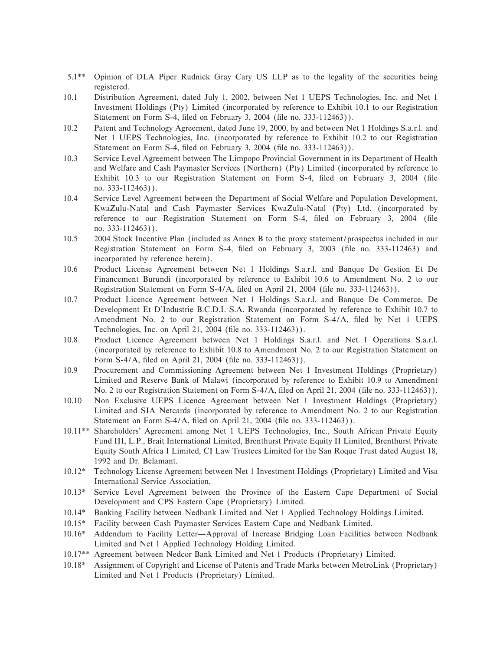- 5.1\*\* Opinion of DLA Piper Rudnick Gray Cary US LLP as to the legality of the securities being registered.
- 10.1 Distribution Agreement, dated July 1, 2002, between Net 1 UEPS Technologies, Inc. and Net 1 Investment Holdings (Pty) Limited (incorporated by reference to Exhibit 10.1 to our Registration Statement on Form S-4, filed on February 3, 2004 (file no. 333-112463)).
- 10.2 Patent and Technology Agreement, dated June 19, 2000, by and between Net 1 Holdings S.a.r.l. and Net 1 UEPS Technologies, Inc. (incorporated by reference to Exhibit 10.2 to our Registration Statement on Form S-4, filed on February 3, 2004 (file no. 333-112463)).
- 10.3 Service Level Agreement between The Limpopo Provincial Government in its Department of Health and Welfare and Cash Paymaster Services (Northern) (Pty) Limited (incorporated by reference to Exhibit 10.3 to our Registration Statement on Form S-4, filed on February 3, 2004 (file no. 333-112463)).
- 10.4 Service Level Agreement between the Department of Social Welfare and Population Development, KwaZulu-Natal and Cash Paymaster Services KwaZulu-Natal (Pty) Ltd. (incorporated by reference to our Registration Statement on Form S-4, Ñled on February 3, 2004 (Ñle no. 333-112463)).
- 10.5 2004 Stock Incentive Plan (included as Annex B to the proxy statement/prospectus included in our Registration Statement on Form S-4, filed on February 3, 2003 (file no. 333-112463) and incorporated by reference herein).
- 10.6 Product License Agreement between Net 1 Holdings S.a.r.l. and Banque De Gestion Et De Financement Burundi (incorporated by reference to Exhibit 10.6 to Amendment No. 2 to our Registration Statement on Form S-4/A, filed on April 21, 2004 (file no. 333-112463)).
- 10.7 Product Licence Agreement between Net 1 Holdings S.a.r.l. and Banque De Commerce, De Development Et D'Industrie B.C.D.I. S.A. Rwanda (incorporated by reference to Exhibit 10.7 to Amendment No. 2 to our Registration Statement on Form S-4/A, filed by Net 1 UEPS Technologies, Inc. on April 21, 2004 (file no. 333-112463)).
- 10.8 Product Licence Agreement between Net 1 Holdings S.a.r.l. and Net 1 Operations S.a.r.l. (incorporated by reference to Exhibit 10.8 to Amendment No. 2 to our Registration Statement on Form S-4/A, filed on April 21, 2004 (file no. 333-112463)).
- 10.9 Procurement and Commissioning Agreement between Net 1 Investment Holdings (Proprietary) Limited and Reserve Bank of Malawi (incorporated by reference to Exhibit 10.9 to Amendment No. 2 to our Registration Statement on Form S-4/A, filed on April 21, 2004 (file no. 333-112463)).
- 10.10 Non Exclusive UEPS Licence Agreement between Net 1 Investment Holdings (Proprietary) Limited and SIA Netcards (incorporated by reference to Amendment No. 2 to our Registration Statement on Form S-4/A, filed on April 21, 2004 (file no. 333-112463)).
- 10.11\*\* Shareholders' Agreement among Net 1 UEPS Technologies, Inc., South African Private Equity Fund III, L.P., Brait International Limited, Brenthurst Private Equity II Limited, Brenthurst Private Equity South Africa I Limited, CI Law Trustees Limited for the San Roque Trust dated August 18, 1992 and Dr. Belamant.
- 10.12\* Technology License Agreement between Net 1 Investment Holdings (Proprietary) Limited and Visa International Service Association.
- 10.13\* Service Level Agreement between the Province of the Eastern Cape Department of Social Development and CPS Eastern Cape (Proprietary) Limited.
- 10.14\* Banking Facility between Nedbank Limited and Net 1 Applied Technology Holdings Limited.
- 10.15\* Facility between Cash Paymaster Services Eastern Cape and Nedbank Limited.
- 10.16\* Addendum to Facility Letter—Approval of Increase Bridging Loan Facilities between Nedbank Limited and Net 1 Applied Technology Holding Limited.
- 10.17\*\* Agreement between Nedcor Bank Limited and Net 1 Products (Proprietary) Limited.
- 10.18\* Assignment of Copyright and License of Patents and Trade Marks between MetroLink (Proprietary) Limited and Net 1 Products (Proprietary) Limited.